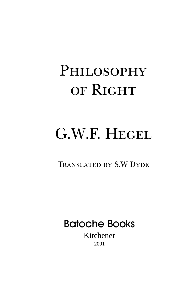# Philosophy of Right

# G.W.F. Hegel

Translated by S.W Dyde

## Batoche Books

Kitchener 2001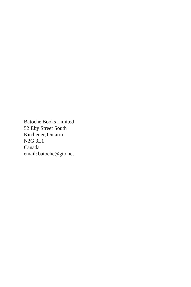Batoche Books Limited 52 Eby Street South Kitchener, Ontario N2G 3L1 Canada email: batoche@gto.net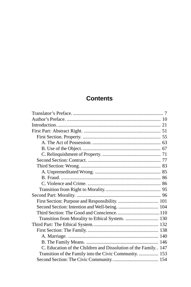## **Contents**

| C. Education of the Children and Dissolution of the Family 147 |  |
|----------------------------------------------------------------|--|
| Transition of the Family into the Civic Community.  153        |  |
|                                                                |  |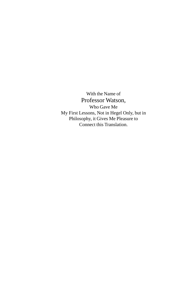With the Name of Professor Watson, Who Gave Me My First Lessons, Not in Hegel Only, but in Philosophy, it Gives Me Pleasure to Connect this Translation.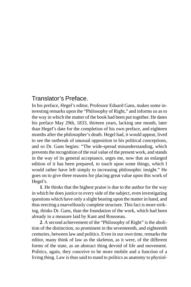## <span id="page-6-0"></span>Translator's Preface.

In his preface, Hegel's editor, Professor Eduard Gans, makes some interesting remarks upon the "Philosophy of Right," and informs us as to the way in which the matter of the book had been put together. He dates his preface May 29th, 1833, thirteen years, lacking one month, later than Hegel's date for the completion of his own preface, and eighteen months after the philosopher's death. Hegel had, it would appear, lived to see the outbreak of unusual opposition to his political conceptions, and so Dr. Gans begins: "The wide-spread misunderstanding, which prevents the recognition of the real value of the present work, and stands in the way of its general acceptance, urges me, now that an enlarged edition of it has been prepared, to touch upon some things, which I would rather have left simply to increasing philosophic insight." He goes on to give three reasons for placing great value upon this work of Hegel's.

**1**. He thinks that the highest praise is due to the author for the way in which he does justice to every side of the subject, even investigating questions which have only a slight bearing upon the matter in hand, and thus erecting a marvellously complete structure. This fact is more striking, thinks Dr. Gans, than the foundation of the work, which had been already in a measure laid by Kant and Rousseau.

**2**. A second achievement of the "Philosophy of Right" is the abolition of the distinction, so prominent in the seventeenth, and eighteenth centuries, between law and politics. Even in our own time, remarks the editor, many think of law as the skeleton, as it were, of the different forms of the state, as an abstract thing devoid of life and movement. Politics, again, they conceive to be more mobile and a function of a living thing. Law is thus said to stand to politics as anatomy to physiol-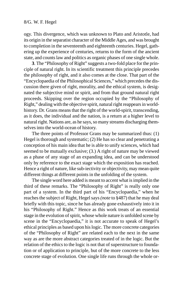ogy. This divergence, which was unknown to Plato and Aristotle, had its origin in the separatist character of the Middle Ages, and was brought to completion in the seventeenth and eighteenth centuries. Hegel, gathering up the experience of centuries, returns to the form of the ancient state, and counts law and politics as organic phases of one single whole.

**3**. The "Philosophy of Right" suggests a two-fold place for the principle of natural right. In its scientific treatment this principle precedes the philosophy of right, and it also comes at the close. That part of the "Encyclopaedia of the Philosophical Sciences," which precedes the discussion there given of right, morality, and the ethical system, is designated the subjective mind or spirit, and from that ground natural right proceeds. Skipping over the region occupied by the "Philosophy of Right," dealing with the objective spirit, natural right reappears in worldhistory. Dr. Grans means that the right of the world-spirit, transcending, as it does, the individual and the nation, is a return at a higher level to natural right. Nations are, as he says, so many streams discharging themselves into the world-ocean of history.

The three points of Professor Grans may be summarized thus: (1) Hegel is thorough and systematic; (2) He has so clear and penetrating a conception of his main idea that he is able to unify sciences, which had seemed to be mutually exclusive; (3.) A right of nature may be viewed as a phase of any stage of an expanding idea, and can be understood only by reference to the exact stage which the exposition has reached. Hence a right of nature, like sub-iectivity or objectivity, may mean quite different things at different points in the unfolding of the system.

The single word here added is meant to accent what is implied in the third of these remarks. The "Philosophy of Right" is really only one part of a system. In the third part of his "Encyclopaedia," when he reaches the subject of Right, Hegel says *(note* to §487) that he may deal briefly with this topic, since he has already gone exhaustively into it in his "Philosophy of Right." Hence as this work treats of an essential stage in the evolution of spirit, whose whole nature is unfolded scene by scene in the "Encyclopaedia," it is not accurate to speak of Hegel's ethical principles as based upon his logic. The more concrete categories of the "Philosophy of Right" are related each to the next in the same way as are the more abstract categories treated of in the logic. But the relation of the ethics to the logic is not that of superstructure to foundation or of application to principle, but of the more concrete to the less concrete stage of evolution. One single life runs through the whole or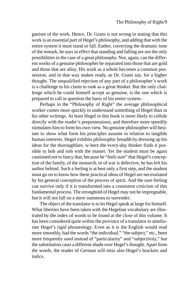ganism of the work. Hence, Dr. Grans is not wrong in stating that this work is an essential part of Hegel's philosophy, and adding that with the entire system it must stand or fall. Eather, correcting the dramatic tone of the remark, he says in effect that standing and falling are not the only possibilities in the case of a great philosophy. Nor, again, can the different works of a genuine philosopher be separated into those that are gold and those that are alloy. His work as a whole becomes a common possession, and in that way makes ready, as Dr. Grans say, for a higher thought. The unqualified rejection of any part of a philosopher's work is a challenge to his claim to rank as a great thinker. But the only challenge which he could himself accept as genuine, is the one which is prepared to call in question the basis of his entire system.

Perhaps in the "Philosophy of Right" the average philosophical worker comes more quickly to understand something of Hegel than in his other writings. At least Hegel in this book is more likely to collide directly with the reader's prepossessions, and therefore more speedily stimulates him to form his own view. No genuine philosopher will hesitate to show what form his principles assume in relation to tangible human interests. Hegel exhibits philosophic breadth by dressing up his ideas for the thoroughfare, w-here the every-day thinker finds it possible to hob and nob with the master. Yet the student must be again cautioned not to fancy that, because he "feels sure" that Hegel's conception of the family, of the monarch, or of war is defective, he has left his author behind. Such a feeling is at best only a first step, and the student must go on to know how these practical ideas of Hegel are necessitated by his general conception of the process of spirit. And the sure feeling can survive only if it is transformed into a consistent criticism of this fundamental process. The stronghold of Hegel may not be impregnable, but it will not fall on a mere summons to surrender.

The object of the translator is to let Hegel speak at large for himself. What liberties have been taken with the Hegelian vocabulary are illustrated by the index of words to be found at the close of this volume. It has been considered quite within the province of a translator to ameliorate Hegel's rigid phraseology. Even as it is the English would read more smoothly, had the words "the individual," "the subject," etc., been more frequently used instead of "particularity" and "subjectivity," but the substitution casts a different shade over Hegel's thought. Apart from the words, the reader of German will miss also Hegel's brackets and italics.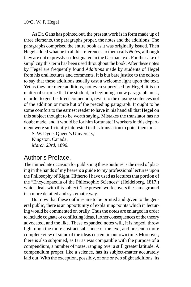<span id="page-9-0"></span>As Dr. Gans has pointed out, the present work is in form made up of three elements, the paragraphs proper, the notes and the additions. The paragraphs comprised the entire book as it was originally issued. Then Hegel added what he in all his references to them calls *Notes,* although they are not expressly so designated in the German text. For the sake of simplicity this term has been used throughout the book. After these notes by Hegel are frequently found *Additions* made by students of Hegel from his oral lectures and comments. It is but bare justice to the editors to say that these additions usually cast a welcome light upon the text. Yet as they are mere additions, not even supervised by Hegel, it is no matter of surprise that the student, in beginning a new paragraph must, in order to get the direct connection, revert to the closing sentences not of the addition or mote but of the preceding paragraph. It ought to be some comfort to the earnest reader to have in his hand all that Hegel on this subject thought to be worth saying. Mistakes the translator has no doubt made, and it would be for him fortunate if workers in this department were sufficiently interested in this translation to point them out.

S. W. Dyde. Queen's University, Kingston, Canada, *March 23rd,* 1896.

### Author's Preface.

The immediate occasion for publishing these outlines is the need of placing in the hands of my hearers a guide to my professional lectures upon the Philosophy of Right. Hitherto I have used as lectures that portion of the "Encyclopaedia of the Philosophic Sciences" (Heidelberg, 1817,) which deals with this subject. The present work covers the same ground in a more detailed and systematic way.

But now that these outlines are to be printed and given to the general public, there is an opportunity of explaining points which in lecturing would be commented on orally. Thus the *notes* are enlarged in order to include cognate or conflicting ideas, further consequences of the theory advocated, and the like. These expanded notes will, it is hoped, throw light upon the more abstract substance of the text, and present a more complete view of some of the ideas current in our own time. Moreover, there is also subjoined, as far as was compatible with the purpose of a compendium, a number of notes, ranging over a still greater latitude. A compendium proper, like a science, has its subject-matter accurately laid out. With the exception, possibly, of one or two slight additions, its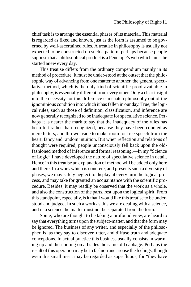chief task is to arrange the essential phases of its material. This material is regarded as fixed and known, just as the form is assumed to be governed by well-ascertained rules. A treatise in philosophy is usually not expected to be constructed on such a pattern, perhaps because people suppose that a philosophical product is a Penelope's web which must be started anew every day.

This treatise differs from the ordinary compendium mainly in its method of procedure. It must be under-stood at the outset that the philosophic way of advancing from one matter to another, the general speculative method, which is the only kind of scientific proof available in philosophy, is essentially different from every other. Only a clear insight into the necessity for this difference can snatch philosophy out of the ignominious condition into which it has fallen in our day. True, the logical rules, such as those of definition, classification, and inference are now generally recognized to be inadequate for speculative science. Perhaps it is nearer the mark to say that the inadequacy of the rules has been felt rather than recognized, because they have been counted as mere fetters, and thrown aside to make room for free speech from the heart, fancy and random intuition. But when reflection and relations of thought were required, people unconsciously fell back upon the oldfashioned method of inference and formal reasoning.—In my "Science of Logic" I have developed the nature of speculative science in detail. Hence in this treatise an explanation of method will be added only here and there. In a work which is concrete, and presents such a diversity of phases, we may safely neglect to display at every turn the logical process, and may take for granted an acquaintance with the scientific procedure. Besides, it may readily be observed that the work as a whole, and also the construction of the parts, rest upon the logical spirit. From this standpoint, especially, is it that I would like this treatise to be understood and judged. In such a work as this we are dealing with a science, and in a science the matter must not be separated from the form.

Some, who are thought to be taking a profound view, are heard to say that everything turns upon the subject-matter, and that the form may be ignored. The business of any writer, and especially of the philosopher, is, as they say to discover, utter, and diffuse truth and adequate conceptions. In actual practice this business usually consists in warming up and distributing on all sides the same old cabbage. Perhaps the result of this operation may be to fashion and arouse the feelings; though even this small merit may be regarded as superfluous, for "they have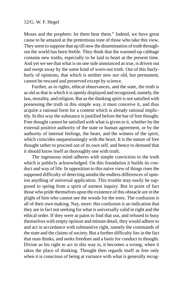Moses and the prophets: let them hear them." Indeed, we have great cause to be amazed at the pretentious tone of those who take this view. They seem to suppose that up till now the dissemination of truth throughout the world has been feeble. They think that the warmed-up cabbage contains new truths, especially to be laid to heart at the present time. And yet we see that what is on one side announced as true, is driven out and swept away by the same kind of worn-out truth. Out of this hurlyburly of opinions, that which is neither new nor old, but permanent, cannot be rescued and preserved except by science.

Further, as to rights, ethical observances, and the state, the truth is as old as that in which it is openly displayed and recognized, namely, the law, morality, and religion. But as the thinking spirit is not satisfied with possessing the truth in this simple way, it must conceive it, and thus acquire a rational form for a content which is already rational implicitly. In this way the substance is justified before the bar of free thought. Free thought cannot be satisfied with what is given to it, whether by the external positive authority of the state or human agreement, or by the authority of internal feelings, the heart, and the witness of the spirit, which coincides unquestioningly with the heart. It is the nature of free thought rather to proceed out of its own self, and hence to demand that it should know itself as thoroughly one with truth.

The ingenuous mind adheres with simple conviction to the truth which is publicly acknowledged. On this foundation it builds its conduct and way of life. In opposition to this naive view of things rises the supposed difficulty of detecting amidst the endless differences of opinion anything of universal application. This trouble may easily be supposed to spring from a spirit of earnest inquiry. But in point of fact those who pride themselves upon the existence of this obstacle are in the plight of him who cannot see the woods for the trees. The confusion is all of their own making. Nay, more: this confusion is an indication that they are in fact not seeking for what is universally valid in right and the ethical order. If they were at pains to find that out, and refused to busy themselves with empty opinion and minute detail, they would adhere to and act in accordance with substantive right, namely the commands of the state and the claims of society. But a further difficulty lies in the fact that man thinks, and seeks freedom and a basis for conduct in thought. Divine as his right to act in this way is, it becomes a wrong, when it takes the place of thinking. Thought then regards itself as free only when it is conscious of being at variance with what is generally recog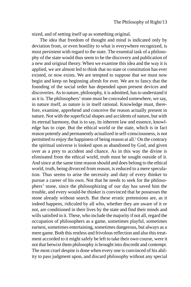nized, and of setting itself up as something original.

The idea that freedom of thought and mind is indicated only by deviation from, or even hostility to what is everywhere recognized, is most persistent with regard to the state. The essential task of a philosophy of the state would thus seem to be the discovery and publication of a new and original theory. When we examine this idea and the way it is applied, we are almost led to think that no state or constitution has ever existed, or now exists. We are tempted to suppose that we must now begin and keep on beginning afresh for ever. We are to fancy that the founding of the social order has depended upon present devices and discoveries. As to nature, philosophy, it is admitted, has to understand it as it is. The philosophers' stone must be concealed somewhere, we say, in nature itself, as nature is in itself rational. Knowledge must, therefore, examine, apprehend and conceive the reason actually present in nature. Not with the superficial shapes and accidents of nature, but with its eternal harmony, that is to say, its inherent law and essence, knowledge has to cope. But the ethical world or the state, which is in fact reason potently and permanently actualized in self-consciousness, is not permitted to enjoy the happiness of being reason at all.<sup>1</sup> On the contrary the spiritual universe is looked upon as abandoned by God, and given over as a prey to accident and chance. As in this way the divine is eliminated from the ethical world, truth must be sought outside of it. And since at the same time reason should and does belong to the ethical world, truth, being divorced from reason, is reduced to a mere speculation. Thus seems to arise the necessity and duty of every thinker to pursue a career of his own. Not that he needs to seek for the philosophers' stone, since the philosophizing of our day has saved him the trouble, and every would-be thinker is convinced that he possesses the stone already without search. But these erratic pretensions are, as it indeed happens, ridiculed by all who, whether they are aware of it or not, are conditioned in their lives by the state and find their minds and wills satisfied in it. These, who include the majority if not all, regard the occupation of philosophers as a game, sometimes playful, sometimes earnest, sometimes entertaining, sometimes dangerous, but always as a mere game. Both this restless and frivolous reflection and also this treatment accorded to it might safely be left to take their own course, were it not that betwixt them philosophy is brought into discredit and contempt. The most cruel despite is done when every one is convinced of his ability to pass judgment upon, and discard philosophy without any special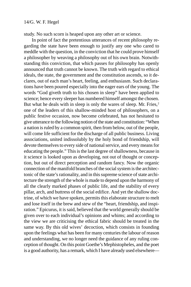study. No such scorn is heaped upon any other art or science.

In point of fact the pretentious utterances of recent philosophy regarding the state have been enough to justify any one who cared to meddle with the question, in the conviction that he could prove himself a philosopher by weaving a philosophy out of his own brain. Notwithstanding this conviction, that which passes for philosophy has openly announced that truth cannot be known. The truth with regard to ethical ideals, the state, the government and the constitution ascends, so it declares, out of each man's heart, feeling, and enthusiasm. Such declarations have been poured especially into the eager ears of the young. The words "God giveth truth to his chosen in sleep" have been applied to science; hence every sleeper has numbered himself amongst the chosen. But what he deals with in sleep is only the wares of sleep. Mr. Fries,<sup>2</sup> one of the leaders of this shallow-minded host of philosophers, on a public festive occasion, now become celebrated, has not hesitated to give utterance to the following notion of the state and constitution: "When a nation is ruled by a common spirit, then from below, out of the people, will come life sufficient for the discharge of all public business. Living associations, united indissolubly by the holy bond of friendship, will devote themselves to every side of national service, and every means for educating the people." This is the last degree of shallowness, because in it science is looked upon as developing, not out of thought or conception, but out of direct perception and random fancy. Now the organic connection of the manifold branches of the social system is the architectonic of the state's rationality, and in this supreme science of state architecture the strength of the whole is made to depend upon the harmony of all the clearly marked phases of public life, and the stability of every pillar, arch, and buttress of the social edifice. And yet the shallow doctrine, of which we have spoken, permits this elaborate structure to melt and lose itself in the brew and stew of the "heart, friendship, and inspiration." Epicurus, it is said, believed that the world generally should be given over to each individual's opinions and whims; and according to the view we are criticising the ethical fabric should be treated in the same way. By this old wives' decoction, which consists in founding upon the feelings what has been for many centuries the labour of reason and understanding, we no longer need the guidance of any ruling conception of thought. On this point Goethe's Mephistopheles, and the poet is a good authority, has a remark, which I have already used elsewhere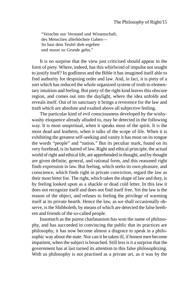"Verachte nur Verstand und Wissenschaft, des Mensclien allerhöchste Gaben— So hast dem Teufel dieh ergeben und musst zu Grunde gehn."

It is no surprise that the view just criticised should appear in the form of piety. Where, indeed, has this whirlwind of impulse not sought to justify itself? In godliness and the Bible it has imagined itself able to find authority for despising order and law. And, in fact, it is piety of a sort which has reduced the whole organized system of truth to elementary intuition and feeling. But piety of the right kind leaves this obscure region, and comes out into the daylight, where the idea unfolds and reveals itself. Out of its sanctuary it brings a reverence for the law and truth which are absolute and exalted above all subjective feeling.

The particular kind of evil consciousness developed by the wishywashy eloquence already alluded to, may be detected in the following way. It is most unspiritual, when it speaks most of the spirit. It is the most dead and leathern, when it talks of the scope of life. When it is exhibiting the greatest self-seeking and vanity it has most on its tongue the words "people" and "nation." But its peculiar mark, found on its very forehead, is its hatred of law. Right and ethical principle, the actual world of right and ethical life, are apprehended in thought, and by thought are given definite, general, and rational form, and this reasoned right finds expression in law. But feeling, which seeks its own pleasure, and conscience, which finds right in private conviction, regard the law as their most bitter foe. The right, which takes the shape of law and duty, is by feeling looked upon as a shackle or dead cold letter. In this law it does not recognize itself and does not find itself free. Yet the law is the reason of the object, and refuses to feeling the privilege of warming itself at its private hearth. Hence the law, as we shall occasionally observe, is the Shibboleth, by means of which are detected the false brethren and friends of the so-called people.

Inasmuch as the purest charlatanism has won the name of philosophy, and has succeeded in convincing the public that its practices are philosophy, it has now become almost a disgrace to speak in a philosophic way about the state. Nor can it be taken ill, if honest men become impatient, when the subject is broached. Still less is it a surprise that the government has at last turned its attention to this false philosophizing. With us philosophy is not practised as a private art, as it was by the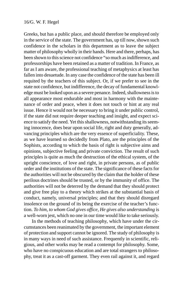Greeks, but has a public place, and should therefore be employed only in the service of the state. The government has, up till now, shown such confidence in the scholars in this department as to leave the subject matter of philosophy wholly in their hands. Here and there, perhaps, has been shown to this science not confidence "so much as indifference, and professorships have been retained as a matter of tradition. In France, as far as I am aware, the professional teaching of metaphysics at least has fallen into desuetude. In any case the confidence of the state has been ill requited by the teachers of this subject. Or, if we prefer to see in the state not confidence, but indifference, the decay of fundamental knowledge must be looked upon as a severe penance. Indeed, shallowness is to all appearance most endurable and most in harmony with the maintenance of order and peace, when it does not touch or hint at any real issue. Hence it would not be necessary to bring it under public control, if the state did not require deeper teaching and insight, and expect science to satisfy the need. Yet this shallowness, notwithstanding its seeming innocence, does bear upon social life, right and duty generally, advancing principles which are the very essence of superficiality. These, as we have learned so decidedly from Plato, are the principles of the Sophists, according to which the basis of right is subjective aims and opinions, subjective feeling and private conviction. The result of such principles is quite as much the destruction of the ethical system, of the upright conscience, of love and right, in private persons, as of public order and the institutions of the state. The significance of these facts for the authorities will not be obscured by the claim that the holder of these perilous doctrines should be trusted, or by the immunity of office. The authorities will not be deterred by the demand that they should protect and give free play to a theory which strikes at the substantial basis of conduct, namely, universal principles; and that they should disregard insolence on the ground of its being the exercise of the teacher's function. *To him, to whom God gives office, He gives also understanding* is a well-worn jest, which no one in our time would like to take seriously.

In the methods of teaching philosophy, which have under the circumstances been reanimated by the government, the important element of protection and support cannot be ignored. The study of philosophy is in many ways in need of such assistance. Frequently in scientific, religious, and other works may be read a contempt for philosophy. Some, who have no conspicuous education and are total strangers to philosophy, treat it as a cast-off garment. They even rail against it, and regard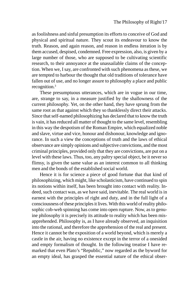as foolishness and sinful presumption its efforts to conceive of God and physical and spiritual nature. They scout its endeavour to know the truth. Reason, and again reason, and reason in endless iteration is by them accused, despised, condemned. Free expression, also, is given by a large number of those, who are supposed to be cultivating scientific research, to their annoyance at the unassailable claims of the conception. When we, I say, are confronted with such phenomena as these, we are tempted to harbour the thought that old traditions of tolerance have fallen out of use, and no longer assure to philosophy a place and public recognition.3

These presumptuous utterances, which are in vogue in our time, are, strange to say, in a measure justified by the shallowness of the current philosophy. Yet, on the other hand, they have sprung from the same root as that against which they so thanklessly direct their attacks. Since that self-named philosophizing has declared that to know the truth is vain, it has reduced all matter of thought to the same level, resembling in this way the despotism of the Roman Empire, which equalized noble and slave, virtue and vice, honour and dishonour, knowledge and ignorance. In such a view the conceptions of truth and the laws of ethical observance are simply opinions and subjective convictions, and the most criminal principles, provided only that they are convictions, are put on a level with these laws. Thus, too, any paltry special object, be it never so flimsy, is given the same value as an interest common to all thinking men and the bonds of the established social world.

Hence it is for science a piece of good fortune that that kind of philosophizing, which might, like scholasticism, have continued to spin its notions within itself, has been brought into contact with reality. Indeed, such contact was, as we have said, inevitable. The real world is in earnest with the principles of right and duty, and in the full light of a consciousness of these principles it lives. With this world of reality philosophic cob-web spinning has come into open rupture. Now, as to genuine philosophy it is precisely its attitude to reality which has been misapprehended. Philosophy is, as I have already observed, an inquisition into the rational, and therefore the apprehension of the real and present. Hence it cannot be the exposition of a world beyond, which is merely a castle in the air, having no existence except in the terror of a onesided and empty formalism of thought. In the following treatise I have remarked that even Plato's "Republic," now regarded as the byword for an empty ideal, has grasped the essential nature of the ethical obser-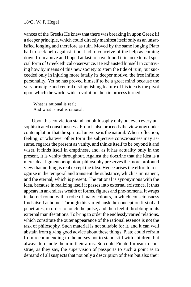vances of the Greeks He knew that there was breaking in upon Greek lif a deeper principle, which could directly manifest itself only as an unsatisfied longing and therefore as ruin. Moved by the same longing Plato had to seek help against it but had to conceive of the help as coming down from above and hoped at last to have found it in an external special form of Greek ethical observance. He exhausted himself in contriving how by means of this new society to stem the tide of ruin, but succeeded only in injuring more fatally its deeper motive, the free infinite personality. Yet he has proved himself to be a great mind because the very principle and central distinguishing feature of his idea is the pivot upon which the world-wide revolution then in process turned:

What is rational is real; And what is real is rational.

Upon this conviction stand not philosophy only but even every unsophisticated consciousness. From it also proceeds the view now under contemplation that the spiritual universe is the natural. When reflection, feeling, or whatever other form the subjective consciousness may assume, regards the present as vanity, and thinks itself to be beyond it and wiser, it finds itself in emptiness, and, as it has actuality only in the present, it is vanity throughout. Against the doctrine that the idea is a mere idea, figment or opinion, philosophy preserves the more profound view that nothing is real except the idea. Hence arises the effort to recognize in the temporal and transient the substance, which is immanent, and the eternal, which is present. The rational is synonymous with the idea, because in realizing itself it passes into external existence. It thus appears in an endless wealth of forms, figures and phe-nomena. It wraps its kernel round with a robe of many colours, in which consciousness finds itself at home. Through this varied husk the conception first of all penetrates, in order to touch the pulse, and then feel it throbbing in its external manifestations. To bring to order the endlessly varied relations, which constitute the outer appearance of the rational essence is not the task of philosophy. Such material is not suitable for it, and it can well abstain from giving good advice about these things. Plato could refrain from recommending to the nurses not to stand still with children, but always to dandle them in their arms. So could Fichte forbear to construe, as they say, the supervision of passports to such a point as to demand of all suspects that not only a description of them but also their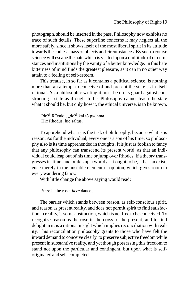photograph, should be inserted in the pass. Philosophy now exhibits no trace of such details. These superfine concerns it may neglect all the more safely, since it shows itself of the most liberal spirit in its attitude towards the endless mass of objects and circumstances. By such a course science will escape the hate which is visited upon a multitude of circumstances and institutions by the vanity of a better knowledge. In this hate bitterness of mind finds the greatest pleasure, as it can in no other way attain to a feeling of self-esteem.

This treatise, in so far as it contains a political science, is nothing more than an attempt to conceive of and present the state as in itself rational. As a philosophic writing it must be on its guard against constructing a state as it ought to be. Philosophy cannot teach the state what it should be, but only how it, the ethical universe, is to be known.

IdoÝ RÒodoj, "doÝ kai tõ p»dhma. Hic Rhodus, hic saltus.

To apprehend what is is the task of philosophy, because what is is reason. As for the individual, every one is a son of his time; so philosophy also is its time apprehended in thoughts. It is just as foolish to fancy that any philosophy can transcend its present world, as that an individual could leap out of his time or jump over Rhodes. If a theory transgresses its time, and builds up a world as it ought to be, it has an existence merely in the unstable element of opinion, which gives room to every wandering fancy.

With little change the above saying would read:

*Here* is the rose, *here* dance.

The barrier which stands between reason, as self-conscious spirit, and reason as present reality, and does not permit spirit to find satisfaction in reality, is some abstraction, which is not free to be conceived. To recognize reason as the rose in the cross of the present, and to find delight in it, is a rational insight which implies reconciliation with reality. This reconciliation philosophy grants to those who have felt the inward demand to conceive clearly, to preserve subjective freedom while present in substantive reality, and yet though possessing this freedom to stand not upon the particular and contingent, but upon what is selforiginated and self-completed.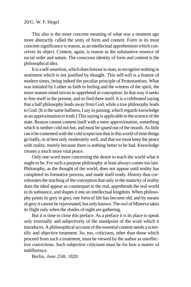This also is the more concrete meaning of what was a moment ago more abstractly called the unity of form and content. Form in its most concrete significance is reason, as an intellectual apprehension which conceives its object. Content, again, is reason as the substantive essence of social order and nature. The conscious identity of form and content is the philosophical idea.

It is a self-assertion, which does honour to man, to recognize nothing in sentiment which is not justified by thought. This self-will is a feature of modern times, being indeed the peculiar principle of Protestantism. What was initiated by Luther as faith in feeling and the witness of the spirit, the more mature mind strives to apprehend in conception. In that way it seeks to free itself in the present, and so find there itself. It is a celebrated saying that a half philosophy leads away from God, while a true philosophy leads to God. (It is the same halfness, I say in passing, which regards knowledge as an approximation to truth.) This saying is applicable to the science of the state. Reason cannot content itself with a mere approximation, something which is neither cold not hot, and must be spued out of the mouth. As little can it be contented with the cold scepticism that in this world of time things go badly, or at best only moderately well, and that we must keep the peace with reality, merely because there is nothing better to be had. Knowledge creates a much more vital peace.

Only one word more concerning the desire to teach the world what it ought to be. For such a purpose philosophy at least always comes too late. Philosophy, as the thought of the world, does not appear until reality has completed its formative process, and made itself ready. History thus corroborates the teaching of the conception that only in the maturity of reality does the ideal appear as counterpart to the real, apprehends the real world in its substance, and shapes it into an intellectual kingdom. When philosophy paints its grey in grey, one form of life has become old, and by means of grey it cannot be rejuvenated, but only known. The owl of Minerva takes its flight only when the shades of night are gathering.

But it is time to close this preface. As a preface it is its place to speak only externally and subjectively of the standpoint of the work which it introduces. A philosophical account of the essential content needs a scientific and objective treatment. So, too, criticisms, other than those which proceed from such a treatment, must be viewed by the author as unreflective convictions. Such subjective criticisms must be for him a matter of indifference.

Berlin, *June 25th,* 1820.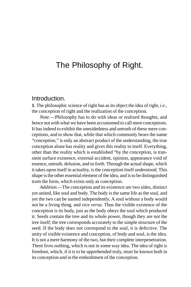## <span id="page-20-0"></span>The Philosophy of Right.

### Introduction.

**1**. The philosophic science of right has as its object the idea of right, *i.e.,* the conception of right and the realization of the conception.

*Note.*—Philosophy has to do with ideas or realized thoughts, and hence not with what we have been accustomed to call mere conceptions. It has indeed to exhibit the onesidedness and untruth of these mere conceptions, and to show that, while that which commonly bears the name "conception," is only an abstract product of the understanding, the true conception alone has reality and gives this reality to itself. Everything, other than the reality which is established "by the conception, is transient surface existence, external accident, opinion, appearance void of essence, untruth, delusion, and so forth. Through the actual shape, which it takes upon itself in actuality, is the conception itself understood. This shape is the other essential element of the idea, and is to be distinguished trom the form, which exists only as conception.

*Addition.—*The conception and its existence are two sides, distinct yet united, like soul and body. The body is the same life as the soul, and yet the two can be named independently. A soul without a body would not be a living thing, and *vice versa.* Thus the visible existence of the conception is its body, just as the body obeys the soul which produced it. Seeds contain the tree and its whole power, though they are not the tree itself; the tree corresponds accurately to the simple structure of the seed. If the body does not correspond to the soul, it is defective. The unity of visible existence and conception, of body and soul, is the idea. It is not a mere harmony of the two, but their complete interpenetration. There lives nothing, which is not in some way idea. The idea of right is freedom, which, if it is to be apprehended truly, must be known both in its conception and in the embodiment of the conception.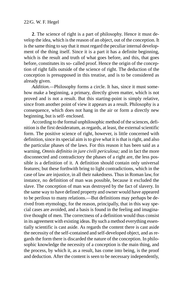**2**. The science of right is a part of philosophy. Hence it must develop the idea, which is the reason of an object, out of the conception. It is the same thing to say that it must regard the peculiar internal development of the thing itself. Since it is a part it has a definite beginning, which is the result and truth of what goes before, and this, that goes before, constitutes its so- called proof. Hence the origin of the conception of right falls outside of the science of right. The deduction of the conception is presupposed in this treatise, and is to be considered as already given.

*Addition.—*Philosophy forms a circle. It has, since it must somehow make a beginning, a primary, directly given matter, which is not proved and is not a result. But this starting-point is simply relative, since from another point of view it appears as a result. Philosophy is a consequence, which does not hang in the air or form a directly new beginning, but is self- enclosed.

According to the formal unphilosophic method of the sciences, definition is the first desideratum, as regards, at least, the external scientific form. The positive science of right, however, is little concerned with definition, since its special aim is to give what it is that is right, and also the particular phases of the laws. For this reason it has been said as a warning, *Omnis definitio in jure civili periculosa;* and in fact the more disconnected and contradictory the phases of a right are, the less possible is a definition of it. A definition should contain only universal features; but these forthwith bring to light contradictions, which in the case of law are injustice, in all their nakedness. Thus in Roman law, for instance, no definition of man was possible, because it excluded the slave. The conception of man was destroyed by the fact of slavery. In the same way to have defined property and owner would have appeared to be perilous to many relations.—But definitions may perhaps be derived from etymology, for the reason, principally, that in this way special cases are avoided, and a basis is found in the feeling and imaginative thought of men. The correctness of a definition would thus consist in its agreement with existing ideas. By such a method everything essentially scientific is cast aside. As regards the content there is cast aside the necessity of the self-contained and self-developed object, and as regards the form there is discarded the nature of the conception. In philosophic knowledge the necessity of a conception is the main thing, and the process, by which it, as a result, has come into being, is the proof and deduction. After the content is seen to be necessary independently,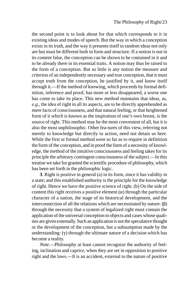the second point is to look about for that which corresponds to it in existing ideas and modes of speech. But the way in which a conception exists in its truth, and the way it presents itself in random ideas not only are but must be different both in form and structure. If a notion is not in its content false, the conception can be shown to be contained in it and to be already there in its essential traits. A notion may thus be raised to the form of a conception. But so little is any notion the measure and criterion of an independently necessary and true conception, that it must accept truth from the conception, be justified by it, and know itself through it.—If the method of knowing, which proceeds by formal definition, inference and proof, has more or less disappeared, a worse one has come to take its place. This new method maintains that ideas, as, *e.g.,* the idea of right in all its aspects, are to be directly apprehended as mere facts of consciousness, and that natural feeling, or that heightened form of it which is known as the inspiration of one's own breast, is the source of right. This method may be the most convenient of all, but it is also the most unphilosophic. Other fea-tures of this view, referring not merely to knowledge but directly to action, need not detain us here. While the first or formal method went so far as to require in definition the form of the conception, and in proof the form of a necessity of knowledge, the method of the intuitive consciousness and feeling takes for its principle the arbitrary contingent consciousness of the subject.—In this treatise we take for granted the scientific procedure of philosophy, which has been set forth in the philosophic logic.

**3**. Right is positive in general (a) in its form, since it has validity in a state; and this established authority is the principle for the knowledge of right. Hence we have the positive science of right. (b) On the side of content this right receives a positive element  $(\alpha)$  through the particular character of a nation, the stage of its historical development, and the interconnection of all the relations which are necessitated by nature:  $(\beta)$ through the necessity that a system of legalized right must contain the application of the universal conception to objects and cases whose qualities are given externally. Such an application is not the speculative thought or the development of the conception, but a subsumption made by the understanding:  $(y)$  through the ultimate nature of a decision which has become a reality.

*Note.—*Philosophy at least cannot recognize the authority of feeling, inclination and caprice, when they are set in opposition to positive right and the laws.—It is an accident, external to the nature of positive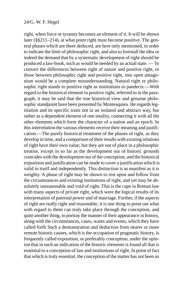right, when force or tyranny becomes an element of it. It will be shown later (§§211–214), at what point right must become positive. The general phases which are there deduced, are here only mentioned, in order to indicate the limit of philosophic right, and also to forestall the idea or indeed the demand that by a systematic development of right should be produced a law-book, such as would be needed by an actual state. — To convert the differences between right of nature and positive right, or those between philosophic right and positive right, into open antagonism would be a complete misunderstanding. Natural right or philosophic right stands to positive right as institutions to pandects.—With regard to the historical element in positive right, referred to in the paragraph, it may be said that the true historical view and genuine philosophic standpoint have been presented by Montesquieu. He regards legislation and its specific traits not in an isolated and abstract way, but rather as a dependent element of one totality, connecting it with all the other elements which form the character of a nation and an epoch. In this interrelation the various elements receive their meaning and justification.—The purely historical treatment of the phases of right, as they develop in time, and a comparison of their results with existing relations of right have their own value; but they are out of place in a philosophic treatise, except in so far as the development out of historic grounds coincides with the development out of the conception, and the historical exposition and justification can be made to cover a justification which is valid in itself and independently. This distinction is as manifest as it is weighty. A phase of right may be shown to rest upon and follow from the circumstances and existing institutions of right, and yet may be absolutely unreasonable and void of right. This is the cape in Roman law with many aspects of private right, which were the logical results of its interpretation of paternal power and of marriage. Further, if the aspects of right are really right and reasonable, it is one thing to point out what with regard to them can truly take place through the conception, and quite another thing, to portray the manner of their appearance in history, along with the circumstances, cases, wants and events, which they have called forth Such a demonstration and deduction from nearer or more remote historic causes, which is the occupation of pragmatic history, is frequently called exposition, or preferably conception, under the opinion that in such an indication of the historic elements is found all that is essential to a conception of law and institutions of right. In point of fact that which is truly essential, the conception of the matter has not been so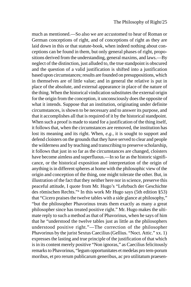much as mentioned.—So also we are accustomed to hear of Roman or German conceptions of right, and of conceptions of right as they are laid down in this or that statute-book, when indeed nothing about conceptions can be found in them, but only general phases of right, propositions derived from the understanding, general maxims, and laws.—By neglect of the distinction, just alluded to, the true standpoint is obscured and the question of a valid justification is shifted into a justification based upon circumstances; results are founded on presuppositions, which in themselves are of little value; and in general the relative is put in place of the absolute, and external appearance in place of the nature of the thing. When the historical vindication substitutes the external origin for the origin from the conception, it unconsciously does the opposite of what it intends. Suppose that an institution, originating under definite circumstances, is shown to be necessary and to answer its purpose, and that it accomplishes all that is required of it by the historical standpoint. When such a proof is made to stand for a justification of the thing itself, it follows that, when the circumstances are removed, the institution has lost its meaning and its right. When, *e.g.,* it is sought to support and defend cloisters on the grounds that they have served to clear and people the wilderness and by teaching and transcribing to preserve scholarship, it follows that just in so far as the circumstances are changed, cloisters have become aimless and superfluous.—In so far as the historic significance, or the historical exposition and interpretation of the origin of anything is in different spheres at home with the philosophic view of the origin and conception of the thing, one might tolerate the other. But, in illustration of the fact that they neither here nor in science, preserve this peaceful attitude, I quote from Mr. Hugo's "Lehrbuch der Geschichte des römischen Rechts."4 In this work Mr Hugo says (5th edition §53) that "Cicero praises the twelve tables with a side glance at philosophy," "but the philosopher Phavorinus treats them exactly as many a great philosopher since has treated positive right." Mr. Hugo makes the ultimate reply to such a method as that of Phavorinus, when he says of him that he "understood the twelve tables just as little as the philosophers understood positive right."—The correction of the philosopher Phavorinus by the jurist Sextus Caecilius (Gellius. "Noct. Attic." xx. 1) expresses the lasting and true principle of the justification of that which is in its content merely positive "Non ignoras," as Caecilius felicitously remarks to Phavorinus, "legum opportunitates et medelas pro tem-porum moribus, et pro rerum publicarum generibus, ac pro utilitatum praesen-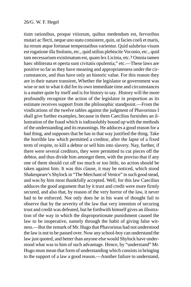tium rationibus, proque vitiorum, quibus medendum est, fervoribus mutari ac flecti, neque uno statu consistere, quin, ut facies coeli et maris, ita rerum atque fortunae tempestatibus varientur. Quid salubrius visum est rogatione illa Stolonis, etc., quid utilius plebiscite Voconio, etc., quid tam necessarium existimatum est, quam lex Licinia, etc.? Omnia tamen haec obliterata et operta sunt civitatis opulentia," etc.—These laws are positive so far as they have meaning and appropriateness under the circumstances, and thus have only an historic value. For this reason they are in their nature transient, Whether the legislator or government was wise or not in what it did for its own immediate time and circumstances is a matter quite by itself and is for history to say. History will the more profoundly recognize the action of the legislator in proportion as its estimate receives support from the philosophic standpoint.—From the vindications of the twelve tables against the judgment of Phavorinus I shall give further examples, because in them Caecilius furnishes an illustration of the fraud which is indissolubly bound up with the methods of the understanding and its reasonings. He adduces a good reason for a bad thing, and supposes that he has in that way justified the thing. Take the horrible law which permitted a creditor, after the lapse of a fixed term of respite, to kill a debtor or sell him into slavery. Nay, further, if there were several creditors, they were permitted to cut pieces off the debtor, and thus divide him amongst them, with the proviso that if any one of them should cut off too much or too little, no action should be taken against him. It was this clause, it may be noticed, which stood Shakespeare's Shylock in "The Merchant of Venice" in such good stead, and was by him most thankfully accepted. Well, for this law Caecilius adduces the good argument that by it trust and credit were more firmly secured, and also that, by reason of the very horror of the law, it never had to be enforced. Not only does he in his want of thought fail to observe that by the severity of the law that very intention of securing trust and credit was defeated, but he forthwith himself gives an illustration of the way in which the disproportionate punishment caused the law to be inoperative, namely through the habit of giving false witness.—But the remark of Mr. Hugo that Phavorinus had not understood the law is not to be passed over. Now any school-boy can understand the law just quoted, and better than anyone else would Shylock have understood what was to him of such advantage. Hence, by "understand" Mr. Hugo must mean that form of understanding which consists in bringing to the support of a law a good reason.—Another failure to understand,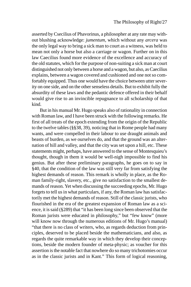asserted by Csecilius of Phavorinus, a philosopher at any rate may without blushing acknowledge: *jumentum,* which without any *arcera* was the only legal way to bring a sick man to court as a witness, was held to mean not only a horse but also a carriage or wagon. Further on in this law Caecilius found more evidence of the excellence and accuracy of the old statutes, which for the purpose of non-suiting a sick man at court distinguished not only between a horse and a wagon, but also, as Caecilius explains, between a wagon covered and cushioned and one not so comfortably equipped. Thus one would have the choice between utter severity on one side, and on the other senseless details. But to exhibit fully the absurdity of these laws and the pedantic defence offered in their behalf would give rise to an invincible repugnance to all scholarship of that kind.

But in his manual Mr. Hugo speaks also of rationality in connection with Roman law, and I have been struck with the following remarks. He first of all treats of the epoch extending from the origin of the Republic to the twelve tables (§§38, 39), noticing that in Rome people had many wants, and were compelled in their labour to use draught animals and beasts of burden, as we ourselves do, and that the ground was an alternation of hill and valley, and that the city was set upon a hill, etc. These statements might, perhaps, have answered to the sense of Montesquieu's thought, though in them it would be well-nigh impossible to find his genius. But after these preliminary paragraphs, he goes on to say in §40, that the condition of the law was still very far from satisfying the highest demands of reason. This remark is wholly in place, as the Roman family-right, slavery, etc., give no satisfaction to the smallest demands of reason. Yet when discussing the succeeding epochs, Mr. Hugo forgets to tell us in what particulars, if any, the Roman law has satisfactorily met the highest demands of reason. Still of the classic jurists, who flourished in the era of the greatest expansion of Roman law as a science, it is said (§289) that "it has been long since been observed that the Roman jurists were educated in philosophy," but "few know" (more will know now through the numerous editions of Mr. Hugo's manual) "that there is no class of writers, who, as regards deduction from principles, deserved to be placed beside the mathematicians, and also, as regards the quite remarkable way in which they develop their conceptions, beside the modern founder of meta-physic; as voucher for this assertion is the notable fact that nowhere do so many trichotomies occur as in the classic jurists and in Kant." This form of logical reasoning,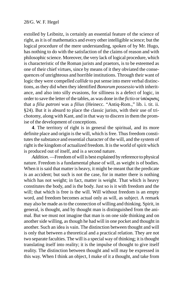extolled by Leibnitz, is certainly an essential feature of the science of right, as it is of mathematics and every other intelligible science; but the logical procedure of the mere understanding, spoken of by Mr. Hugo, has nothing to do with the satisfaction of the claims of reason and with philosophic science. Moreover, the very lack of logical procedure, which is characteristic of the Roman jurists and praetors, is to be esteemed as one of their chief virtues, since by means of it they obviated the consequences of unrighteous and horrible institutions. Through their want of logic they were compelled *callide* to put sense into mere verbal distinctions, as they did when they identified *Bonorum possessio* with inheritance, and also into silly evasions, for silliness is a defect of logic, in order to save the letter of the tables, as was done in the *fictio* or ὑπόκρισις that a *filia patroni* was a *filius* (Heinecc. "Antiq-Rom.," lib. i. tit. ii. §24). But it is absurd to place the classic jurists, with their use of trichotomy, along with Kant, and in that way to discern in them the promise of the development of conceptions.

**4**. The territory of right is in general the spiritual, and its more definite place and origin is the will, which is free. Thus freedom constitutes the substance and essential character of the will, and the system of right is the kingdom of actualized freedom. It is the world of spirit which is produced out of itself, and is a second nature.

*Addition.* —Freedom of will is best explained by reference to physical nature. Freedom is a fundamental phase of will, as weight is of bodies. When it is said that matter is heavy, it might be meant that the predicate is an accident; but such is not the case, for in matter there is nothing which has not weight; in fact, matter is weight. That which is heavy constitutes the body, and is the body. Just so is it with freedom and the will; that which is free is the will. Will without freedom is an empty word, and freedom becomes actual only as will, as subject. A remark may also be made as to the connection of willing and thinking. Spirit, in general, is thought, and by thought man is distinguished from the animal. But we must not imagine that man is on one side thinking and on another side willing, as though he had will in one pocket and thought in another. Such an idea is vain. The distinction between thought and will is only that between a theoretical and a practical relation. They are not two separate faculties. The will is a special way of thinking; it is thought translating itself into reality; it is the impulse of thought to give itself reality. The distinction between thought and will may be expressed in this way. When I think an object, I make of it a thought, and take from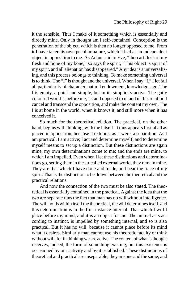it the sensible. Thus I make of it something which is essentially and directly mine. Only in thought am I self-contained. Conception is the penetration of the object, which is then no longer opposed to me. From it I have taken its own peculiar nature, which it had as an independent object in opposition to me. As Adam said to Eve, "thou art flesh of my flesh and bone of my bone," so says the spirit, "This object is spirit of my spirit, and all alienation has disappeared." Any idea is a universalizing, and this process belongs to thinking. To make something universal is to think. The "I" is thought and the universal. When I say "I," I let fall all particularity of character, natural endowment, knowledge, age. The I is empty, a point and simple, but in its simplicity active. The gaily coloured world is before me; I stand opposed to it, and in this relation I cancel and transcend the opposition, and make the content my own. The I is at home in the world, when it knows it, and still more when it has conceived it.

So much for the theoretical relation. The practical, on the other hand, begins with thinking, with the I itself. It thus appears first of all as placed in opposition, because it exhibits, as it were, a separation. As I am practical, I am active; I act and determine myself; and to determine myself means to set up a distinction. But these distinctions are again mine, my own determinations come to me; and the ends are mine, to which I am impelled. Even when I let these distinctions and determinations go, setting them in the so-called external world, they remain mine. They are that which I have done and made, and bear the trace of my spirit. That is the distinction to be drawn between the theoretical and the practical relations.

And now the connection of the two must be also stated. The theoretical is essentially contained in the practical. Against the idea that the two are separate runs the fact that man has no will without intelligence. The will holds within itself the theoretical, the will determines itself, and this determination is in the first instance internal. That which I will I place before my mind, and it is an object for me. The animal acts according to instinct, is impelled by something internal, and so is also practical. But it has no will, because it cannot place before its mind what it desires. Similarly man cannot use his theoretic faculty or think without will, for in thinking we are active. The content of what is thought receives, indeed, the form of something existing, but this existence is occasioned by our activity and by it established. These distinctions of theoretical and practical are inseparable; they are one and the same; and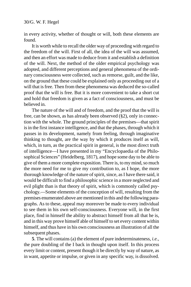in every activity, whether of thought or will, both these elements are found.

It is worth while to recall the older way of proceeding with regard to the freedom of the will. First of all, the idea of the will was assumed, and then an effort was made to deduce from it and establish a definition of the will. Next, the method of the older empirical psychology was adopted, and different perceptions and general phenomena of the ordinary consciousness were collected, such as remorse, guilt, and the like, on the ground that these could be explained only as proceeding out of a will that is free. Then from these phenomena was deduced the so-called proof that the will is free. But it is more convenient to take a short cut and hold that freedom is given as a fact of consciousness, and must be believed in.

The nature of the will and of freedom, and the proof that the will is free, can be shown, as has already been observed (§2), only in connection with the whole. The ground principles of the premises—that spirit is in the first instance intelligence, and that the phases, through which it passes in its development, namely from feeling, through imaginative thinking to thought, are the way by which it produces itself as will, which, in turn, as the practical spirit in general, is the most direct truth of intelligence—I have presented in my "Encyclopaedia of the Philosophical Sciences" (Heidelberg, 1817), and hope some day to be able to give of them a more complete exposition. There is, to my mind, so much the more need for me to give my contribution to, as I hope, the more thorough knowledge of the nature of spirit, since, as I have there said, it would be difficult to find a philosophic science in a more neglected and evil plight than is that theory of spirit, which is commonly called psychology.—Some elements of the conception of will, resulting from the premises enumerated above are mentioned in this and the following paragraphs. As to these, appeal may moreover be made to every individual to see them in his own self-consciousness. Everyone will, in the first place, find in himself the ability to abstract himself from all that he is, and in this way prove himself able of himself to set every content within himself, and thus have in his own consciousness an illustration of all the subsequent phases.

**5**. The will contains (a) the element of pure indeterminateness, *i.e.,* the pure doubling of the I back in thought upon itself. In this process every limit or content, present though it be directly by way of nature, as in want, appetite or impulse, or given in any specific way, is dissolved.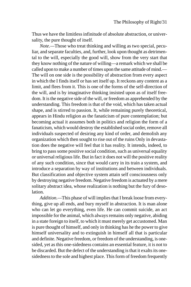Thus we have the limitless infinitude of absolute abstraction, or universality, the pure thought of itself.

*Note.—*Those who treat thinking and willing as two special, peculiar, and separate faculties, and, further, look upon thought as detrimental to the will, especially the good will, show from the very start that they know nothing of the nature of willing—a remark which we shall be called upon to make a number of times upon the same attitude of mind.— The will on one side is the possibility of abstraction from every aspect in which the I finds itself or has set itself up. It reckons any content as a limit, and flees from it. This is one of the forms of the self-direction of the will, and is by imaginative thinking insisted upon as of itself freedom. It is the negative side of the will, or freedom as apprehended by the understanding. This freedom is that of the void, which has taken actual shape, and is stirred to passion. It, while remaining purely theoretical, appears in Hindu religion as the fanaticism of pure contemplation; but becoming actual it assumes both in politics and religion the form of a fanaticism, which would destroy the established social order, remove all individuals suspected of desiring any kind of order, and demolish any organization which then sought to rise out of the ruins Only in devastation does the negative will feel that it has reality. It intends, indeed, to bring to pass some positive social condition, such as universal equality or universal religious life. But in fact it does not will the positive reality of any such condition, since that would carry in its train a system, and introduce a separation by way of institutions and between individuals. But classification and objective system attain self consciousness only by destroying negative freedom. Negative freedom is actuated by a mere solitary abstract idea, whose realization is nothing but the fury of desolation.

*Addition.—*This phase of will implies that I break loose from everything, give up all ends, and bury myself in abstraction. It is man alone who can let go everything, even life. He can commit suicide, an act impossible for the animal, which always remains only negative, abiding in a state foreign to itself, to which it must merely get accustomed. Man is pure thought of himself, and only in thinking has he the power to give himself universality and to extinguish in himself all that is particular and definite. Negative freedom, or freedom of the understanding, is onesided, yet as this one-sidedness contains an essential feature, it is not to be discarded. But the defect of the understanding is that it exalts its onesidedness to the sole and highest place. This form of freedom frequently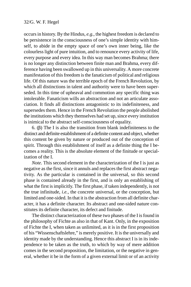occurs in history. By the Hindus, *e.g.,* the highest freedom is declared to be persistence in the consciousness of one's simple identity with himself, to abide in the empty space of one's own inner being, like the colourless light of pure intuition, and to renounce every activity of life, every purpose and every idea. In this way man becomes Brahma; there is no longer any distinction between finite man and Brahma, every difference having been swallowed up in this universality. A more concrete manifestation of this freedom is the fanaticism of political and religious life. Of this nature was the terrible epoch of the French Revolution, by which all distinctions in talent and authority were to have been superseded. In this time of upheaval and commotion any specific thing was intolerable. Fanaticism wills an abstraction and not an articulate association. It finds all distinctions antagonistic to its indefiniteness, and supersedes them. Hence in the French Revolution the people abolished the institutions which they themselves had set up, since every institution is inimical to the abstract self-consciousness of equality.

6.  $(\beta)$  The I is also the transition from blank indefiniteness to the distinct and definite establishment of a definite content and object, whether this content be given by nature or produced out of the conception of spirit. Through this establishment of itself as a definite thing the I becomes a reality. This is the absolute element of the finitude or specialization of the I

*Note.* This second element in the characterization of the I is just as negative as the first, since it annuls and replaces the first abstract negativity. As the particular is contained in the universal, so this second phase is contained already in the first, and is only an establishing of what the first is implicitly. The first phase, if taken independently, is not the true infinitude, *i.e.,* the concrete universal, or the conception, but limited and one-sided. In that it is the abstraction from all definite character, it has a definite character. Its abstract and one-sided nature constitutes its definite character, its defect and finitude.

The distinct characterization of these two phases of the I is found in the philosophy of Fichte as also in that of Kant. Only, in the exposition of Fichte the I, when taken as unlimited, as it is in the first proposition of his "Wissenschaftslehre," is merely positive. It is the universally and identity made by the understanding. Hence this abstract I is in its independence to be taken as the truth, to which by way of mere addition comes in the second proposition, the limitation, or the negative in general, whether it be in the form of a given external limit or of an activity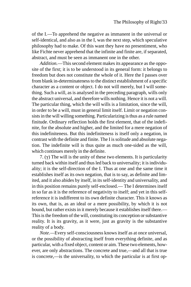of the I.—To apprehend the negative as immanent in the universal or self-identical, and also as in the I, was the next step, which speculative philosophy had to make. Of this want they have no presentiment, who like Fichte never apprehend that the infinite and finite are, if separated, abstract, and must be seen as immanent one in the other.

*Addition.*—This second element makes its appearance as the opposite of the first; it is to be understood in its general form: it belongs to freedom but does not constitute the whole of it. Here the I passes over from blank in-determinateness to the distinct establishment of a specific character as a content or object. I do not will merely, but I will something. Such a will, as is analysed in the preceding paragraph, wills only the abstract universal, and therefore wills nothing. Hence it is not a will. The particular thing, which the will wills is a limitation, since the will, in order to be a will, must in general limit itself. Limit or negation consists in the will willing something. Particularizing is thus as a rule named finitude. Ordinary reflection holds the first element, that of the indefinite, for the absolute and higher, and the limited for a mere negation of this indefiniteness. But this indefiniteness is itself only a negation, in contrast with the definite and finite. The I is solitude and absolute negation. The indefinite will is thus quite as much one-sided as the will, which continues merely in the definite.

7.  $(\gamma)$  The will is the unity of these two elements. It is particularity turned back within itself and thus led back to universality; it is individuality; it is the self-direction of the I. Thus at one and the same time it establishes itself as its own negation, that is to say, as definite and limited, and it also abides by itself, in its self-identity and universality, and in this position remains purely self-enclosed.— The I determines itself in so far as it is the reference of negativity to itself; and yet in this selfreference it is indifferent to its own definite character. This it knows as its own, that is, as an ideal or a mere possibility, by which it is not bound, but rather exists in it merely because it establishes itself there.— This is the freedom of the will, constituting its conception or substantive reality. It is its gravity, as it were, just as gravity is the substantive reality of a body.

*Note.—*Every self-consciousness knows itself as at once universal, or the possibility of abstracting itself from everything definite, and as particular, with a fixed object, content or aim. These two elements, however, are only abstractions. The concrete and true,—and all that is true is concrete,—is the universality, to which the particular is at first op-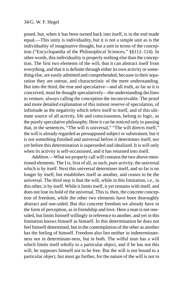posed, but, when it has been turned back into itself, is in the end made equal.—This unity is individuality, but it is not a simple unit as is the individuality of imaginative thought, but a unit in terms of the conception ("Encyclopaedia of the Philosophical Sciences," §§112–114). In other words, this individuality is properly nothing else than the conception. The first two elements of the will, that it can abstract itself from everything, and that it is definite through either its own activity or something else, are easily admitted and comprehended, because in their separation they are untrue, and characteristic of the mere understanding. But into the third, the true and speculative—and all truth, as far as it is conceived, must be thought speculatively—the understanding declines to venture, always calling the conception the inconceivable. The proof and more detailed explanation of this inmost reserve of speculation, of infinitude as the negativity which refers itself to itself, and of this ultimate source of all activity, life and consciousness, belong to logic, as the purely speculative philosophy. Here it can be noticed only in passing that, in the sentences, "The will is universal," "The will directs itself," the will is already regarded as presupposed subject or substratum; but it is not something finished and universal before it determines itself, nor yet before this determination is superseded and idealized. It is will only when its activity is self-occasioned, and it has returned into itself.

*Addition.—*What we properly call will contains the two above-mentioned elements. The I is, first of all, as such, pure activity, the universal which is by itself. Next this universal determines itself, and so far is no longer by itself, but establishes itself as another, and ceases to be the universal. The third step is that the will, while in this limitation, *i.e.,* in this other, is by itself. While it limits itself, it yet remains with itself, and does not lose its hold of the universal. This is, then, the concrete conception of freedom, while the other two elements have been thoroughly abstract and one-sided. But this concrete freedom we already have in the form of perception, as in friendship and love. Here a man is not onesided, but limits himself willingly in reference to another, and yet in this limitation knows himself as himself. In this determination he does not feel himself determined, but in the contemplation of the other as another has the feeling of himself. Freedom also lies neither in indeterminateness nor in determinate-ness, but in both. The wilful man has a will which limits itself wholly to a particular object, and if he has not this will, he supposes himself not to be free. But the will is not bound to a particular object, but must go further, for the nature of the will is not to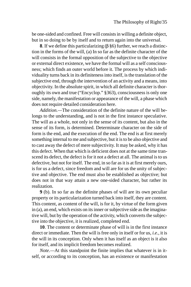be one-sided and confined. Free will consists in willing a definite object, but in so doing to be by itself and to return again into the universal.

**8**. If we define this particularizing  $(\beta \, \S 6)$  further, we reach a distinction in the forms of the will, (a) In so far as the definite character of the will consists in the formal opposition of the subjective to the objective or external direct existence, we have the formal will as a self consciousness; which finds an outer world before it. The process by which individuality turns back in its definiteness into itself, is the translation of the subjective end, through the intervention of an activity and a means, into objectivity. In the absolute spirit, in which all definite character is thoroughly its own and true ("Encyclop." §363), consciousness is only one side, namely, the manifestation or appearance of the will, a phase which does not require detailed consideration here.

*Addition.—*The consideration of the definite nature of the will belongs to the understanding, and is not in the first instance speculative. The will as a whole, not only in the sense of its content, but also in the sense of its form, is determined. Determinate character on the side of form is the end, and the execution of the end. The end is at first merely something internal to me and subjective, but it is to be also objective and to cast away the defect of mere subjectivity. It may be asked, why it has this defect. When that which is deficient does not at the same time transcend its defect, the defect is for it not a defect at all. The animal is to us defective, but not for itself. The end, in so far as it is at first merely ours, is for us a defect, since freedom and will are for us the unity of subjective and objective. The end must also be established as objective; but does not in that way attain a new one-sided character, but rather its realization.

**9** (b). In so far as the definite phases of will are its own peculiar property or its particularization turned back into itself, they are content. This content, as content of the will, is for it, by virtue of the form given in (a), an end, which exists on its inner or subjective side as the imaginative will, but by the operation of the activity, which converts the subjective into the objective, it is realized, completed end.

**10**. The content or determinate phase of will is in the first instance direct or immediate. Then the will is free only in itself or for us, *i.e.,* it is the will in its conception. Only when it has itself as an object is it also for itself, and its implicit freedom becomes realized.

*Note.—*At this standpoint the finite implies that whatever is in itself, or according to its conception, has an existence or manifestation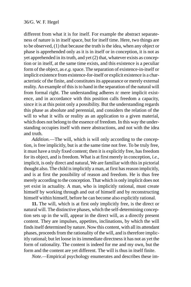different from what it is for itself. For example the abstract separateness of nature is in itself space, but for itself time. Here, two things are to be observed, (1) that because the truth is the idea, when any object or phase is apprehended only as it is in itself or in conception, it is not as yet apprehended in its truth, and yet (2) that, whatever exists as conception or in itself, at the same time exists, and this existence is a peculiar form of the object, as *e.g.* space. The separation of existence-in-itself or implicit existence from existence-for-itself or explicit existence is a characteristic of the finite, and constitutes its appearance or merely external reality. An example of this is to hand in the separation of the natural will from formal right. The understanding adheres *tc* mere implicit existence, and in accordance with this position calls freedom a capacity, since it is at this point only a possibility. But the understanding regards this phase as absolute and perennial, and considers the relation of the will to what it wills or reality as an application to a given material, which does not belong to the essence of freedom. In this way the understanding occupies itself with mere abstractions, and not with the idea and truth.

*Addition.*—The will, which is will only according to the conception, is free implicitly, but is at the same time not free. To be truly free, it must have a truly fixed content; then it is explicitly free, has freedom for its object, and is freedom. What is at first merely in conception, *i.e.,* implicit, is only direct and natural, We are familiar with this in pictorial thought also. The child is implicitly a man, at first has reason implicitly, and is at first the possibility of reason and freedom. He is thus free merely according to the conception. That which is only implicit does not yet exist in actuality. A man, who is implicitly rational, must create himself by working through and out of himself and by reconstructing himself within himself, before he can become also explicitly rational.

**11.** The will, which is at first only implicitly free, is the direct or natural will. The distinctive phases, which the self-determining conception sets up in the will, appear in the direct will, as a directly present content. They are impulses, appetites, inclinations, by which the will finds itself determined by nature. Now this content, with all its attendant phases, proceeds from the rationality of the will, and is therefore implicitly rational; but let loose in its immediate directness it has not as yet the form of rationality. The content is indeed for me and my own, but the form and the content are yet different. The will is thus in itself finite.

*Note.—*Empirical psychology enumerates and describes these im-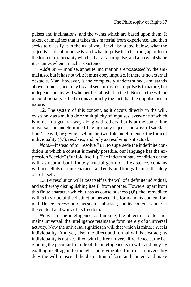pulses and inclinations, and the wants which are based upon them. It takes, or imagines that it takes this material from experience, and then seeks to classify it in the usual way. It will be stated below, what the objective side of impulse is, and what impulse is in its truth, apart from the form of irrationality which it has as an impulse, and also what shape it assumes when it reaches existence.

*Addition.—*Impulse, appetite, inclination are possessed by the animal also, but it has not will; it must obey impulse, if there is no external obstacle. Man, however, is the completely undetermined, and stands above impulse, and may fix and set it up as his. Impulse is in nature, but it depends on my will whether I establish it in the I. Nor can the will be unconditionally called to this action by the fact that the impulse lies in nature.

**12.** The system of this content, as it occurs directly in the will, exists only as a multitude or multiplicity of impulses, every one of which is mine in a general way along with others, but is at the same time universal and undetermined, having many objects and ways of satisfaction. The will, by giving itself in this two-fold indefiniteness the form of individuality (§7), resolves, and only as resolving is it actual.

*Note.—*Instead of to "resolve," *i.e.* to supersede the indefinite condition in which a content is merely possible, our language has the expression "decide" ("unfold itself"). The indeterminate condition of the will, as neutral but infinitely fruitful germ of all existence, contains within itself its definite character and ends, and brings them forth solely out of itself.

**13**. By resolution will fixes itself as the will of a definite individual, and as thereby distinguishing itself" from another. However apart from this finite character which it has as consciousness (§8), the immediate will is in virtue of the distinction between its form and its content formal. Hence its resolution as such is abstract, and its content is not yet the content and work of its freedom.

*Note.—*To the intelligence, as thinking, the object or content remains universal; the intelligence retains the form merely of a universal activity. Now the universal signifies in will that which is mine, *i.e.* it is individuality. And yet, also, the direct and formal will is abstract; its individuality is not yet filled with its free universality. Hence at the beginning the peculiar finitude of the intelligence is in will, and only by exalting itself again to thought and giving itself intrinsic universality does the will transcend the distinction of form and content and make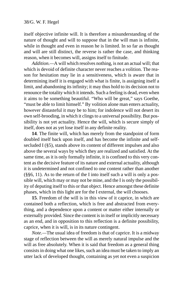itself objective infinite will. It is therefore a misunderstanding of the nature of thought and will to suppose that in the will man is infinite, while in thought and even in reason he is limited. In so far as thought and will are still distinct, the reverse is rather the case, and thinking reason, when it becomes will, assigns itself to finitude.

*Addition.—*A will which resolves nothing, is not an actual will; that which is devoid of definite character never reaches a volition. The reason for hesitation may lie in a sensitiveness, which is aware that in determining itself it is engaged with what is finite, is assigning itself a limit, and abandoning its infinity; it may thus hold to its decision not to renounce the totality which it intends. Such a feeling is dead, even when it aims to be something beautiful. "Who will be great," says Goethe, "must be able to limit himself." By volition alone man enters actuality, however distasteful it may be to him; for indolence will not desert its own self-brooding, in which it clings to a universal possibility. But possibility is not yet actuality. Hence the will, which is secure simply of itself, does not as yet lose itself in any definite reality.

**14**. The finite will, which has merely from the standpoint of form doubled itself back upon itself, and has become the infinite and selfsecluded I (§5), stands above its content of different impulses and also above the several ways by which they are realized and satisfied. At the same time, as it is only formally infinite, it is confined to this very content as the decisive feature of its nature and external actuality, although it is undetermined and not confined to one content rather than another (§§6, 11). As to the return of the I into itself such a will is only a possible will, which may or may not be mine, and the I is only the possibility of deputing itself to this or that object. Hence amongst these definite phases, which in this light are for the I external, the will chooses.

**15**. Freedom of the will is in this view of it caprice, in which are contained both a reflection, which is free and abstracted from everything, and a dependence upon a content or matter either internally or externally provided. Since the content is in itself or implicitly necessary as an end, and in opposition to this reflection is a definite possibility, caprice, when it is will, is in its nature contingent.

*Note.—*The usual idea of freedom is that of caprice. It is a midway stage of reflection between the will as merely natural impulse and the will as free absolutely. When it is said that freedom as a general thing consists in doing what one likes, such an idea must be taken to imply an utter lack of developed thought, containing as yet not even a suspicion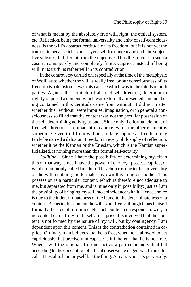of what is meant by the absolutely free will, right, the ethical system, etc. Reflection, being the formal universality and unity of self-consciousness, is the will's abstract certitude of its freedom, but it is not yet the truth of it, because it has not as yet itself for content and end; the subjective side is still different from the objective. Thus the content in such a case remains purely and completely finite. Caprice, instead of being will in its truth, is rather will in its contradiction.

In the controversy carried on, especially at the time of the metaphysic of Wolf, as to whether the will is really free, or our consciousness of its freedom is a delusion, it was this caprice which was in the minds of both parties. Against the certitude of abstract self-direction, determinism rightly opposed a content, which was externally presented, and not being contained in this certitude came from without. It did not matter whether this "without" were impulse, imagination, or in general a consciousness so filled that the content was not the peculiar possession of the self-determining activity as such. Since only the formal element of free self-direction is immanent in caprice, while the other element is something given to it from without, to take caprice as freedom may fairly be named a delusion. Freedom in every philosophy of reflection, whether it be the Kantian or the Eriesian, which is the Kantian superficialized, is nothing more than this formal self-activity.

*Addition.—*Since I have the possibility of determining myself in this or that way, since I have the power of choice, I possess caprice, or what is commonly called freedom. This choice is due to the universality of the will, enabling me to make my own this thing or another. This possession is a particular content, which is therefore not adequate to me, but separated from me, and is mine only in possibility; just as I am the possibility of bringing myself into coincidence with it. Hence choice is due to the indeterminateness of the I, and to the determinateness of a content. But as to this content the will is not free, although it has in itself formally the side of infinitude. No such content corresponds to will; in no content can it truly find itself. In caprice it is involved that the content is not formed by the nature of my will, but by contingency. I am dependent upon this content. This is the contradiction contained in caprice. Ordinary man believes that he is free, when he is allowed to act capriciously, but precisely in caprice is it inherent that he is not free. When I will the rational, I do not act as a particular individual but according to the conception of ethical observance in general. In an ethical act I establish not myself but the thing. A man, who acts perversely,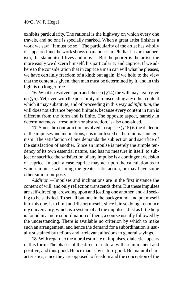### 40/G. W. F. Hegel

exhibits particularity. The rational is the highway on which every one travels, and no one is specially marked. When a great artist finishes a work we say: "It must be so." The particularity of the artist has wholly disappeared and the work shows no mannerism. Phidias has no mannerism; the statue itself lives and moves. But the poorer is the artist, the more easily we discern himself, his particularity and caprice. If we adhere to the consideration that in caprice a man can will what he pleases, we have certainly freedom of a kind; but again, if we hold to the view that the content is given, then man must be determined by it, and in this light is no longer free.

**16**. What is resolved upon and chosen (§14) the will may again give up (§5). Yet, even with the possibility of transcending any other content which it may substitute, and of proceeding in this way *ad infinitum,* the will does not advance beyond finitude, because every content in turn is different from the form and is finite. The opposite aspect, namely in determinateness, irresolution or abstraction, is also one-sided.

**17**. Since the contradiction involved in caprice (§15) is the dialectic of the impulses and inclinations, it is manifested in their mutual antagonism. The satisfaction of one demands the subjection and sacrifice of the satisfaction of another. Since an impulse is merely the simple tendency of its own essential nature, and has no measure in itself, to subject or sacrifice the satisfaction of any impulse is a contingent decision of caprice. In such a case caprice may act upon the calculation as to which impulse will bring the greater satisfaction, or may have some other similar purpose.

*Addition.—*Impulses and inclinations are in the first instance the content of will, and only reflection transcends them. But these impulses are self-directing, crowding upon and jostling one another, and all seeking to be satisfied. To set all but one in the background, and put myself into this one, is to limit and distort myself, since I, in so doing, renounce my universality, which is a system of all the impulses. Just as little help is found in a mere subordination of them, a course usually followed by the understanding. There is available no criterion by which to make such an arrangement, and hence the demand for a subordination is usually sustained by tedious and irrelevant allusions to general sayings.

**18**. With regard to the moral estimate of impulses, dialectic appears in this form. The phases of the direct or natural will are immanent and positive, and thus good. Hence man is by nature good. But natural characteristics, since they are opposed to freedom and the conception of the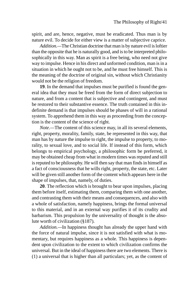spirit, and are, hence, negative, must be eradicated. Thus man is by nature evil. To decide for either view is a matter of subjective caprice.

*Addition.—*The Christian doctrine that man is by nature evil is loftier than the opposite that he is naturally good, and is to be interpreted philosophically in this way. Man as spirit is a free being, who need not give way to impulse. Hence in his direct and unformed condition, man is in a situation in which he ought not to be, and he must free himself. This is the meaning of the doctrine of original sin, without which Christianity would not be the religion of freedom.

**19**. In the demand that impulses must be purified is found the general idea that they must be freed from the form of direct subjection to nature, and from a content that is subjective and contingent, and must be restored to their substantive essence. The truth contained in this indefinite demand is that impulses should be phases of will in a rational system. To apprehend them in this way as proceeding from the conception is the content of the science of right.

*Note*.—The content of this science may, in all its several elements, right, property, morality, family, state, be represented in this way, that man has by nature the impulse to right, the impulse to property, to morality, to sexual love, and to social life. If instead of this form, which belongs to empirical psychology, a philosophic form be preferred, it may be obtained cheap from what in modern times was reputed and still is reputed to be philosophy. He will then say that man finds in himself as a fact of consciousness that he wills right, property, the state, etc. Later will be given still another form of the content which appears here in the shape of impulses, that, namely, of duties.

**20**. The reflection which is brought to bear upon impulses, placing them before itself, estimating them, comparing them with one another, and contrasting them with their means and consequences, and also with a whole of satisfaction, namely happiness, brings the formal universal to this material, and in an external way purifies it of its crudity and barbarism. This propulsion by the universality of thought is the absolute worth of civilization (§187).

*Addition.—*In happiness thought has already the upper hand with the force of natural impulse, since it is not satisfied with what is momentary, but requires happiness as a whole. This happiness is dependent upon civilization to the extent to which civilization confirms the universal. But in the ideal of happiness there are two elements. There is (1) a universal that is higher than all particulars; yet, as the content of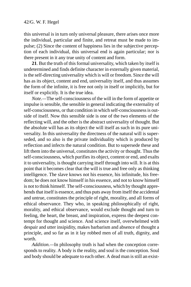this universal is in turn only universal pleasure, there arises once more the individual, particular and finite, and retreat must be made to impulse; (2) Since the content of happiness lies in the subjective perception of each individual, this universal end is again particular; nor is there present in it any true unity of content and form.

**21**. But the truth of this formal universality, which taken by itself is undetermined and finds definite character in externally given material, is the self-directing universality which is will or freedom. Since the will has as its object, content and end, universality itself, and thus assumes the form of the infinite, it is free not only in itself or implicitly, but for itself or explicitly. It is the true idea.

*Note.—*The self-consciousness of the will in the form of appetite or impulse is sensible, the sensible in general indicating the externality of self-consciousness, or that condition in which self-consciousness is outside of itself. Now this sensible side is one of the two elements of the reflecting will, and the other is the abstract universality of thought. But the absolute will has as its object the will itself as such in its pure universality. In this universality the directness of the natural will is superseded, and so also is the private individuality which is produced by reflection and infects the natural condition. But to supersede these and lift them into the universal, constitutes the activity or thought. Thus the self-consciousness, which purifies its object, content or end, and exalts it to universality, is thought carrying itself through into will. It is at this point that it becomes clear that the will is true and free only as thinking intelligence. The slave knows not his essence, his infinitude, his freedom; he does not know himself in his essence, and not to know himself is not to think himself. The self-consciousness, which by thought apprehends that itself is essence, and thus puts away from itself the accidental and untrue, constitutes the principle of right, morality, and all forms of ethical observance. They who, in speaking philosophically of right, morality, and ethical observance, would exclude thought and turn to feeling, the heart, the breast, and inspiration, express the deepest contempt for thought and science. And science itself, overwhelmed with despair and utter insipidity, makes barbarism and absence of thought a principle, and so far as in it lay robbed men of all truth, dignity, and worth.

*Addition.—*In philosophy truth is had when the conception corresponds to reality. A body is the reality, and soul is the conception. Soul and body should be adequate to each other. A dead man is still an exist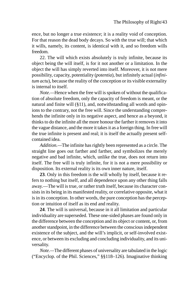ence, but no longer a true existence; it is a reality void of conception. For that reason the dead body decays. So with the true will; that which it wills, namely, its content, is identical with it, and so freedom wills freedom.

22. The will which exists absolutely is truly infinite, because its object being the will itself, is for it not another or a limitation. In the object the will has simply reverted into itself. Moreover, it is not mere possibility, capacity, potentiality (*potentia*), but infinitely actual (*infinitum actu*), because the reality of the conception or its visible externality is internal to itself.

*Note.—*Hence when the free will is spoken of without the qualification of absolute freedom, only the capacity of freedom is meant, or the natural and finite will (§11), and, notwithstanding all words and opinions to the contrary, not the free will. Since the understanding comprehends the infinite only in its negative aspect, and hence as a beyond, it thinks to do the infinite all the more honour the farther it removes it into the vague distance, and the more it takes it as a foreign thing. In free will the true infinite is present and real; it is itself the actually present selfcontained idea.

*Addition.—*The infinite has rightly been represented as a circle. The straight line goes out farther and farther, and symbolizes the merely negative and bad infinite, which, unlike the true, does not return into itself. The free will is truly infinite, for it is not a mere possibility or disposition. Its external reality is its own inner nature, itself.

**23**. Only in this freedom is the will wholly by itself, because it refers to nothing but itself, and all dependence upon any other thing falls away.—The will is true, or rather truth itself, because its character consists in its being in its manifested reality, or correlative opposite, what it is in its conception. In other words, the pure conception has the perception or intuition of itself as its end and reality.

**24**. The will is universal, because in it all limitation and particular individuality are superseded. These one-sided phases are found only in the difference between the conception and its object or content, or, from another standpoint, in the difference between the conscious independent existence of the subject, and the will's implicit, or self-involved existence, or between its excluding and concluding individuality, and its universality.

*Note.—*The different phases of universality are tabulated in the logic ("Encyclop. of the Phil. Sciences," §§118–126). Imaginative thinking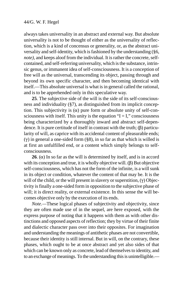### 44/G. W. F. Hegel

always takes universality in an abstract and external way. But absolute universality is not to be thought of either as the universality of reflection, which is a kind of concensus or generality, or, as the abstract universality and self-identity, which is fashioned by the understanding (§6, *note),* and keeps aloof from the individual. It is rather the concrete, selfcontained, and self-referring universality, which is the substance, intrinsic genus, or immanent idea of self-consciousness. It is a conception of free will as the universal, transcending its object, passing through and beyond its own specific character, and then becoming identical with itself.—This absolute universal is what is in general called the rational, and is to be apprehended only in this speculative way.

**25**. The subjective side of the will is the side of its self-consciousness and individuality (§7), as distinguished from its implicit conception. This subjectivity is  $(\alpha)$  pure form or absolute unity of self-consciousness with itself. This unity is the equation " $I = I$ ," consciousness being characterized by a thoroughly inward and abstract self-dependence. It is pure certitude of itself in contrast with the truth;  $(\beta)$  particularity of will, as caprice with its accidental content of pleasurable ends;  $(y)$  in general a one-sided form (§8), in so far as that which is willed is at first an unfulfilled end, or a content which simply belongs to selfconsciousness.

**26**. ( $\alpha$ ) In so far as the will is determined by itself, and is in accord with its conception and true, it is wholly objective will.  $(\beta)$  But objective self-consciousness, which has not the form of the infinite, is a will sunk in its object or condition, whatever the content of that may be. It is the will of the child, or the will present in slavery or superstition,  $(y)$  Objectivity is finally a one-sided form in opposition to the subjective phase of will; it is direct reality, or external existence. In this sense the will becomes objective only by the execution of its ends.

*Note.—*These logical phases of subjectivity and objectivity, since they are often made use of in the sequel, are here exposed, with the express purpose of noting that it happens with them as with other distinctions and opposed aspects of reflection; they by virtue of their finite and dialectic character pass over into their opposites. For imagination and understanding the meanings of antithetic phases are not convertible, because their identity is still internal. But in will, on the contrary, these phases, which ought to be at once abstract and yet also sides of that which can be known only as concrete, lead of themselves to identity, and to an exchange of meanings. To the understanding this is unintelligible.—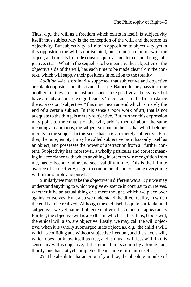Thus, *e.g.,* the will as a freedom which exists in itself, is subjectivity itself; thus subjectivity is the conception of the will, and therefore its objectivity. But subjectivity is finite in opposition to objectivity, yet in this opposition the will is not isolated, but in intricate union with the object; and thus its finitude consists quite as much in its not being subjective, etc.—What in the sequel is to be meant by the subjective or the objective side of the will, has each time to be made clear from the context, which will supply their positions in relation to the totality.

*Addition.—*It is ordinarily supposed that subjective and objective are blank opposites; but this is not the case. Bather do they pass into one another, for they are not abstract aspects like positive and negative, but have already a concrete significance. To consider in the first instance the expression "subjective;" this may mean an end which is merely the end of a certain subject. In this sense a poor work of art, that is not adequate to the thing, is merely subjective. But, further, this expression may point to the content of the will, arid is then of about the same meaning as capricious; the subjective content then is that which belongs merely to the subject. In this sense bad acts are merely subjective. Further, the pure, empty I may be called subjective, as it has only itself as an object, and possesses the power of abstraction from all further content. Subjectivity has, moreover, a wholly particular and correct meaning in accordance with which anything, in order to win recognition from me, has to become mine and seek validity in me. This is the infinite avarice of subjectivity, eager to comprehend and consume everything within the simple and pure I.

Similarly we may take the objective in different ways. By it we may understand anything to which we give existence in contrast to ourselves, whether it be an actual thing or a mere thought, which we place over against ourselves. By it also we understand the direct reality, in which the end is to be realized. Although the end itself is quite particular and subjective, we yet name it objective after it has made its appearance. Further, the objective will is also that in which truth is; thus, God's will, the ethical will also, are objective. Lastly, we may call the will objective, when it is wholly submerged in its object, as, *e.g.,* the child's will, which is confiding and without subjective freedom, and the slave's will, which does not know itself as free, and is thus a will-less will. In this sense any will is objective, if it is guided in its action by a foreign authority, and has not yet completed the infinite return into itself.

**27**. The absolute character or, if you like, the absolute impulse of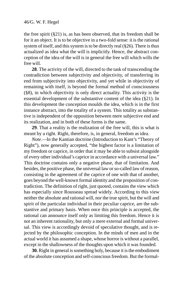the free spirit  $(\S 21)$  is, as has been observed, that its freedom shall be for it an object. It is to be objective in a two-fold sense: it is the rational system of itself, and this system is to be directly real (§26). There is thus actualized as idea what the will is implicitly. Hence, the abstract conception of the idea of the will is in general the free will which wills the free will.

**28**. The activity of the will, directed to the task of transcending the contradiction between subjectivity and objectivity, of transferring its end from subjectivity into objectivity, and yet while in objectivity of remaining with itself, is beyond the formal method of consciousness (§8), in which objectivity is only direct actuality. This activity is the essential development of the substantive content of the idea (§21). In this development the conception moulds the idea, which is in the first instance abstract, into the totality of a system. This totality as substantive is independent of the opposition between mere subjective end and its realization, and in both of these forms is the same.

**29**. That a reality is the realization of the free will, this is what is meant by a right. Right, therefore, is, in general, freedom as idea.

*Note.—*In the Kantian doctrine (Introduction to Kant's "Theory of Right"), now generally accepted, "the highest factor is a limitation of my freedom or caprice, in order that it may be able to subsist alongside of every other individual's caprice in accordance with a universal law." This doctrine contains only a negative phase, that of limitation. And besides, the positive phase, the universal law or so-called law of reason, consisting in the agreement of the caprice of one with that of another, goes beyond the well-known formal identity and the proposition of contradiction. The definition of right, just quoted, contains the view which has especially since Rousseau spread widely. According to this view neither the absolute and rational will, nor the true spirit, but the will and spirit of the particular individual in their peculiar caprice, are the substantive and primary basis. When once this principle is accepted, the rational can announce itself only as limiting this freedom. Hence it is not an inherent rationality, but only a mere external and formal universal. This view is accordingly devoid of speculative thought, and is rejected by the philosophic conception. In the minds of men and in the actual world it has assumed a shape, whose horror is without a parallel, except in the shallowness of the thoughts upon which it was founded.

**30.** Right in general is something holy, because it is the embodiment of the absolute conception and self-conscious freedom. But the formal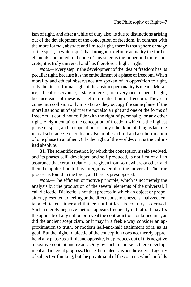ism of right, and after a while of duty also, is due to distinctions arising out of the development of the conception of freedom. In contrast with the more formal, abstract and limited right, there is that sphere or stage of the spirit, in which spirit has brought to definite actuality the further elements contained in the idea. This stage is the richer and more concrete; it is truly universal and has therefore a higher right.

*Note.—*Every step in the development of the idea of freedom has its peculiar right, because it is the embodiment of a phase of freedom. When morality and ethical observance are spoken of in opposition to right, only the first or formal right of the abstract personality is meant. Morality, ethical observance, a state-interest, are every one a special right, because each of these is a definite realization of freedom. They can come into collision only in so far as they occupy the same plane. If the moral standpoint of spirit were not also a right and one of the forms of freedom, it could not collide with the right of personality or any other right. A right contains the conception of freedom which is the highest phase of spirit, and in opposition to it any other kind of thing is lacking in real substance. Yet collision also implies a limit and a subordination of one phase to another. Only the right of the world-spirit is the unlimited absolute.

**31**. The scientific method by which the conception is self-evolved, and its phases self- developed and self-produced, is not first of all an assurance that certain relations are given from somewhere or other, and then the application to this foreign material of the universal. The true process is found in the logic, and here is presupposed.

*Note.—*The efficient or motive principle, which is not merely the analysis but the production of the several elements of the universal, I call dialectic. Dialectic is not that process in which an object or proposition, presented to feeling or the direct consciousness, is analyzed, entangled, taken hither and thither, until at last its contrary is derived. Such a merely negative method appears frequently in Plato. It may fix the opposite of any notion or reveal the contradiction contained in it, as did the ancient scepticism, or it may in a feeble way consider an approximation to truth, or modern half-and-half attainment of it, as its goal. But the higher dialectic of the conception does not merely apprehend any phase as a limit and opposite, but produces out of this negative a positive content and result. Only by such a course is there development and inherent progress. Hence this dialectic is not the external agency of subjective thinking, but the private soul of the content, which unfolds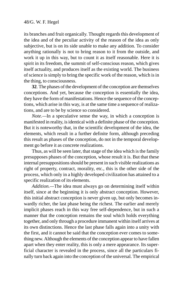### 48/G. W. F. Hegel

its branches and fruit organically. Thought regards this development of the idea and of the peculiar activity of the reason of the idea as only subjective, but is on its side unable to make any addition. To consider anything rationally is not to bring reason to it from the outside, and work it up in this way, but to count it as itself reasonable. Here it is spirit in its freedom, the summit of self-conscious reason, which gives itself actuality, and produces itself as the existing world. The business of science is simply to bring the specific work of the reason, which is in the thing, to consciousness.

**32**. The phases of the development of the conception are themselves conceptions. And yet, because the conception is essentially the idea, they have the form of manifestations. Hence the sequence of the conceptions, which arise in this way, is at the same time a sequence of realizations, and are to be by science so considered.

*Note.—*In a speculative sense the way, in which a conception is manifested in reality, is identical with a definite phase of the conception. But it is noteworthy that, in the scientific development of the idea, the elements, which result in a further definite form, although preceding this result as phases of the conception, do not in the temporal development go before it as concrete realizations.

Thus, as will be seen later, that stage of the idea which is the family presupposes phases of the conception, whose result it is. But that these internal presuppositions should be present in such visible realizations as right of property, contract, morality, etc., this is the other side of the process, which only in a highly developed civilization has attained to a specific realization of its elements.

*Addition.—*The idea must always go on determining itself within itself, since at the beginning it is only abstract conception. However, this initial abstract conception is never given up, but only becomes inwardly richer, the last phase being the richest. The earlier and merely implicit phases reach in this way free self-dependence, but in such a manner that the conception remains the soul which holds everything together, and only through a procedure immanent within itself arrives at its own distinctions. Hence the last phase falls again into a unity with the first, and it cannot be said that the conception ever comes to something new. Although the elements of the conception appear to have fallen apart when they enter reality, this is only a mere appearance. Its superficial character is revealed in the process, since all the particulars finally turn back again into the conception of the universal. The empirical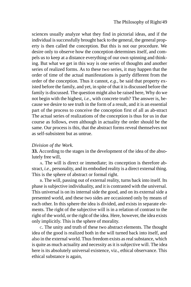sciences usually analyze what they find in pictorial ideas, and if the individual is successfully brought back to the general, the general property is then called the conception. But this is not our procedure. We desire only to observe how the conception determines itself, and compels us to keep at a distance everything of our own spinning and thinking. But what we get in this way is one series of thoughts and another series of realized forms. As to these two series, it may happen that the order of time of the actual manifestations is partly different from the order of the conception. Thus it cannot, *e.g.,* be said that property existed before the family, and yet, in spite of that it is discussed before the family is discussed. The question might also be raised here, Why do we not begin with the highest, *i.e.,* with concrete truth? The answer is, because we desire to see truth in the form of a result, and it is an essential part of the process to conceive the conception first of all as ab-stract The actual series of realizations of the conception is thus for us in due course as follows, even although in actuality the order should be the same. Our process is this, that the abstract forms reveal themselves not as self-subsistent but as untrue.

### *Division of the Work.*

**33.** According to the stages in the development of the idea of the absolutely free will,

A. The will is direct or immediate; its conception is therefore abstract, *i.e.,* personality, and its embodied reality is a direct external thing. This is the sphere of abstract or formal right.

B. The will, passing out of external reality, turns back into itself. Its phase is subjective individuality, and it is contrasted with the universal. This universal is on its internal side the good, and on its external side a presented world, and these two sides are occasioned only by means of each other. In this sphere the idea is divided, and exists in separate elements. The right of the subjective will is in a relation of contrast to the right of the world, or the right of the idea. Here, however, the idea exists only implicitly. This is the sphere of morality.

C. The unity and truth of these two abstract elements. The thought idea of the good is realized both in the will turned back into itself, and also in the external world. Thus freedom exists as real substance, which is quite as much actuality and necessity as it is subjective will. The idea here is its absolutely universal existence, viz., ethical observance. This ethical substance is again,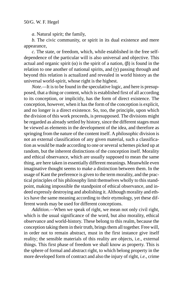*a*. Natural spirit; the family,

*b.* The civic community, or spirit in its dual existence and mere appearance,

*c.* The state, or freedom, which, while established in the free selfdependence of the particular will is also universal and objective. This actual and organic spirit  $(\alpha)$  is the spirit of a nation,  $(\beta)$  is found in the relation to one another of national spirits, and  $(y)$  passing through and beyond this relation is actualized and revealed in world history as the universal world-spirit, whose right is the highest.

*Note.—*It is to be found in the speculative logic, and here is presupposed, that a thing or content, which is established first of all according to its conception, or implicitly, has the form of direct existence. The conception, however, when it has the form of the conception is explicit, and no longer is a direct existence. So, too, the principle, upon which the division of this work proceeds, is presupposed. The divisions might be regarded as already settled by history, since the different stages must be viewed as elements in the development of the idea, and therefore as springing from the nature of the content itself. A philosophic division is not an external classification of any given material, such a classification as would be made according to one or several schemes picked up at random, but the inherent distinctions of the conception itself. Morality and ethical observance, which are usually supposed to mean the same thing, are here taken in essentially different meanings. Meanwhile even imaginative thought seems to make a distinction between them. In the usage of Kant the preference is given to the term morality, and the practical principles of his philosophy limit themselves wholly to this standpoint, making impossible the standpoint of ethical observance, and indeed expressly destroying and abolishing it. Although morality and ethics have the same meaning according to their etymology, yet these different words may be used for different conceptions.

*Addition.—*When we speak of right, we mean not only civil right, which is the usual significance of the word, but also morality, ethical observance and world-history. These belong to this realm, because the conception taking them in their truth, brings them all together. Free will, in order not to remain abstract, must in the first instance give itself reality; the sensible materials of this reality are objects, i.e., external things. This first phase of freedom we shall know as property. This is the sphere of formal and abstract right, to which belong property in the more developed form of contract and also the injury of right, *i.e.,* crime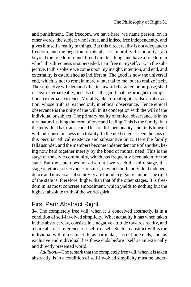and punishment. The freedom, we have here, we name person, or, in other words, the subject who is free, and indeed free independently, and gives himself a reality in things. But this direct reality is not adequate to freedom, and the negation of this phase is morality. In morality I am beyond the freedom found directly in this thing, and have a freedom in which this directness is superseded. I am free in myself, *i.e.,* in the subjective. In this sphere we come upon my insight, intention, and end, and externality is established as indifferent. The good is now the universal end, which is not to remain merely internal to me, but to realize itself. The subjective will demands that its inward character, or purpose, shall receive external reality, and also that the good shall be brought to completion in external existence. Morality, like formal right, is also an abstraction, whose truth is reached only in ethical observance. Hence ethical observance is the unity of the will in its conception with the will of the individual or subject. The primary reality of ethical observance is in its turn natural, taking the form of love and feeling. This is the family. In it the individual has transcended his prudish personality, and finds himself with his consciousness in a totality. In the next stage is seen the loss of this peculiar ethical existence and substantive unity. Here the family falls asunder, and the members become independent one of another, being now held together merely by the bond of mutual need. This is the stage of the civic community, which has frequently been taken for the state. But the state does not arise until we reach the third stage, that stage of ethical observance or spirit, in which both individual independence and universal substantivity are found in gigantic union. The right of the state is, therefore, higher than that of the other stages. It is freedom in its most concrete embodiment, which yields to nothing but the highest absolute truth of the world-spirit.

# First Part: Abstract Right.

**34**. The completely free will, when it is conceived abstractly, is in a condition of self-involved simplicity. What actuality it has when taken in this abstract way, consists in a negative attitude towards reality, and a bare abstract reference of itself to itself. Such an abstract will is the individual will of a subject. It, as particular, has definite ends, and, as exclusive and individual, has these ends before itself as an externally and directly presented world.

*Addition.—*The remark that the completely free will, when it is taken abstractly, is in a condition of self-involved simplicity must be under-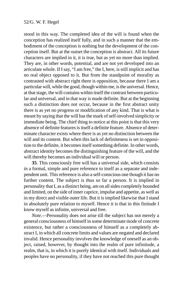### 52/G. W. F. Hegel

stood in this way. The completed idea of the will is found when the conception has realized itself fully, and in such a manner that the embodiment of the conception is nothing but the development of the conception itself. But at the outset the conception is abstract. All its future characters are implied in it, it is true, but as yet no more than implied. They are, in other words, potential, and are not yet developed into an articulate whole. If I say, "I am free," the I, here, is still implicit and has no real object opposed to it. But from the standpoint of morality as contrasted with abstract right there is opposition, because there I am a particular will, while the good, though within me, is the universal. Hence, at that stage, the will contains within itself the contrast between particular and universal, and in that way is made definite. But at the beginning such a distinction does not occur, because in the first abstract unity there is as yet no progress or modification of any kind. That is what is meant by saying that the will has the mark of self-involved simplicity or immediate being. The chief thing to notice at this point is that this very absence of definite features is itself a definite feature. Absence of determinate character exists where there is as yet no distinction between the will and its content. But when this lack of definiteness is set in opposition to the definite, it becomes itself something definite. In other words, abstract identity becomes the distinguishing feature of the will, and the will thereby becomes an individual will or person.

**35**. This consciously free will has a universal side, which consists in a formal, simple and pure reference to itself as a separate and independent unit. This reference is also a self-conscious one though it has no further content. The subject is thus so far a person. It is implied in personality that I, as a distinct being, am on all sides completely bounded and limited, on the side of inner caprice, impulse and appetite, as well as in my direct and visible outer life. But it is implied likewise that I stand in absolutely pure relation to myself. Hence it is that in this finitude I know myself as infinite, universal and free.

*Note.—*Personality does not arise till the subject has not merely a general consciousness of himself in some determinate mode of concrete existence, but rather a consciousness of himself as a completely abstract I, in which all concrete limits and values are negated and declared invalid. Hence personality involves the knowledge of oneself as an object, raised, however, by thought into the realm of pure infinitude, a realm, that is, in which it is purely identical with itself. Individuals and peoples have no personality, if they have not reached this pure thought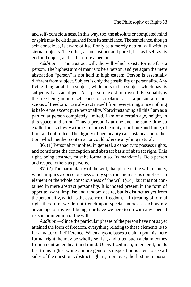and self- consciousness. In this way, too, the absolute or completed mind or spirit may be distinguished from its semblance. The semblance, though self-conscious, is aware of itself only as a merely natural will with its sternal objects. The other, as an abstract and pure I, has as itself as its end and object, and is therefore a person.

*Addition.*—The abstract will, the will which exists for itself, is a person. The highest aim of man is to be a person, and yet again the mere abstraction "person" is not held in high esteem. Person is essentially different from subject. Subject is only the possibility of personality. Any living thing at all is a subject, while person is a subject which has its subjectivity as an object. As a person I exist for myself. Personality is the free being in pure self-conscious isolation. I as a person am conscious of freedom. I can abstract myself from everything, since nothing is before me except pure personality. Notwithstanding all this I am as a particular person completely limited. I am of a certain age, height, in this space, and so on. Thus a person is at one and the same time so exalted and so lowly a thing. In him is the unity of infinite and finite, of limit and unlimited. The dignity of personality can sustain a contradiction, which neither contains nor could tolerate anything natural.

**36**. (1) Personality implies, in general, a capacity to possess rights, and constitutes the conception and abstract basis of abstract right. This right, being abstract, must be formal also. Its mandate is: Be a person and respect others as persons.

**37**. (2) The particularity of the will, that phase of the will, namely, which implies a consciousness of my specific interests, is doubtless an element of the whole consciousness of the will (§34), but it is not contained in mere abstract personality. It is indeed present in the form of appetite, want, impulse and random desire, but is distinct as yet from the personality, which is the essence of freedom.— In treating of formal right therefore, we do not trench upon special interests, such as my advantage or my well-being, nor have we here to do with any special reason or intention of the will.

*Addition.—*Since the particular phases of the person have not as yet attained the form of freedom, everything relating to these elements is so far a matter of indifference. When anyone bases a claim upon his mere formal right, he may be wholly selfish, and often such a claim comes from a contracted heart and mind. Uncivilized man, in general, holds fast to his rights, while a more generous disposition is alert to see all sides of the question. Abstract right is, moreover, the first mere possi-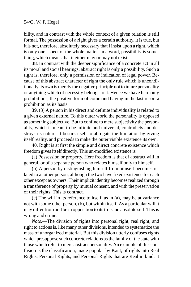bility, and in contrast with the whole context of a given relation is still formal. The possession of a right gives a certain authority, it is true, but it is not, therefore, absolutely necessary that I insist upon a right, which is only one aspect of the whole matter. In a word, possibility is something, which means that it either may or may not exist.

**38**. In contrast with the deeper significance of a concrete act in all its moral and social bearings, abstract right is only a possibility. Such a right is, therefore, only a permission or indication of legal power. Because of this abstract character of right the only rule which is unconditionally its own is merely the negative principle not to injure personality or anything which of necessity belongs to it. Hence we have here only prohibitions, the positive form of command having in the last resort a prohibition as its basis.

**39**. (3) A person in his direct and definite individuality is related to a given external nature. To this outer world the personality is opposed as something subjective. But to confine to mere subjectivity the personality, which is meant to be infinite and universal, contradicts and destroys its nature. It bestirs itself to abrogate the limitation by giving itself reality, and proceeds to make the outer visible existence its own.

**40**. Right is at first the simple and direct concrete existence which freedom gives itself directly. This un-modified existence is

(a) Possession or property. Here freedom is that of abstract will in general, or of a separate person who relates himself only to himself.

(b) A person by distinguishing himself from himself becomes related to another person, although the two have fixed existence for each other except as owners. Their implicit identity becomes realized through a transference of property by mutual consent, and with the preservation of their rights. This is contract.

(c) The will in its reference to itself, as in (a), may be at variance not with some other person, (b), but within itself. As a particular will it may differ from and be in opposition to its true and absolute self. This is wrong and crime.

*Note.*—The division of rights into personal right, real right, and right to actions is, like many other divisions, intended to systematize the mass of unorganized material. But this division utterly confuses rights which presuppose such concrete relations as the family or the state with those which refer to mere abstract personality. An example of this confusion is the classification, made popular by Kant, of rights into Real Rights, Personal Rights, and Personal Rights that are Real in kind. It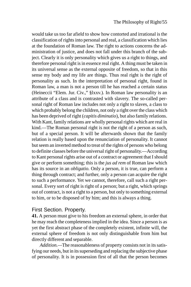would take us too far afield to show how contorted and irrational is the classification of rights into personal and real, a classification which lies at the foundation of Roman law. The right to actions concerns the administration of justice, and does not fall under this branch of the subject. Clearly it is only personality which gives us a right to things, and therefore personal right is in essence real right. A thing must be taken in its universal sense as the external opposite of freedom, so that in this sense my body and my life are things. Thus real right is the right of personality as such. In the interpretation of personal right, found in Roman law, a man is not a person till he has reached a certain status (Heineccii "Elem. Jur. Civ.," §lxxv.). In Roman law personality is an attribute of a class and is contrasted with slavery. The so-called personal right of Roman law includes not only a right to slaves, a class to which probably belong the children, not only a right over the class which has been deprived of right (*capitis diminutio*), but also family relations. With Kant, family relations are wholly personal rights which are real in kind.—The Roman personal right is not the right of a person as such, but of a special person. It will be afterwards shown that the family relation is really based upon the renunciation of personality. It cannot but seem an inverted method to treat of the rights of persons who belong to definite classes before the universal right of personality.—According to Kant personal rights arise out of a contract or agreement that I should give or perform something; this is the *jus ad rem* of Roman law which has its source in an *obligatio.* Only a person, it is true, can perform a thing through contract; and further, only a person can acquire the right to such a performance. Yet we cannot, therefore, call such a right personal. Every sort of right is right of a person; but a right, which springs out of contract, is not a right to a person, but only to something external to him, or to be disposed of by him; and this is always a thing.

# First Section. Property.

**41.** A person must give to his freedom an external sphere, in order that he may reach the completeness implied in the idea. Since a person is as yet the first abstract phase of the completely existent, infinite will, the external sphere of freedom is not only distinguishable from him but directly different and separable.

*Addition.—*The reasonableness of property consists not in its satisfying our needs, but in its superseding and replacing the subjective phase of personality. It is in possession first of all that the person becomes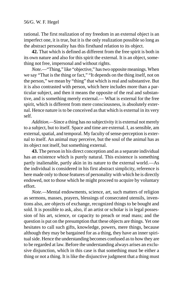rational. The first realization of my freedom in an external object is an imperfect one, it is true, but it is the only realization possible so long as the abstract personality has this firsthand relation to its object.

**42.** That which is defined as different from the free spirit is both in its own nature and also for this spirit the external. It is an object, something not free, impersonal and without rights.

*Note.*—"Thing," like "objective," has two opposite meanings. When we say "That is the thing or fact," "It depends on the thing itself, not on the person," we mean by "thing" that which is real and substantive. But it is also contrasted with person, which here includes more than a particular subject, and then it means the opposite of the real and substantive, and is something merely external.— What is external for the free spirit, which is different from mere consciousness, is absolutely external. Hence nature is to be conceived as that which is external in its very self.

*Addition.—*Since a thing has no subjectivity it is external not merely to a subject, but to itself. Space and time are external. I, as sensible, am external, spatial, and temporal. My faculty of sense-perception is external to itself. An animal may perceive, but the soul of the animal has as its object not itself, but something external.

**43.** The person in his direct conception and as a separate individual has an existence which is purely natural. This existence is something partly inalienable, partly akin in its nature to the external world.—As the individual is considered in his first abstract simplicity, reference is here made only to those features of personality with which he is directly endowed, not to those which he might proceed to acquire by voluntary effort.

*Note.—*Mental endowments, science, art, such matters of religion as sermons, masses, prayers, blessings of consecrated utensils, inventions also, are objects of exchange, recognized things to be bought and sold. It is possible to ask, also, if an artist or scholar is in legal possession of his art, science, or capacity to preach or read mass; and the question is put on the presumption that these objects are things. Yet one hesitates to call such gifts, knowledge, powers, mere things, because although they may be bargained for as a thing, they have an inner spiritual side. Hence the understanding becomes confused as to how they are to be regarded at law. Before the understanding always arises an exclusive disjunction, which in this case is that something must be either a thing or not a thing. It is like the disjunctive judgment that a thing must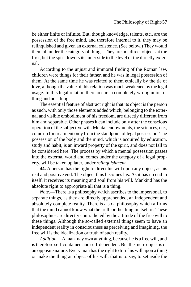be either finite or infinite. But, though knowledge, talents, etc., are the possession of the free mind, and therefore internal to it, they may be relinquished and given an external existence. (See below.) They would then fall under the category of things. They are not direct objects at the first, but the spirit lowers its inner side to the level of the directly external.

According to the unjust and immoral finding of the Roman law, children were things for their father, and he was in legal possession of them. At the same time he was related to them ethically by the tie of love, although the value of this relation was much weakened by the legal usage. In this legal relation there occurs a completely wrong union of thing and not-thing.

The essential feature of abstract right is that its object is the person as such, with only those elements added which, belonging to the external and visible embodiment of his freedom, are directly different from him and separable. Other phases it can include only after the conscious operation of the subjective will. Mental endowments, the sciences, etc., come up for treatment only from the standpoint of legal possession. The possession of the body and the mind, which is acquired by education, study and habit, is an inward property of the spirit, and does not fall to be considered here. The process by which a mental possession passes into the external world and comes under the category of a legal property, will be taken up later, under *relinquishment.*

**44.** A person has the right to direct his will upon any object, as his real and positive end. The object thus becomes his. As it has no end in itself, it receives its meaning and soul from his will. Mankind has the absolute right to appropriate all that is a thing.

*Note.*—There is a philosophy which ascribes to the impersonal, to separate things, as they are directly apprehended, an independent and absolutely complete reality. There is also a philosophy which affirms that the mind cannot know what the truth or the thing in itself is. These philosophies are directly contradicted by the attitude of the free will to these things. Although the so-called external things seem to have an independent reality in consciousness as perceiving and imagining, the free will is the idealization or truth of such reality.

*Addition.—*A man may own anything, because he is a free will, and is therefore self-contained and self-dependent. But the mere object is of an opposite nature. Every man has the right to turn his will upon a thing or make the thing an object of his will, that is to say, to set aside the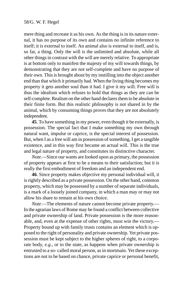mere thing and recreate it as his own. As the thing is in its nature external, it has no purpose of its own and contains no infinite reference to itself; it is external to itself. An animal also is external to itself, and is, so far, a thing. Only the will is the unlimited and absolute, while all other things in contrast with the will are merely relative. To appropriate is at bottom only to manifest the majesty of my will towards things, by demonstrating that they are not self-complete and have no purpose of their own. This is brought about by my instilling into the object another end than that which it primarily had. When the living thing becomes my property it gets another soul than it had. I give it my will. Free will is thus the idealism which refuses to hold that things as they are can be self-complete. Realism on the other hand declares them to be absolute in their finite form. But this realistic philosophy is not shared in by the animal, which by consuming things proves that they are not absolutely independent.

**45**. To have something in my power, even though it be externally, is possession. The special fact that I make something my own through natural want, impulse or caprice, is the special interest of possession. But, when I as a free will am in possession of something, I get a tangible existence, and in this way first became an actual will. This is the true and legal nature of property, and constitutes its distinctive character.

*Note.—*Since our wants are looked upon as primary, the possession of property appears at first to be a means to their satisfaction; but it is really the first embodiment of freedom and an independent end.

**46**. Since property makes objective my personal individual will, it is rightly described as a private possession. On the other hand, common property, which may be possessed by a number of separate individuals, is a mark of a loosely joined company, in which a man may or may not allow his share to remain at his own choice.

*Note.—*The elements of nature cannot become private property.— In the agrarian laws of Rome may be found a conflict between collective and private ownership of land. Private possession is the more reasonable, and, even at the expense of other rights, must win the victory.— Property bound up with family trusts contains an element which is opposed to the right of personality and private ownership. Yet private possession must be kept subject to the higher spheres of right, to a corporate body, *e.g.,* or to the state, as happens when private ownership is entrusted to a so- called moral person, as in mortmain. Yet these exceptions are not to be based on chance, private caprice or personal benefit,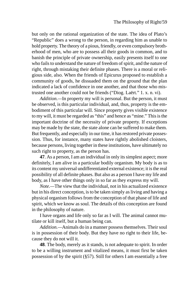but only on the rational organization of the state. The idea of Plato's "Republic" does a wrong to the person, in regarding him as unable to hold property. The theory of a pious, friendly, or even compulsory brotherhood of men, who are to possess all their goods in common, and to banish the principle of private ownership, easily presents itself to one who fails to understand the nature of freedom of spirit, and the nature of right, through mistaking their definite phases. There is a moral or religious side, also. When the friends of Epicurus proposed to establish a community of goods, he dissuaded them on the ground that the plan indicated a lack of confidence in one another, and that those who mistrusted one another could not be friends ("Diog. Laërt." 1. x. n. vi).

*Addition.—*In property my will is personal. But the person, it must be observed, is this particular individual, and, thus, property is the embodiment of this particular will. Since property gives visible existence to my will, it must be regarded as "this" and hence as "mine." This is the important doctrine of the necessity of private property. If exceptions may be made by the state, the state alone can be suffered to make them. But frequently, and especially in our time, it has restored private possession. Thus, for instance, many states have rightly abolished cloisters, because persons, living together in these institutions, have ultimately no such right to property, as the person has.

**47**. As a person, I am an individual in only its simplest aspect; more definitely, I am alive in a particular bodily organism. My body is as to its content my universal undifferentiated external existence; it is the real possibility of all definite phases. But also as a person I have my life and body, as I have other things only in so far as they express my will.

*Note.—*The view that the individual, not in his actualized existence but in his direct conception, is to be taken simply as living and having a physical organism follows from the conception of that phase of life and spirit, which we know as soul. The details of this conception are found in the philosophy of nature.

I have organs and life only so far as I will. The animal cannot mutilate or kill itself, but a human being can.

*Addition.—*Animals do in a manner possess themselves. Their soul is in possession of their body. But they have no right to their life, because they do not will it.

**48**. The body, merely as it stands, is not adequate to spirit. In order to be a willing instrument and vitalized means, it must first be taken possession of by the spirit (§57). Still for others I am essentially a free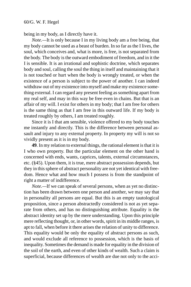being in my body, as I directly have it.

*Note.—*It is only because I in my living body am a free being, that my body cannot be used as a beast of burden. In so far as the I lives, the soul, which conceives and, what is more, is free, is not separated from the body. The body is the outward embodiment of freedom, and in it the I is sensible. It is an irrational and sophistic doctrine, which separates body and soul, calling the soul the thing in itself and maintaining that it is not touched or hurt when the body is wrongly treated, or when the existence of a person is subject to the power of another. I can indeed withdraw out of my existence into myself and make my existence something external. I can regard any present feeling as something apart from my real self, and may in this way be free even in chains. But that is an affair of my will. I exist for others in my body; that I am free for others is the same thing as that I am free in this outward life. If my body is treated roughly by others, I am treated roughly.

Since it is I that am sensible, violence offered to my body touches me instantly and directly. This is the difference between personal assault and injury to any external property. In property my will is not so vividly present as it is in my body.

**49**. In my relation to external things, the rational element is that it is I who own property. But the particular element on the other hand is concerned with ends, wants, caprices, talents, external circumstances, etc. (§45). Upon them, it is true, mere abstract possession depends, but they in this sphere of abstract personality are not yet identical with freedom. Hence what and how much I possess is from the standpoint of right a matter of indifference.

*Note.—*If we can speak of several persons, when as yet no distinction has been drawn between one person and another, we may say that in personality all persons are equal. But this is an empty tautological proposition, since a person abstractedly considered is not as yet separate from others, and has no distinguishing attribute. Equality is the abstract identity set up by the mere understanding. Upon this principle mere reflecting thought, or, in other words, spirit in its middle ranges, is apt to fall, when before it there arises the relation of unity to difference. This equality would be only the equality of abstract persons as such, and would exclude all reference to possession, which is the basis of inequality. Sometimes the demand is made for equality in the division of the soil of the earth, and even of other kinds of wealth. Such a claim is superficial, because differences of wealth are due not only to the acci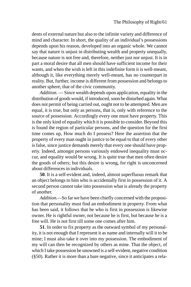dents of external nature but also to the infinite variety and difference of mind and character. In short, the quality of an individual's possessions depends upon his reason, developed into an organic whole. We cannot say that nature is unjust in distributing wealth and property unequally, because nature is not free and, therefore, neither just nor unjust. It is in part a moral desire that all men should have sufficient income for their wants, and when the wish is left in this indefinite form it is well-meant, although it, like everything merely well-meant, has no counterpart in reality. But, further, income is different from possession and belongs to another sphere, that of the civic community.

*Addition.* — Since wealth depends upon application, equality in the distribution of goods would, if introduced, soon be disturbed again. What does not permit of being carried out, ought not to be attempted. Men are equal, it is true, but only as persons, that is, only with reference to the source of possession. Accordingly every one must have property. This is the only kind of equality which it is possible to consider. Beyond this is found the region of particular persons, and the question for the first time comes up, How much do I possess? Here the assertion that the property of every man ought in justice to be equal to that of every other is false, since justice demands merely that every one should have property. Indeed, amongst persons variously endowed inequality must occur, and equality would be wrong. It is quite true that men often desire the goods of others; but this desire is wrong, for right is unconcerned about differences in individuals.

**50**. It is a self-evident and, indeed, almost superfluous remark that an object belongs to him who is accidentally first in possession of it. A second person cannot take into possession what is already the property of another.

*Addition.—*So far we have been chiefly concerned with the proposition that personality must find an embodiment in property. From what has been said, it follows that he who is first in possession is likewise owner. He is rightful owner, not because he is first, but because he is a free will. He is not first till some one comes after him.

**51**. In order to fix property as the outward symbol of my personality, it is not enough that I represent it as name and internally will it to be mine; I must also take it over into my possession. The embodiment of my will can then be recognized by others as mine. That the object, of which I take possession be unowned is a self-evident, negative condition (§50). Rather it is more than a bare negative, since it anticipates a rela-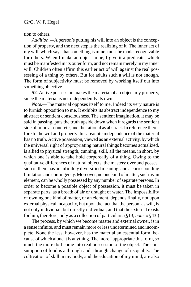### tion to others.

*Addition.—*A person's putting his will into an object is the conception of property, and the next step is the realizing of it. The inner act of my will, which says that something is mine, must be made recognizable for others. When I make an object mine, I give it a predicate, which must be manifested in its outer form, and not remain merely in my inner will. Children often affirm this earlier act of will against the real possessing of a thing by others. But for adults such a will is not enough. The form of subjectivity must be removed by working itself out into something objective.

**52**. Active possession makes the material of an object my property, since the material is not independently its own.

*Note.—*The material opposes itself to me. Indeed its very nature is to furnish opposition to me. It exhibits its abstract independence to my abstract or sentient consciousness. The sentient imagination, it may be said in passing, puts the truth upside down when it regards the sentient side of mind as concrete, and the rational as abstract. In reference therefore to the will and property this absolute independence of the material has no truth. Active possession, viewed as an external activity, by which the universal right of appropriating natural things becomes actualized, is allied to physical strength, cunning, skill, all the means, in short, by which one is able to take hold corporeally of a thing. Owing to the qualitative differences of natural objects, the mastery over and possession of them has an infinitely diversified meaning, and a corresponding limitation and contingency. Moreover, no one kind of matter, such as an element, can be wholly possessed by any number of separate persons. In order to become a possible object of possession, it must be taken in separate parts, as a breath of air or draught of water. The impossibility of owning one kind of matter, or an element, depends finally, not upon external physical incapacity, but upon the fact that the person, as will, is not only individual, but directly individual, and that the external exists for him, therefore, only as a collection of particulars. (§13, *note* to §43.)

The process, by which we become master and external owner, is in a sense infinite, and must remain more or less undetermined and incomplete. None the less, however, has the material an essential form, because of which alone it is anything. The more I appropriate this form, so much the more do I come into real possession of the object. The consumption of food is a through-and- through change of its quality. The cultivation of skill in my body, and the education of my mind, are also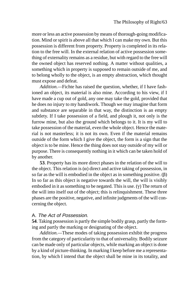more or less an active possession by means of thorough-going modification. Mind or spirit is above all that which I can make my own. But this possession is different from property. Property is completed in its relation to the free will. In the external relation of active possession something of externality remains as a residue, but with regard to the free will the owned object has reserved nothing. A matter without qualities, a something which in property is supposed to remain outside of me, and to belong wholly to the object, is an empty abstraction, which thought must expose and defeat.

*Addition.—*Fichte has raised the question, whether, if I have fashioned an object, its material is also mine. According to his view, if I have made a cup out of gold, any one may take the gold, provided that he does no injury to my handiwork. Though we may imagine that form and substance are separable in that way, the distinction is an empty subtlety. If I take possession of a field, and plough it, not only is the furrow mine, but also the ground which belongs to it. It is my will to take possession of the material, even the whole object. Hence the material is not masterless; it is not its own. Even if the material remains outside of the form which I give the object, the form is a sign that the object is to be mine. Hence the thing does not stay outside of my will or purpose. There is consequently nothing in it which can be taken hold of by another.

**53**. Property has its more direct phases in the relation of the will to the object. This relation is  $(\alpha)$  direct and active taking of possession, in so far as the will is embodied in the object as in something positive.  $(\beta)$ In so far as this object is negative towards the will, the will is visibly embodied in it as something to be negated. This is use,  $(\gamma)$  The return of the will into itself out of the object; this is relinquishment. These three phases are the positive, negative, and infinite judgments of the will concerning the object.

### A. The Act of Possession.

**54**. Taking possession is partly the simple bodily grasp, partly the forming and partly the marking or designating of the object.

*Addition.—*These modes of taking possession exhibit the progress from the category of particularity to that of universality. Bodily seizure can be made only of particular objects, while marking an object is done by a kind of picture-thinking. In marking I keep before me a representation, by which I intend that the object shall be mine in its totality, and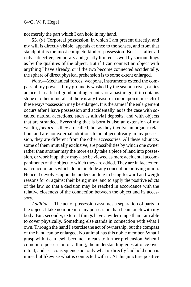not merely the part which I can hold in my hand.

**55.** ( $\alpha$ ) Corporeal possession, in which I am present directly, and my will is directly visible, appeals at once to the senses, and from that standpoint is the most complete kind of possession. But it is after all only subjective, temporary and greatly limited as well by surroundings as by the qualities of the object. But if I can connect an object with anything I have already, or if the two become connected accidentally, the sphere of direct physical prehension is to some extent enlarged.

*Note.—*Mechanical forces, weapons, instruments extend the compass of my power. If my ground is washed by the sea or a river, or lies adjacent to a bit of good hunting country or a pasturage, if it contains stone or other minerals, if there is any treasure in it or upon it, in each of these ways possession may be enlarged. It is the same if the enlargement occurs after I have possession and accidentally, as is the case with socalled natural accretions, such as alluvia] deposits, and with objects that are stranded. Everything that is born is also an extension of my wealth, *foetura* as they are called; but as they involve an organic relation, and are not external additions to an object already in my possession, they are different from the other accessories. All these adjuncts, some of them mutually exclusive, are possibilities by which one owner rather than another may the more easily take a piece of land into possession, or work it up; they may also be viewed as mere accidental accompaniments of the object to which they are added. They are in fact external concomitants which do not include any conception or living union. Hence it devolves upon the understanding to bring forward and weigh reasons for or against their being mine, and to apply the positive edicts of the law, so that a decision may be reached in accordance with the relative closeness of the connection between the object and its accessory.

*Addition.—*The act of possession assumes a separation of parts in the object. I take no more into my possession than I can touch with my body. But, secondly, external things have a wider range than I am able to cover physically. Something else stands in connection with what I own. Through the hand I exercise the act of ownership, but the compass of the hand can be enlarged. No animal has this noble member. What I grasp with it can itself become a means to further prehension. When I come into possession of a thing, the understanding goes at once over into it, and as a consequence not only what is directly laid hold upon is mine, but likewise what is connected with it. At this juncture positive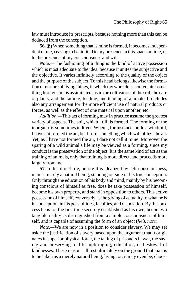law must introduce its prescripts, because nothing more than this can be deduced from the conception.

**56**. (B) When something that is mine is formed, it becomes independent of me, ceasing to be limited to my presence in this space or time, or to the presence of my consciousness and will.

*Note.—*The fashioning of a thing is the kind of active possession which is most adequate to the idea, because it unites the subjective and the objective. It varies infinitely according to the quality of the object and the purpose of the subject. To this head belongs likewise the formation or nurture of living things, in which my work does not remain something foreign, but is assimilated, as in the cultivation of the soil, the care of plants, and the taming, feeding, and tending of animals. It includes also any arrangement for the more efficient use of natural products or forces, as well as the effect of one material upon another, etc.

*Addition.—*This act of forming may in practice assume the greatest variety of aspects. The soil, which I till, is formed. The forming of the inorganic is sometimes indirect. When I, for instance, build a windmill, I have not formed the air, but I form something which will utilize the air. Yet, as I have not formed the air, I dare not call it mine. Moreover the sparing of a wild animal's life may be viewed as a forming, since my conduct is the preservation of the object. It is the same kind of act as the training of animals, only that training is more direct, and proceeds more largely from me.

**57**. In his direct life, before it is idealized by self-consciousness, man is merely a natural being, standing outside of his true conception. Only through the education of his body and mind, mainly by his becoming conscious of himself as free, does he take possession of himself, become his own property, and stand in opposition to others. This active possession of himself, conversely, is the giving of actuality to what he is in conception, in his possibilities, faculties, and disposition. By this process he is for the first time securely established as his own, becomes a tangible reality as distinguished from a simple consciousness of himself, and is capable of assuming the form of an object (§43, *note*).

*Note.—*We are now in a position to consider slavery. We may set aside the justification of slavery based upon the argument that it originates in superior physical force, the taking of prisoners in war, the saving and preserving of life, upbringing, education, or bestowal of kindnesses. These reasons all rest ultimately on the ground that man is to be taken as a merely natural being, living, or, it may even be, choos-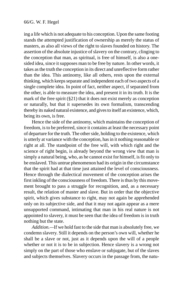ing a life which is not adequate to his conception. Upon the same footing stands the attempted justification of ownership as merely the status of masters, as also all views of the right to slaves founded on history. The assertion of the absolute injustice of slavery on the contrary, clinging to the conception that man, as spiritual, is free of himself, is also a onesided idea, since it supposes man to be free by nature. In other words, it takes as the truth the conception in its direct and unreflective form rather than the idea. This antinomy, like all others, rests upon the external thinking, which keeps separate and independent each of two aspects of a single complete idea. In point of fact, neither aspect, if separated from the other, is able to measure the idea, and present it in its truth. It is the mark of the free spirit (§21) that it does not exist merely as conception or naturally, but that it supersedes its own formalism, transcending thereby its naked natural existence, and gives to itself an existence, which, being its own, is free.

Hence the side of the antinomy, which maintains the conception of freedom, is to be preferred, since it contains at least the necessary point of departure for the truth. The other side, holding to the existence, which is utterly at variance with the conception, has in it nothing reasonable or right at all. The standpoint of the free will, with which right and the science of right begin, is already beyond the wrong view that man is simply a natural being, who, as he cannot exist for himself, is fit only to be enslaved. This untrue phenomenon had its origin in the circumstance that the spirit had at that time just attained the level of consciousness. Hence through the dialectical movement of the conception arises the first inkling of the consciousness of freedom. There is thus by this movement brought to pass a struggle for recognition, and, as a necessary result, the relation of master and slave. But in order that the objective spirit, which gives substance to right, may not again be apprehended only on its subjective side, and that it may not again appear as a mere unsupported command, intimating that man in his real nature is not appointed to slavery, it must be seen that the idea of freedom is in truth nothing but the state.

*Addition.—*If we hold fast to the side that man is absolutely free, we condemn slavery. Still it depends on the person's own will, whether he shall be a slave or not, just as it depends upon the will of a people whether or not it is to be in subjection. Hence slavery is a wrong not simply on the part of those who enslave or subjugate, but of the slaves and subjects themselves. Slavery occurs in the passage from, the natu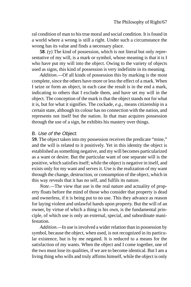ral condition of man to his true moral and social condition. It is found in a world where a wrong is still a right. Under such a circumstance the wrong has its value and finds a necessary place.

**58.** ( $\gamma$ ) The kind of possession, which is not literal but only representative of my will, is a mark or symbol, whose meaning is that it is I who have put my will into the object. Owing to the variety of objects used as signs, this kind of possession is very indefinite in its meaning.

*Addition.*—Of all kinds of possession this by marking is the most complete, since the others have more or less the effect of a mark. When I seize or form an object, in each case the result is in the end a mark, indicating to others that I exclude them, and have set my will in the object. The conception of the mark is that the object stands not for what it is, but for what it signifies. The cockade, *e.g.,* means citizenship in a certain state, although its colour has no connection with the nation, and represents not itself but the nation. In that man acquires possession through the use of a sign, he exhibits his mastery over things.

## B. Use of the Object.

**59**. The object taken into my possession receives the predicate "mine," and the will is related to it positively. Yet in this identity the object is established as something negative, and my will becomes particularized as a want or desire. But the particular want of one separate will is the positive, which satisfies itself; while the object is negative in itself, and exists only for my want and serves it. Use is the realization of my want through the change, destruction, or consumption of the object, which in this way reveals that it has no self, and fulfils its nature.

*Note*.—The view that use is the real nature and actuality of property floats before the mind of those who consider that property is dead and ownerless, if it is being put to no use. This they advance as reason for laying violent and unlawful hands upon property. But the will of an owner, by virtue of which a thing is his own, is the fundamental principle, of which use is only an external, special, and subordinate manifestation.

*Addition.—*In use is involved a wider relation than in possession by symbol, because the object, when used, is not recognized in its particular existence, but is by me negated. It is reduced to a means for the satisfaction of my wants. When the object and I come together, one of the two must lose its qualities, if we are to become identical. But I am a living thing who wills and truly affirms himself, while the object is only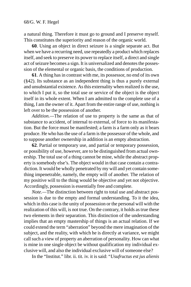a natural thing. Therefore it must go to ground and I preserve myself. This constitutes the superiority and reason of the organic world.

**60**. Using an object in direct seizure is a single separate act. But when we have a recurring need, use repeatedly a product which replaces itself, and seek to preserve its power to replace itself, a direct and single act of seizure becomes a sign. It is universalized and denotes the possession of the elemental or organic basis, the conditions of production.

**61**. A thing has in contrast with me, its possessor, no end of its own (§42). Its substance as an independent thing is thus a purely external and unsubstantial existence. As this externality when realized is the use, to which I put it, so the total use or service of the object is the object itself in its whole extent. When I am admitted to the complete use of a thing, I am the owner of it. Apart from the entire range of use, nothing is left over to be the possession of another.

*Addition.—*The relation of use to property is the same as that of substance to accident, of internal to external, of force to its manifestation. But the force must be manifested; a farm is a farm only as it bears produce. He who has the use of a farm is the possessor of the whole, and to suppose another ownership in addition is an empty abstraction.

**62**. Partial or temporary use, and partial or temporary possession, or possibility of use, however, are to be distinguished from actual ownership. The total use of a thing cannot be mine, while the abstract property is somebody else's. The object would in that case contain a contradiction. It would be wholly penetrated by my will and yet contain something impenetrable, namely, the empty will of another. The relation of my positive will to the thing would be objective and yet not objective. Accordingly, possession is essentially free and complete.

*Note.—*The distinction between right to total use and abstract possession is due to the empty and formal understanding. To it the idea, which in this case is the unity of possession or the personal will with the realization of this will, is not true. On the contrary, it holds as true these two elements in their separation. This distinction of the understanding implies that an empty mastership of things is an actual relation. If we could extend the term "aberration" beyond the mere imagination of the subject, and the reality, with which he is directly at variance, we might call such a view of property an aberration of personality. How can what is mine in one single object be without qualification my individual exclusive will, and also the individual exclusive will of someone else?

In the "Institut." libr. ii. tit. iv. it is said: "*Usufructus est jus alienis*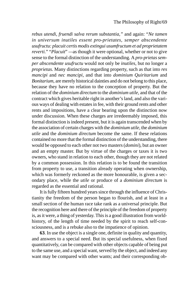*rebus utendi, fruendi salva rerum substantia,"* and again: "*Ne tamen in universum inutiles essent pro-prietates, semper abscendente usufructu: placuit certis modis extingui usumfructum et ad proprietatem reverti.*" "*Placuit*" *—*as though it were optional, whether or not to give sense to the formal distinction of the understanding. A *pro-prietas semper abscendente usufructu* would not only be *inutiles,* but no longer a *proprietas.* Many distinctions regarding property, such as that into *res mancipi* and *nec mancipi,* and that into *dominium Quiritarium* and *Bonitarium,* are merely historical dainties and do not belong to this place, because they have no relation to the conception of property. But the relation of the *dominium directum* to the *dominium utile,* and that of the contract which gives heritable right in another's land, and also the various ways of dealing with estates in fee, with their ground rents and other rents and impositions, have a clear bearing upon the distinction now under discussion. When these charges are irredeemably imposed, this formal distinction is indeed present, but it is again transcended when by the association of certain charges with the *dominium utile,* the *dominium utile* and the *dominium directum* become the same. If these relations contained no more that the formal distinction of the understanding, there would be opposed to each other not two masters (*domini*), but an owner and an empty master. But by virtue of the charges or taxes it is two owners, who stand in relation to each other, though they are not related by a common possession. In this relation is to be found the transition from property to use, a transition already operating when ownership, which was formerly reckoned as the more honourable, is given a secondary place, while the *utile* or produce of a *dominium directum* is regarded as the essential and rational.

It is fully fifteen hundred years since through the influence of Christianity the freedom of the person began to flourish, and at least in a small section of the human race take rank as a universal principle. But the recognition here and there of the principle of the freedom of property is, as it were, a thing of yesterday. This is a good illustration from worldhistory, of the length of time needed by the spirit to reach self-consciousness, and is a rebuke also to the impatience of opinion.

**63**. In use the object is a single one, definite in quality and quantity, and answers to a special need. But its special usefulness, when fixed quantitatively, can be compared with other objects capable of being put to the same use, and a special want, served by the object, and indeed any want may be compared with other wants; and their corresponding ob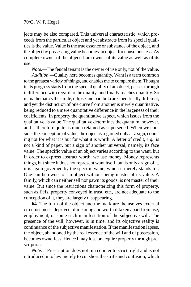jects may be also compared. This universal characteristic, which proceeds from the particular object and yet abstracts from its special qualities is the value. Value is the true essence or substance of the object, and the object by possessing value becomes an object for consciousness. As complete owner of the object, I am owner of its value as well as of its use.

*Note.—*The feudal tenant is the owner of use only, not of the value.

*Addition.—*Quality here becomes quantity. Want is a term common to the greatest variety of things, and enables me to compare them. Thought in its progress starts from the special quality of an object, passes through indifference with regard to the quality, and finally reaches quantity. So in mathematics the circle, ellipse and parabola are specifically different, and yet the distinction of one curve from another is merely quantitative, being reduced to a mere quantitative difference in the largeness of their coefficients. In property the quantitative aspect, which issues from the qualitative, is value. The qualitative determines the quantum, however, and is therefore quite as much retained as superseded. When we consider the conception of value, the object is regarded only as a sign, counting not for what it is but for what it is worth. A letter of credit, *e.g.,* is not a kind of paper, but a sign of another universal, namely, its face value. The specific value of an object varies according to the want, but in order to express abstract worth, we use money. Money represents things, but since it does not represent want itself, but is only a sign of it, it is again governed by the specific value, which it merely stands for. One can be owner of an object without being master of its value. A family, which can neither sell nor pawn its goods, is not master of their value. But since the restrictions characterizing this form of property, such as fiefs, property conveyed in trust, etc., are not adequate to the conception of it, they are largely disappearing.

**64**. The form of the object and the mark are themselves external circumstances, deprived of meaning and worth if taken apart from use, employment, or some such manifestation of the subjective will. The presence of the will, however, is in time, and its objective reality is continuance of the subjective manifestation. If the manifestation lapses, the object, abandoned by the real essence of the will and of possession, becomes ownerless. Hence I may lose or acquire property through prescription.

*Note.*—Prescription does not run counter to strict, right and is not introduced into law merely to cut short the strife and confusion, which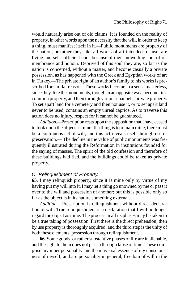would naturally arise out of old claims. It is founded on the reality of property, in other words upon the necessity that the will, in order to keep a thing, must manifest itself in it.—Public monuments are property of the nation, or rather they, like all works of art intended for use, are living and self-sufficient ends because of their indwelling soul of remembrance and honour. Deprived of this soul they are, so far as the nation is concerned, without a master, and become casually a private possession, as has happened with the Greek and Egyptian works of art in Turkey.—The private right of an author's family to his works is prescribed for similar reasons. These works become in a sense masterless, since they, like the monuments, though in an opposite way, become first common property, and then through various channels, private property. To set apart land for a cemetery and then not use it, or to set apart land never to be used, contains an empty unreal caprice. As to traverse this action does no injury, respect for it cannot be guaranteed.

*Addition.—*Prescription rests upon the supposition that I have ceased to look upon the object as mine. If a thing is to remain mine, there must be a continuous act of will, and this act reveals itself through use or preservation.— The decline in the value of public monuments was frequently illustrated during the Reformation in institutions founded for the saying of masses. The spirit of the old confession and therefore of these buildings had fled, and the buildings could be taken as private property.

## C. Relinquishment of Property.

**65**. I may relinquish property, since it is mine only by virtue of my having put my will into it. I may let a thing go unowned by me or pass it over to the will and possession of another; but this is possible only so far as the object is in its nature something external.

*Addition.—*Prescription is relinquishment without direct declaration of will. True relinquishment is a declaration that I will no longer regard the object as mine. The process in all its phases may be taken to be a true taking of possession. First there is the direct prehension; then by use property is thoroughly acquired; and the third step is the unity of both these elements, possession through relinquishment.

**66**. Some goods, or rather substantive phases of life are inalienable, and the right to them does not perish through lapse of time. These comprise my inner personality and the universal essence of my consciousness of myself, and are personality in general, freedom of will in the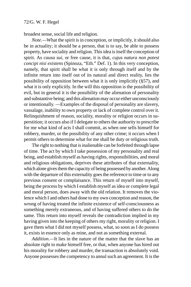broadest sense, social life and religion.

*Note.—*What the spirit is in conception, or implicitly, it should also be in actuality; it should be a person, that is to say, be able to possess property, have sociality and religion. This idea is itself the conception of spirit. As *causa sui,* or free cause, it is that, *cujus natura non potest concipi nisi existens* (Spinoza, "Eth." Def. 1). In this very conception, namely, that spirit shall be what it is only through itself and by the infinite return into itself out of its natural and direct reality, lies the possibility of opposition between what it is only implicitly (§57), and what it is only explicitly. In the will this opposition is the possibility of evil, but in general it is the possibility of the alienation of personality and substantive being; and this alienation may occur either unconsciously or intentionally. —Examples of the disposal of personality are slavery, vassalage, inability to own property or lack of complete control over it. Relinquishment of reason, sociality, morality or religion occurs in superstition; it occurs also if I delegate to others the authority to prescribe for me what kind of acts I shall commit, as when one sells himself for robbery, murder, or the possibility of any other crime; it occurs when I permit others to determine what for me shall be duty or religious truth.

The right to nothing that is inalienable can be forfeited through lapse of time. The act by which I take possession of my personality and real being, and establish myself as having rights, responsibilities, and moral and religious obligations, deprives these attributes of that externality, which alone gives them the capacity of being possessed by another. Along with the departure of this externality goes the reference to time or to any previous consent or complaisance. This return of myself into myself, being the process by which I establish myself as idea or complete legal and moral person, does away with the old relation. It removes the violence which I and others had done to my own conception and reason, the wrong of having treated the infinite existence of self-consciousness as something merely extraneous, and of having suffered others to do the same. This return into myself reveals the contradiction implied in my having given into the keeping of others my right, morality or religion. I gave them what I did not myself possess, what, so soon as I do possess it, exists in essence only as mine, and not as something external.

*Addition.—*It lies in the nature of the matter that the slave has an absolute right to make himself free, or that, when anyone has hired out his morality for robbery and murder, the transaction is absolutely void. Anyone possesses the competency to annul such an agreement. It is the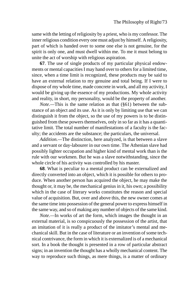same with the letting of religiosity by a priest, who is my confessor. The inner religious condition every one must adjust by himself. A religiosity, part of which is handed over to some one else is not genuine, for the spirit is only one, and must dwell within me. To me it must belong to unite the act of worship with religious aspiration.

**67**. The use of single products of my particular physical endowments or mental capacities I may hand over to others for a limited time, since, when a time limit is recognized, these products may be said to have an external relation to my genuine and total being. If I were to dispose of my whole time, made concrete in work, and all my activity, I would be giving up the essence of my productions. My whole activity and reality, in short, my personality, would be the property of another.

*Note.—*This is the same relation as that (§61) between the substance of an object and its use. As it is only by limiting use that we can distinguish it from the object, so the use of my powers is to be distinguished from these powers themselves, only in so far as it has a quantitative limit. The total number of manifestations of a faculty is the faculty; the accidents are the substance; the particulars, the universal.

*Addition.—*The distinction, here analyzed, is that between a slave and a servant or day-labourer in our own time. The Athenian slave had possibly lighter occupation and higher kind of mental work than is the rule with our workmen. But he was a slave notwithstanding, since the whole circle of his activity was controlled by his master.

**68**. What is peculiar to a mental product can be externalized and directly converted into an object, which it is possible for others to produce. When another person has acquired the object, he may make the thought or, it may be, the mechanical genius in it, his own; a possibility which in the case of literary works constitutes the reason and special value of acquisition. But, over and above this, the new owner comes at the same time into possession of the general power to express himself in the same way, and so of making any number of objects of the same kind.

*Note.—*In works of art the form, which images the thought in an external material, is so conspicuously the possession of the artist, that an imitation of it is really a product of the imitator's mental and mechanical skill. But in the case of literature or an invention of some technical contrivance, the form in which it is externalized is of a mechanical sort. In a book the thought is presented in a row of particular abstract signs; in an invention the thought has a wholly mechanical content. The way to reproduce such things, as mere things, is a matter of ordinary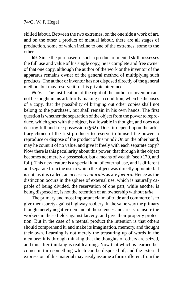skilled labour. Between the two extremes, on the one side a work of art, and on the other a product of manual labour, there are all stages of production, some of which incline to one of the extremes, some to the other.

**69**. Since the purchaser of such a product of mental skill possesses the full use and value of his single copy, he is complete and free owner of that one copy, although the author of the work or the inventor of the apparatus remains owner of the general method of multiplying such products. The author or inventor has not disposed directly of the general method, but may reserve it for his private utterance.

*Note.—*The justification of the right of the author or inventor cannot be sought in his arbitrarily making it a condition, when he disposes of a copy, that the possibility of bringing out other copies shall not belong to the purchaser, but shall remain in his own hands. The first question is whether the separation of the object from the power to reproduce, which goes with the object, is allowable in thought, and does not destroy full and free possession (§62). Does it depend upon the arbitrary choice of the first producer to reserve to himself the power to reproduce or dispose of the product of his mind? Or, on the other hand, may he count it of no value, and give it freely with each separate copy? Now there is this peculiarity about this power, that through it the object becomes not merely a possession, but a means of wealth (see §170, and fol.). This new feature is a special kind of external use, and is different and separate from the use to which the object was directly appointed. It is not, as it is called, an *accessio naturalis* as are *foetura.* Hence as the distinction occurs in the sphere of external use, which is naturally capable of being divided, the reservation of one part, while another is being disposed of, is not the retention of an ownership without *utile.*

The primary and most important claim of trade and commerce is to give them surety against highway robbery. In the same way the primary though merely negative demand of the sciences and arts is to insure the workers in these fields against larceny, and give their property protection. But in the case of a mental product the intention is that others should comprehend it, and make its imagination, memory, and thought their own. Learning is not merely the treasuring up of words in the memory; it is through thinking that the thoughts of others are seized, and this after-thinking is real learning. Now that which is learned becomes in turn something which can be disposed of; and the external expression of this material may easily assume a form different from the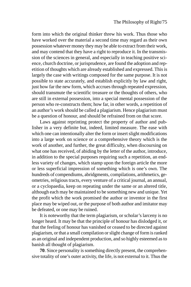form into which the original thinker threw his work. Thus those who have worked over the material a second time may regard as their own possession whatever money they may be able to extract from their work, and may contend that they have a right to reproduce it. In the transmission of the sciences in general, and especially in teaching positive science, church doctrine, or jurisprudence, are found the adoption and repetition of thoughts which are already established and expressed. This is largely the case with writings composed for the same purpose. It is not possible to state accurately, and establish explicitly by law and right, just how far the new form, which accrues through repeated expression, should transmute the scientific treasure or the thoughts of others, who are still in external possession, into a special mental possession of the person who re-constructs them; how far, in other words, a repetition of an author's work should be called a plagiarism. Hence plagiarism must be a question of honour, and should be refrained from on that score.

Laws against reprinting protect the property of author and publisher in a very definite but, indeed, limited measure. The ease with which one can intentionally alter the form or insert slight modifications into a large work on science or a comprehensive theory which is the work of another, and further, the great difficulty, when discoursing on what one has received, of abiding by the letter of the author, introduce, in addition to the special purposes requiring such a repetition, an endless variety of changes, which stamp upon the foreign article the more or less superficial impression of something which is one's own. The hundreds of compendiums, abridgments, compilations, arithmetics, geometries, religious tracts, every venture of a critical journal, an annual, or a cyclopaedia, keep on repeating under the same or an altered title, although each may be maintained to be something new and unique. Yet the profit which the work promised the author or inventor in the first place may be wiped out, or the purpose of both author and imitator may be defeated, or one may be ruined.

It is noteworthy that the term plagiarism, or scholar's larceny is no longer heard. It may be that the principle of honour has dislodged it, or that the feeling of honour has vanished or ceased to be directed against plagiarism, or that a small compilation or slight change of form is ranked as an original and independent production, and so highly esteemed as to banish all thought of plagiarism.

**70**. Since personality is something directly present, the comprehensive totality of one's outer activity, the life, is not external to it. Thus the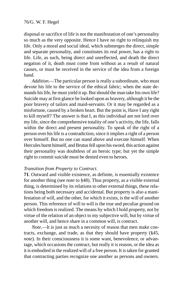### 76/G. W. F. Hegel

disposal or sacrifice of life is not the manifestation of one's personality so much as the very opposite. Hence I have no right to relinquish my life. Only a moral and social ideal, which submerges the direct, simple and separate personality, and constitutes its real power, has a right to life. Life, as such, being direct and unreflected, and death the direct negation of it, death must come from without as a result of natural causes, or must be received in the service of the idea from a foreign hand.

*Addition.—*The particular person is really a subordinate, who must devote his life to the service of the ethical fabric; when the state demands his life, he must yield it up. But should the man take his own life? Suicide may at first glance be looked upon as bravery, although it be the poor bravery of tailors and maid-servants. Or it may be regarded as a misfortune, caused by a broken heart. But the point is, Have I any right to kill myself? The answer is that I, as this individual am not lord over my life, since the comprehensive totality of one's activity, the life, falls within the direct and present personality. To speak of the right of a person over his life is a contradiction, since it implies a right of a person over himself. But no one can stand above and execute himself. When Hercules burnt himself, and Brutus fell upon his sword, this action against their personality was doubtless of an heroic type; but yet the simple right to commit suicide must be denied even to heroes.

#### *Transition from Property to Contract.*

**71**. Outward and visible existence, as definite, is essentially existence for another thing (see *note* to §48). Thus property, as a visible external thing, is determined by its relations to other external things, these relations being both necessary and accidental. But property is also a manifestation of will, and the other, for which it exists, is the will of another person. This reference of will to will is the true and peculiar ground on which freedom is realized. The means by which I hold property, not by virtue of the relation of an object to my subjective will, but by virtue of another will, and hence share in a common will, is contract.

*Note.—*It is just as much a necesity of reason that men make contracts, exchange, and trade, as that they should have property (§45, *note*). In their consciousness it is some want, benevolence, or advantage, which occasions the contract, but really it is reason, or the idea as it is embodied in the realized will of a free person. It is taken for granted that contracting parties recognize one another as persons and owners.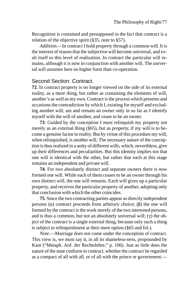Recognition is contained and presupposed in the fact that contract is a relation of the objective spirit (§35, *note* to §57).

*Addition.—*In contract I hold property through a common will. It is the interest of reason that the subjective will become universal, and exalt itself to this level of realization. In contract the particular will remains, although it is now in conjunction with another will. The universal will assumes here no higher form than co-operation.

# Second Section: Contract.

**72**. In contract property is no longer viewed on the side of its external reality, as a mere thing, but rather as containing the elements of will, another's as well as my own. Contract is the process which presents and occasions the contradiction by which I, existing for myself and excluding another will, am and remain an owner only in so far as I identify myself with the will of another, and cease to be an owner.

**73**. Guided by the conception I must relinquish my property not merely as an external thing (§65), but as property, if my will is to become a genuine factor in reality. But by virtue of this procedure my will, when relinquished, is another will. The necessary nature of the conception is thus realized in a unity of different wills, which, neverthless, give up their differences and peculiarities. But this identity implies not that one will is identical with the other, but rather that each at this stage remains an independent and private will.

**74**. For two absolutely distinct and separate owners there is now formed one will. While each of them ceases to be an owner through his own distinct will, the one will remains. Each will gives up a particular property, and receives the particular property of another, adopting only that conclusion with which the other coincides.

**75**. Since the two contracting parties appear as directly independent persons  $(\alpha)$  contract proceeds from arbitrary choice;  $(\beta)$  the one will formed by the contract is the work merely of the two interested persons, and is thus a common, but not an absolutely universal will;  $(y)$  the object of the contract is a single external thing, because only such a thing is subject to relinquishment at their mere option (§65 and fol.).

*Note.*—Marriage does not come under the conception of contract. This view is, we must say it, in all its shameless-ness, propounded by Kant ("Metaph. Anf. der Rechtslehre," p. 106). Just as little does the nature of the state conform to contract, whether the contract be regarded as a compact of all with all, or of all with the prince or government.—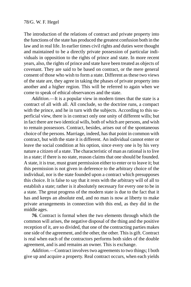The introduction of the relations of contract and private property into the functions of the state has produced the greatest confusion both in the law and in real life. In earlier times civil rights and duties were thought and maintained to be a directly private possession of particular individuals in opposition to the rights of prince and state. In more recent years, also, the rights of prince and state have been treated as objects of covenant. They are said to be based on contract, or the mere general consent of those who wish to form a state. Different as these two views of the state are, they agree in taking the phases of private property into another and a higher region. This will be referred to again when we come to speak of ethical observances and the state.

*Addition.*—It is a popular view in modern times that the state is a contract of all with all. All conclude, so the doctrine runs, a compact with the prince, and he in turn with the subjects. According to this superficial view, there is in contract only one unity of different wills; but in fact there are two identical wills, both of which are persons, and wish to remain possessors. Contract, besides, arises out of the spontaneous choice of the persons. Marriage, indeed, has that point in common with contract, but with the state it is different. An individual cannot enter or leave the social condition at his option, since every one is by his very nature a citizen of a state. The characteristic of man as rational is to live in a state; if there is no state, reason claims that one should be founded. A state, it is true, must grant permission either to enter or to leave it; but this permission is not given in deference to the arbitrary choice of the individual, nor is the state founded upon a contract which presupposes this choice. It is false to say that it rests with the arbitrary will of all to establish a state; rather is it absolutely necessary for every one to be in a state. The great progress of the modern state is due to the fact that it has and keeps an absolute end, and no man is now at liberty to make private arrangements in connection with this end, as they did in the middle ages.

**76**. Contract is formal when the two elements through which the common will arises, the negative disposal of the thing and the positive reception of it, are so divided, that one of the contracting parties makes one side of the agreement, and the other, the other. This is gift. Contract is real when each of the contractors performs both sides of the double agreement, and is and remains an owner. This is exchange.

*Addition.*—Contract involves two agreements to two things; I both give up and acquire a property. Real contract occurs, when each yields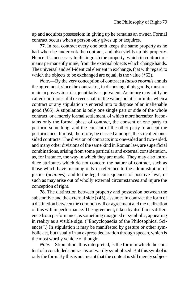up and acquires possession; in giving up he remains an owner. Formal contract occurs when a person only gives up or acquires.

**77**. In real contract every one both keeps the same property as he had when he undertook the contract, and also yields up his property. Hence it is necessary to distinguish the property, which in contract remains permanently mine, from the external objects which change hands. The universal and self-identical element in exchange, that with regard to which the objects to be exchanged are equal, is the value (§63).

*Note.*—By the very conception of contract a *Iaesio enormis* annuls the agreement, since the contractor, in disposing of his goods, must remain in possession of a quantitative equivalent. An injury may fairly be called enormous, if it exceeds half of the value; but it is infinite, when a contract or any stipulation is entered into to dispose of an inalienable good (§66). A stipulation is only one single part or side of the whole contract, or a merely formal settlement, of which more hereafter. It contains only the formal phase of contract, the consent of one party to perform something, and the consent of the other party to accept the performance. It must, therefore, be classed amongst the so-called onesided contracts. The division of contracts into one-sided and two-sided, and many other divisions of the same kind in Roman law, are superficial combinations, arising from some particular and external consideration, as, for instance, the way in which they are made. They may also introduce attributes which do not concern the nature of contract, such as those which have meaning only in reference to the administration of justice (*actiones*), and to the legal consequences of positive laws, or such as may arise out of wholly external circumstances and injure the conception of right.

**78**. The distinction between property and possession between the substantive and the external side (§45), assumes in contract the form of a distinction between the common will or agreement and the realization of this will in performance. The agreement, taken by itself in its difference from performance, is something imagined or symbolic, appearing in reality as a visible sign. ("Encyclopaedia of the Philosophical Sciences".) In stipulation it may be manifested by gesture or other symbolic act, but usually in an express declaration through speech, which is the most worthy vehicle of thought.

*Note.*—Stipulation, thus interpreted, is the form in which the content of a concluded contract is outwardly symbolized. But this symbol is only the form. By this is not meant that the content is still merely subjec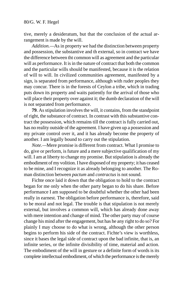tive, merely a desideratum, but that the conclusion of the actual arrangement is made by the will.

*Addition.—*As in property we had the distinction between property and possession, the substantive and th external, so in contract we have the difference between tht common will as agreement and the particular will as performance. It is in the nature of contract that both the common and the particular wills should be manifested, because it is the relation of will to will. In civilized communities agreement, manifested by a sign, is separated from performance, although with ruder peoples they may concur. There is in the forests of Ceylon a tribe, which in trading puts down its property and waits patiently for the arrival of those who will place their property over against it; the dumb declaration of the will is not separated from performance.

**79**. As stipulation involves the will, it contains, from the standpoint of right, the substance of contract. In contrast with this substantive contract the possession, which remains till the contract is fully carried out, has no reality outside of the agreement. I have given up a possession and my private control over it, and it has already become the property of another. I am legally bound to carry out the stipulation.

*Note.—*Mere promise is different from contract. What I promise to do, give or perform, is future and a mere subjective qualification of my will. I am at liberty to change my promise. But stipulation is already the embodiment of my volition. I have disposed of my property; it has ceased to be mine, and I recognize it as already belonging to another. The Roman distinction between *pactum* and *contractus* is not sound.

Fichte once laid it down that the obligation to hold to the contract began for me only when the other party began to do his share. Before performance I am supposed to be doubtful whether the other had been really in earnest. The obligation before performance is, therefore, said to be moral and not legal. The trouble is that stipulation is not merely external, but involves a common will, which has already done away with mere intention and change of mind. The other party may of course change his mind after the engagement, but has he any right to do so? For plainly I may choose to do what is wrong, although the other person begins to perform his side of the contract. Fichte's view is worthless, since it bases the legal side of contract upon the bad infinite, that is, an infinite series, or the infinite divisibility of time, material and action. The embodiment of the will in gesture or a definite form of words is its complete intellectual embodiment, of which the performance is the merely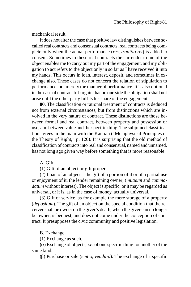mechanical result.

It does not alter the case that positive law distinguishes between socalled real contracts and consensual contracts, real contracts being complete only when the actual performance (*res, traditio rei*) is added to consent. Sometimes in these real contracts the surrender to me of the object enables me to carry out my part of the engagement, and my obligation to act refers to the object only in so far as I have received it into my hands. This occurs in loan, interest, deposit, and sometimes in exchange also. These cases do not concern the relation of stipulation to performance, but merely the manner of performance. It is also optional in the case of contract to bargain that on one side the obligation shall not arise until the other party fulfils his share of the engagement.

**80**. The classification or rational treatment of contracts is deduced not from external circumstances, but from distinctions which are involved in the very nature of contract. These distinctions are those between formal and real contract, between property and possession or use, and between value and the specific thing. The subjoined classification agrees in the main with the Kantian ("Metaphysical Principles of the Theory of Right," p. 120). It is surprising that the old method of classification of contracts into real and consensual, named and unnamed, has not long ago given way before something that is more reasonable.

A. Gift.

(1) Gift of an object or gift proper.

(2) Loan of an object—the gift of a portion of it or of a partial use or enjoyment of it, the lender remaining owner; (*mutuum* and *commodatum* without interest). The object is specific, or it may be regarded as universal, or it is, as in the case of money, actually universal.

(3) Gift of service, as for example the mere storage of a property (*depositum*). The gift of an object on the special condition that the receiver shall be owner on the giver's death, when the giver can no longer be owner, is bequest, and does not come under the conception of contract. It presupposes the civic community and positive legislation.

B. Exchange.

(1) Exchange as such.

 $(\alpha)$  Exchange of objects, *i.e.* of one specific thing for another of the same kind.

(b) Purchase or sale (*emtio, venditio*). The exchange of a specific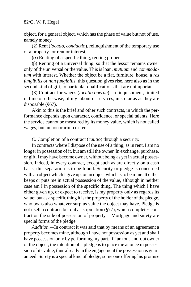### 82/G. W. F. Hegel

object, for a general object, which has the phase of value but not of use, namely money.

(2) Rent (*locatio, conductio*), relinquishment of the temporary use of a property for rent or interest,

 $(\alpha)$  Renting of a specific thing, renting proper.

 $(\beta)$  Renting of a universal thing, so that the lessor remains owner only of the universal or the value. This is loan, *mutuum* and *commodatum* with interest. Whether the object be a flat, furniture, house, a *res fungibilis* or *non fungibilis,* this question gives rise, here also as in the second kind of gift, to particular qualifications that are unimportant.

(3) Contract for wages (*locatio operae*)*—*relinquishment, limited in time or otherwise, of my labour or services, in so far as as they are disposable (§67).

Akin to this is the brief and other such contracts, in which the performance depends upon character, confidence, or special talents. Here the service cannot be measured by its money value, which is not called wages, but an honorarium or fee.

C. Completion of a contract (*cautio*) through a security.

In contracts where I dispose of the use of a thing, as in rent, I am no longer in possession of it, but am still the owner. In exchange, purchase, or gift, I may have become owner, without being as yet in actual possession. Indeed, in every contract, except such as are directly on a cash basis, this separation is to be found. Security or pledge is concerned with an object which I give up, or an object which is to be mine. It either keeps or puts me in actual possession of the value, although in neither case am I in possession of the specific thing. The thing which I have either given up, or expect to receive, is my property only as regards its value; but as a specific thing it is the property of the holder of the pledge, who owns also whatever surplus value the object may have. Pledge is not itself a contract, but only a stipulation (§77), which completes contract on the side of possession of property.—Mortgage and surety are special forms of the pledge.

*Addition.—*In contract it was said that by means of an agreement a property becomes mine, although I have not possession as yet and shall have possession only by performing my part. If I am out-and-out owner of the object, the intention of a pledge is to place me at once in possession of its value; thus already in the engagement the possession is guaranteed. Surety is a special kind of pledge, some one offering his promise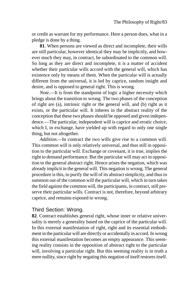or credit as warrant for my performance. Here a person does, what in a pledge is done by a thing.

**81**. When persons are viewed as direct and incomplete, their wills are still particular, however identical they may be implicitly, and however much they may, in contract, be subordinated to the common will. So long as they are direct and incomplete, it is a matter of accident whether their particular wills accord with the general will, which has existence only by means of them. When the particular will is actually different from the universal, it is led by caprice, random insight and desire, and is opposed to general right. This is wrong.

*Note.—*It is from the standpoint of logic a higher necessity which brings about the transition to wrong. The two phases of the conception of right are (a), intrinsic right or the general will, and (b) right as it exists, or the particular will. It inheres in the abstract reality of the conception that these two phases should be opposed and given independence.—The particular, independent will is caprice and erratic choice, which I, in exchange, have yielded up with regard to only one single thing, but not altogether.

*Addition.—*In contract the two wills give rise to a common will. This common will is only relatively universal, and thus still in opposition to the particular will. Exchange or covenant, it is true, implies the right to demand performance. But the particular will may act in opposition to the general abstract right. Hence arises the negation, which was already implicit in the general will. This negation is wrong. The general procedure is this, to purify the will of its abstract simplicity, and thus to summon out of the common will the particular will, which in turn takes the field against the common will, the participants, in contract, still preserve their particular wills. Contract is not, therefore, beyond arbitrary caprice, and remains exposed to wrong.

# Third Section: Wrong.

**82**. Contract establishes general right, whose inner or relative universality is merely a generality based on the caprice of the particular will. In this external manifestation of right, right and its essential embodiment in the particular will are directly or accidentally in accord. In wrong this external manifestation becomes an empty appearance. This seeming reality consists in the opposition of abstract right to the particular will, involving a particular right. But this seeming reality is in truth a mere nullity, since right by negating this negation of itself restores itself.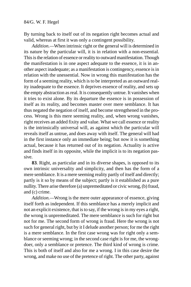By turning back to itself out of its negation right becomes actual and valid, whereas at first it was only a contingent possibility.

*Addition.—*When intrinsic right or the general will is determined in its nature by the particular will, it is in relation with a non-essential. This is the relation of essence or reality to outward manifestation. Though the manifestation is in one aspect adequate to the essence, it is in another aspect inadequate; as a manifestation is contingency, essence is in relation with the unessential. Now in wrong this manifestation has the form of a seeming reality, which is to be interpreted as an outward reality inadequate to the essence. It deprives essence of reality, and sets up the empty abstraction as real. It is consequently untrue. It vanishes when it tries to exist alone. By its departure the essence is in possession of itself as its reality, and becomes master over mere semblance. It has thus negated the negation of itself, and become strengthened in the process. Wrong is this mere seeming reality, and, when wrong vanishes, right receives an added fixity and value. What we call essence or reality is the intrinsically universal will, as against which the particular will reveals itself as untrue, and does away with itself. The general will had in the first instance only an immediate being; but now it is something actual, because it has returned out of its negation. Actuality is active and finds itself in its opposite, while the implicit is to its negation passive.

**83**. Right, as particular and in its diverse shapes, is opposed to its own intrinsic universality and simplicity, and then has the form of a mere semblance. It is a mere seeming reality partly of itself and directly; partly is it so by means of the subject; partly is it established as a pure nullity. There arise therefore (a) unpremeditated or civic wrong, (b) fraud, and (c) crime.

*Addition.—*Wrong is the mere outer appearance of essence, giving itself forth as independent. If this semblance has a merely implicit and not an explicit existence, that is to say, if the wrong is in my eyes a right, the wrong is unpremeditated. The mere semblance is such for right but not for me. The second form of wrong is fraud. Here the wrong is not such for general right, but by it I delude another person; for me the right is a mere semblance. In the first case wrong was for right only a semblance or seeming wrong; in the second case right is for me, the wrongdoer, only a semblance or pretence. The third kind of wrong is crime. This is both of itself and also for me a wrong. I in this case desire the wrong, and make no use of the pretence of right. The other party, against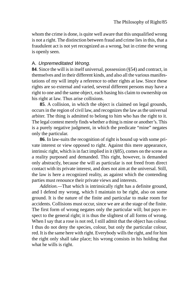whom the crime is done, is quite well aware that this unqualified wrong is not a right. The distinction between fraud and crime lies in this, that a fraudulent act is not yet recognized as a wrong, but in crime the wrong is openly seen.

## A. Unpremeditated Wrong.

**84**. Since the will is in itself universal, possession (§54) and contract, in themselves and in their different kinds, and also all the various manifestations of my will imply a reference to other rights at law. Since these rights are so external and varied, several different persons may have a right to one and the same object, each basing his claim to ownership on his right at law. Thus arise collisions.

**85**. A collision, in which the object is claimed on legal grounds, occurs in the region of civil law, and recognizes the law as the universal arbiter. The thing is admitted to belong to him who has the right to it. The legal contest merely finds whether a thing is mine or another's. This is a purely negative judgment, in which the predicate "mine" negates only the particular.

**86**. In law-suits the recognition of right is bound up with some private interest or view opposed to right. Against this mere appearance, intrinsic right, which is in fact implied in it (§85), comes on the scene as a reality purposed and demanded. This right, however, is demanded only abstractly, because the will as particular is not freed from direct contact with its private interest, and does not aim at the universal. Still, the law is here a recognized reality, as against which the contending parties must renounce their private views and interests.

*Addition.—*That which is intrinsically right has a definite ground, and I defend my wrong, which I maintain to be right, also on some ground. It is the nature of the finite and particular to make room for accidents. Collisions must occur, since we are at the stage of the finite. The first form of wrong negates only the particular will; but pays respect to the general right; it is thus the slightest of all forms of wrong. When I say that a rose is not red, I still admit that the object has colour. I thus do not deny the species, colour, but only the particular colour, red. It is the same here with right. Everybody wills the right, and for him the right only shall take place; his wrong consists in his holding that what he wills is right.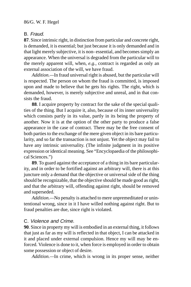# B. Fraud.

**87**. Since intrinsic right, in distinction from particular and concrete right, is demanded, it is essential; but just because it is only demanded and in that light merely subjective, it is non- essential, and becomes simply an appearance. When the universal is degraded from the particular will to the merely apparent will, when, *e.g.,* contract is regarded as only an external association of the will, we have fraud.

*Addition.—*In fraud universal right is abused, but the particular will is respected. The person on whom the fraud is committed, is imposed upon and made to believe that he gets his rights. The right, which is demanded, however, is merely subjective and unreal, and in that consists the fraud.

**88**. I acquire property by contract for the sake of the special qualities of the thing. But I acquire it, also, because of its inner universality which consists partly in its value, partly in its being the property of another. Now it is at the option of the other party to produce a false appearance in the case of contract. There may be the free consent of both parties to the exchange of the mere given object in its bare particularity, and so far the transaction is not unjust. Yet the object may fail to have any intrinsic universality. (The infinite judgment in its positive expression or identical meaning. See "Encyclopaedia of the philosophical Sciences.")

**89**. To guard against the acceptance of a thing in its bare particularity, and in order to be fortified against an arbitrary will, there is at this juncture only a demand that the objective or universal side of the thing should be recognizable, that the objective should be made good as right, and that the arbitrary will, offending against right, should be removed and superseded.

*Addition.—*No penalty is attached to mere unpremeditated or unintentional wrong, since in it I have willed nothing against right. But to fraud penalties are due, since right is violated.

# C. Violence and Crime.

**90**. Since in property my will is embodied in an external thing, it follows that just as far as my will is reflected in that object, I can be attacked in it and placed under external compulsion. Hence my will may be enforced. Violence is done to it, when force is employed in order to obtain some possession or object of desire.

*Addition.—*In crime, which is wrong in its proper sense, neither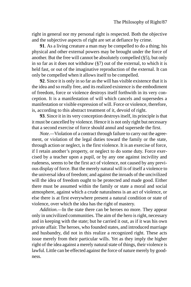right in general nor my personal right is respected. Both the objective and the subjective aspects of right are set at defiance by crime.

**91**. As a living creature a man may be compelled to do a thing; his physical and other external powers may be brought under the force of another. But the free will cannot be absolutely compelled (§5), but only in so far as it does not withdraw (§7) out of the external, to which it is held fast, or out of the imaginative reproduction of the external. It can only be compelled when it allows itself to be compelled.

**92**. Since it is only in so far as the will has visible existence that it is the idea and so really free, and its realized existence is the embodiment of freedom, force or violence destroys itself forthwith in its very conception. It is a manifestation of will which cancels and supersedes a manifestation or visible expression of will. Force or violence, therefore, is, according to this abstract treatment of it, devoid of right.

**93**. Since it in its very conception destroys itself, its principle is that it must be cancelled by violence. Hence it is not only right but necessary that a second exercise of force should annul and supersede the first.

*Note.—*Violation of a contract through failure to carry out the agreement, or violation of the legal duties toward the family or the state, through action or neglect, is the first violence. It is an exercise of force, if I retain another's property, or neglect to do some duty. Force exercised by a teacher upon a pupil, or by any one against incivility and rudeness, seems to be the first act of violence, not caused by any previous display of force. But the merely natural will is of itself a violence to the universal idea of freedom; and against the inroads of the uncivilized will the idea of freedom ought to be protected and made good. Either there must be assumed within the family or state a moral and social atmosphere, against which a crude naturalness is an act of violence, or else there is at first everywhere present a natural condition or state of violence, over which the idea has the right of mastery.

*Addition.—*In the state there can be heroes no more. They appear only in uncivilized communities. The aim of the hero is right, necessary and in keeping with the state; but he carried it out, as if it was his own private affair. The heroes, who founded states, and introduced marriage and husbandry, did not in this realize a recognized right. These acts issue merely from their particular wills. Yet as they imply the higher right of the idea against a merely natural state of things, their violence is lawful. Little can be effected against the force of nature merely by goodness.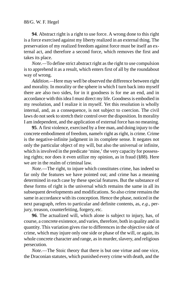**94**. Abstract right is a right to use force. A wrong done to this right is a force exercised against my liberty realized in an external thing. The preservation of my realized freedom against force must be itself an external act, and therefore a second force, which removes the first and takes its place.

*Note.—*To define strict abstract right as the right to use compulsion is to apprehend it as a result, which enters first of all by the roundabout way of wrong.

*Addition.—*Here may well be observed the difference between right and morality. In morality or the sphere in which I turn back into myself there are also two sides, for in it goodness is for me an end, and in accordance with this idea I must direct my life. Goodness is embodied in my resolution, and I realize it in myself. Yet this resolution is wholly internal, and, as a consequence, is not subject to coercion. The civil laws do not seek to stretch their control over the disposition. In morality I am independent, and the application of external force has no meaning.

**95**. A first violence, exercised by a free man, and doing injury to the concrete embodiment of freedom, namelv right as right, is crime. Crime is the negative-infinite judgment in its complete sense. It negates not only the particular object of my will, but also the universal or infinite, which is involved in the predicate 'mine,' the very capacity for possessing rights; nor does it even utilize my opinion, as in fraud (§88). Here we are in the realm of criminal law.

*Note.*—The right, to injure which constitutes crime, has indeed so far only the features we have pointed out; and crime has a meaning determined in each case by these special features. But the substance of these forms of right is the universal which remains the same in all its subsequent developments and modifications. So also crime remains the same in accordance with its conception. Hence the phase, noticed in the next paragraph, refers to particular and definite contents, as, *e.g.,* perjury, treason, counterfeiting, forgery, etc.

**96**. The actualized will, which alone is subject to injury, has, of course, a concrete existence, and varies, therefore, both in quality and in quantity. This variation gives rise to differences in the objective side of crime, which may injure only one side or phase of the will, or again, its whole concrete character and range, as in murder, slavery, and religious persecution.

*Note.*—The Stoic theory that there is but one virtue and one vice, the Draconian statutes, which punished every crime with death, and the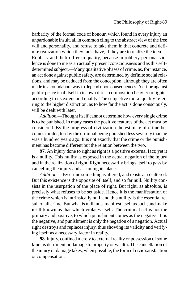barbarity of the formal code of honour, which found in every injury an unpardonable insult, all in common cling to the abstract view of the free will and personality, and refuse to take them in that concrete and definite realization which they must have, if they are to realize the idea.— Robbery and theft differ in quality, because in robbery personal violence is done to me as an actually present consciousness and as this selfdetermined subject.—Many qualitative phases of crime, as, for instance, an act done against public safety, are determined by definite social relations, and may be deduced from the conception, although they are often made in a roundabout way to depend upon consequences. A crime against public peace is of itself in its own direct composition heavier or lighter according to its extent and quality. The subjective moral quality referring to the higher distinction, as to how far the act is done consciously, will be dealt with later.

*Addition.—*Thought itself cannot determine how every single crime is to be punished. In many cases the positive features of the act must be considered. By the progress of civilization the estimate of crime becomes milder, to-day the criminal being punished less severely than he was a hundred years ago. It is not exactly that the crime or the punishment has become different but the relation between the two.

**97**. An injury done to right as right is a positive external fact; yet it is a nullity. This nullity is exposed in the actual negation of the injury and in the realization of right. Right necessarily brings itself to pass by cancelling the injury and assuming its place.

*Addition.*—By crime something is altered, and exists as so altered. But this existence is the opposite of itself, and so far null. Nullity consists in the usurpation of the place of right. But right, as absolute, is precisely what refuses to be set aside. Hence it is the manifestation of the crime which is intrinsically null, and this nullity is the essential result of all crime. But what is null must manifest itself as such, and make itself known as that which violates itself. The criminal act is not the primary and positive, to which punishment comes as the negative. It is the negative, and punishment is only the negation of a negation. Actual right destroys and replaces injury, thus showing its validity and verifying itself as a necessary factor in reality.

**98**. Injury, confined merely to external reality or possession of some kind, is detriment or damage to property or wealth. The cancellation of the injury or damage takes, when possible, the form of civic satisfaction or compensation.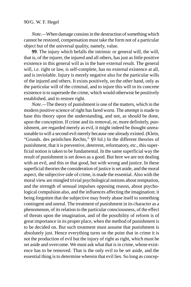*Note.—*When damage consists in the destruction of something which cannot be restored, compensation must take the form not of a particular object but of the universal quality, namely, value.

**99**. The injury which befalls the intrinsic or general will, the will, that is, of the injurer, the injured and all others, has just as little positive existence in this general will as in the bare external result. The general will, *i.e.* right or law, is self-complete, has no external existence at all, and is inviolable. Injury is merely negative also for the particular wills of the injured and others. It exists positively, on the other hand, only as the particular will of the criminal, and to injure this will in its concrete existence is to supersede the crime, which would otherwise be positively established, and to restore right.

*Note.—*The theory of punishment is one of the matters, which in the modern positive science of right has fared worst. The attempt is made to base this theory upon the understanding, and not, as should be done, upon the conception. If crime and its removal, or, more definitely, punishment, are regarded merely as evil, it might indeed be thought unreasonable to will a second evil merely because one already existed. (Klein, "Grunds. des peinlichen Rechts," §9 fol.) In the different theories of punishment, that it is preventive, deterrent, reformatory, etc., this superficial notion is taken to be fundamental. In the same superficial way the result of punishment is set down as a good. But here we are not dealing with an evil, and this or that good, but with wrong and justice. In these superficial theories the consideration of justice is set aside, and the moral aspect, the subjective side of crime, is made the essential. Also with the moral view are mingled trivial psychological notions about temptation, and the strength of sensual impulses opposing reason, about psychological compulsion also, and the influences affecting the imagination; it being forgotten that the subjective may freely abase itself to something contingent and unreal. The treatment of punishment in its character as a phenomenon, of its relation to the particular consciousness, of the effect of threats upon the imagination, and of the possibility of reform is of great importance in its proper place, when the method of punishment is to be decided on. But such treatment must assume that punishment is absolutely just. Hence everything turns on the point that in crime it is not the production of evil but the injury of right as right, which must be set aside and overcome. We must ask what that is in crime, whose existence has to be removed. That is the only evil to be set aside, and the essential thing is to determine wherein that evil lies. So long as concep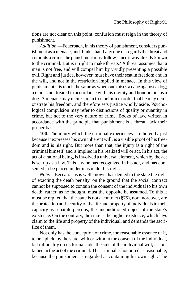tions are not clear on this point, confusion must reign in the theory of punishment.

*Addition.*—Feuerbach, in his theory of punishment, considers punishment as a menace, and thinks that if any one disregards the threat and commits a crime, the punishment must follow, since it was already known to the criminal. But is it right to make threats? A threat assumes that a man is not free, and will compel him by vividly presenting a possible evil. Right and justice, however, must have their seat in freedom and in the will, and not in the restriction implied in menace. In this view of punishment it is much the same as when one raises a cane against a dog; a man is not treated in accordance with his dignity and honour, but as a dog. A menace may incite a man to rebellion in order that he may demonstrate his freedom, and therefore sets justice wholly aside. Psychological compulsion may refer to distinctions of quality or quantity in crime, but not to the very nature of crime. Books of law, written in accordance with the principle that punishment is a threat, lack their proper basis.

**100**. The injury which the criminal experiences is inherently just because it expresses his own inherent will, is a visible proof of his freedom and is his right. But more than that, the injury is a right of the criminal himself, and is implied in his realized will or act. In his act, the act of a rational being, is involved a universal element, which by the act is set up as a law. This law he has recognized in his act, and has consented to be placed under it as under his right.

*Note.—*Beccaria, as is well known, has denied to the state the right of exacting the death penalty, on the ground that the social contract cannot be supposed to contain the consent of the individual to his own death; rather, as he thought, must the opposite be assumed. To this it must be replied that the state is not a contract (§75), nor, moreover, are the protection and security of the life and property of individuals in their capacity as separate persons, the unconditioned object of the state's existence. On the contrary, the state is the higher existence, which lays claim to the life and property of the individual, and demands the sacrifice of them.

Not only has the conception of crime, the reasonable essence of it, to be upheld by the state, with or without the consent of the individual, but rationality on its formal side, the side of the individual will, is contained in the act of the criminal. The criminal is honoured as reasonable, because the punishment is regarded as containing his own right. The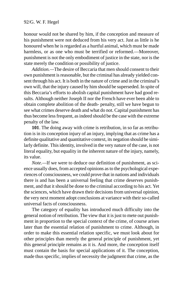honour would not be shared by him, if the conception and measure of his punishment were not deduced from his very act. Just as little is he honoured when he is regarded as a hurtful animal, which must be made harmless, or as one who must be terrified or reformed.—Moreover, punishment is not the only embodiment of justice in the state, nor is the state merely the condition or possibility of justice.

*Addition.—*The desire of Beccaria that men should consent to their own punishment is reasonable, but the criminal has already yielded consent through his act. It is both in the nature of crime and in the criminal's own will, that the injury caused by him should be superseded. In spite of this Beccaria's efforts to abolish capital punishment have had good results. Although neither Joseph II nor the French have ever been able to obtain complete abolition of the death- penalty, still we have begun to see what crimes deserve death and what do not. Capital punishment has thus become less frequent, as indeed should be the case with the extreme penalty of the law.

**101**. The doing away with crime is retribution, in so far as retribution is in its conception injury of an injury, implying that as crime has a definite qualitative and quantitative context, its negation should be similarly definite. This identity, involved in the very nature of the case, is not literal equality, but equality in the inherent nature of the injury, namely, its value.

*Note.—*If we were to deduce our definition of punishment, as science usually does, from accepted opinions as to the psychological experiences of consciousness, we could prove that in nations and individuals there is and has been a universal feeling that crime deserves punishment, and that it should be done to the criminal according to his act. Yet the sciences, which have drawn their decisions from universal opinion, the very next moment adopt conclusions at variance with their so-called universal facts of consciousness.

The category of equality has introduced much difficulty into the general notion of retribution. The view that it is just to mete out punishment in proportion to the special context of the crime, of course arises later than the essential relation of punishment to crime. Although, in order to make this essential relation specific, we must look about for other principles than merely the general principle of punishment, yet this general principle remains as it is. And more, the conception itself must contain the basis for special applications of it. The conception, made thus specific, implies of necessity the judgment that crime, as the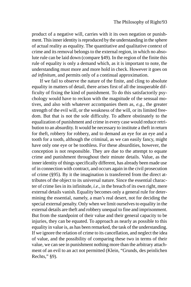product of a negative will, carries with it its own negation or punishment. This inner identity is reproduced by the understanding in the sphere of actual reality as equality. The quantitative and qualitative context of crime and its removal belongs to the external region, in which no absolute rule can be laid down (compare §49). In the region of the finite this rule of equality is only a demand which, as it is important to note, the understanding must more and more hold in check. However it goes on *ad infinitum,* and permits only of a continual approximation.

If we fail to observe the nature of the finite, and cling to absolute equality in matters of detail, there arises first of all the insuperable difficulty of fixing the kind of punishment. To do this satisfactorily psychology would have to reckon with the magnitude of the sensual motives, and also with whatever accompanies them as, *e.g.,* the greater strength of the evil will, or the weakness of the will, or its limited freedom. But that is not the sole difficulty. To adhere obstinately to the equalization of punishment and crime in every case would reduce retribution to an absurdity. It would be necessary to institute a theft in return for theft, robbery for robbery, and to demand an eye for an eye and a tooth for a tooth, although the criminal, as we can easily fancy, might have only one eye or be toothless. For these absurdities, however, the conception is not responsible. They are due to the attempt to equate crime and punishment throughout their minute details. Value, as the inner identity of things specifically different, has already been made use of in connection with contract, and occurs again in the civil prosecution of crime (§95). By it the imagination is transferred from the direct attributes of the object to its universal nature. Since the essential character of crime lies in its infinitude, *i.e.,* in the breach of its own right, mere external details vanish. Equality becomes only a general rule for determining the essential, namely, a man's real desert, not for deciding the special external penalty. Only when we limit ourselves to equality in the external details are theft and robbery unequal to fine and imprisonment. But from the standpoint of their value and their general capacity to be injuries, they can be equated. To approach as nearly as possible to this equality in value is, as has been remarked, the task of the understanding. If we ignore the relation of crime to its cancellation, and neglect the idea of value, and the possibility of comparing these two in terms of their value, we can see in punishment nothing more than the arbitrary attachment of an evil to an act not permitted (Klein, "Grunds, des peinlichen Rechts," §9).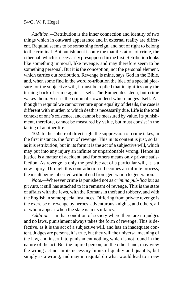#### 94/G. W. F. Hegel

*Addition.—*Retribution is the inner connection and identity of two things which in outward appearance and in external reality are different. Requital seems to be something foreign, and not of right to belong to the criminal. But punishment is only the manifestation of crime, the other half which is necessarily presupposed in the first. Retribution looks like something immoral, like revenge, and may therefore seem to be something personal. But it is the conception, not the personal element, which carries out retribution. Revenge is mine, says God in the Bible, and, when some find in the word re-tribution the idea of a special pleasure for the subjective will, it must be replied that it signifies only the turning back of crime against itself. The Eumenides sleep, but crime wakes them. So it is the criminal's own deed which judges itself. Although in requital we cannot venture upon equality of details, the case is different with murder, to which death is necessarily due. Life is the total context of one's existence, and cannot be measured by value. Its punishment, therefore, cannot be measured by value, but must consist in the taking of another life.

**102**. In the sphere of direct right the suppression of crime takes, in the first instance, the form of revenge. This in its content is just, so far as it is retribution; but in its form it is the act of a subjective will, which may put into any injury an infinite or unpardonable wrong. Hence its justice is a matter of accident, and for others means only private satisfaction. As revenge is only the positive act of a particular will, it is a new injury. Through this contradiction it becomes an infinite process, the insult being inherited without end from generation to generation.

*Note.—*Wherever crime is punished not as *crimina pub-lica* but as *privata,* it still has attached to it a remnant of revenge. This is the state of affairs with the Jews, with the Romans in theft and robbery, and with the English in some special instances. Differing from private revenge is the exercise of revenge by heroes, adventurous knights, and others, all of whom appear when the state is in its infancy.

*Addition.—*In that condition of society where there are no judges and no laws, punishment always takes the form of revenge. This is defective, as it is the act of a subjective will, and has an inadequate content. Judges are persons, it is true, but they will the universal meaning of the law, and insert into punishment nothing which is not found in the nature of the act. But the injured person, on the other hand, may view the wrong act not in its necessary limits of quality and quantity, but simply as a wrong, and may in requital do what would lead to a new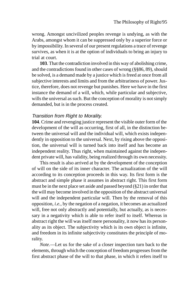wrong. Amongst uncivilized peoples revenge is undying, as with the Arabs, amongst whom it can be suppressed only by a superior force or by impossibility. In several of our present regulations a trace of revenge survives, as when it is at the option of individuals to bring an injury to trial at court.

**103**. That the contradiction involved in this way of abolishing crime, and the contradictions found in other cases of wrong (§§86, 89), should be solved, is a demand made by a justice which is freed at once from all subjective interests and limits and from the arbitrariness of power. Justice, therefore, does not revenge but punishes. Here we have in the first instance the demand of a will, which, while particular and subjective, wills the universal as such. But the conception of morality is not simply demanded, but is in the process created.

### Transition from Right to Morality.

**104**. Crime and revenging justice represent the visible outer form of the development of the will as occurring, first of all, in the distinction between the universal will and the individual will, which exists independently in opposition to the universal. Next, by rising above the opposition, the universal will is turned back into itself and has become an independent reality. Thus right, when maintained against the independent private will, has validity, being realized through its own necessity.

This result is also arrived at by the development of the conception of will on the side of its inner character. The actualization of the will according to its conception proceeds in this way. Its first form is the abstract and simple phase it assumes in abstract right. This first form must be in the next place set aside and passed beyond (§21) in order that the will may become involved in the opposition of the abstract universal will and the independent particular will. Then by the removal of this opposition, *i.e.,* by the negation of a negation, it becomes an actualized will, free not only abstractly and potentially, but actually, as is necessary in a negativity which is able to refer itself to itself. Whereas in abstract right the will was itself mere personality, it now has its personality as its object. The subjectivity which is its own object is infinite, and freedom in its infinite subjectivity constitutes the principle of morality.

*Note.*—Let us for the sake of a closer inspection turn back to the elements, through which the conception of freedom progresses from the first abstract phase of the will to that phase, in which it refers itself to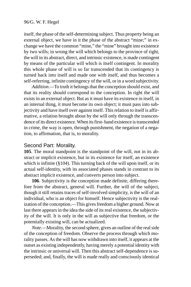itself, the phase of the self-determining subject. Thus property being an external object, we have in it the phase of the abstract "mine;" in exchange we have the common "mine," the "mine" brought into existence by two wills; in wrong the will which belongs to the province of right, the will in its abstract, direct, and intrinsic existence, is made contingent by means of the particular will which is itself contingent. In morality this whole phase of will is so far transcended that its contingency is turned back into itself and made one with itself, and thus becomes a self-referring, infinite contingency of the will, or in a word subjectivity.

*Addition.—*To truth it belongs that the conception should exist, and that its reality should correspond to the conception. In right the will exists in an external object. But as it must have its existence in itself, in an internal thing, it must become its own object; it must pass into subjectivity and have itself over against itself. This relation to itself is affirmative, a relation brought about by the will only through the transcendence of its direct existence. When its first- hand existence is transcended in crime, the way is open, through punishment, the negation of a negation, to affirmation, that is, to morality.

# Second Part: Morality.

**105**. The moral standpoint is the standpoint of the will, not in its abstract or implicit existence, but in its existence for itself, an existence which is infinite (§104). This turning back of the will upon itself, or its actual self-identity, with its associated phases stands in contrast to its abstract implicit existence, and converts person into subject.

**106**. Subjectivity is the conception made definite, differing therefore from the abstract, general will. Further, the will of the subject, though it still retains traces of self-involved simplicity, is the will of an individual, who is an object for himself. Hence subjectivity is the realization of the conception.—This gives freedom a higher ground. Now at last there appears in the idea the side of its real existence, the subjectivity of the will. It is only in the will as subjective that freedom, or the potentially existing will, can be actualized.

*Note.—*Morality, the second sphere, gives an outline of the real side of the conception of freedom. Observe the process through which morality passes. As the will has now withdrawn into itself, it appears at the outset as existing independently, having merely a potential identity with the intrinsic or universal will. Then this abstract self-dependence is superseded; and, finally, the will is made really and consciously identical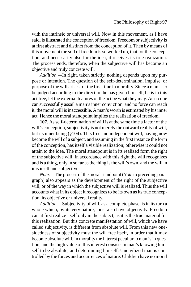with the intrinsic or universal will. Now in this movement, as I have said, is illustrated the conception of freedom. Freedom or subjectivity is at first abstract and distinct from the conception of it. Then by means of this movement the soil of freedom is so worked up, that for the conception, and necessarily also for the idea, it receives its true realization. The process ends, therefore, when the subjective will has become an objective and truly concrete will.

*Addition.—*In right, taken strictly, nothing depends upon my purpose or intention. The question of the self-determination, impulse, or purpose of the will arises for the first time in morality. Since a man is to be judged according to the direction he has given himself, he is in this act free, let the external features of the act be what they may. As no one can successfully assail a man's inner conviction, and no force can reach it, the moral will is inaccessible. A man's worth is estimated by his inner act. Hence the moral standpoint implies the realization of freedom.

**107**. As self-determination of will is at the same time a factor of the will's conception, subjectivity is not merely the outward reality of will, but its inner being (§104). This free and independent will, having now become the will of a subject, and assuming in the first instance the form of the conception, has itself a visible realization; otherwise it could not attain to the idea. The moral standpoint is in its realized form the right of the subjective will. In accordance with this right the will recognizes and is a thing, only in so far as the thing is the will's own, and the will in it is itself and subjective.

*Note.*—The process of the moral standpoint (*Note* to preceding paragraph) also appears as the development of the right of the subjective will, or of the way in which the subjective will is realized. Thus the will accounts what in its object it recognizes to be its own as its true conception, its objective or universal reality.

*Addition.—*Subjectivity of will, as a complete phase, is in its turn a whole which, by its very nature, must also have objectivity. Freedom can at first realize itself only in the subject, as it is the true material for this realization. But this concrete manifestation of will, which we have called subjectivity, is different from absolute will. From this new onesidedness of subjectivity must the will free itself, in order that it may become absolute will. In morality the interest peculiar to man is in question, and the high value of this interest consists in man's knowing himself to be absolute, and determining himself. Uncivilized man is controlled by the forces and occurrences of nature. Children have no moral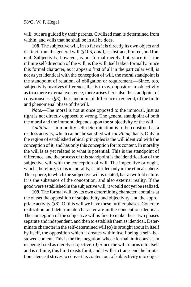will, but are guided by their parents. Civilized man is determined from within, and wills that he shall be in all he does.

**108**. The subjective will, in so far as it is directly its own object and distinct from the general will (§106, *note),* is abstract, limited, and formal. Subjectivity, however, is not formal merely, but, since it is the infinite self-direction of the will, is the will itself taken formally. Since this formal character, as it appears first of all in the particular will, is not as yet identical with the conception of will, the moral standpoint is the standpoint of relation, of obligation or requirement.—Since, too, subjectivity involves difference, that is to say, opposition to objectivity as to a mere external existence, there arises here also the standpoint of consciousness (§8), the standpoint of difference in general, of the finite and phenomenal phase of the will.

*Note.—*The moral is not at once opposed to the immoral, just as right is not directly opposed to wrong. The general standpoint of both the moral and the immoral depends upon the subjectivity of the will.

*Addition.—*In morality self-determination is to be construed as a restless activity, which cannot be satisfied with *anything* that is. Only in the region of established ethical principles is the will identical with the conception of it, and has only this conception for its content. In morality the will is as yet related to what is potential. This is the standpoint of difference, and the process of this standpoint is the identification of the subjective will with the conception of will. The imperative or ought, which, therefore, still is in morality, is fulfilled only in the ethical sphere. This sphere, to which the subjective will is related, has a twofold nature. It is the substance of the conception, and also external reality. If the good were established in the subjective will, it would not yet be realized.

**109**. The formal will, by its own determining character, contains at the outset the opposition of subjectivity and objectivity, and the appropriate activity (§8). Of this will we have these further phases. Concrete realization and determinate character are in the conception identical. The conception of the subjective will is first to make these two phases separate and independent, and then to establish them as identical. Determinate character in the self-determined will  $(\alpha)$  is brought about in itself by itself, the opposition which it creates within itself being a self- bestowed content. This is the first negation, whose formal limit consists in its being fixed as merely subjective.  $(\beta)$  Since the will returns into itself and is infinite, this limit exists for it, and it wills to transcend the limitation. Hence it strives to convert its content out of subjectivity into objec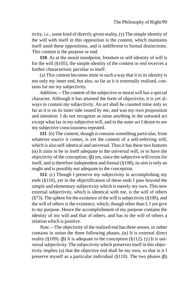tivity, *i.e.*, some kind of directly given reality,  $(\gamma)$  The simple identity of the will with itself in this opposition is the content, which maintains itself amid these oppositions, and is indifferent to formal distinctions. This content is the purpose or end.

**110**. As at the moral standpoint, freedom or self-identity of will is for the will (§105), the simple identity of the content or end receives a further characteristic peculiar to itself.

(a) This content becomes mine in such a way that it in its identity is not only my inner end, but also, so far as it is externally realized, contains for me my subjectivity.

*Addition.—*The content of the subjective or moral will has a special character. Although it has attained the form of objectivity, it is yet always to contain my subjectivity. An act shall be counted mine only so far as it is on its inner side issued by me, and was my own proposition and intention. I do not recognize as mine anything in the outward act except what lay in my subjective will, and in the outer act I desire to see my subjective consciousness repeated.

**111**. (b) The content, though it contains something particular, from whatever source it comes, is yet the content of a self-referring will, which is also self-identical and universal. Thus it has these two features  $(\alpha)$  It aims to be in itself adequate to the universal will, or to have the objectivity of the conception;  $(\beta)$  yet, since the subjective will exists for itself, and is therefore independent and formal (§108), its aim is only an ought and is possibly not adequate to the conception.

**112**. (c) Though I preserve my subjectivity in accomplishing my ends (§110), yet in the objectification of these ends I pass beyond the simple and elementary subjectivity which is merely my own. This new external subjectivity, which is identical with me, is the will of others  $(\frac{873}{106})$ . The sphere for the existence of the will is subjectivity  $(\frac{8106}{106})$ , and the will of others is the existence, which, though other than I, I yet give to my purpose. Hence the accomplishment of my purpose contains the identity of my will and that of others, and has to the will of others a relation which is positive.

*Note.—*The objectivity of the realized end has three senses, or rather contains in union the three following phases,  $(\alpha)$  It is external direct reality (§109). ( $\beta$ ) It is adequate to the conception (§112). ( $\gamma$ ) It is universal subjectivity. The subjectivity which preserves itself in this objectivity implies (a) that the objective end shall be my own, so that in it I preserve myself as a particular individual ( $\S$ 110). The two phases ( $\beta$ )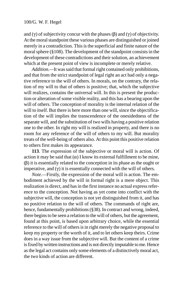and  $(\gamma)$  of subjectivity concur with the phases  $(\beta)$  and  $(\gamma)$  of objectivity. At the moral standpoint these various phases are distinguished or joined merely in a contradiction. This is the superficial and finite nature of the moral sphere (§108). The development of the standpoint consists in the development of these contradictions and their solution, an achievement which at the present point of view is incomplete or merely relative.

*Addition.—*It was said that formal right contained only prohibitions, and that from the strict standpoint of legal right an act had only a negative reference to the will of others. In morals, on the contrary, the relation of my will to that of others is positive; that, which the subjective will realizes, contains the universal will. In this is present the production or alteration of some visible reality, and this has a bearing upon the will of others. The conception of morality is the internal relation of the will to itself. But there is here more than one will, since the objectification of the will implies the transcendence of the onesidedness of the separate will, and the substitution of two wills having a positive relation one to the other. In right my will is realized in property, and there is no room for any reference of the will of others to my will. But morality treats of the well-being of others also. At this point this positive relation to others first makes its appearance.

**113**. The expression of the subjective or moral will is action. Of action it may be said that  $(\alpha)$  I know its external fulfillment to be mine, (b) it is essentially related to the conception in its phase as the ought or imperative, and  $(y)$  it is essentially connected with the will of others.

*Note.—*Firstly, the expression of the moral will is action. The embodiment achieved by the will in formal right is a mere object. This realization is direct, and has in the first instance no actual express reference to the conception. Not having as yet come into conflict with the subjective will, the conception is not yet distinguished from it, and has no positive relation to the will of others. The commands of right are, hence, fundamentally prohibitions (§38). In contract and wrong, indeed, there begins to be seen a relation to the will of others, but the agreement, found at this point, is based upon arbitrary choice, while the essential reference to the will of others is in right merely the negative proposal to keep my property or the worth of it, and to let others keep theirs. Crime does in a way issue from the subjective will. But the content of a crime is fixed by written instructions and is not directly imputable to me. Hence as the legal act contains only some elements of a distinctively moral act, the two kinds of action are different.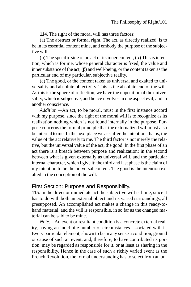**114**. The right of the moral will has three factors:

(a) The abstract or formal right. The act, as directly realized, is to be in its essential content mine, and embody the purpose of the subjective will.

(b) The specific side of an act or its inner content,  $(\alpha)$  This is intention, which is for me, whose general character is fixed, the value and inner substance of the act,  $(\beta)$  and well-being, or the content taken as the particular end of my particular, subjective reality.

(c) The good, or the content taken as universal and exalted to universality and absolute objectivity. This is the absolute end of the will. As this is the sphere of reflection, we have the opposition of the universality, which is subjective, and hence involves in one aspect evil, and in another conscience.

*Addition.—*An act, to be moral, must in the first instance accord with my purpose, since the right of the moral will is to recognize as its realization nothing which is not found internally in the purpose. Purpose concerns the formal principle that the externalized will must also be internal to me. In the next place we ask after the intention, that is, the value of the act relatively to me. The third factor is not merely the relative, but the universal value of the act, the good. In the first phase of an act there is a breach between purpose and realization; in the second between what is given externally as universal will, and the particular internal character, which I give it; the third and last phase is the claim of my intention to be the universal content. The good is the intention exalted to the conception of the will.

## First Section: Purpose and Responsibility.

**115**. In the direct or immediate act the subjective will is finite, since it has to do with both an external object and its varied surroundings, all presupposed. An accomplished act makes a change in this ready-tohand material, and the will is responsible, in so far as the changed material can be said to be mine.

*Note.—*An event or resultant condition is a concrete external reality, having an indefinite number of circumstances associated with it. Every particular element, shown to be in any sense a condition, ground or cause of such an event, and, therefore, to have contributed its portion, may be regarded as responsible for it, or at least as sharing in the responsibility. Hence in the case of such a richly varied event as the French Revolution, the formal understanding has to select from an un-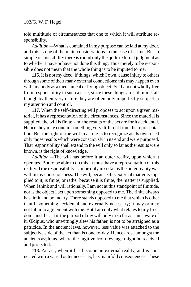### 102/G. W. F. Hegel

told multitude of circumstances that one to which it will attribute responsibility.

*Addition.—*What is contained in my purpose can be laid at my door, and this is one of the main considerations in the case of crime. But in simple responsibility there is round only the quite external judgment as to whether I nave or have not done this thing. Thus merely to be responsible does not mean that the whole thing is to be imputed to me.

**116**. It is not my deed, if things, which I own, cause injury to others through some of their many external connections; this may happen even with my body as a mechanical or living object. Yet I am not wholly free from responsibility in such a case, since these things are still mine, although by their very nature they are often only imperfectly subject to my attention and control.

**117**. When the self-directing will proposes to act upon a given material, it has a representation of the circumstances. Since the material is supplied, the will is finite, and the results of the act are for it accidental. Hence they may contain something very different from the representation. But the right of the will in acting is to recognize as its own deed only those results which were consciously in its end and were purposed. That responsibility shall extend to the will only so far as the results were known, is the right of knowledge.

*Addition.—*The will has before it an outer reality, upon which it operates. But to be able to do this, it must have a representation of this reality. True responsibility is mine only in so far as the outer reality was within my consciousness. The will, because this external matter is supplied to it, is finite; or rather because it is finite, the matter is supplied. When I think and will rationally, I am not at this standpoint of finitude, nor is the object I act upon something opposed to me. The finite always has limit and boundary. There stands opposed to me that which is other than I, something accidental and externally necessary; it may or may not fall into agreement with me. But I am only what relates to my freedom; and the act is the purport of my will only in so far as I am aware of it. Œdipus, who unwittingly slew his father, is not to be arraigned as a patricide. In the ancient laws, however, less value was attached to the subjective side of the act than is done to-day. Hence arose amongst the ancients asylums, where the fugitive from revenge might be received and protected.

**118**. An act, when it has become an external reality, and is connected with a varied outer necessity, has manifold consequences. These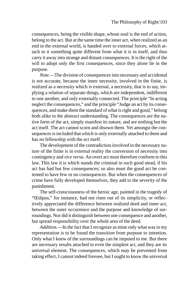consequences, being the visible shape, whose soul is the end of action, belong to the act. But at the same time the inner act, when realized as an end in the external world, is handed over to external forces, which attach to it something quite different from what it is in itself, and thus carry it away into strange and distant consequences. It is the right of the will to adopt only the first consequences, since they alone lie in the purpose.

*Note.—*The division of consequences into necessary and accidental is not accurate, because the inner necessity, involved in the finite, is realized as a necessity which is external, a necessity, that is to say, implying a relation of separate things, which are independent, indifferent to one another, and only externally connected. The principle "In acting neglect the consequences," and the principle "Judge an act by its consequences, and make them the standard of what is right and good," belong both alike to the abstract understanding. The consequences are the native form of the act, simply manifest its nature, and are nothing but the act itself. The act cannot scorn and disown them. Yet amongst the consequences is included that which is only externally attached to them and has no fellowship with the act itself.

The development of the contradiction involved in the necessary nature of the finite is in external reality the conversion of necessity into contingency and *vice versa.* An overt act must therefore conform to this law. This law it is which stands the criminal in such good stead, if his act has had but few consequences; so also must the good act be contented to have few or no consequences. But when the consequences of crime have fully developed themselves, they add to the severity of the punishment.

The self-consciousness of the heroic age, painted in the tragedy of "Œdipus," for instance, had not risen out of its simplicity, or reflectively appreciated the difference between realized deed and inner act, between the outer occurrence and the purpose and knowledge of surroundings. Nor did it distinguish between one consequence and another, but spread responsibility over the whole area of the deed.

*Addition.*—In the fact that I recognize as mine only what was in my representation is to be found the transition from purpose to intention. Only what I knew of the surroundings can be imputed to me. But there are necessary results attached to even the simplest act, and they are its universal element. The consequences, which may be prevented from taking effect, I cannot indeed foresee, but I ought to know the universal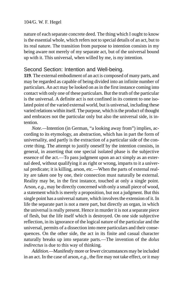### 104/G. W. F. Hegel

nature of each separate concrete deed. The thing which I ought to know is the essential whole, which refers not to special details of an act, but to its real nature. The transition from purpose to intention consists in my being aware not merely of my separate act, but of the universal bound up with it. This universal, when willed by me, is my intention.

# Second Section: Intention and Well-being.

**119**. The external embodiment of an act is composed of many parts, and may be regarded as capable of being divided into an infinite number of particulars. An act may be looked on as in the first instance coming into contact with only one of these particulars. But the truth of the particular is the universal. A definite act is not confined in its content to one isolated point of the varied external world, but is universal, including these varied relations within itself. The purpose, which is the product of thought and embraces not the particular only but also the universal side, is intention.

*Note.—*Intention (in German, "a looking away from") implies, according to its etymology, an abstraction, which has in part the form of universality, and partly is the extraction of a particular side of the concrete thing. The attempt to justify oneself by the intention consists, in general, in asserting that one special isolated phase is the subjective essence of the act.—To pass judgment upon an act simply as an external deed, without qualifying it as right or wrong, imparts to it a universal predicate; it is killing, arson, etc.—When the parts of external reality are taken one by one, their connection must naturally be external. Reality may be, in the first instance, touched at only a single point. Arson, *e.g.*, may be directly concerned with only a small piece of wood, a statement which is merely a proposition, but not a judgment. But this single point has a universal nature, which involves the extension of it. In life the separate part is not a mere part, but directly an organ, in which the universal is really present. Hence in murder it is not a separate piece of flesh, but the life itself which is destroyed. On one side subjective reflection, in its ignorance of the logical nature of the particular and the universal, permits of a dissection into mere particulars and their consequences. On the other side, the act in its finite and casual character naturally breaks up into separate parts.—The invention of the *dolus indirectus* is due to this way of thinking.

*Addition.—*Manifestly more or fewer circumstances may be included in an act. In the case of arson, *e.g.,* the fire may not take effect, or it may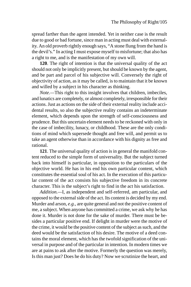spread farther than the agent intended. Yet in neither case is the result due to good or bad fortune, since man in acting must deal with externality. An old proverb rightly enough says, "A stone flung from the hand is the devil's." In acting I must expose myself to misfortune; that also has a right to me, and is the manifestation of my own will.

**120**. The right of intention is that the universal quality of the act should not only be implicitly present, but should be known by the agent, and be part and parcel of his subjective will. Conversely the right of objectivity of action, as it may be called, is to maintain that it be known and willed by a subject in his character as thinking.

*Note.—*This right to this insight involves that children, imbeciles, and lunatics are completely, or almost completely, irresponsible for their actions. Just as actions on the side of their external reality include accidental results, so also the subjective reality contains an indeterminate element, which depends upon the strength of self-consciousness and prudence. But this uncertain element needs to be reckoned with only in the case of imbecility, lunacy, or childhood. These are the only conditions of mind which supersede thought and free will, and permit us to take an agent otherwise than in accordance with his dignity as free and rational.

**121**. The universal quality of action is in general the manifold content reduced to the simple form of universality. But the subject turned back into himself is particular, in opposition to the particulars of the objective world. He has in his end his own particular content, which constitutes the essential soul of his act. In the execution of this particular content of the act consists his subjective freedom in its concrete character. This is the subject's right to find in the act his satisfaction.

*Addition.—*I, as independent and self-referred, am particular, and opposed to the external side of the act. Its content is decided by my end. Murder and arson, *e.g.,* are quite general and not the positive content of me, a subject. When anyone has committed a crime, we ask why he has done it. Murder is not done for the sake of murder. There must be besides a particular positive end. If delight in murder were the motive of the crime, it would be the positive content of the subject as such, and the deed would be the satisfaction of his desire. The motive of a deed contains the moral element, which has the twofold signification of the universal in purpose and of the particular in intention. In modern times we are at pains to ask after the motive. Formerly the question was merely, Is this man just? Does he do his duty? Now we scrutinize the heart, and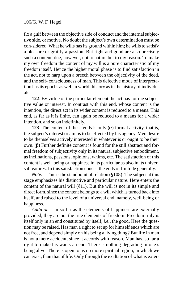### 106/G. W. F. Hegel

fix a gulf between the objective side of conduct and the internal subjective side, or motive. No doubt the subject's own determination must be con-sidered. What he wills has its ground within him; he wills to satisfy a pleasure or gratify a passion. But right and good are also precisely such a content, due, however, not to nature but to my reason. To make my own freedom the content of my will is a pure characteristic of my freedom itself. Hence the higher moral phase is to find satisfaction in the act, not to harp upon a breech between the objectivity of the deed, and the self- consciousness of man. This defective mode of interpretation has its epochs as well in world- history as in the history of individuals.

**122**. By virtue of the particular element the act has for me subjective value or interest. In contrast with this end, whose content is the intention, the direct act in its wider content is reduced to a means. This end, as far as it is finite, can again be reduced to a means for a wider intention, and so on indefinitely.

**123**. The content of these ends is only  $(\alpha)$  formal activity, that is, the subject's interest or aim is to be effected by his agency. Men desire to be themselves actively interested in whatever is or ought to be their own.  $(\beta)$  Further definite content is found for the still abstract and formal freedom of subjectivity only in its natural subjective embodiment, as inclinations, passions, opinions, whims, etc. The satisfaction of this content is well-being or happiness in its particular as also in its universal features. In this satisfaction consist the ends of finitude generally.

*Note.—*This is the standpoint of relation (§108). The subject at this stage emphasizes his distinctive and particular nature. Here enters the content of the natural will (§11). But the will is not in its simple and direct form, since the content belongs to a will which is turned back into itself, and raised to the level of a universal end, namely, well-being or happiness.

*Addition.—*In so far as the elements of happiness are externally provided, they are not the true elements of freedom. Freedom truly is itself only in an end constituted by itself, *i.e.,* the good. Here the question may be raised, Has man a right to set up for himself ends which are not free, and depend simply on his being a living thing? But life in man is not a mere accident, since it accords with reason. Man has. so far a right to make his wants an end. There is nothing degrading in one's being alive. There is open to us no more spiritual region, in which we can exist, than that of life. Only through the exaltation of what is exter-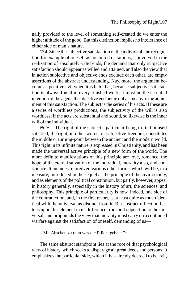nally provided to the level of something self-created do we enter the higher altitude of the good. But this distinction implies no intolerance of either side of man's nature.

**124**. Since the subjective satisfaction of the individual, the recognition for example of oneself as honoured or famous, is involved in the realization of absolutely valid ends, the demand that only subjective satisfaction should appear as willed and attained, and also the view that in action subjective and objective ends exclude each other, are empty assertions of the abstract understanding. Nay, more, the argument becomes a positive evil when it is held that, because subjective satisfaction is always found in every finished work, it must be the essential intention of the agent, the objective end being only a means to the attainment of this satisfaction. The subject is the series of his acts. If these are a series of worthless productions, the subjectivity of the will is also worthless; if the acts are substantial and sound, so likewise is the inner will of the individual.

*Note.*—The right of the subject's particular being to find himself satisfied, the right, in other words, of subjective freedom, constitutes the middle or turning-point between the ancient and the modern world. This right in its infinite nature is expressed in Christianity, and has been made the universal active principle of a new form of the world. The more definite manifestations of this principle are love, romance, the hope of the eternal salvation of the individual, morality also, and conscience. It includes, moreover, various other forms, which will be, in a measure, introduced in the sequel as the principle of the civic society, and as elements of the political constitution, but partly, however, appear in history generally, especially in the history of art, the sciences, and philosophy. This principle of particularity is now, indeed, one side of the contradiction, and, in the first resort, is at least quite as much identical with the universal as distinct from it. But abstract reflection fastens upon this element in its difference from and opposition to the universal, and propounds the view that morality must carry on a continued warfare against the satisfaction of oneself, demanding of us—

"Mit Abscheu zu thun was die Pflicht gebeut."5

The same abstract standpoint lies at the root of that psychological view of history, which seeks to disparage all great deeds and persons. It emphasizes the particular side, which it has already decreed to be evil,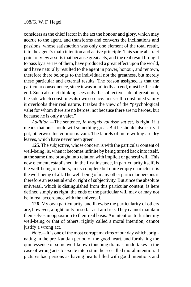#### 108/G. W. F. Hegel

considers as the chief factor in the act the honour and glory, which may accrue to the agent, and transforms and converts the inclinations and passions, whose satisfaction was only one element of the total result, into the agent's main intention and active principle. This same abstract point of view asserts that because great acts, and the real result brought to pass by a series of them, have produced a great effect upon the world, and have naturally resulted to the agent in power, honour, and renown, therefore there belongs to the individual not the greatness, but merely these particular and external results. The reason assigned is that the particular consequence, since it was admittedly an end, must be the sole end. Such abstract thinking sees only the subjective side of great men, the side which constitutes its own essence. In its self- constituted vanity it overlooks their real nature. It takes the view of the "psychological valet for whom there are no heroes, not because there are no heroes, but because he is only a valet."

*Addition.—*The sentence, *In magnis voluisse sat est,* is right, if it means that one should will something great. But he should also carry it put, otherwise his volition is vain. The laurels of mere willing are dry leaves, which have never been green.

**125**. The subjective, whose concern is with the particular content of well-being, is, when it becomes infinite by being turned back into itself, at the same time brought into relation with implicit or general will. This new element, established, in the first instance, in particularity itself, is the well-being of others; in its complete but quite empty character it is the well-being of all. The well-being of many other particular persons is therefore an essential end or right of subjectivity. But since the absolute universal, which is distinguished from this particular content, is here defined simply as right, the ends of the particular will may or may not be in real accordance with the universal.

**126**. My own particularity, and likewise the particularity of others are, however, a right, only in so far as I am free. They cannot maintain themselves in opposition to their real basis. An intention to further my well-being or that of others, rightly called a moral intention, cannot justify a wrong act.

*Note.—*It is one of the most corrupt maxims of our day which, originating in the pre-Kantian period of the good heart, and furnishing the quintessence of some well-known touching dramas, undertakes in the case of wrong acts to excite interest in the so-called moral intention. It pictures bad persons as having hearts filled with good intentions and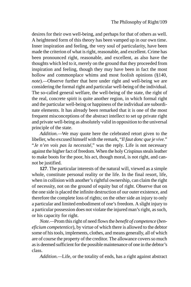desires for their own well-being, and perhaps for that of others as well. A heightened form of this theory has been vamped up in our own time. Inner inspiration and feeling, the very soul of particularity, have been made the criterion of what is right, reasonable, and excellent. Crime has been pronounced right, reasonable, and excellent, as also have the thoughts which led to it, merely on the ground that they proceeded from inspiration and feeling, though they may have been in fact the most hollow and commonplace whims and most foolish opinions (§140, *note*).*—*Observe further that here under right and well-being we are considering the formal right and particular well-being of the individual. The so-called general welfare, the well-being of the state, the right of the real, concrete spirit is quite another region, in which formal right and the particular well-being or happiness of the individual are subordinate elements. It has already been remarked that it is one of the most frequent misconceptions of the abstract intellect to set up private right and private well-being as absolutely valid in opposition to the universal principle of the state.

*Addition.—*We may quote here the celebrated retort given to the libeller, who excused himself with the remark, "*Il faut donc que je vive.*" "*Je n'en vois pas la necessité,*" was the reply. Life is not necessary against the higher fact of freedom. When the holy Crispinus steals leather to make boots for the poor, his act, though moral, is not right, and cannot be justified.

**127**. The particular interests of the natural will, viewed as a simple whole, constitute personal reality or the life. In the final resort, life, when in collision with another's rightful ownership, can claim the right of necessity, not on the ground of equity but of right. Observe that on the one side is placed the infinite destruction of our outer existence, and therefore the complete loss of rights; on the other side an injury to only a particular and limited embodiment of one's freedom. A slight injury to a particular possession does not violate the injured man's right, as such, or his capacity for right.

*Note.—*Prom this right of need flows the *benefit of competence* (*beneficium competentice*), by virtue of which there is allowed to the debtor some of his tools, implements, clothes, and means generally, all of which are of course the property of the creditor. The allowance covers so much as is deemed sufficient for the possible maintenance of one in the debtor's class.

*Addition.—*Life, or the totality of ends, has a right against abstract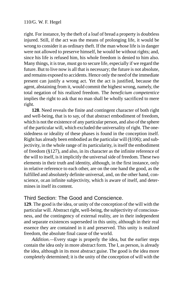right. For instance, by the theft of a loaf of bread a property is doubtless injured. Still, if the act was the means of prolonging life, it would be wrong to consider it as ordinary theft. If the man whose life is in danger were not allowed to preserve himself, he would be without rights; and, since his life is refused him, his whole freedom is denied to him also. Many things, it is true, must go to secure life, especially if we regard the future. But to live now is all that is necessary; the future is not absolute, and remains exposed to accidents. Hence only the need of the immediate present can justify a wrong act. Yet the act is justified, because the agent, abstaining from it, would commit the highest wrong, namely, the total negation of his realized freedom. The *beneficium competentice* implies the right to ask that no man shall be wholly sacrificed to mere right.

**128**. Need reveals the finite and contingent character of both right and well-being, that is to say, of that abstract embodiment of freedom, which is not the existence of any particular person, and also of the sphere of the particular will, which excluded the universality of right. The onesidedness or ideality of these phases is found in the conception itself. Right has already been embodied as the particular will (§106); and subjectivity, in the whole range of its particularity, is itself the embodiment of freedom (§127), and also, in its character as the infinite reference of the will to itself, is it implicitly the universal side of freedom. These two elements in their truth and identity, although, in the first instance, only in relative reference to each other, are on the one hand the good, as the fulfilled and absolutely definite universal, and, on the other hand, conscience, or.an infinite subjectivity, which is aware of itself, and determines in itself its content.

## Third Section: The Good and Conscience.

**129**. The good is the idea, or unity of the conception of the will with the particular will. Abstract right, well-being, the subjectivity of consciousness, and the contingency of external reality, are in their independent and separate existences superseded in this unity, although in their real essence they are contained in it and preserved. This unity is realized freedom, the absolute final cause of the world.

*Addition.—*Every stage is properly the idea, but the earlier steps contain the idea only in more abstract form. The I, as person, is already the idea, although in its most abstract guise. The good is the idea more completely determined; it is the unity of the conception of will with the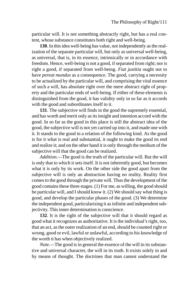particular will. It is not something abstractly right, but has a real content, whose substance constitutes both right and well-being.

**130**. In this idea well-being has value, not independently as the realization of the separate particular will, but only as universal well-being, as universal, that is, in its essence, intrinsically or in accordance with freedom. Hence, well-being is not a good, if separated from right; nor is right a good, if separated from well-being. *Fiat justitia* ought not to have *pereat mundus* as a consequence. The good, carrying a necessity to be actualized by the particular will, and comprising the vital essence of such a will, has absolute right over the mere abstract right of property and the particular ends of well-being. If either of these elements is distinguished from the good, it has validity only in so far as it accords with the good and subordinates itself to it.

**131**. The subjective will finds in the good the supremely essential, and has worth and merit only as its insight and intention accord with the good. In so far as the good in this place is still the abstract idea of the good, the subjective will is not yet carried up into it, and made one with it. It stands to the good in a relation of the following kind. As the good is for it what is real and substantial, it ought to make the good its end and realize it; and on the other hand it is only through the medium of the subjective will that the good can be realized.

*Addition.—*The good is the truth of the particular will. But the will is only that to which it sets itself. It is not inherently good, but becomes what it is only by its work. On the other side the good apart from the subjective will is only an abstraction having no reality. Reality first comes to the good through the private will. Thus the development of the good contains these three stages. (1) For me, as willing, the good should be particular will, and I should know it. (2) We should say what thing is good, and develop the particular phases of the good. (3) We determine the independent good, particularizing it as infinite and independent subjectivity. This inner determination is conscience.

**132**. It is the right of the subjective will that it should regard as good what it recognizes as authoritative. It is the individual's right, too, that an act, as the outer realization of an end, should be counted right or wrong, good or evil, lawful or unlawful, according to his knowledge of the worth it has when objectively realized.

*Note.—*The good is in general the essence of the will in its substantive and universal character, the will in its truth. It exists solely in and by means of thought. The doctrines that man cannot understand the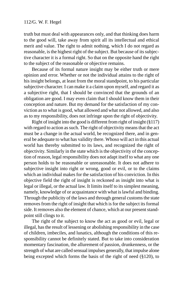truth but must deal with appearances only, and that thinking does harm to the good will, take away from spirit all its intellectual and ethical merit and value. The right to admit nothing, which I do not regard as reasonable, is the highest right of the subject. But because of its subjective character it is a formal right. So that on the opposite hand the right to the subject of the reasonable or objective remains.

Because of its formal nature insight may be either truth or mere opinion and error. Whether or not the individual attains to the right of his insight belongs, at least from the moral standpoint, to his particular subjective character. I can make it a claim upon myself, and regard it as a subjective right, that I should be convinced that the grounds of an obligation are good. I may even claim that I should know them in their conception and nature. But my demand for the satisfaction of my conviction as to what is good, what allowed and what not allowed, and also as to my responsibility, does not infringe upon the right of objectivity.

Right of insight into the good is different from right of insight (§117) with regard to action as such. The right of objectivity means that the act must be a change in the actual world, be recognized there, and in general be adequate to what has validity there. Whoso will act in this actual world has thereby submitted to its laws, and recognized the right of objectivity. Similarly in the state which is the objectivity of the conception of reason, legal responsibility does not adapt itself to what any one person holds to be reasonable or unreasonable. It does not adhere to subjective insight into right or wrong, good or evil, or to the claims which an individual makes for the satisfaction of his conviction. In this objective field the right of insight is reckoned as insight into what is legal or illegal, or the actual law. It limits itself to its simplest meaning, namely, knowledge of or acquaintance with what is lawful and binding. Through the publicity of the laws and through general customs the state removes from the right of insight that which is for the subject its formal side. It removes also the element of chance, which at our present standpoint still clings to it.

The right of the subject to know the act as good or evil, legal or illegal, has the result of lessening or abolishing responsibility in the case of children, imbeciles, and lunatics, although the conditions of this responsibility cannot be definitely stated. But to take into consideration momentary fascination, the allurement of passion, drunkenness, or the strength of what are called sensual impulses generally, that impulse alone being excepted which forms the basis of the right of need (§120), to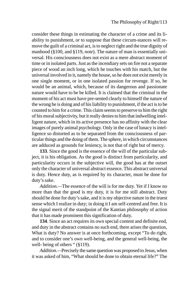consider these things in estimating the character of a crime and its liability to punishment, or to suppose that these circum-stances will remove the guilt of a criminal act, is to neglect right and the true dignity of manhood (§100, and §119, *note*). The nature of man is essentially universal. His consciousness does not exist as a mere abstract moment of time or in isolated parts. Just as the incendiary sets on fire not a separate piece of wood an inch long, which he touches with his match, but the universal involved in it, namely the house, so he does not exist merely in one single moment, or in one isolated passion for revenge. If so, he would be an animal, which, because of its dangerous and passionate nature would have to be be killed. It is claimed that the criminal in the moment of his act must have pre-sented clearly to himself the nature of the wrong he is doing and of his liability to punishment, if the act is to be counted to him for a crime. This claim seems to preserve to him the right of his moral subjectivity, but it really denies to him that indwelling intelligent nature, which in its active presence has no affinity with the clear images of purely animal psychology. Only in the case of lunacy is intelligence so distorted as to be separated from the consciousness of particular things and the doing of them. The sphere, in which circumstances are adduced as grounds for leniency, is not that of right but of mercy.

**133**. Since the good is the essence of the will of the particular subject, it is his obligation. As the good is distinct from particularity, and particularity occurs in the subjective will, the good has at the outset only the character of universal abstract essence. This abstract universal is duty. Hence duty, as is required by its character, must be done for duty's sake.

*Addition.—*The essence of the will is for me duty. Yet if I know no more than that the good is my duty, it is for me still abstract. Duty should be done for duty's sake, and it is my objective nature in the truest sense which I realize in duty; in doing it I am self-centred and free. It is the signal merit of the standpoint of the Kantian philosophy of action that it has made prominent this signification of duty.

**134**. Since an act requires its own special content and definite end, and duty in the abstract contains no such end, there arises the question, What is duty? No answer is at once forthcoming, except "To do right, and to consider one's own well-being, and the general well-being, the well- being of others " (§119).

*Addition.—*Precisely the same question was proposed to Jesus, when it was asked of him, "What should be done to obtain eternal life?" The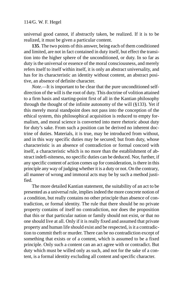universal good cannot, if abstractly taken, be realized. If it is to be realized, it must be given a particular content.

**135**. The two points of this answer, being each of them conditioned and limited, are not in fact contained in duty itself, but effect the transition into the higher sphere of the unconditioned, or duty. In so far as duty is the universal or essence of the moral consciousness, and merely refers itself to itself within itself, it is only an abstract universality, and has for its characteristic an identity without content, an abstract positive, an absence of definite character.

*Note.—*It is important to be clear that the pure unconditioned selfdirection of the will is the root of duty. This doctrine of volition attained to a firm basis and starting-point first of all in the Kantian philosophy through the thought of the infinite autonomy of the will (§133). Yet if this merely moral standpoint does not pass into the conception of the ethical system, this philosophical acquisition is reduced to empty formalism, and moral science is converted into mere rhetoric about duty for duty's sake. From such a position can be derived no inherent doctrine of duties. Materials, it is true, may be introduced from without, and in this way specific duties may be secured; but from duty, whose characteristic is an absence of contradiction or formal concord with itself, a characteristic which is no more than the establishment of abstract indefi-niteness, no specific duties can be deduced. Nor, further, if any specific content of action comes up for consideration, is there in this principle any way of judging whether it is a duty or not. On the contrary, all manner of wrong and immoral acts may be by such a method justified.

The more detailed Kantian statement, the suitability of an act to be presented as a universal rule, implies indeed the more concrete notion of a condition, but really contains no other principle than absence of contradiction, or formal identity. The rule that there should be no private property contains of itself no contradiction, nor does the proposition that this or that particular nation or family should not exist, or that no one should live at all. Only if it is really fixed and assumed that private property and human life should exist and be respected, is it a contradiction to commit theft or murder. There can be no contradiction except of something that exists or of a content, which is assumed to be a fixed principle. Only such a content can an act agree with or contradict. But duty which must be willed only as such, and not for the sake of a content, is a formal identity excluding all content and specific character.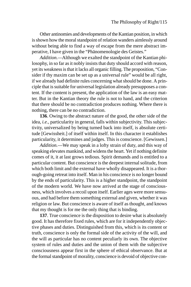Other antinomies and developments of the Kantian position, in which is shown how the moral standpoint of relation wanders aimlessly around without being able to find a way of escape from the mere abstract imperative, I have given in the "Phänomenologie des Geistes."

*Addition.—*Although we exalted the standpoint of the Kantian philosophy, in so far as it nobly insists that duty should accord with reason, yet its weakness is that it lacks all organic filling. The proposition, "Consider if thy maxim can be set up as a universal rule" would be all right, if we already had definite rules concerning what should be done. A principle that is suitable for universal legislation already presupposes a content. If the content is present, the application of the law is an easy matter. But in the Kantian theory the rule is not to hand, and the criterion that there should be no contradiction produces nothing. Where there is nothing, there can be no contradiction.

**136**. Owing to the abstract nature of the good, the other side of the idea, *i.e.,* particularity in general, falls within subjectivity. This subjectivity, universalized by being turned back into itself, is absolute certitude [Gewissheit.] of itself within itself. In this character it establishes particularity, it determines and judges. This is conscience. [Gewissen.]

*Addition.*—We may speak in a lofty strain of duty, and this way of speaking elevates mankind, and widens the heart. Yet if nothing definite comes of it, it at last grows tedious. Spirit demands and is entitled to a particular content. But conscience is the deepest internal solitude, from which both limit and the external have wholly disappeared. It is a thorough-going retreat into itself. Man in his conscience is no longer bound by the ends of particularity. This is a higher standpoint, the standpoint of the modern world. We have now arrived at the stage of consciousness, which involves a recoil upon itself. Earlier ages were more sensuous, and had before them something external and given, whether it was religion or law. But conscience is aware of itself as thought, and knows that my thought is for me the only thing that is binding.

**137**. True conscience is the disposition to desire what is absolutely good. It has therefore fixed rules, which are for it independently objective phases and duties. Distinguished from this, which is its content or truth, conscience is only the formal side of the activity of the will, and the will as particular has no content peculiarly its own. The objective system of rules and duties and the union of them with the subjective consciousness appear first in the sphere of ethical observance. But at the formal standpoint of morality, conscience is devoid of objective con-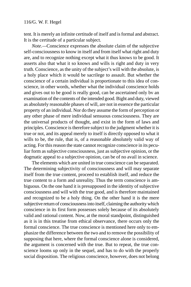tent. It is merely an infinite certitude of itself and is formal and abstract. It is the certitude of a particular subject.

*Note.—*Conscience expresses the absolute claim of the subjective self-consciousness to know in itself and from itself what right and duty are, and to recognize nothing except what it thus knows to be good. It asserts also that what it so knows and wills is right and duty in very truth. Conscience, as the unity of the subject's will with the absolute, is a holy place which it would be sacrilege to assault. But whether the conscience of a certain individual is proportionate to this idea of conscience, in other words, whether what the individual conscience holds and gives out to be good is really good, can be ascertained only bv an examination of the contents of the intended good. Bight and duty, viewed as absolutely reasonable phases of will, are not in essence the particular property of an individual. Nor do they assume the form of perception or any other phase of mere individual sensuous consciousness. They are the universal products of thought, and exist in the form of laws and principles. Conscience is therefore subject to the judgment whether it is true or not, and its appeal merely to itself is directly opposed to what it wills to be, the rule, that is, of a reasonable absolutely valid way of acting. For this reason the state cannot recognize conscience in its peculiar form as subjective consciousness, just as subjective opinion, or the dogmatic appeal to a subjective opinion, can be of no avail in science.

The elements which are united in true conscience can be separated. The determining subjectivity of consciousness and will may separate itself from the true content, proceed to establish itself, and reduce the true content to a form and unreality. Thus the term conscience is ambiguous. On the one hand it is presupposed in the identity of subjective consciousness and will with the true good, and is therefore maintained and recognized to be a holy thing. On the other hand it is the mere subjective return of consciousness into itself, claiming the authority which conscience in its first form possesses solely because of its absolutely valid and rational content. Now, at the moral standpoint, distinguished as it is in this treatise from ethical observance, there occurs only the formal conscience. The true conscience is mentioned here only to emphasize the difference between the two and to remove the possibility of supposing that here, where the formal conscience alone is considered, the argument is concerned with the true. But to repeat, the true conscience looms up only in the sequel, and has to do with the properly social disposition. The religious conscience, however, does not belong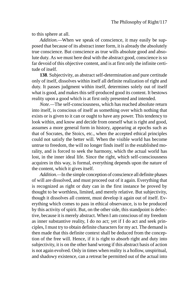to this sphere at all.

*Addition.—*When we speak of conscience, it may easily be supposed that because of its abstract inner form, it is already the absolutely true conscience. But conscience as true wills absolute good and absolute duty. As we must here deal with the abstract good, conscience is so far devoid of this objective content, and is at first only the infinite certitude of itself.

**138**. Subjectivity, as abstract self-determination and pure certitude only of itself, dissolves within itself all definite realization of right and duty. It passes judgment within itself, determines solely out of itself what is good, and makes this self-produced good its content. It bestows reality upon a good which is at first only presented and intended.

*Note.—*The self-consciousness, which has reached absolute return into itself, is conscious of itself as something over which nothing that exists or is given to it can or ought to have any power. This tendency to look within, and know and decide from oneself what is right and good, assumes a more general form in history, appearing at epochs such as that of Socrates, the Stoics, etc., when the accepted ethical principles could not satisfy the better will. When the visible world has become untrue to freedom, the will no longer finds itself in the established morality, and is forced to seek the harmony, which the actual world has lost, in the inner ideal life. Since the right, which self-consciousness acquires in this way, is formal, everything depends upon the nature of the content, which it gives itself.

*Addition.—*In the simple conception of conscience all definite phases of will are dissolved, and must proceed out of it again. Everything that is recognized as right or duty can in the first instance be proved by thought to be worthless, limited, and merely relative. But subjectivity, though it dissolves all content, must develop it again out of itself. Everything which comes to pass in ethical observance, is to be produced by this activity of spirit. But, on the other side, this standpoint is defective, because it is merely abstract. When I am conscious of my freedom as inner substantive reality, I do no act; yet if I do act and seek principles, I must try to obtain definite characters for my act. The demand is then made that this definite context shall be deduced from the conception of the free will. Hence, if it is right to absorb right and duty into subjectivity, it is on the other hand wrong if this abstract basis of action is not again evolved. Only in times when reality is a hollow, unspiritual, and shadowy existence, can a retreat be permitted out of the actual into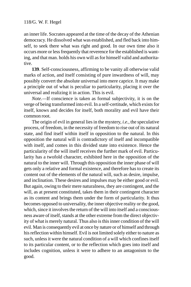an inner life. Socrates appeared at the time of the decay of the Athenian democracy. He dissolved what was established, and fled back into himself, to seek there what was right and good. In our own time also it occurs more or less frequently that reverence for the established is wanting, and that man. holds his own will as for himself valid and authoritative.

**139**. Self-consciousness, affirming to be vanity all otherwise valid marks of action, and itself consisting of pure inwardness of will, may possibly convert the absolute universal into mere caprice. It may make a principle out of what is peculiar to particularity, placing it over the universal and realizing it in action. This is evil.

*Note.—*If conscience is taken as formal subjectivity, it is on the verge of being transformed into evil. In a self-certitude, which exists for itself, knows and decides for itself, both morality and evil have their common root.

The origin of evil in general lies in the mystery, *i.e.,* the speculative process, of freedom, in the necessity of freedom to rise out of its natural state, and find itself within itself in opposition to the natural. In this opposition the natural will is contradictory of itself and incompatible with itself, and comes in this divided state into existence. Hence the particularity of the will itself receives the further mark of evil. Particularity has a twofold character, exhibited here in the opposition of the natural to the inner will. Through this opposition the inner phase of will gets only a relative and formal existence, and therefore has to create its content out of the elements of the natural will, such as desire, impulse, and inclination. These desires and impulses may be either good or evil. But again, owing to their mere naturalness, they are contingent, and the will, as at present constituted, takes them in their contingent character as its content and brings them under the form of particularity. It thus becomes opposed to universality, the inner objective reality or the good, which, since it involves the return of the will into itself and a consciousness aware of itself, stands at the other extreme from the direct objectivity of what is merely natural. Thus also is this inner condition of the will evil. Man is consequently evil at once by nature or of himself and through his reflection within himself. Evil is not limited solely either to nature as such, unless it were the natural condition of a will which confines itself to its particular content, or to the reflection which goes into itself and includes cognition, unless it were to adhere to an antagonism to the good.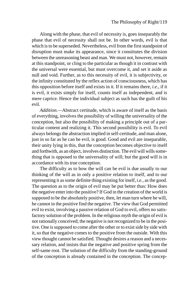Along with the phase, that evil of necessity is, goes inseparably the phase that evil of necessity shall not be. In other words, evil is that which is to be superseded. Nevertheless, evil from the first standpoint of disruption must make its appearance, since it constitutes the division between the unreasoning beast and man. We must not, however, remain at this standpoint, or cling to the particular as though it in contrast with the universal were essential, but must overcome it, and set it aside as null and void. Further, as to this necessity of evil, it is subjectivity, or the infinity constituted by the reflex action of consciousness, which has this opposition before itself and exists in it. If it remains there, *i.e.,* if it is evil, it exists simply for itself, counts itself as independent, and is mere caprice. Hence the individual subject as such has the guilt of his evil.

*Addition.—*Abstract certitude, which is aware of itself as the basis of everything, involves the possibility of willing the universality of the conception, but also the possibility of making a principle out of a particular content and realizing it. This second possibility is evil. To evil always belongs the abstraction implied in self-certitude, and man alone, just in so far as he can be evil, is good. Good and evil are inseparable, their unity lying in this, that the conception becomes objective to itself and forthwith, as an object, involves distinction. The evil will wills something that is opposed to the universality of will; but the good will is in accordance with its true conception.

The difficulty as to how the will can be evil is due usually to our thinking of the will as in only a positive relation to itself, and to our representing it as some definite thing existing for itself, *i.e.,* as the good. The question as to the origin of evil may be put better thus: How does the negative enter into the positive? If God in the creation of the world is supposed to be the absolutely positive, then, let man turn where he will, he cannot in the positive find the negative. The view that God permitted evil to exist, involving a passive relation of God to evil, offers no satisfactory solution of the problem. In the religious myth the origin of evil is not rationally conceived; the negative is not recognized to be in the positive. One is supposed to come after the other or to exist side by side with it, so that the negative comes to the positive from the outside. With this view thought cannot be satisfied. Thought desires a reason and a necessary relation, and insists that the negative and positive spring from the self-same root. The solution of the difficulty from the standing-ground of the conception is already contained in the conception. The concep-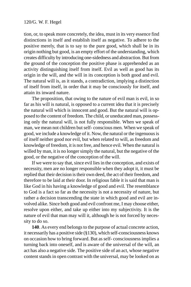#### 120/G. W. F. Hegel

tion, or, to speak more concretely, the idea, must in its very essence find distinctions in itself and establish itself as negative. To adhere to the positive merely, that is to say to the pure good, which shall be in its origin nothing but good, is an empty effort of the understanding, which creates difficulty by introducing one-sidedness and abstraction. But from the ground of the conception the positive phase is apprehended as an activity distinguishing itself from itself. Evil as well as good has its origin in the will, and the will in its conception is both good and evil. The natural will is, as it stands, a contradiction, implying a distinction of itself from itself, in order that it may be consciously for itself, and attain its inward nature.

The proposition, that owing to the nature of evil man is evil, in so far as his will is natural, is opposed to a current idea that it is precisely the natural will which is innocent and good. But the natural will is opposed to the content of freedom. The child, or uneducated man, possessing only the natural will, is not fully responsible. When we speak of man, we mean not children but self- conscious men. When we speak of good, we include a knowledge of it. Now, the natural or the ingenuous is of itself neither good nor evil, but when related to will, as freedom and knowledge of freedom, it is not free, and hence evil. When the natural is willed by man, it is no longer simply the natural, but the negative of the good, or the negative of the conception of the will.

If we were to say that, since evil lies in the conception, and exists of necessity, men are no longer responsible when they adopt it, it must be replied that their decision is their own deed, the act of their freedom, and therefore to be laid at their door. In religious fable it is said that man is like God in his having a knowledge of good and evil. The resemblance to God is a fact so far as the necessity is not a necessity of nature, but rather a decision transcending the state in which good and evil are involved alike. Since both good and evil confront me, I may choose either, resolve upon either, and take up either into my subjectivity. It is the nature of evil that man may will it, although he is not forced by necessity to do so.

**140**. As every end belongs to the purpose of actual concrete action, it necessarily has a positive side (§130), which self-consciousness knows on occasion how to bring forward. But as self- consciousness implies a turning back into oneself, and is aware of the universal of the will, an act has also a negative side. The positive side of an act, whose negative content stands in open contrast with the universal, may be looked on as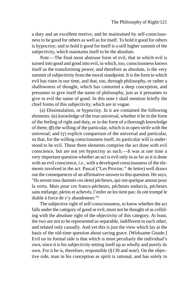a duty and an excellent motive, and be maintained by self-consciousness to be good for others as well as for itself. To hold it good for others is hypocrisy; and to hold it good for itself is a still higher summit of the subjectivity, which maintains itself to be the absolute.

*Note.—*The final most abstruse form of evil, that in which evil is turned into good and good into evil, in which, too, consciousness knows itself as the transforming power, and therefore as absolute, is the very summit of subjectivity from the moral standpoint. It is the form to which evil has risen in our time, and that, too, through philosophy, or rather a shallowness of thought, which has contorted a deep conception, and presumes to give itself the name of philosophy, just as it presumes to give to evil the name of good. In this note I shall mention briefly the chief forms of this subjectivity, which are in vogue.

(a) Dissimulation, or hypocrisy. In it are contained the following elements:  $(\alpha)$  knowledge of the true universal, whether it be in the form of the feeling of right and duty, or in the form of a thorough knowledge of them;  $(\beta)$  the willing of the particular, which is in open strife with the universal; and  $(y)$  explicit comparison of the universal and particular, so that, for the willing consciousness itself, its particular will is understood to be evil. These three elements comprise the act done with evil conscience, but are not yet hypocrisy as such.—It was at one time a very important question whether an act is evil only in as far as it is done with an evil conscience, *i.e.,* with a developed consciousness of the elements involved in the act. Pascal ("Les Provinc." 4e lettre) well draws out the consequences of an affirmative answer to this question. He says, "Ils seront tous damnés ces demi pécheurs, qui ont quelque amour pour la vertu. Mais pour ces francs-pécheurs, pécheurs endurcis, pécheurs sans mélange, pleins et achevés, l'enfer ne les tient pas: ils ont trompé le diable à force de s'y abandonner."6

The subjective right of self-consciousness, to know whether the act falls under the category of good or evil, must not be thought of as colliding with the absolute right of the objectivity of this category. At least, the two are not to be represented as separable, indifferent to each other, and related only casually. And yet this is just the view which lay at the basis of the old-time question about saving grace. [Wirksame Gnade.] Evil on its formal side is that which is most peculiarly the individual's own, since it is his subjectivity setting itself up as wholly and purely its own. For it he is, therefore, responsible (§139 and *note*). On the objective side, man in his conception as spirit is rational, and has solely in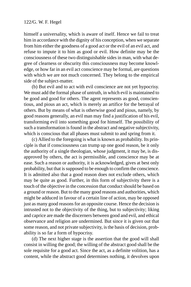#### 122/G. W. F. Hegel

himself a universality, which is aware of itself. Hence we fail to treat him in accordance with the dignity of his conception, when we separate from him either the goodness of a good act or the evil of an evil act, and refuse to impute it to him as good or evil. How definite may be the consciousness of these two distinguishable sides in man, with what degree of clearness or obscurity this consciousness may become knowledge, or how far in an evil act conscience may be formal, are questions with which we are not much concerned. They belong to the empirical side of the subject-matter.

(b) But evil and to act with evil conscience are not yet hypocrisy. We must add the formal phase of untruth, in which evil is maintained to be good and good for others. The agent represents as good, conscientious, and pious an act, which is merely an artifice for the betrayal of others. But by means of what is otherwise good and pious, namely, by good reasons generally, an evil man may find a justification of his evil, transforming evil into something good for himself. The possibility of such a transformation is found in the abstract and negative subjectivity, which is conscious that all phases must submit to and spring from it.

(c) Allied to the foregoing is what is known as probability. Its principle is that if consciousness can trump up one good reason, be it only the authority of a single theologian, whose judgment, it may be, is disapproved by others, the act is permissible, and conscience may be at ease. Such a reason or authority, it is acknowledged, gives at best only probability, but that is supposed to be enough to confirm the conscience. It is admitted also that a good reason does not exclude others, which may be quite as good. Further, in this form of subjectivity there is a touch of the objective in the concession that conduct should be based on a ground or reason. But to the many good reasons and authorities, which might be adduced in favour of a certain line of action, may be opposed just as many good reasons for an opposite course. Hence the decision is intrusted not to the objectivity of the thing, but to subjectivity; liking and caprice are made the discerners between good and evil, and ethical observance and religion are undermined. But since it is given out that some reason, and not private subjectivity, is the basis of decision, probability is so far a form of hypocrisy.

(d) The next higher stage is the assertion that the good will shall consist in willing the good; the willing of the abstract good shall be the sole requisite for a good act. Since the act, as a definite volition, has a content, while the abstract good determines nothing, it devolves upon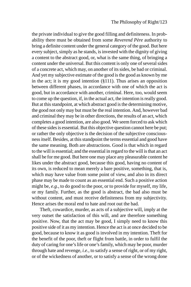the private individual to give the good filling and definiteness. In probability there must be obtained from some *Reverend Père* authority to bring a definite content under the general category of the good. But here every subject, simply as he stands, is invested with the dignity of giving a content to the abstract good, or, what is the same thing, of bringing a content under the universal. But this content is only one of several sides of a concrete act, which may, on another of its sides, be bad or criminal. And yet my subjective estimate of the good is the good as known by me in the act; it is my good intention (§111). Thus arises an opposition between different phases, in accordance with one of which the act is good, but in accordance with another, criminal. Here, too, would seem to come up the question, if, in the actual act, the intention is really good. But at this standpoint, at which abstract good is the determining motive, the good not only may but must be the real intention. And, however bad and criminal they may be in other directions, the results of an act, which completes a good intention, are also good. We seem forced to ask which of these sides is essential. But this objective question cannot here be put; or rather the only objective is the decision of the subjective consciousness itself. Besides, at this standpoint the terms essential and good have the same meaning. Both are abstractions. Good is that which in regard to the will is essential; and the essential in regard to the will is that an act shall be for me good. But here one may place any pleasurable content he likes under the abstract good, because this good, having no content of its own, is reduced to mean merely a bare positive, something, that is, which may have value from some point of view, and also in its direct phase may be made to count as an essential end. Such a positive action might be, *e.g.,* to do good to the poor, or to provide for myself, my life, or my family. Further, as the good is abstract, the bad also must be without content, and must receive definiteness from my subjectivity. Hence arises the moral end to hate and root out the bad.

Theft, cowardice, murder, as acts of a subjective will, imply at the very outset the satisfaction of this will, and are therefore something positive. Now, that the act may be good, I simply need to know this positive side of it as my intention. Hence the act is at once decided to be good, because to know it as good is involved in my intention. Theft for the benefit of the poor, theft or flight from battle, in order to fulfil the duty of caring for one's life or one's family, which may be poor, murder through hate and revenge, *i.e.,* to satisfy a sense of right, or of my right, or of the wickedness of another, or to satisfy a sense of the wrong done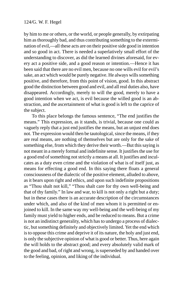by him to me or others, or the world, or people generally, by extirpating him as thoroughly bad, and thus contributing something to the extermination of evil,—all these acts are on their positive side good in intention and so good in act. There is needed a superlatively small effort of the understanding to discover, as did the learned divines aforesaid, for every act a positive side, and a good reason or intention.—Hence it has been said that there are no evil men, because no one wills evil for evil's sake, an act which would be purely negative. He always wills something positive, and therefore, from this point of vision, good. In this abstract good the distinction between good and evil, and all real duties also, have disappeared. Accordingly, merely to will the good, merely to have a good intention when we act, is evil because the willed good is an abstraction, and the ascertainment of what is good is left to the caprice of the subject.

To this place belongs the famous sentence, "The end justifies the means." This expression, as it stands, is trivial, because one could as vaguely reply that a just end justifies the means, but an unjust end does not. The expression would then be tautological, since the means, if they are real means, are nothing of themselves but are only for the sake of something else, from which they derive their worth.—But this saying is not meant in a merely formal and indefinite sense. It justifies the use for a good end of something not strictly a means at all. It justifies and inculcates as a duty even crime and the violation of what is of itself just, as means for effecting a good end. In this saying there floats a general consciousness of the dialectic of the positive element, alluded to above, as it bears upon right and ethics, and upon such indefinite propositions as "Thou shalt not kill," "Thou shalt care for thy own well-being and that of thy family." In law and war, to kill is not only a right but a duty; but in these cases there is an accurate description of the circumstances under which, and also of the kind of men whom it is permitted or enjoined to kill. In the same way my well-being and the well-being of my family must yield to higher ends, and be reduced to means. But a crime is not an indistinct generality, which has to undergo a process of dialectic, but something definitely and objectively limited. Yet the end which is to oppose this crime and deprive it of its nature, the holy and just end, is only the subjective opinion of what is good or better. Thus, here again the will holds to the abstract good; and every absolutely valid mark of the good and bad, of right and wrong, is superseded by and handed over to the feeling, opinion, and liking of the individual.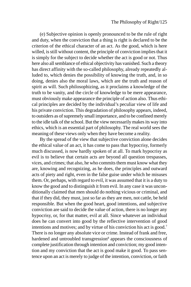(e) Subjective opinion is openly pronounced to be the rule of right and duty, when the conviction that a thing is right is declared to be the criterion of the ethical character of an act. As the good, which is here willed, is still without content, the principle of conviction implies that it is simply for the subject to decide whether the act is good or not. Thus here also all semblance of ethical objectivity has vanished. Such a theory has direct affinity with the so-called philosophy, already repeatedly alluded to, which denies the possibility of knowing the truth, and, in so doing, denies also the moral laws, which are the truth and reason of spirit as will. Such philosophizing, as it proclaims a knowledge of the truth to be vanity, and the circle of knowledge to be mere appearance, must obviously make appearance the principle of action also. Thus ethical principles are decided by the individual's peculiar view of life and his private conviction. This degradation of philosophy appears, indeed, to outsiders as of supremely small importance, and to be confined merely to the idle talk of the school. But the view necessarily makes its way into ethics, which is an essential part of philosophy. The real world sees the meaning of these views only when they have become a reality.

By the spread of the view that subjective conviction alone decides the ethical value of an act, it has come to pass that hypocrisy, formerly much discussed, is now hardly spoken of at all. To mark hypocrisy as evil is to believe that certain acts are beyond all question trespasses, vices, and crimes; that also, he who commits them must know what they are, knowing and recognizing, as he does, the principles and outward acts of piety and right, even in the false guise under which he misuses them. Or, perhaps, with regard to evil, it was assumed that it is a duty to know the good and to distinguish it from evil. In any case it was unconditionally claimed that men should do nothing vicious or criminal, and that if they did, they must, just so far as they are men, not cattle, be held responsible. But when the good heart, good intentions, and subjective conviction are said to decide the value of action, there is no longer any hypocrisy, or, for that matter, evil at all. Since whatever an individual does he can convert into good by the reflective intervention of good intentions and motives; and by virtue of his conviction his act is good.<sup>7</sup> There is no longer any absolute vice or crime. Instead of frank and free, hardened and untroubled transgression<sup>8</sup> appears the consciousness of complete justification through intention and conviction; my good intention and my conviction that the act is good make it good. To pass sentence upon an act is merely to judge of the intention, conviction, or faith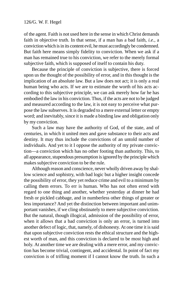of the agent. Faith is not used here in the sense in which Christ demands faith in objective truth. In that sense, if a man has a bad faith, *i.e.,* a conviction which is in its content evil, he must accordingly be condemned. But faith here means simply fidelity to conviction. When we ask if a man has remained true to his conviction, we refer to the merely formal subjective faith, which is supposed of itself to contain his duty.

Because the principle of conviction is subjective, there is forced upon us the thought of the possibility of error, and in this thought is the implication of an absolute law. But a law does not act; it is only a real human being who acts. If we are to estimate the worth of his acts according to this subjective principle, we can ask merely how far he has embodied the law in his conviction. Thus, if the acts are not to be judged and measured according to the law, it is not easy to perceive what purpose the law subserves. It is degraded to a mere external letter or empty word; and inevitably, since it is made a binding law and obligation only by my conviction.

Such a law may have the authority of God, of the state, and of centuries, in which it united men and gave substance to their acts and destiny. It may thus include the convictions of an untold number of individuals. And yet to it I oppose the authority of my private conviction—a conviction which has no other footing than authority. This, to all appearance, stupendous presumption is ignored by the principle which makes subjective conviction to be the rule.

Although reason and conscience, never wholly driven away by shallow science and sophistry, with bad logic but a higher insight concede the possibility of error, they yet reduce crime and evil to a minimum by calling them errors. To err is human. Who has not often erred with regard to one thing and another, whether yesterday at dinner he had fresh or pickled cabbage, and in numberless other things of greater or less importance? And yet the distinction between important and unimportant vanishes, if we cling obstinately to mere subjective conviction. But the natural, though illogical, admission of the possibility of error, when it allows that a bad conviction is only an error, is turned into another defect of logic, that, namely, of dishonesty. At one time it is said that upon subjective conviction rests the ethical structure and the highest worth of man, and this conviction is declared to be most high and holy. At another time we are dealing with a mere error, and my conviction has become trivial, contingent, and accidental. In point of fact my conviction is of trifling moment if I cannot know the truth. In such a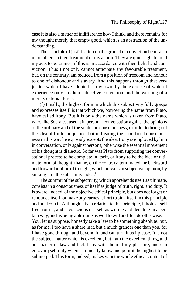case it is also a matter of indifference how I think, and there remains for my thought merely that empty good, which is an abstraction of the understanding.

The principle of justification on the ground of conviction bears also upon others in their treatment of my action. They are quite right to hold my acts to be crimes, if this is in accordance with their belief and conviction. Thus I not only cannot anticipate any favourable treatment, but, on the contrary, am reduced from a position of freedom and honour to one of dishonour and slavery. And this happens through that very justice which I have adopted as my own, by the exercise of which I experience only an alien subjective conviction, and the working of a merely external force.

(f) Finally, the highest form in which this subjectivity fully grasps and expresses itself, is that which we, borrowing the name from Plato, have called irony. But it is only the name which is taken from Plato, who, like Socrates, used it in personal conversation against the opinions of the ordinary and of the sophistic consciousness, in order to bring out the idea of truth and justice; but in treating the superficial consciousness in this way he expressly excepts the idea. Irony is employed by him in conversation, only against persons; otherwise the essential movement of his thought is dialectic. So far was Plato from supposing the conversational process to be complete in itself, or irony to be the idea or ultimate form of thought, that he, on the contrary, terminated the backward and forward motion of thought, which prevails in subjective opinion, by sinking it in the substantive idea.<sup>9</sup>

The summit of the subjectivity, which apprehends itself as ultimate, consists in a consciousness of itself as judge of truth, right, and duty. It is aware, indeed, of the objective ethical principle, but does not forget or renounce itself, or make any earnest effort to sink itself in this principle and act from it. Although it is in relation to this principle, it holds itself free from it, and is conscious of itself as willing and deciding in a certain way, and as being able quite as well to will and decide otherwise.— You, let us suppose, honestly take a law to be something absolute; but, as for me, I too have a share in it, but a much grander one than you, for I have gone through and beyond it, and can turn it as I please. It is not the subject-matter which is excellent, but I am the excellent thing, and am master of law and fact. I toy with them at my pleasure, and can enjoy myself only when I ironically know and permit the highest to be submerged. This form, indeed, makes vain the whole ethical content of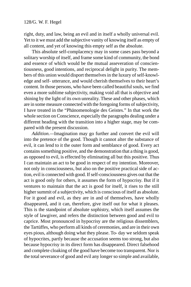right, duty, and law, being an evil and in itself a wholly universal evil. Yet to it we must add the subjective vanity of knowing itself as empty of all content, and yet of knowing this empty self as the absolute.

This absolute self-complacency may in some cases pass beyond a solitary worship of itself, and frame some kind of community, the bond and essence of which would be the mutual asseveration of conscientiousness, good intentions, and reciprocal delight in purity. The members of this union would disport themselves in the luxury of self-knowledge and self- utterance, and would cherish themselves to their heart's content. In those persons, who have been called beautiful souls, we find even a more sublime subjectivity, making void all that is objective and shining by the light of its own unreality. These and other phases, which are in some measure connected with the foregoing forms of subjectivity, I have treated in the "Phänomenologie des Geistes." In that work the whole section on Conscience, especially the paragraphs dealing under a different heading with the transition into a higher stage, may be compared with the present discussion.

*Addition.—*Imagination may go further and convert the evil will into the pretence of the good. Though it cannot alter the substance of evil, it can lend to it the outer form and semblance of good. Every act contains something positive, and the demonstration that a thing is good, as opposed to evil, is effected by eliminating all but this positive. Thus I can maintain an act to be good in respect of my intention. Moreover, not only in consciousness, but also on the positive practical side of action, evil is connected with good. If self-consciousness gives out that the act is good only for others, it assumes the form of hypocrisy. But if it ventures to maintain that the act is good for itself, it rises to the still higher summit of a subjectivity, which is conscious of itself as absolute. For it good and evil, as they are in and of themselves, have wholly disappeared, and it can, therefore, give itself out for what it pleases. This is the standpoint of absolute sophistry, which itself assumes the style of lawgiver, and refers the distinction between good and evil to caprice. Most pronounced in hypocrisy are the religious dissemblers, the Tartüffes, who perform all kinds of ceremonies, and are in their own eyes pious, although doing what they please. To- day we seldom speak of hypocrites, partly because the accusation seems too strong, but also because hypocrisy in its direct form has disappeared. Direct falsehood and complete cloaking of the good have become too transparent. Nor is the total severance of good and evil any longer so simple and available,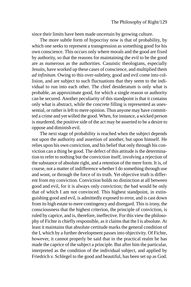since their limits have been made uncertain by growing culture.

The more subtle form of hypocrisy now is that of probability, by which one seeks to represent a transgression as something good for his own conscience. This occurs only where morals and the good are fixed by authority, so that the reasons for maintaining the evil to be the good are as numerous as the authorities. Casuistic theologians, especially Jesuits, have worked up these cases of conscience, and multiplied them *ad infinitum.* Owing to this over-subtlety, good and evil come into collision, and are subject to such fluctuations that they seem to the individual to run into each other. The chief desideratum is only what is probable, an approximate good, for which a single reason or authority can be secured. Another peculiarity of this standpoint is that it contains only what is abstract, while the concrete filling is represented as unessential, or rather is left to mere opinion. Thus anyone may have committed a crime and yet willed the good. When, for instance, a wicked person is murdered, the positive side of the act may be asserted to be a desire to oppose and diminish evil.

The next stage of probability is reached when the subject depends not upon the authority and assertion of another, but upon himself. He relies upon his own conviction, and his belief that only through his conviction can a thing be good. The defect of this attitude is the determination to refer to nothing but the conviction itself, involving a rejection of the substance of absolute right, and a retention of the mere form. It is, of course, not a matter of indifference whether I do something through use and wont, or through the force of its truth. Yet objective truth is different from my conviction. Conviction holds no distinction at all between good and evil, for it is always only conviction; the bad would be only that of which I am not convinced. This highest standpoint, in extinguishing good and evil, is admittedly exposed to error, and is cast down from its high estate to mere contingency and disregard. This is irony, the consciousness that the highest criterion, the principle of conviction, is ruled by caprice, and is, therefore, ineffective. For this view the philosophy of Fichte is chiefly responsible, as it claims that the I is absolute. At least it maintains that absolute certitude marks the general condition of the I, which by a further development passes into objectivity. Of Fichte, however, it cannot properly be said that in the practical realm he has made the caprice of the subject a principle. But after him the particular, interpreted as the condition of the individual subject, and applied by Friedrich v. Schlegel to the good and beautiful, has been set up as God.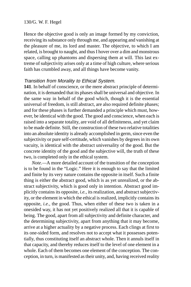### 130/G. W. F. Hegel

Hence the objective good is only an image formed by my conviction, receiving its substance only through me, and appearing and vanishing at the pleasure of me, its lord and master. The objective, to which I am related, is brought to naught, and thus I hover over a dim and monstrous space, calling up phantoms and dispersing them at will. This last extreme of subjectivity arises only at a time of high culture, where serious faith has crumbled away, and all things have become vanity.

## Transition from Morality to Ethical System.

**141**. In behalf of conscience, or the mere abstract principle of determination, it is demanded that its phases shall be universal and objective. In the same way in behalf of the good which, though it is the essential universal of freedom, is still abstract, are also required definite phases; and for these phases is further demanded a principle which must, however, be identical with the good. The good and conscience, when each is raised into a separate totality, are void of all definiteness, and yet claim to be made definite. Still, the construction of these two relative totalities into an absolute identity is already accomplished in germ, since even the subjectivity or pure self-certitude, which vanishes by degrees in its own vacuity, is identical with the abstract universality of the good. But the concrete identity of the good and the subjective will, the truth of these two, is completed only in the ethical system.

*Note.—*A more detailed account of the transition of the conception is to be found in the "Logic." Here it is enough to say that the limited and finite by its very nature contains the opposite in itself. Such a finite thing is either the abstract good, which is as yet unrealized, or the abstract subjectivity, which is good only in intention. Abstract good implicitly contains its opposite, *i.e.,* its realization, and abstract subjectivity, or the element in which the ethical is realized, implicitly contains its opposite, *i.e.,* the good. Thus, when either of these two is taken in a onesided way, it has not yet positively realized all that it is capable of being. The good, apart from all subjectivity and definite character, and the determining subjectivity, apart from anything that it may become, arrive at a higher actuality by a negative process. Each clings at first to its one-sided form, and resolves not to accept what it possesses potentially, thus constituting itself an abstract whole. Then it annuls itself in that capacity, and thereby reduces itself to the level of one element in a whole. Each of them becomes one element of the conception. The conception, in turn, is manifested as their unity, and, having received reality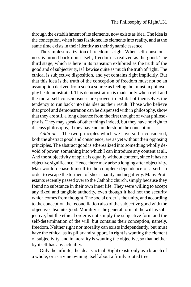through the establishment of its elements, now exists as idea. The idea is the conception, when it has fashioned its elements into reality, and at the same time exists in their identity as their dynamic essence.

The simplest realization of freedom is right. When self-consciousness is turned back upon itself, freedom is realized as the good. The third stage, which is here in its transition exhibited as the truth of the good and of subjectivity, is likewise quite as much the truth of right. The ethical is subjective disposition, and yet contains right implicitly. But that this idea is the truth of the conception of freedom must not be an assumption derived from such a source as feeling, but must in philosophy be demonstrated. This demonstration is made only when right and the moral self-consciousness are proved to exhibit of themselves the tendency to run back into this idea as their result. Those who believe that proof and demonstration can be dispensed with in philosophy, show that they are still a long distance from the first thought of what philosophy is. They may speak of other things indeed, but they have no right to discuss philosophy, if they have not understood the conception.

*Addition.—*The two principles which we have so far considered, both the abstract good and conscience, are as yet without their opposing principles. The abstract good is etherealized into something wholly devoid of power, something into which I can introduce any content at all. And the subjectivity of spirit is equally without content, since it has no objective significance. Hence there may arise a longing after objectivity. Man would debase himself to the complete dependence of a serf, in order to escape the torment of sheer inanity and negativity. Many Protestants recently passed over to the Catholic church, simply because they found no substance in their own inner life. They were willing to accept any fixed and tangible authority, even though it had not the security which comes from thought. The social order is the unity, and according to the conception the reconciliation also of the subjective good with the objective absolute good. Morality is the general form of the will as subjective; but the ethical order is not simply the subjective form and the self-determination of the will, but contains their conception, namely, freedom. Neither right nor morality can exists independently, but must have the ethical as its pillar and support. In right is wanting the element of subjectivity, and in morality is wanting the objective, so that neither by itself has any actuality.

Only the infinite, the idea is actual. Right exists only as a branch of a whole, or as a vine twining itself about a firmly rooted tree.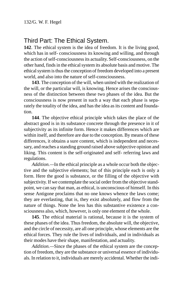# Third Part: The Ethical System.

**142**. The ethical system is the idea of freedom. It is the living good, which has in self- consciousness its knowing and willing, and through the action of self-consciousness its actuality. Self-consciousness, on the other hand, finds in the ethical system its absolute basis and motive. The ethical system is thus the conception of freedom developed into a present world, and also into the nature of self-consciousness.

**143**. The conception of the will, when united with the realization of the will, or the particular will, is knowing. Hence arises the consciousness of the distinction between these two phases of the idea. But the consciousness is now present in such a way that each phase is separately the totality of the idea, and has the idea as its content and foundation.

**144**. The objective ethical principle which takes the place of the abstract good is in its substance concrete through the presence in it of subjectivity as its infinite form. Hence it makes differences which are within itself, and therefore are due to the conception. By means of these differences, it obtains a sure content, which is independent and necessary, and reaches a standing ground raised above subjective opinion and liking. This content is the self-originated and self- referring laws and regulations.

*Addition.—*In the ethical principle as a whole occur both the objective and the subjective elements; but of this principle each is only a form. Here the good is substance, or the filling of the objective with subjectivity. If we contemplate the social order from the objective standpoint, we can say that man, as ethical, is unconscious of himself. In this sense Antigone proclaims that no one knows whence the laws come; they are everlasting, that is, they exist absolutely, and flow from the nature of things. None the less has this substantive existence a consciousness also, which, however, is only one element of the whole.

**145**. The ethical material is rational, because it is the system of these phases of the idea. Thus freedom, the absolute will, the objective, and the circle of necessity, are all one principle, whose elements are the ethical forces. They rule the lives of individuals, and in individuals as their modes have their shape, manifestation, and actuality.

*Addition.—*Since the phases of the ethical system are the conception of freedom, they are the substance or universal essence of individuals. In relation to it, individuals are merely accidental. Whether the indi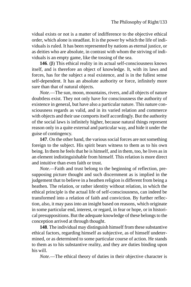vidual exists or not is a matter of indifference to the objective ethical order, which alone is steadfast. It is the power by which the life of individuals is ruled. It has been represented by nations as eternal justice, or as deities who are absolute, in contrast with whom the striving of individuals is an empty game, like the tossing of the sea.

**146**. (β) This ethical reality in its actual self-consciousness knows itself, and is therefore an object of knowledge. It, with its laws and forces, has for the subject a real existence, and is in the fullest sense self-dependent. It has an absolute authority or force, infinitely more sure than that of natural objects.

*Note.*—The sun, moon, mountains, rivers, and all objects of nature doubtless exist. They not only have for consciousness the authority of existence in general, but have also a particular nature. This nature consciousness regards as valid, and in its varied relation and commerce with objects and their use comports itself accordingly. But the authority of the social laws is infinitely higher, because natural things represent reason only in a quite external and particular way, and hide it under the guise of contingency.

**147**. On the other hand, the various social forces are not something foreign to the subject. His spirit bears witness to them as to his own being. In them he feels that he is himself, and in them, too, he lives as in an element indistinguishable from himself. This relation is more direct and intuitive than even faith or trust.

*Note.—*Faith and trust belong to the beginning of reflection, presupposing picture thought and such discernment as is implied in the judgement that to believe in a heathen religion is different from being a heathen. The relation, or rather identity without relation, in which the ethical principle is the actual life of self-consciousness, can indeed be transformed into a relation of faith and conviction. By further reflection, also, it may pass into an insight based on reasons, which originate in some particular end, interest, or regard, in fear or hope, or in historical presuppositions. But the adequate knowledge of these belongs to the conception arrived at through thought.

**148**. The individual may distinguish himself from these substantive ethical factors, regarding himself as subjective, as of himself undetermined, or as determined to some particular course of action. He stands to them as to his substantive reality, and they are duties binding upon his will.

*Note.*—The ethical theory of duties in their objective character is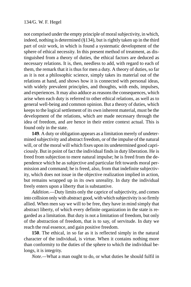not comprised under the empty principle of moral subjectivity, in which, indeed, nothing is determined (§134), but is rightly taken up in the third part of oxir work, in which is found a systematic development of the sphere of ethical necessity. In this present method of treatment, as distinguished from a theory of duties, the ethical factors are deduced as necessary relations. It is, then, needless to add, with regard to each of them, the remark that it is thus for men a duty. A theory of duties, so far as it is not a philosophic science, simply takes its material out of the relations at hand, and shows how it is connected with personal ideas, with widely prevalent principles, and thoughts, with ends, impulses, and experiences. It may also adduce as reasons the consequences, which arise when each duty is referred to other ethical relations, as well as to general well-being and common opinion. But a theory of duties, which keeps to the logical settlement of its own inherent material, must be the development of the relations, which are made necessary through the idea of freedom, and are hence in their entire context actual. This is found only in the state.

**149**. A duty or obligation appears as a limitation merely of undetermined subjectivity and abstract freedom, or of the impulse of the natural will, or of the moral will which fixes upon its undetermined good capriciously. But in point of fact the individual finds in duty liberation. He is freed from subjection to mere natural impulse; he is freed from the dependence which he as subjective and particular felt towards moral permission and command; he is freed, also, from that indefinite subjectivity, which does not issue in the objective realization implied in action, but remains wrapped up in its own unreality. In duty the individual freely enters upon a liberty that is substantive.

*Addition.*—Duty limits only the caprice of subjectivity, and comes into collision only with abstract good, with which subjectivity is so firmly allied. When men say we will to be free, they have in mind simply that abstract liberty, of which every definite organization in the state is regarded as a limitation. But duty is not a limitation of freedom, but only of the abstraction of freedom, that is to say, of servitude. In duty we reach the real essence, and gain positive freedom.

**150**. The ethical, in so far as it is reflected simply in the natural character of the individual, is virtue. When it contains nothing more than conformity to the duties of the sphere to which the individual belongs, it is integrity.

*Note.—*What a man ought to do, or what duties he should fulfil in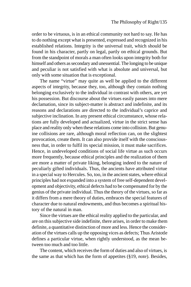order to be virtuous, is in an ethical community not hard to say. He has to do nothing except what is presented, expressed and recognized in his established relations. Integrity is the universal trait, which should be found in his character, partly on legal, partly on ethical grounds. But from the standpoint of morals a man often looks upon integrity both for himself and others as secondary and unessential. The longing to be unique and peculiar is not satisfied with what is absolute and universal, but only with some situation that is exceptional.

The name "virtue" may quite as well be applied to the different aspects of integrity, because they, too, although they contain nothing belonging exclusively to the individual in contrast with others, are yet his possession. But discourse about the virtues easily passes into mere declamation, since its subject-matter is abstract and indefinite, and its reasons and declarations are directed to the individual's caprice and subjective inclination. In any present ethical circumstance, whose relations are fully developed and actualized, virtue in the strict sense has place and reality only when these relations come into collision. But genuine collisions are rare, although moral reflection can, on the slightest provocation, create them. It can also provide itself with the consciousness that, in order to fulfil its special mission, it must make sacrifices. Hence, in undeveloped conditions of social life virtue as such occurs more frequently, because ethical principles and the realization of them are more a matter of private liking, belonging indeed to the nature of peculiarly gifted individuals. Thus, the ancients have attributed virtue in a special way to Hercules. So, too, in the ancient states, where ethical principles had not expanded into a system of free self-dependent development and objectivity, ethical defects had to be compensated for by the genius of the private individual. Thus the theory of the virtues, so far as it differs from a mere theory of duties, embraces the special features of character due to natural endowments, and thus becomes a spiritual history of the natural in man.

Since the virtues are the ethical reality applied to the particular, and are on this subjective side indefinite, there arises, in order to make them definite, a quantitative distinction of more and less. Hence the consideration of the virtues calls up the opposing vices as defects; Thus Aristotle defines a particular virtue, when rightly understood, as the mean between too much and too little.

The content, which receives the form of duties and also of virtues, is the same as that which has the form of appetites (§19, *note*). Besides,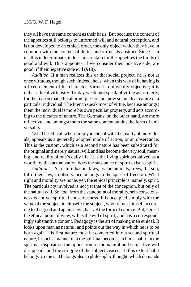they all have the same content as their basis. But because the content of the appetites still belongs to unformed will and natural perception, and is not developed to an ethical order, the only object which they have in common with the content of duties and virtues is abstract. Since it in itself is indeterminate, it does not contain for the appetites the limits of good and evil. Thus appetites, if we consider their positive side, are good, if their negative side evil (§18).

*Addition.* If a man realizes this or that social project, he is not at once virtuous, though such, indeed, he is, when this way of behaving is a fixed element of his character. Virtue is not wholly objective; it is rather ethical virtuosity. To-day we do not speak of virtue as formerly, for the reason that ethical principles are not now so much a feature of a particular individual. The French speak most of virtue, because amongst them the individual is more his own peculiar property, and acts according to the dictates of nature. The Germans, on the other hand, are more reflective, and amongst them the same content attains the form of universality.

**151**. The ethical, when simply identical with the reality of individuals, appears as a generally adopted mode of action, or an observance. This is the custom, which as a second nature has been substituted for the original and merely natural will, and has become the very soul, meaning, and reality of one's daily life. It is the living spirit actualized as a world; by this actualization does the substance of spirit exist as spirit.

*Addition.—*As nature has its laws, as the animals, trees, the sun, fulfil their law, so observance belongs to the spirit of freedom. What right and morality are not as yet, the ethical principle is, namely, spirit. The particularity involved is not yet that of the conception, but only of the natural will. So, too, from the standpoint of morality, self-consciousness is not yet spiritual consciousness. It is occupied simply with the value of the subject in himself; the subject, who frames himself according to the good and against evil, has yet the form of caprice. But, here at the ethical point of view, will is the will of spirit, and has a correspondingly substantive content. Pedagogy is the art of making men ethical. It looks upon man as natural, and points out the way in which he is to be born again. His first nature must be converted into a second spiritual nature, in such a manner that the spiritual becomes in him a habit. In the spiritual disposition the opposition of the natural and subjective will disappears, and the struggle of the subject ceases. To this extent habit belongs to ethics. It belongs also to philosophic thought, which demands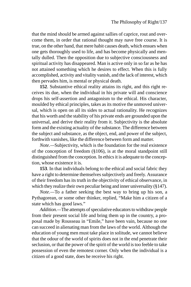that the mind should be armed against sallies of caprice, rout and overcome them, in order that rational thought may nave free course. It is true, on the other hand, that mere habit causes death, which ensues when one gets thoroughly used to life, and has become physically and mentally dulled. Then the opposition due to subjective consciousness and spiritual activity has disappeared. Man is active only in so far as he has not attained something which he desires to effect. When this is fully accomplished, activity and vitality vanish, and the lack of interest, which then pervades him, is mental or physical death.

**152**. Substantive ethical reality attains its right, and this right receives its due, when the individual in his private will and conscience drops his self-assertion and antagonism to the ethical. His character, moulded by ethical principles, takes as its motive the unmoved universal, which is open on all its sides to actual rationality. He recognizes that his worth and the stability of his private ends are grounded upon the universal, and derive their reality from it. Subjectivity is the absolute form and the existing actuality of the substance. The difference between the subject and substance, as the object, end, and power of the subject, forthwith vanishes, like the difference between form and matter.

*Note.—*Subjectivity, which is the foundation for the real existence of the conception of freedom (§106), is at the moral standpoint still distinguished from the conception. In ethics it is adequate to the conception, whose existence it is.

**153**. In that individuals belong to the ethical and social fabric they have a right to determine themselves subjectively and freely. Assurance of their freedom has its truth in the objectivity of ethical observance, in which they realize their own peculiar being and inner universality (§147).

*Note.—*To a father seeking the best way to bring up his son, a Pythagorean, or some other thinker, replied, "Make him a citizen of a state which has good laws."

*Addition.—*The attempts of speculative educators to withdraw people from their present social life and bring them up in the country, a proposal made by Rousseau in "Emile," have been vain, because no one can succeed in alienating man from the laws of the world. Although the education of young men must take place in solitude, we cannot believe that the odour of the world of spirits does not in the end penetrate their seclusion, or that the power of the spirit of the world is too feeble to take possession of even the remotest corner. Only when the individual is a citizen of a good state, does he receive his right.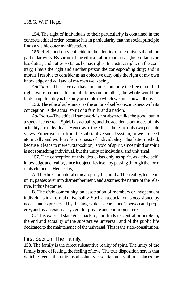## 138/G. W. F. Hegel

**154**. The right of individuals to their particularity is contained in the concrete ethical order, because it is in particularity that the social principle finds a visible outer manifestation.

**155**. Right and duty coincide in the identity of the universal and the particular wills. By virtue of the ethical fabric man has rights, so far as he has duties, and duties so far as he has rights. In abstract right, on the contrary, I have the right and another person the corresponding duty; and in morals I resolve to consider as an objective duty only the right of my own knowledge and will and of my own well-being.

*Addition.—*The slave can have no duties, but only the free man. If all rights were on one side and all duties on the other, the whole would be broken up. Identity is the only principle to which we must now adhere.

**156**. The ethical substance, as the union of self-consciousness with its conception, is the actual spirit of a family and a nation.

*Addition.—*The ethical framework is not abstract like the good, but in a special sense real. Spirit has actuality, and the accidents or modes of this actuality are individuals. Hence as to the ethical there are only two possible views. Either we start from the substantive social system, or we proceed atomically and work up from a basis of individuality. This latter method, because it leads to mere juxtaposition, is void of spirit, since mind or spirit is not something individual, but the unity of individual and universal.

**157**. The conception of this idea exists only as spirit, as active selfknowledge and reality, since it objectifies itself by passing through the form of its elements. Hence it is,

A. The direct or natural ethical spirit, the family. This reality, losing its unity, passes over into dismemberment, and assumes the nature of the relative. It thus becomes

B. The civic community, an association of members or independent individuals in a formal universality. Such an association is occasioned by needs, and is preserved by the law, which secures one's person and property, and by an external system for private and common interests.

C. This external state goes back to, and finds its central principle in, the end and actuality of the substantive universal, and of the public life dedicated to the maintenance of the universal. This is the state-constitution.

## First Section: The Family.

**158**. The family is the direct substantive reality of spirit. The unity of the family is one of feeling, the feeling of love. The true disposition here is that which esteems the unity as absolutely essential, and within it places the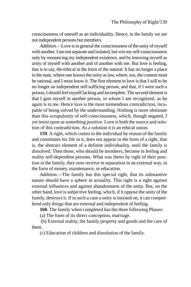consciousness of oneself as an individuality. Hence, in the family we are not independent persons but members.

*Addition.—*Love is in general the consciousness of the unity of myself with another. I am not separate and isolated, but win my self-consciousness only by renouncing my independent existence, and by knowing myself as unity of myself with another and of another with me. But love is feeling, that is to say, the ethical in the form of the natural. It has no longer a place in the state, where one knows the unity as law, where, too, the content must be rational, and I must know it. The first element in love is that I will to be no longer an independent self-sufficing person, and that, if I were such a person, I should feel myself lacking and incomplete. The second element is that I gain myself in another person, in whom I am recognized, as he again is in me. Hence love is the most tremendous contradiction, incapable of being solved by the understanding. Nothing is more obstinate than this scrupulosity of self-consciousness, which, though negated, I yet insist upon as something positive. Love is both the source and solution of this contradiction. As a solution it is an ethical union.

**159**. A right, which comes to the individual by reason of the family and constitutes his life in it, does not appear in the form of a right, that is, the abstract element of a definite individuality, until the family is dissolved. Then those, who should be members, become in feeling and reality self-dependent persons. What was theirs by right of their position in the family, they now receive in separation in an external way, in the form of money, maintenance, or education.

*Addition.—*The family has this special right, that its substantive nature should have a sphere in actuality. This right is a right against external influences and against abandonment of the unity. But, on the other hand, love is subjective feeling, which, if it oppose the unity of the family, destroys it. If in such a case a unity is insisted on, it can comprehend only things that are external and independent of feeling.

**160**. The family when completed has the three following Phases:

(a) The form of its direct conception, marriage.

 (b) External reality, the family property and goods and the care of them.

(c) Education of children and dissolution of the family.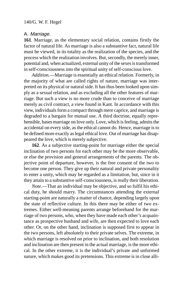#### A. Marriage.

**161**. Marriage, as the elementary social relation, contains firstly the factor of natural life. As marriage is also a substantive fact, natural life must be viewed, in its totality as the realization of the species, and the process which the realization involves. But, secondly, the merely inner, potential and, when actualized, external unity of the sexes is transformed in self-consciousness into the spiritual unity of self-conscious love.

*Addition.*—Marriage is essentially an ethical relation. Formerly, in the majority of what are called rights of nature, marriage was interpreted on its physical or natural side. It has thus been looked upon simply as a sexual relation, and as excluding all the other features of marriage. But such a view is no more crude than to conceive of marriage merely as civil contract, a view found in Kant. In accordance with this view, individuals form a compact through mere caprice, and marriage is degraded to a bargain for mutual use. A third doctrine, equally reprehensible, bases marriage on love only. Love, which is feeling, admits the accidental on every side, as the ethical cannot do. Hence, marriage is to be defined more exactly as legal ethical love. Out of marriage has disappeared the love, which is merely subjective.

**162**. As a subjective starting-point for marriage either the special inclination of two persons for each other may be the more observable, or else the provision and general arrangements of the parents. The objective point of departure, however, is the free consent of the two to become one person. They give up their natural and private personality to enter a unity, which may be regarded as a limitation, but, since in it they attain to a substantive self-consciousness, is really their liberation.

*Note.*—That an individual may be objective, and so fulfil his ethical duty, he should marry. The circumstances attending the external starting-point are naturally a matter of chance, depending largely upon the state of reflective culture. In this there may be either of two extremes. Either well-meaning parents arrange beforehand for the marriage of two persons, who, when they have made each other's acquaintance as prospective husband and wife, are then expected to love each other. Or, on the other hand, inclination is supposed first to appear in the two persons, left absolutely to their private selves. The extreme, in which marriage is resolved on prior to inclination, and both resolution and inclination are then present in the actual marriage, is the more ethical. In the other extreme, it is the individual's private and unformed nature, which makes good its pretensions. This extreme is in close alli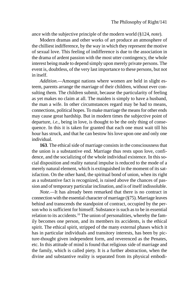ance with the subjective principle of the modern world (§124, *note*).

Modern dramas and other works of art produce an atmosphere of the chilliest indifference, by the way in which they represent the motive of sexual love. This feeling of indifference is due to the association in the drama of ardent passion with the most utter contingency, the whole interest being made to depend simply upon merely private persons. The event is, doubtless, of the very last importance to these persons, but not in itself.

*Addition.—*Amongst nations where women are held in slight esteem, parents arrange the marriage of their children, without ever consulting them. The children submit, because the particularity of feeling as yet makes no claim at all. The maiden is simply to have a husband, the man a wife. In other circumstances regard may be had to means, connections, political hopes. To make marriage the means for other ends may cause great hardship. But in modern times the subjective point of departure, *i.e.,* being in love, is thought to be the only thing of consequence. In this it is taken for granted that each one must wait till his hour has struck, and that he can bestow his love upon one and only one individual.

**163**. The ethical side of marriage consists in the consciousness that the union is a substantive end. Marriage thus rests upon love, confidence, and the socializing of the whole individual existence. In this social disposition and reality natural impulse is reduced to the mode of a merely natural element, which is extinguished in the moment of its satisfaction. On the other hand, the spiritual bond of union, when its right as a substantive fact is recognized, is raised above the chances of passion and of temporary particular inclination, and is of itself indissoluble.

*Note.—*It has already been remarked that there is no contract in connection with the essential character of marriage (§75). Marriage leaves behind and transcends the standpoint of contract, occupied by the person who is sufficient for himself. Substance is such as to be in essential relation to its accidents.10 The union of personalities, whereby the family becomes one person, and its members its accidents, is the ethical spirit. The ethical spirit, stripped of the many external phases which it has in particular individuals and transitory interests, has been by picture-thought given independent form, and reverenced as the Penates, etc. In this attitude of mind is found that religious side of marriage and the family, which is called piety. It is a further abstraction, when the divine and substantive reality is separated from its physical embodi-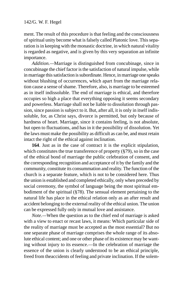ment. The result of this procedure is that feeling and the consciousness of spiritual unity become what is falsely called Platonic love. This separation is in keeping with the monastic doctrine, in which natural vitality is regarded as negative, and is given by this very separation an infinite importance.

*Addition.—*Marriage is distinguished from concubinage, since in concubinage the chief factor is the satisfaction of natural impulse, while in marriage this satisfaction is subordinate. Hence, in marriage one speaks without blushing of occurrences, which apart from the marriage relation cause a sense of shame. Therefore, also, is marriage to be esteemed as in itself indissoluble. The end of marriage is ethical, and therefore occupies so high a place that everything opposing it seems secondary and powerless. Marriage shall not be liable to dissolution through passion, since passion is subject to it. But, after all, it is only in itself indissoluble, for, as Christ says, divorce is permitted, but only because of hardness of heart. Marriage, since it contains feeling, is not absolute, but open to fluctuations, and has in it the possibility of dissolution. Yet the laws must make the possibility as difficult as can be, and must retain intact the right of the ethical against inclination.

**164**. Just as in the case of contract it is the explicit stipulation, which constitutes the true transference of property (§79), so in the case of the ethical bond of marriage the public celebration of consent, and the corresponding recognition and acceptance of it by the family and the community, constitute its consummation and reality. The function of the church is a separate feature, which is not to be considered here. Thus the union is established and completed ethically, only when preceded by social ceremony, the symbol of language being the most spiritual embodiment of the spiritual (§78). The sensual element pertaining to the natural life has place in the ethical relation only as an after result and accident belonging to the external reality of the ethical union. The union can be expressed fully only in mutual love and assistance.

*Note.—*When the question as to the chief end of marriage is asked with a view to enact or recast laws, it means: Which particular side of the reality of marriage must be accepted as the most essential? But no one separate phase of marriage comprises the whole range of its absolute ethical content; and one or other phase of its existence may be wanting without injury to its essence.—In the celebration of marriage the essence of the union is clearly understood to be an ethical principle, freed from theaccidents of feeling and private inclination. If the solem-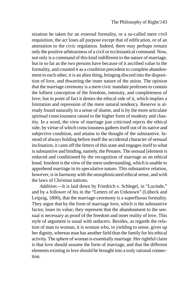nization be taken for an external formality, or a so-called mere civil requisition, the act loses all purpose except that of edification, or of an attestation to the civic regulation. Indeed, there may perhaps remain only the positive arbitrariness of a civil or ecclesiastical command. Now, not only is a command of this kind indifferent to the nature of marriage, but in so far as the two persons have because of it ascribed value to the formality, and counted it as a condition precedent to complete abandonment to each other, it is an alien thing, bringing discord into the disposition of love, and thwarting the inner nature of the union. The opinion that the marriage ceremony is a mere civic mandate professes to contain the loftiest conception of the freedom, intensity, and completeness of love; but in point of fact it denies the ethical side of it, which implies a limitation and repression of the mere natural tendency. Reserve is already found naturally in a sense of shame, and is by the more articulate spiritual consciousness raised to the higher form of modesty and chastity. In a word, the view of marriage just criticised rejects the ethical side, by virtue of which consciousness gathers itself out of its native and subjective condition, and attains to the thought of the substantive. Instead of always holding before itself the accidental character of sensual inclination, it casts off the fetters of this state and engages itself to what is substantive and binding, namely, the Penates. The sensual [element is reduced and conditioned by the recognition of marriage as an ethical bond. Insolent is the view of the mere understanding, which is unable to apprehend marriage in its speculative nature. This substantive relation, however, is in harmony with the unsophisticated ethical sense, and with the laws of Christian nations.

*Addition.—*It is laid down by Friedrich v. Schlegel, in "Lucinde," and by a follower of his in the "Letters of an Unknown" (Lübeck and Leipzig, 1800), that the marriage-ceremony is a superfluous formality. They argue that by the form of marriage love, which is the substantive factor, loses its value; they represent that the abandonment to the sensual is necessary as proof of the freedom and inner reality of love. This style of argument is usual with seducers. Besides, as regards the relation of man to woman, it is woman who, in yielding to sense, gives up her dignity, whereas man has another field than the family for his ethical activity. The sphere of woman is essentially marriage. Her rightful claim is that love should assume the form of marriage, and that the different elements existing in love should be brought into a truly rational connection.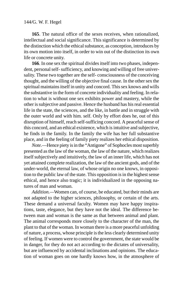**165**. The natural office of the sexes receives, when rationalized, intellectual and social significance. This significance is determined by the distinction which the ethical substance, as conception, introduces by its own motion into itself, in order to win out of the distinction its own life or concrete unity.

**166**. In one sex the spiritual divides itself into two phases, independent, personal self- sufficiency, and knowing and willing of free universality. These two together are the self- consciousness of the conceiving thought, and the willing of the objective final cause. In the other sex the spiritual maintains itself in unity and concord. This sex knows and wills the substantive in the form of concrete individuality and feeling. In relation to what is without one sex exhibits power and mastery, while the other is subjective and passive. Hence the husband has his real essential life in the state, the sciences, and the like, in battle and in struggle with the outer world and with him. self. Only by effort does he, out of this disruption of himself, reach self-sufficing concord. A peaceful sense of this concord, and an ethical existence, which is intuitive and subjective, he finds in the family. In the family the wife has her full substantive place, and in the feeling of family piety realizes her ethical disposition.

*Note.*—Hence piety is in the "Antigone" of Sophocles most superbly presented as the law of the woman, the law of the nature, which realizes itself subjectively and intuitively, the law of an inner life, which has not yet attained complete realization, the law of the ancient gods, and of the under-world, the eternal law, of whose origin no one knows, in opposition to the public law of the state. This opposition is in the highest sense ethical, and hence also tragic; it is individualized in the opposing natures of man and woman.

*Addition.—*Women can, of course, be educated, but their minds are not adapted to the higher sciences, philosophy, or certain of the arts. These demand a universal faculty. Women may have happy inspirations, taste, elegance, but they have not the ideal. The difference between man and woman is the same as that between animal and plant. The animal corresponds more closely to the character of the man, the plant to that of the woman. In woman there is a more peaceful unfolding of nature, a process, whose principle is the less clearly determined unity of feeling. If women were to control the government, the state would be in danger, for they do not act according to the dictates of universality, but are influenced by accidental inclinations and opinions. The education of woman goes on one hardly knows how, in the atmosphere of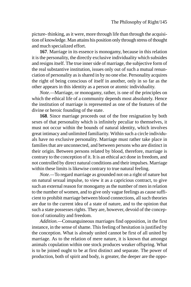picture- thinking, as it were, more through life than through the acquisition of knowledge. Man attains his position only through stress of thought and much specialized effort.

**167**. Marriage in its essence is monogamy, because in this relation it is the personality, the directly exclusive individuality which subsides and resigns itself. The true inner side of marriage, the subjective form of the real substantive institution, issues only out of such a mutual renunciation of personality as is shared in by no one else. Personality acquires the right of being conscious of itself in another, only in so far as the other appears in this identity as a person or atomic individuality.

*Note.—*Marriage, or monogamy, rather, is one of the principles on which the ethical life of a community depends most absolutely. Hence the institution of marriage is represented as one of the features of the divine or heroic founding of the state.

**168**. Since marriage proceeds out of the free resignation by both sexes of that personality which is infinitely peculiar to themselves, it must not occur within the bounds of natural identity, which involves great intimacy and unlimited familiarity. Within such a circle individuals have no exclusive personality. Marriage must rather take place in families that are unconnected, and between persons who are distinct in their origin. Between persons related by blood, therefore, marriage is contrary to the conception of it. It is an ethical act done in freedom, and not controlled by direct natural conditions and their impulses. Marriage within these limits is likewise contrary to true natural feeling.

*Note.—*To regard marriage as grounded not on a right of nature but on natural sexual impulse, to view it as a capricious contract, to give such an external reason for monogamy as the number of men in relation to the number of women, and to give only vague feelings as cause sufficient to prohibit marriage between blood connections, all such theories are due to the current idea of a state of nature, and to the opinion that such a state possesses rights. They are, however, devoid of the conception of rationality and freedom.

*Addition.—*Consanguineous marriages find opposition, in the first instance, in the sense of shame. This feeling of hesitation is justified by the conception. What is already united cannot be first of all united by marriage. As to the relation of mere nature, it is known that amongst animals copulation within one stock produces weaker offspring. What is to be joined ought to be at first distinct and separate. The power of production, both of spirit and body, is greater, the deeper are the oppo-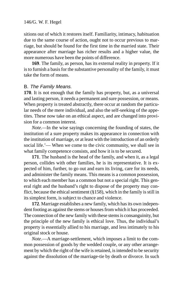sitions out of which it restores itself. Familiarity, intimacy, habituation due to the same course of action, ought not to occur previous to marriage, but should be found for the first time in the married state. Their appearance after marriage has richer results and a higher value, the more numerous have been the points of difference.

**169**. The family, as person, has its external reality in property. If it is to furnish a basis for the substantive personality of the family, it must take the form of means.

# B. The Family Means.

**170**. It is not enough that the family has property, but, as a universal and lasting person, it needs a permanent and sure possession, or means. When property is treated abstractly, there occur at random the particular needs of the mere individual, and also the self-seeking of the appetites. These now take on an ethical aspect, and are changed into provision for a common interest.

*Note.—*In the wise sayings concerning the founding of states, the institution of a sure property makes its appearance in connection with the institution of marriage, or at least with the introduction of an orderly social life.'— When we come to the civic community, we shall see in what family competence consists, and how it is to be secured.

**171**. The husband is the head of the family, and when it, as a legal person, collides with other families, he is its representative. It is expected of him, further, to go out and earn its living, care for its needs, and administer the family means. This means is a common possession, to which each member has a common but not a special right. This general right and the husband's right to dispose of the property may conflict, because the ethical sentiment (§158), which in the family is still in its simplest form, is subject to chance and violence.

**172**. Marriage establishes a new family, which has its own independent footing as against the stems or houses from which it has proceeded. The connection of the new family with these stems is consanguinity, but the principle of the new family is ethical love. Thus, the individual's property is essentially allied to his marriage, and less intimately to his original stock or house.

*Note.*—A marriage-settlement, which imposes a limit to the common possession of goods by the wedded couple, or any other arrangement by which the right of the wife is retained, is intended to be security against the dissolution of the marriage-tie by death or divorce. In such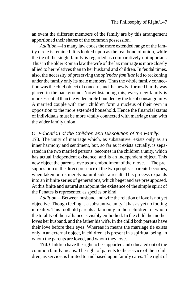an event the different members of the family are by this arrangement apportioned their shares of the common possession.

*Addition.—*In many law codes the more extended range of the family circle is retained. It is looked upon as the real bond of union, while the tie of the single family is regarded as comparatively unimportant. Thus in the older Roman law the wife of the lax marriage is more closely allied to her relatives than to her husband and children. In feudal times, also, the necessity of preserving the *splendor familiae* led to reckoning under the family only its male members. Thus the whole family connection was the chief object of concern, and the newly- formed family was placed in the background. Notwithstanding this, every new family is more essential than the wider circle bounded by the tie of consanguinity. A married couple with their children form a nucleus of their own in opposition to the more extended household. Hence the financial status of individuals must be more vitally connected with marriage than with the wider family union.

# C. Education of the Children and Dissolution of the Family.

**173**. The unity of marriage which, as substantive, exists only as an inner harmony and sentiment, but, so far as it exists actually, is separated in the two married persons, becomes in the children a unity, which has actual independent existence, and is an independent object. This new object the parents love as an embodiment of their love.— The presupposition of the direct presence of the two people as parents becomes, when taken on its merely natural side, a result. This process expands into an infinite series of generations, which beget and are presupposed. At this finite and natural standpoint the existence of the simple spirit of the Penates is represented as species or kind.

*Addition.—*Between husband and wife the relation of love is not yet objective. Though feeling is a substantive unity, it has as yet no footing in reality. This foothold parents attain only in their children, in whom the totality of their alliance is visibly embodied. In the child the mother loves her husband, and the father his wife. In the child both parents have their love before their eyes. Whereas in means the marriage tie exists only in an external object, in children it is present in a spiritual being, in whom the parents are loved, and whom they love.

**174**. Children have the right to be supported and educated out of the common family means. The right of parents to the service of their children, as service, is limited to and based upon family cares. The right of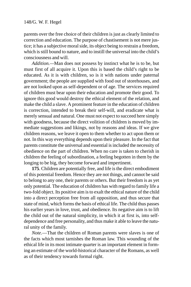parents over the free choice of their children is just as clearly limited to correction and education. The purpose of chastisement is not mere justice; it has a subjective moral side, its object being to restrain a freedom, which is still bound to nature, and to instill the universal into the child's consciousness and will.

*Addition.—*Man does not possess by instinct what he is to be, but must first of all acquire it. Upon this is based the child's right to be educated. As it is with children, so is it with nations under paternal government; the people are supplied with food out of storehouses, and are not looked upon as self-dependent or of age. The services required of children must bear upon their education and promote their good. To ignore this good would destroy the ethical element of the relation, and make the child a slave. A prominent feature in the education of children is correction, intended to break their self-will, and eradicate what is merely sensual and natural. One must not expect to succeed here simply with goodness, because the direct volition of children is moved by immediate suggestions and likings, not by reasons and ideas. If we give children reasons, we leave it open to them whether to act upon them or not. In this way everything depends upon their pleasure. In the fact that parents constitute the universal and essential is included the necessity of obedience on the part of children. When no care is taken to cherish in children the feeling of subordination, a feeling begotten in them by the longing to be big, they become forward and impertinent.

**175**. Children are potentially free, and life is the direct embodiment of this potential freedom. Hence they are not things, and cannot be said to belong to any one, their parents or others. But their freedom is as yet only potential. The education of children has with regard to family life a two-fold object. Its positive aim is to exalt the ethical nature of the child into a direct perception free from all opposition, and thus secure that state of mind, which forms the basis of ethical life. The child thus passes his earlier years in love, trust, and obedience. Its negative aim is to lift the child out of the natural simplicity, in which it at first is, into selfdependence and free personality, and thus make it able to leave the natural unity of the family.

*Note.*—That the children of Roman parents were slaves is one of the facts which most tarnishes the Roman law. This wounding of the ethical life in its most intimate quarter is an important element in forming an estimate of the world-historical character of the Romans, as well as of their tendency towards formal right.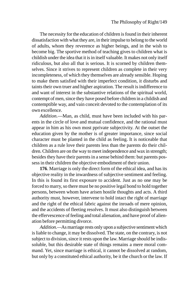The necessity for the education of children is found in their inherent dissatisfaction with what they are, in their impulse to belong to the world of adults, whom they reverence as higher beings, and in the wish to become big. The sportive method of teaching gives to children what is childish under the idea that it is in itself valuable. It makes not only itself ridiculous, but also all that is serious. It is scorned by children themselves. Since it strives to represent children as complete in their very incompleteness, of which they themselves are already sensible. Hoping to make them satisfied with their imperfect condition, it disturbs and taints their own truer and higher aspiration. The result is indifference to and want of interest in the substantive relations of the spiritual world, contempt of men, since they have posed before children in a childish and contemptible way, and vain conceit devoted to the contemplation of its own excellence.

*Addition.*—Man, as child, must have been included with his parents in the circle of love and mutual confidence, and the rational must appear in him as his own most pprivate subjectivity. At the outset the education given by the mother is of greater importance, since social character must be planted in the child as feeling. It is noticeable that children as a rule love their parents less than the parents do their children. Children are on the way to meet independence and wax in strength; besides they have their parents in a sense behind them: but parents possess in their children the objective embodiment of their union.

**176**. Marriage is only the direct form of the ethical idea, and has its objective reality in the inwardness of subjective sentiment and feeling. In this is found its first exposure to accident. Just as no one may be forced to marry, so there must be no positive legal bond to hold together persons, between whom have arisen hostile thoughts and acts. A third authority must, however, intervene to hold intact the right of marriage and the right of the ethical fabric against the inroads of mere opinion, and the accidents of fleeting resolves. It must also distinguish between the effervescence of feeling and total alienation, and have proof of alienation before permitting divorce.

*Addition.—*As marriage rests only upon a subjective sentiment which is liable to change, it may be dissolved. The state, on the contrary, is not subject to division, since it rests upon the law. Marriage should be indissoluble, but this desirable state of things remains a mere moral command. Yet, since marriage is ethical, it cannot be dissolved at random, but only by a constituted ethical authority, be it the church or the law. If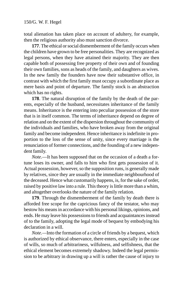total alienation has taken place on account of adultery, for example, then the religious authority also must sanction divorce.

**177**. The ethical or social dismemberment of the family occurs when the children have grown to be free personalities. They are recognized as legal persons, when they have attained their majority. They are then capable both of possessing free property of their own and of founding their own families, sons as heads of the family, and daughters as wives. In the new family the founders have now their substantive office, in contrast with which the first family must occupy a subordinate place as mere basis and point of departure. The family stock is an abstraction which has no rights.

**178**. The natural disruption of the family by the death of the parents, especially of the husband, necessitates inheritance of the family means. Inheritance is the entering into peculiar possession of the store that is in itself common. The terms of inheritance depend on degree of relation and on the extent of the dispersion throughout the community of the individuals and families, who have broken away from the original family and become independent. Hence inheritance is indefinite in proportion to the loss of the sense of unity, since every marriage is the renunciation of former connections, and the founding of a new independent family.

*Note.*—It has been supposed that on the occasion of a death a fortune loses its owner, and falls to him who first gets possession of it. Actual possession, however, so the supposition runs, is generally made by relatives, since they are usually in the immediate neighbourhood of the deceased. Hence what customarily happens, is, for the sake of order, raised by positive law into a rule. This theory is little more than a whim, and altogether overlooks the nature of the family relation.

**179**. Through the dismemberment of the family by death there is afforded free scope for the capricious fancy of the testator, who may bestow his means in accordance with his personal likings, opinions, and ends. He may leave his possessions to friends and acquaintances instead of to the family, adopting the legal mode of bequest by embodying his declaration in a will.

*Note.—*Into the formation of a circle of friends by a bequest, which is authorized by ethical observance, there enters, especially in the case of wills, so much of arbitrariness, wilfulness, and selfishness, that the ethical element becomes extremely shadowy. Indeed the legal permission to be arbitrary in drawing up a will is rather the cause of injury to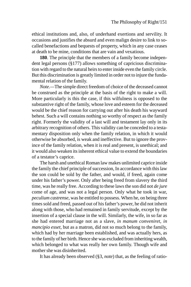ethical institutions and, also, of underhand exertions and servility. It occasions and justifies the absurd and even malign desire to link to socalled benefactions and bequests of property, which in any case ceases at death to be mine, conditions that are vain and vexatious.

**180**. The principle that the members of a family become independent legal persons (§177) allows something of capricious discrimination with regard to the natural heirs to enter inside even the family circle. But this discrimination is greatly limited in order not to injure the fundamental relation of the family.

*Note.—*The simple direct freedom of choice of the deceased cannot be construed as the principle at the basis of the right to make a will. More particularly is this the case, if this wilfulness is opposed to the substantive right of the family, whose love and esteem for the deceased would be the chief reason for carrying out after his death his wayward behest. Such a will contains nothing so worthy of respect as the family right. Formerly the validity of a last will and testament lay only in its arbitrary recognition of others. This validity can be conceded to a testamentary disposition only when the family relation, in which it would otherwise be absorbed, is weak and ineffective. But to ignore the province of the family relation, when it is real and present, is unethical; and it would also weaken its inherent ethical value to extend the boundaries of a testator's caprice.

The harsh and unethical Roman law makes unlimited caprice inside the family the chief principle of succession, In accordance with this law the son could be sold by the father, and would, if freed, again come under his father's power. Only after being freed from slavery the third time, was he really free. According to these laws the son did not *de jure* come of age, and was not a legal person. Only what he took in war, *peculium castrense,* was he entitled to possess. When he, on being three times sold and freed, passed out of his father's power, he did not inherit along with those, who had remained in family servitude, except by the insertion of a special clause in the will. Similarly, the wife, in so far as she had entered marriage not as a slave, *in manum conveniret, in mancipio esset,* but as a matron, did not so much belong to the family, which had by her marriage been established, and was actually hers, as to the family of her birth. Hence she was excluded from inheriting wealth, which belonged to what was really her own family. Though wife and mother she was disinherited.

It has already been observed (§3, *note*) that, as the feeling of ratio-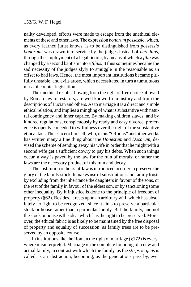nality developed, efforts were made to escape from the unethical elements of these and other laws. The expression *bonorum possessio,* which, as every learned jurist knows, is to be distinguished from *possessio bonorum,* was drawn into service by the judges instead of *hereditas,* through the employment of a legal fiction, by means of which a *filia* was changed by a second baptism into a *filius.* It thus sometimes became the sad necessity of the judges slyly to smuggle in the reasonable as an offset to bad laws. Hence, the most important institutions became pitifully unstable, and evils arose, which necessitated in turn a tumultuous mass of counter legislation.

The unethical results, flowing from the right of free choice allowed by Roman law to testators, are well known from history and from the descriptions of Lucian and others. As to marriage it is a direct and simple ethical relation, and implies a mingling of what is substantive with natural contingency and inner caprice. By making children slaves, and by kindred regulations, conspicuously by ready and easy divorce, preference is openly conceded to wilfulness over the right of the substantive ethical fact. Thus Cicero himself, who, in his "Officiis" and other works has written many a fine thing about the *Honestum* and *Decorum,* devised the scheme of sending away his wife in order that he might with a second wife get a sufficient dowry to pay his debts. When such things occur, a way is paved by the law for the ruin of morals; or rather the laws are the necessary product of this ruin and decay.

The institution of heirs-at-law is introduced in order to preserve the glory of the family stock. It makes use of substitutions and family trusts by excluding from the inheritance the daughters in favour of the sons, or the rest of the family in favour of the eldest son, or by sanctioning some other inequality. By it injustice is done to the principle of freedom of property (§62). Besides, it rests upon an arbitrary will, which has absolutely no right to be recognized, since it aims to preserve a particular stock or house rather than a particular family. But the family, and not the stock or house is the idea, which has the right to be preserved. Moreover, the ethical fabric is as likely to be maintained by the free disposal of property and equality of succession, as family trees are to be preserved by an opposite course.

In institutions like the Roman the right of marriage  $(\S 172)$  is everywhere misinterpreted. Marriage is the complete founding of a new and actual family, in contrast with which the family, as the *stirps* or *gens* is called, is an abstraction, becoming, as the generations pass by, ever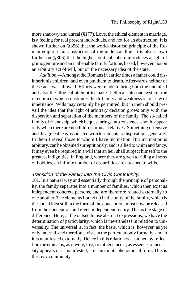more shadowy and unreal (§177). Love, the ethical element in marriage, is a feeling for real present individuals, and not for an abstraction. It is shown further on (§356) that the world-historical principle of the Roman empire is an abstraction of the understanding. It is also shown further on (§306) that the higher political sphere introduces a right of primogeniture and an inalienable family fortune, based, however, not on an arbitrary act of will, but on the necessary idea of the state.

*Addition.—*Amongst the Romans in earlier times a father could disinherit his children, and even put them to death. Afterwards neither of these acts was allowed. Efforts were made to bring both the unethical and also the illogical attempt to make it ethical into one system, the retention of which constitutes the difficulty and weakness of our law of inheritance. Wills may certainly be permitted, but in them should prevail the idea that the right of arbitrary decision grows only with the dispersion and separation of the members of the family. The so-called family of friendship, which bequest brings into existence, should appear only when there are no children or near relatives. Something offensive and disagreeable is associated with testamentary dispositions generally. In them I reveal those to whom I have inclination. But inclination is arbitrary, can be obtained surreptitiously, and is allied to whim and fancy. It may even be required in a will that an heir shall subject himself to the greatest indignities. In England, where they are given to riding all sorts of hobbies, an infinite number of absurdities are attached to wills.

# Transition of the Family into the Civic Community.

**181**. In a natural way and essentially through the principle of personality, the family separates into a number of families, which then exist as independent concrete persons, and are therefore related externally to one another. The elements bound up in the unity of the family, which is the social idea still in the form of the conception, must now be released from the conception and given independent reality. This is the stage of difference. Here, at the outset, to use abstract expressions, we have the determination of particularity, which is nevertheless in relation to universality. The universal is, in fact, the basis, which is, however, as yet only internal, and therefore exists in the particular only formally, and in it is manifested externally. Hence in this relation occasioned by reflection the ethical is, as it were, lost; or rather since it, as essence, of necessity appears or is manifested, it occurs in its phenomenal form. This is the civic community.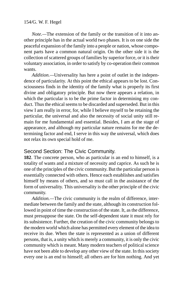*Note.—*The extension of the family or the transition of it into another principle has in the actual world two phases. It is on one side the peaceful expansion of the family into a people or nation, whose component parts have a common natural origin. On the other side it is the collection of scattered groups of families by superior force, or it is their voluntary association, in order to satisfy by co-operation their common wants.

*Addition.—*Universality has here a point of outlet in the independence of particularity. At this point the ethical appears to be lost. Consciousness finds in the identity of the family what is properly its first divine and obligatory principle. But now there appears a relation, in which the particular is to be the prime factor in determining my conduct. Thus the ethical seems to be discarded and superseded. But in this view I am really in error, for, while I believe myself to be retaining the particular, the universal and also the necessity of social unity still remain for me fundamental and essential. Besides, I am at the stage of appearance, and although my particular nature remains for me the determining factor and end, I serve in this way the universal, which does not relax its own special hold of me.

# Second Section: The Civic Community.

**182**. The concrete person, who as particular is an end to himself, is a totality of wants and a mixture of necessity and caprice. As such he is one of the principles of the civic community. But the particular person is essentially connected with others. Hence each establishes and satisfies himself by means of others, and so must call in the assistance of the form of universality. This universality is the other principle of the civic community.

*Addition.—*The civic community is the realm of difference, intermediate between the family and the state, although its construction followed in point of time the construction of the state. It, as the difference, must presuppose the state. On the self-dependent state it must rely for its subsistence. Further, the creation of the civic community belongs to the modern world which alone has permitted every element of the idea to receive its due. When the state is represented as a union of different persons, that is, a unity which is merely a community, it is only the civic community which is meant. Many modern teachers of political science have not been able to develop any other view of the state. In this society every one is an end to himself; all others are for him nothing. And yet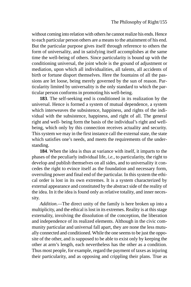without coming into relation with others he cannot realize his ends. Hence to each particular person others are a means to the attainment of his end. But the particular purpose gives itself through reference to others the form of universality, and in satisfying itself accomplishes at the same time the well-being of others. Since particularity is bound up with the conditioning universal, the joint whole is the ground of adjustment or mediation, upon which all individualities, all talents, all accidents of birth or fortune disport themselves. Here the fountains of all the passions are let loose, being merely governed by the sun of reason. Particularity limited by universality is the only standard to which the particular person conforms in promoting his well-being.

**183**. The self-seeking end is conditioned in its realization by the universal. Hence is formed a system of mutual dependence, a system which interweaves the subsistence, happiness, and rights of the individual with the subsistence, happiness, and right of all. The general right and well- being form the basis of the individual's right and wellbeing, which only by this connection receives actuality and security. This system we may in the first instance call the external state, the state which satisfies one's needs, and meets the requirements of the understanding.

**184**. When the idea is thus at variance with itself, it imparts to the phases of the peculiarly individual life, *i.e.,* to particularity, the right to develop and publish themselves on all sides, and to universality it concedes the right to evince itself as the foundation and necessary form, overruling power and final end of the particular. In this system the ethical order is lost in its own extremes. It is a system characterized by external appearance and constituted by the abstract side of the reality of the idea. In it the idea is found only as relative totality, and inner necessity.

*Addition.—*The direct unity of the family is here broken up into a multiplicity, and the ethical is lost in its extremes. Reality is at this stage externality, involving the dissolution of the conception, the liberation and independence of its realized elements. Although in the civic community particular and universal fall apart, they are none the less mutually connected and conditioned. While the one seems to be just the opposite of the other, and is supposed to be able to exist only by keeping the other at arm's length, each nevertheless has the other as a condition. Thus most people, for example, regard the payment of taxes as injuring their particularity, and as opposing and crippling their plans. True as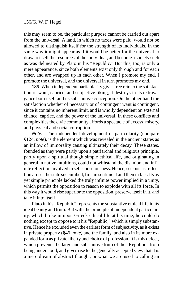this may seem to be, the particular purpose cannot be carried out apart from the universal. A land, in which no taxes were paid, would not be allowed to distinguish itself for the strength of its individuals. In the same way it might appear as if it would be better for the universal to draw to itself the resources of the individual, and become a society such as was delineated by Plato in his "Republic." But this, too, is only a mere appearance, since both elements exist only through and for each other, and are wrapped up in each other. When I promote my end, I promote the universal, and the universal in turn promotes my end.

**185**. When independent particularity gives free rein to the satisfaction of want, caprice, and subjective liking, it destroys in its extravagance both itself and its substantive conception. On the other hand the satisfaction whether of necessary or of contingent want is contingent, since it contains no inherent limit, and is wholly dependent on external chance, caprice, and the power of the universal. In these conflicts and complexities the civic community affords a spectacle of excess, misery, and physical and social corruption.

*Note.—*The independent development of particularity (compare §124, *note*), is the element which was revealed in the ancient states as an inflow of immorality causing ultimately their decay. These states, founded as they were partly upon a patriarchal and religious principle, partly upon a spiritual though simple ethical life, and originating in general in native intuitions, could not withstand the disunion and infinite reflection involved in self-consciousness. Hence, so soon as reflection arose, the state succumbed, first in sentiment and then in fact. Its as yet simple principle lacked the truly infinite power implied in a unity, which permits the opposition to reason to explode with all its force. In this way it would rise superior to the opposition, preserve itself in it, and take it into itself.

Plato in his "Republic" represents the substantive ethical life in its ideal beauty and truth. But with the principle of independent particularity, which broke in upon Grreek ethical life at his time, he could do nothing except to oppose to it his "Republic," which is simply substantive. Hence he excluded even the earliest form of subjectivity, as it exists in private property (§46, *note)* and the family, and also in its more expanded form as private liberty and choice of profession. It is this defect, which prevents the large and substantive truth of the "Republic" from being understood, and gives rise to the generally accepted view that it is a mere dream of abstract thought, or what we are used to calling an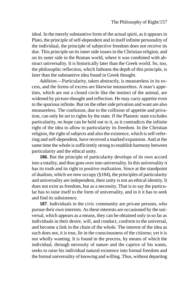ideal. In the merely substantive form of the actual spirit, as it appears in Plato, the principle of self-dependent and in itself infinite personality of the individual, the principle of subjective freedom does not receive its due. This principle on its inner side issues in the Christian religion, and on its outer side in the Roman world, where it was combined with abstract universality. It is historically later than the Greek world. So, too, the philosophic reflection, which fathoms the depth of this principle, is later than the substantive idea found in Greek thought.

*Addition.—*Particularity, taken abstractly, is measureless in its excess, and the forms of excess are likewise measureless. A man's appetites, which are not a closed circle like the instinct of the animal, are widened by picture-thought and reflection. He may carry appetite even to the spurious infinite. But on the other side privation and want are also measureless. The confusion, due to the collision of appetite and privation, can only be set to rights by the state. If the Platonic state excludes particularity, no hope can be held out to it, as it contradicts the infinite right of the idea to allow to particularity its freedom. In the Christian religion, the right of subjects and also the existence, which is self-referring and self-dependent, have received a marked expansion. And at the same time the whole is sufficiently strong to establish harmony between particularity and the ethical unity.

**186**. But the principle of particularity develops of its own accord into a totality, and thus goes over into universality. In this universality it has its truth and its right to positive realization. Since at the standpoint of dualism, which we now occupy (§184), the principles of particularity and universality are independent, their unity is not an ethical identity. It does not exist as freedom, but as a necessity. That is to say the particular has to raise itself to the form of universality, and in it it has to seek and find its subsistence.

**187**. Individuals in the civic community are private persons, who pursue their own interests. As these interests are occasioned by the universal, which appears as a means, they can be obtained only in so far as individuals in their desire, will, and conduct, conform to the universal, and become a link in the chain of the whole. The interest of the idea as such does not, it is true, lie in the consciousness of the citizens; yet it is not wholly wanting. It is found in the process, by means of which the individual, through necessity of nature and the caprice of his wants, seeks to raise his individual natural existence into formal freedom and the formal universality of knowing and willing. Thus, without departing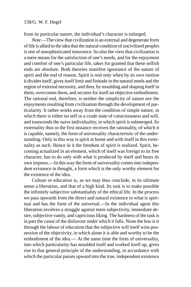from its particular nature, the individual's character is enlarged.

*Note.—*The view that civilization is an external and degenerate form of life is allied to the idea that the natural condition of uncivilized peoples is one of unsophisticated innocence. So also the view that civilization is a mere means for the satisfaction of one's needs, and for the enjoyment and comfort of one's particular life, takes for granted that these selfish ends are absolute. Both theories manifest ignorance of the nature of spirit and the end of reason. Spirit is real only when by its own motion it divides itself, gives itself limit and finitude in the natural needs and the region of external necessity, and then, by moulding and shaping itself in them, overcomes them, and secures for itself an objective embodiment. The rational end, therefore, is neither the simplicity of nature nor the enjoyments resulting from civilization through the development of particularity. It rather works away from the condition of simple nature, in which there is either no self or a crude state of consciousness and will, and transcends the naive individuality, in which spirit is submerged. Its externality thus in the first instance receives the rationality, of which it is capable, namely, the form of universality characteristic of the understanding. Only in this way is spirit at home and with itself in this externality as such. Hence in it the freedom of spirit is realized. Spirit, becoming actualized in an element, which of itself was foreign to its free character, has to do only with what is produced by itself and bears its own impress.—In this way the form of universality comes into independent existence in thought, a form which is the only worthy element for the existence of the idea.

Culture or education is, as we may thus conclude, in its ultimate sense a liberation, and that of a high kind. Its task is to make possible the infinitely subjective substantiality of the ethical life. In the process we pass upwards from the direct and natural existence to what is spiritual and has the form of the universal.—In the individual agent this liberation involves a struggle against mere subjectivity, immediate desire, subjective vanity, and capricious liking. The hardness of the task is in part the cause of the disfavour under which it falls. None the less is it through the labour of education that the subjective will itself wins possession of the objectivity, in which alone it is able and worthy to be the embodiment of the idea.— At the same time the form of universality, into which particularity has moulded itself and worked itself up, gives rise to that general principle of the understanding, in accordance with which the particular passes upward into the true, independent existence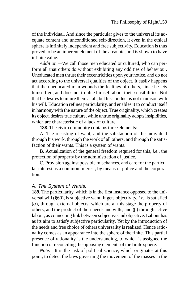of the individual. And since the particular gives to the universal its adequate content and unconditioned self-direction, it even in the ethical sphere is infinitely independent and free subjectivity. Education is thus proved to be an inherent element of the absolute, and is shown to have infinite value.

*Addition.—*We call those men educated or cultured, who can perform all that others do without exhibiting any oddities of behaviour. Uneducated men thrust their eccentricities upon your notice, and do not act according to the universal qualities of the object. It easily happens that the uneducated man wounds the feelings of others, since he lets himself go, and does not trouble himself about their sensibilities. Not that he desires to injure them at all, but his conduct is not in unison with his will. Education refines particularity, and enables it to conduct itself in harmony with the nature of the object. True originality, which creates its object, desires true culture, while untrue originality adopts insipidities, which are characteristic of a lack of culture.

**188**. The civic community contains three elements:

A. The recasting of want, and the satisfaction of the individual through his work, through the work of all others, and through the satisfaction of their wants. This is a system of wants.

B. Actualization of the general freedom required for this, *i.e.,* the protection of property by the administration of justice.

C. Provision against possible mischances, and care for the particular interest as a common interest, by means of police and the corporation.

# A. The System of Wants.

**189**. The particularity, which is in the first instance opposed to the universal will (§60), is subjective want. It gets objectivity, *i.e.,* is satisfied  $(\alpha)$ , through external objects, which are at this stage the property of others, and the product of their needs and wills, and  $(\beta)$  through active labour, as connecting link between subjective and objective. Labour has as its aim to satisfy subjective particularity. Yet by the introduction of the needs and free choice of others universality is realized. Hence rationality comes as an appearance into the sphere of the finite. This partial presence of rationality is the understanding, to which is assigned the function of reconciling the opposing elements of the finite sphere.

*Note.—*It is the task of political science, which originates at this point, to detect the laws governing the movement of the masses in the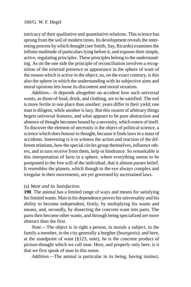intricacy of their qualitative and quantitative relations. This science has sprung from the soil of modern times. Its development reveals the interesting process by which thought (see Smith, Say, Ricardo) examines the infinite multitude of particulars lying before it, and exposes their simple, active, regulating principles. These principles belong to the understanding. As on the one side the principle of reconciliation involves a recognition of the external presence or appearance in the sphere of want of the reason which is active in the object; so, on the exact contrary, is this also the sphere in which the understanding with its subjective aims and moral opinions lets loose its discontent and moral vexation.

*Addition.—*It depends altogether on accident how such universal wants, as those of food, drink, and clothing, are to be satisfied. The soil is more fertile in one place than another; years differ in their yield; one man is diligent, while another is lazy. But this swarm of arbitrary things begets universal features, and what appears to be pure abstraction and absence of thought becomes bound by a necessity, which enters of itself. To discover the element of necessity is the object of political science, a science which does honour to thought, because it finds laws in a mass of accidents. Interesting is it to witness the action and reaction of the different relations, how the special circles group themselves, influence others, and in turn receive from them, help or hindrance. So remarkable is this interpretation of facts in a sphere, where everything seems to be postponed to the free will of the individual, that it almost passes belief. It resembles the planets, which though to the eye always complex and irregular in their movements, are yet governed by ascertained laws.

### (a) *Want and its Satisfaction.*

**190**. The animal has a limited range of ways and means for satisfying his limited wants. Man in his dependence proves his universality and his ability to become independent, firstly, by multiplying his wants and means, and, secondly, by dissecting the concrete want into parts. The parts then become other wants, and through being specialized are more abstract than the first.

*Note.—*The object is in right a person, in morals a subject, in the family a member, in the city generally a burgher (*bourgeois*); and here, at the standpoint of want (§123, note), he is the concrete product of picture-thought which we call man. Here, and properly only here, is it that we first speak of man in this sense.

*Addition.—*The animal is particular in its being, having instinct,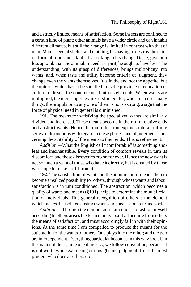and a strictly limited means of satisfaction. Some insects are confined to a certain kind of plant; other animals have a wider circle and can inhabit different climates, but still their range is limited in contrast with that of man. Man's need of shelter and clothing, his having to destroy the natural form of food, and adapt it by cooking to his changed taste, give him less aplomb than the animal. Indeed, as spirit, he ought to have less. The understanding, with its grasp of differences, brings multiplicity into wants: and, when taste and utility become criteria of judgment, they change even the wants themselves. It is in the end not the appetite, but the opinion which has to be satisfied. It is the province of education or culture to dissect the concrete need into its elements. When wants are multiplied, the mere appetites are re-stricted; for, when man uses many things, the propulsion to any one of them is not so strong, a sign that the force of physical need in general is diminished.

**191**. The means for satisfying the specialized wants are similarly divided and increased. These means become in their turn relative ends and abstract wants. Hence the multiplication expands into an infinite series of distinctions with regard to these phases, and of judgments concerning the suitability of the means to their ends. This is refinement.

*Addition.—*What the English call "comfortable" is something endless and inexhaustible. Every condition of comfort reveals in turn its discomfort, and these discoveries cro on for ever. Hence the new want is not so much a want of those who have it directly, but is created by those who hope to make profit from it.

**192**. The satisfaction of want and the attainment of means thereto become a realized possibility for others, through whose wants and labour satisfaction is in turn conditioned. The abstraction, which becomes a quality of wants and means (§191), helps to determine the mutual relation of individuals. This general recognition of others is the element which makes the isolated abstract wants and means concrete and social.

*Addition.—*Through the compulsion I am under to fashion myself according to others arises the form of universality. I acquire from others the means of satisfaction, and must accordingly fall in with their opinions. At the same time I am compelled to produce the means for the satisfaction of the wants of others. One plays into the other; and the two are interdependent. Everything particular becomes in this way social. In the matter of dress, time of eating, etc., we follow convention, because it is not worth while exercising our insight and judgment. He is the most prudent who does as others do.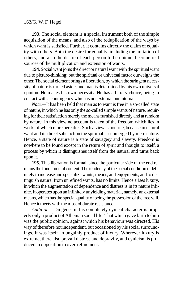**193**. The social element is a special instrument both of the simple acquisition of the means, and also of the reduplication of the ways by which want is satisfied. Further, it contains directly the claim of equality with others. Both the desire for equality, including the imitation of others, and also the desire of each person to be unique, become real sources of the multiplication and extension of wants.

**194**. Social want joins the direct or natural want with the spiritual want due to picture-thinking; but the spiritual or universal factor outweighs the other. The social element brings a liberation, by which the stringent necessity of nature is turned aside, and man is determined by his own universal opinion. He makes his own necessity. He has arbitrary choice, being in contact with a contingency which is not external but internal.

*Note.—*It has been held that man as to want is free in a so-called state of nature, in which he has only the so-called simple wants of nature, requiring for their satisfaction merely the means furnished directly and at random by nature. In this view no account is taken of the freedom which lies in work, of which more hereafter. Such a view is not true, because in natural want and its direct satisfaction the spiritual is submerged by mere nature. Hence, a state of nature is a state of savagery and slavery. Freedom is nowhere to be found except in the return of spirit and thought to itself, a process by which it distinguishes itself from the natural and turns back upon it.

**195**. This liberation is formal, since the particular side of the end remains the fundamental content. The tendency of the social condition indefinitely to increase and specialize wants, means, and enjoyments, and to distinguish natural from unrefined wants, has no limits. Hence arises luxury, in which the augmentation of dependence and distress is in its nature infinite. It operates upon an infinitely unyielding material, namely, an external means, which has the special quality of being the possession of the free will. Hence it meets with the most obdurate resistance.

*Addition.—*Diogenes in his completely cynical character is properly only a product of Athenian social life. That which gave birth to him was the public opinion, against which his behaviour was directed. His way of therefore not independent, but occasioned by his social surroundings. It was itself an ungainly product of luxury. Wherever luxury is extreme, there also prevail distress and depravity, and cynicism is produced in opposition to over-refinement.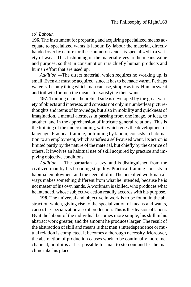## (b) *Labour.*

**196**. The instrument for preparing and acquiring specialized means adequate to specialized wants is labour. By labour the material, directly handed over by nature for these numerous ends, is specialized in a variety of ways. This fashioning of the material gives to the means value and purpose, so that in consumption it is chiefly human products and human effort that are used up.

*Addition.—*The direct material, which requires no working up, is small. Even air must be acquired, since it has to be made warm. Perhaps water is the only thing which man can use, simply as it is. Human sweat and toil win for men the means for satisfying their wants.

**197**. Training on its theoretical side is developed by the great variety of objects and interests, and consists not only in numberless picturethoughts and items of knowledge, but also in mobility and quickness of imagination, a mental alertness in passing from one image, or idea, to another, and in the apprehension of intricate general relations. This is the training of the understanding, with which goes the development of language. Practical training, or training by labour, consists in habituation to an employment, which satisfies a self-caused want. Its action is limited partly by the nature of the material, but chiefly by the caprice of others. It involves an habitual use of skill acquired by practice and implying objective conditions.

*Addition.*—-The barbarian is lazy, and is distinguished from the civilized man by his brooding stupidity. Practical training consists in habitual employment and the need of of it. The unskilled workman always makes something different from what he intended, because he is not master of his own hands. A workman is skilled, who produces what he intended, whose subjective action readily accords with his purpose.

**198**. The universal and objective in work is to be found in the abstraction which, giving rise to the specialization of means and wants, causes the specialization also of production. This is the division of labour. By it the labour of the individual becomes more simple, his skill in his abstract work greater, and the amount he produces larger. The result of the abstraction of skill and means is that men's interdependence or mutual relation is completed. It becomes a thorough necessity. Moreover, the abstraction of production causes work to be continually more mechanical, until it is at last possible for man to step out and let the machine take his place.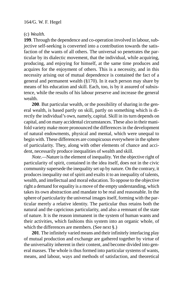### (c) *Wealth.*

**199**. Through the dependence and co-operation involved in labour, subjective self-seeking is converted into a contribution towards the satisfaction of the wants of all others. The universal so penetrates the particular by its dialectic movement, that the individual, while acquiring, producing, and enjoying for himself, at the same time produces and acquires for the enjoyment of others. This is a necessity, and in this necessity arising out of mutual dependence is contained the fact of a general and permanent wealth (§170). In it each person may share by means of his education and skill. Each, too, is by it assured of subsistence, while the results of his labour preserve and increase the general wealth.

**200**. But particular wealth, or the possibility of sharing in the general wealth, is based partly on skill, partly on something which is directly the individual's own, namely, capital. Skill in its turn depends on capital, and on many accidental circumstances. These also in their manifold variety make more pronounced the differences in the development of natural endowments, physical and mental, which were unequal to begin with. These differences are conspicuous everywhere in the sphere of particularity. They, along with other elements of chance and accident, necessarily produce inequalities of wealth and skill.

*Note.—*Nature is the element of inequality. Yet the objective right of particularity of spirit, contained in the idea itself, does not in the civic community supersede the inequality set up by nature. On the contrary, it produces inequality out of spirit and exalts it to an inequality of talents, wealth, and intellectual and moral education. To oppose to the objective right a demand for equality is a move of the empty understanding, which takes its own abstraction and mandate to be real and reasonable. In the sphere of particularity the universal images itself, forming with the particular merely a relative identity. The particular thus retains both the natural and the capricious particularity, and also a remnant of the state of nature. It is the reason immanent in the system of human wants and their activities, which fashions this system into an organic whole, of which the differences are members. (See next §.)

**201**. The infinitely varied means and their infinitely interlacing play of mutual production and exchange are gathered together by virtue of the universality inherent in their content, and become divided into general masses. The whole is thus formed into particular systems of wants, means, and labour, ways and methods of satisfaction, and theoretical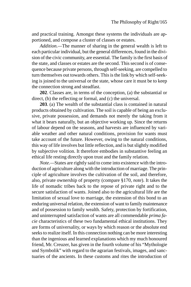and practical training. Amongst these systems the individuals are apportioned, and compose a cluster of classes or estates.

*Addition.—*The manner of sharing in the general wealth is left to each particular individual, but the general differences, found in the division of the civic community, are essential. The family is the first basis of the state, and classes or estates are the second. This second is of consequence because private persons, through self-seeking, are compelled to turn themselves out towards others. This is the link by which self-seeking is joined to the universal or the state, whose care it must be to keep the connection strong and steadfast.

**202**. Classes are, in terms of the conception, (a) the substantial or direct, (b) the reflecting or formal, and (c) the universal.

**203**. (a) The wealth of the substantial class is contained in natural products obtained by cultivation. The soil is capable of being an exclusive, private possession, and demands not merely the taking from it what it bears naturally, but an objective working up. Since the returns of labour depend on the seasons, and harvests are influenced by variable weather and other natural conditions, provision for wants must take account of the future. However, owing to the natural conditions, this way of life involves but little reflection, and is but slightly modified by subjective volition. It therefore embodies in substantive feeling an ethical life resting directly upon trust and the family relation.

*Note.—*States are rightly said to come into existence with the introduction of agriculture along with the introduction of marriage. The principle of agriculture involves the cultivation of the soil, and therefore, also, private ownership of property (compare §170, *note*). It takes the life of nomadic tribes back to the repose of private right and to the secure satisfaction of wants. Joined also to the agricultural life are the limitation of sexual love to marriage, the extension of this bond to an enduring universal relation, the extension of want to family maintenance and of possession to family wealth. Safety, protection by fortification, and uninterrupted satisfaction of wants are all commendable *prima facie* characteristics of these two fundamental ethical institutions. They are forms of universality, or ways by which reason or the absolute end seeks to realize itself. In this connection nothing can be more interesting than the ingenious and learned explanations which my much honoured friend, Mr. Creuzer, has given in the fourth volume of his "Mythologie und Symbolik" with regard to the agrarian festivals, images, and sanctuaries of the ancients. In these customs and rites the introduction of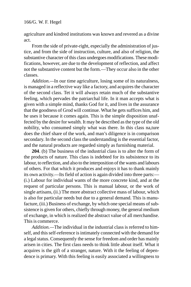agriculture and kindred institutions was known and revered as a divine act.

From the side of private-right, especially the administration of justice, and from the side of instruction, culture, and also of religion, the substantive character of this class undergoes modifications. These modifications, however, are due to the development of reflection, and affect not the substantive content but the form.—They occur also in the other classes.

*Addition.—*In our time agriculture, losing some of its naturalness, is managed in a reflective way like a factory, and acquires the character of the second class. Tet it will always retain much of the substantive feeling, which pervades the patriarchal life. In it man accepts what is given with a simple mind, thanks God for it, and lives in the assurance that the goodness of Grod will continue. What he gets suffices him, and he uses it because it comes again. This is the simple disposition unaffected by the desire for wealth. It may be described as the type of the old nobility, who consumed simply what was there. In this class na,ture does the chief share of the work, and man's diligence is in comparison secondary. In the second class the understanding is the essential factor, and the natural products are regarded simply as furnishing material.

**204**. (b) The business of the industrial class is to alter the form of the products of nature. This class is indebted for its subsistence to its labour, to reflection, and also to the interposition of the wants and labours of others. For that which it produces and enjoys it has to thank mainly its own activity.—Its field of action is again divided into three parts:— (i.) Labour for individual wants of the more concrete kind, and at the request of particular persons. This is manual labour, or the work of single artisans, (ii.) The more abstract collective mass of labour, which is also for particular needs but due to a general demand. This is manufacture, (iii.) Business of exchange, by which one special means of subsistence is given for others, chiefly through money, the general medium of exchange, in which is realized the abstract value of all merchandise. This is commerce.

*Addition.—*The individual in the industrial class is referred to himself, and this self-reference is intimately connected with the demand for a legal status. Consequently the sense for freedom and order has mainly arisen in cities. The first class needs to think little about itself. What it acquires is the gift of a stranger, nature. With it the feeling of dependence is primary. With this feeling is easily associated a willingness to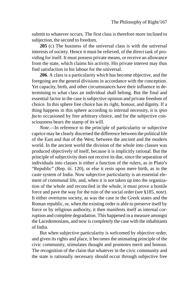submit to whatever occurs. The first class is therefore more inclined to subjection, the second to freedom.

**205** (c) The business of the universal class is with the universal interests of society. Hence it must be relieved, of the direct task of providing for itself. It must possess private means, or receive an allowance from the state, which claims his activity. His private interest may thus find satisfaction in his labour for the universal.

**206**. A class is a particularity which has become objective, and the foregoing are the general divisions in accordance with the conception. Yet capacity, birth, and other circumstances have their influence in determining to what class an individual shall belong. But the final and essential factor in the case is subjective opinion and private freedom of choice. In this sphere free choice has its right, honour, and dignity. If a thing happens in this sphere according to internal necessity, it is *ipso facto* occasioned by free arbitrary choice, and for the subjective consciousness bears the stamp of its will.

*Note.—*In reference to the principle of particularity or subjective caprice may be clearly discerned the difference between the political life of the East and that of the West, between the ancient and the modern world. In the ancient world the division of the whole into classes was produced objectively of itself, because it is implicitly rational. But the principle of subjectivity does not receive its due, since the separation of individuals into classes is either a function of the rulers, as in Plato's "Republic" (Rep. iii. 120), or else it rests upon mere birth, as in the caste system of India. Now subjective particularity is an essential element of communal life, and, when it is not taken up into the organization of the whole and reconciled in the whole, it must prove a hostile force and pave the way for the ruin of the social order (see §185, *note*). It either overturns society, as was the case in the Greek states and the Roman republic, or, when the existing order is able to preserve itself by force or by religious authority, it then manifests itself as internal corruption and complete degradation. This happened in a measure amongst the Lacedemonians, and now is completely the case with the inhabitants of India.

But when subjective particularity is welcomed by objective order, and given its rights and place, it becomes the animating principle of the civic community, stimulates thought and promotes merit and honour. The recognition of the claim that whatever in the civic community and the state is rationally necessary should occur through subjective free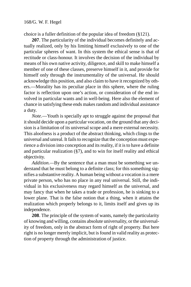choice is a fuller definition of the popular idea of freedom (§121).

**207**. The particularity of the individual becomes definitely and actually realized, only by his limiting himself exclusively to one of the particular spheres of want. In this system the ethical sense is that of rectitude or class-honour. It involves the decision of the individual by means of his own native activity, diligence, and skill to make himself a member of one of these classes, preserve himself in it, and provide for himself only through the instrumentality of the universal. He should acknowledge this position, and also claim to have it recognized by others.—Morality has its peculiar place in this sphere, where the ruling factor is reflection upon one's action, or consideration of the end involved in particular wants and in well-being. Here also the element of chance in satisfying these ends makes random and individual assistance a duty.

*Note.*—Youth is specially apt to struggle against the proposal that it should decide upon a particular vocation, on the ground that any decision is a limitation of its universal scope and a mere external necessity. This aloofness is a product of the abstract thinking, which clings to the universal and unreal. It fails to recognize that the conception must experience a division into conception and its reality, if it is to have a definite and particular realization (§7), and to win for itself reality and ethical objectivity.

*Addition.—*By the sentence that a man must be something we understand that he must belong to a definite class; for this something signifies a substantive reality. A human being without a vocation is a mere private person, who has no place in any real universal. Still, the individual in his exclusiveness may regard himself as the universal, and may fancy that when he takes a trade or profession, he is sinking to a lower plane. That is the false notion that a thing, when it attains the realization which properly belongs to it, limits itself and gives up its independence.

**208**. The principle of the system of wants, namely the particularity of knowing and willing, contains absolute universality, or the universality of freedom, only in the abstract form of right of property. But here right is no longer merely implicit, but is found in valid reality as protection of property through the administration of justice.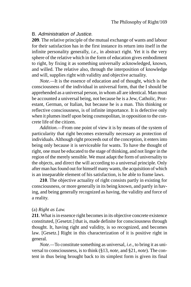## B. Administration of Justice.

**209**. The relative principle of the mutual exchange of wants and labour for their satisfaction has in the first instance its return into itself in the infinite personality generally, *i.e.,* in abstract right. Yet it is the very sphere of the relative which in the form of education gives embodiment to right, by fixing it as something universally acknowledged, known, and willed. The relative also, through the interposition of knowledge and will, supplies right with validity and objective actuality.

*Note.—*It is the essence of education and of thought, which is the consciousness of the individual in universal form, that the I should be apprehended as a universal person, in whom all are identical. Man must be accounted a universal being, not because he is a Jew, Catholic, Protestant, German, or Italian, but because he is a man. This thinking or reflective consciousness, is of infinite importance. It is defective only when it plumes itself upon being cosmopolitan, in opposition to the concrete life of the citizen.

*Addition.—*From one point of view it is by means of the system of particularity that right becomes externally necessary as protection of individuals. Although right proceeds out of the conception, it enters into being only because it is serviceable for wants. To have the thought of right, one must be educated to the stage of thinking, and not linger in the region of the merely sensible. We must adapt the form of universality to the objects, and direct the will according to a universal principle. Only after man has found out for himself many wants, the acquisition of which is an inseparable element of his satisfaction, is he able to frame laws.

**210**. The objective actuality of right consists partly in existing for consciousness, or more generally in its being known, and partly in having, and being generally recognized as having, the validity and force of a reality.

#### (a) *Right as Law.*

**211**. What is in essence right becomes in its objective concrete existence constituted, [Gesetzt.] that is, made definite for consciousness through thought. It, having right and validity, is so recognized, and becomes law. [Gesetz.] Right in this characterization of it is positive right in general.

*Note.—*To constitute something as universal, *i.e.,* to bring it as universal to consciousness, is to think (§13, *note,* and §21, *note*). The content in thus being brought back to its simplest form is given its final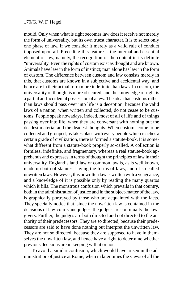mould. Only when what is right becomes law does it receive not merely the form of universality, but its own truest character. It is to select only one phase of law, if we consider it merely as a valid rule of conduct imposed upon all. Preceding this feature is the internal and essential element of law, namely, the recognition of the content in its definite "universality. Even the rights of custom exist as thought and are known. Animals have law in the form of instinct; man alone has law in the form of custom. The difference between custom and law consists merely in this, that customs are known in a subjective and accidental way, and hence are in their actual form more indefinite than laws. In custom, the universality of thought is more obscured, and the knowledge of right is a partial and accidental possession of a few. The idea that customs rather than laws should pass over into life is a deception, because the valid laws of a nation, when written and collected, do not cease to be customs. People speak nowadays, indeed, most of all of life and of things passing over into life, when they are conversant with nothing but the deadest material and the deadest thoughts. When customs come to be collected and grouped, as takes place with every people which reaches a certain grade of civilization, there is formed a statute-book. It is somewhat different from a statute-book properly so-called. A collection is formless, indefinite, and fragmentary, whereas a real statute-book apprehends and expresses in terms of thought the principles of law in their universality. England's land-law or common law is, as is well known, made up both of statutes, having the forms of laws, and of so-called unwritten laws. However, this unwritten law is written with a vengeance, and a knowledge of it is possible only by reading the many quartos which it fills. The monstrous confusion which prevails in that country, both in the administration of justice and in the subject-matter of the law, is graphically portrayed by those who are acquainted with the facts. They specially notice that, since the unwritten law is contained in the decisions of law-courts and judges, the judges are continually the lawgivers. Further, the judges are both directed and not directed to the authority of their predecessors. They are so directed, because their predecessors are said to have done nothing but interpret the unwritten law. They are not so directed, because they are supposed to have in themselves the unwritten law, and hence have a right to determine whether previous decisions are in keeping with it or not.

To avoid a similar confusion, which would have arisen in the administration of justice at Rome, when in later times the views of all the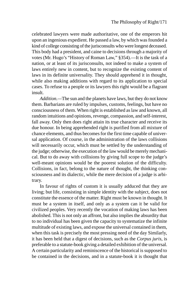celebrated lawyers were made authoritative, one of the emperors hit upon an ingenious expedient. He passed a law, by which was founded a kind of college consisting of the jurisconsults who were longest deceased. This body had a president, and caine to decisions through a majority of votes (Mr. Hugo's "History of Roman Law," §354).—It is the task of a nation, or at least of its jurisconsults, not indeed to make a system of laws entirely new in content, but to recognize the existing content of laws in its definite universality. They should apprehend it in thought, while also making additions with regard to its application to special cases. To refuse to a people or its lawyers this right would be a flagrant insult.

*Addition.—*The sun and the planets have laws, but they do not know them. Barbarians are ruled by impulses, customs, feelings, but have no consciousness of them. When right is established as law and known, all random intuitions and opinions, revenge, compassion, and self-interest, fall away. Only then does right attain its true character and receive its due honour. In being apprehended right is purified from all mixture of chance elements, and thus becomes for the first time capable of universal application. Of course, in the administration of the laws collisions will necessarily occur, which must be settled by the understanding of the judge; otherwise, the execution of the law would be merely mechanical. But to do away with collisions by giving full scope to the judge's well-meant opinions would be the poorest solution of the difficulty. Collisions, in fact, belong to the nature of thought, the thinking consciousness and its dialectic, while the mere decision of a judge is arbitrary.

In favour of rights of custom it is usually adduced that they are living; but life, consisting in simple identity with the subject, does not constitute the essence of the matter. Right must be known in thought. It must be a system in itself, and only as a system can it be valid for civilized peoples. Very recently the vocation of making laws has been abolished. This is not only an affront, but also implies the absurdity that to no individual has been given the capacity to systematize the infinite multitude of existing laws, and expose the universal contained in them, when this task is precisely the most pressing need of the day Similarly, it has been held that a digest of decisions, such as the *Corpus juris,* is preferable to a statute-book giving a detailed exhibition of the universal. A certain particularity and reminiscence of the historical is supposed to be contained in the decisions, and in a statute-book it is thought that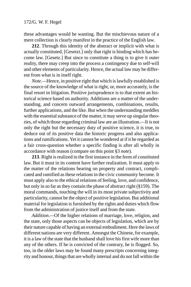these advantages would be wanting. But the mischievous nature of a mere collection is clearly manifest in the practice of the English law.

**212**. Through this identity of the abstract or implicit with what is actually constituted, [Gesetzt.] only that right is binding which has become law. [Gesetz.] But since to constitute a thing is to give it outer reality, there may creep into the process a contingency due to self-will and other elements of particularity. Hence, the actual law may be different from what is in itself right.

*Note.—*Hence, in positive right that which is lawfully established is the source of the knowledge of what is right, or, more accurately, is the final resort in litigation. Positive jurisprudence is to that extent an historical science based on authority. Additions are a matter of the understanding, and concern outward arrangements, combinations, results, further applications, and the like. But when the understanding meddles with the essential substance of the matter, it may serve up singular theories, of which those regarding criminal law are an illustration.—It is not only the right but the necessary duty of positive science, it is true, to deduce out of its positive data the historic progress and also applications and ramifications. Yet it cannot be wondered at if it be regarded as a fair cross-question whether a specific finding is after all wholly in accordance with reason (compare on this point §3 *note*).

**213**. Right is realized in the first instance in the form of constituted law. But it must in its content have further realization. It must apply to the matter of the relations bearing on property and contract, complicated and ramified as these relations in the civic community become. It must apply also to the ethical relations of feeling, love, and confidence, but only in so far as they contain the phase of abstract right (§159). The moral commands, touching the will in its most private subjectivity and particularity, cannot be the object of positive legislation. But additional material for legislation is furnished by the rights and duties which flow from the administration of justice itself and from the state.

*Addition.—*Of the higher relations of marriage, love, religion, and the state, only those aspects can be objects of legislation, which are by their nature capable of having an external embodiment. Here the laws of different nations are very different. Amongst the Chinese, for example, it is a law of the state that the husband shall love his first wife more than any of the others. If he is convicted of the contrary, he is flogged. So, too, in the older laws may be found many prescripts concerning integrity and honour, things that are wholly internal and do not fall within the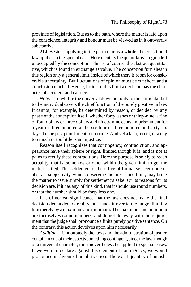province of legislation. But as to the oath, where the matter is laid upon the conscience, integrity and honour must be viewed as in it outwardly substantive.

**214**. Besides applying to the particular as a whole, the constituted law applies to the special case. Here it enters the quantitative region left unoccupied by the conception. This is, of course, the abstract quantitative, which is found in exchange as value. The conception furnishes in this region only a general limit, inside of which there is room for considerable uncertainty. But fluctuations of opinion must be cut short, and a conclusion reached. Hence, inside of this limit a decision has the character of accident and caprice.

*Note.—*To whittle the universal down not only to the particular but to the individual case is the chief function of the purely positive in law. It cannot, for example, be determined by reason, or decided by any phase of the conception itself, whether forty lashes or thirty-nine, a fine of four dollars or three dollars and ninety-nine cents, imprisonment for a year or three hundred and sixty-four or three hundred and sixty-six days, be the just punishment for a crime. And vet a lash, a cent, or a day too much or too little is an injustice.

Reason itself recognizes that contingency, contradiction, and appearance have their sphere or right, limited though it is, and is not at pains to rectify these contraditions. Here the purpose is solely to reach actuality, that is, somehow or other within the given limit to get the matter settled. This settlement is the office of formal self-certitude or abstract subjectivity, which, observing the prescribed limit, may bring the matter to issue simply for settlement's sake. Or its reasons for its decision are, if it has any, of this kind, that it should use round numbers, or that the number should be forty less one.

It is of no real significance that the law does not make the final decision demanded by reality, but hands it over to the judge, limiting him merely by a maximum and minimum. The maximum and minimum are themselves round numbers, and do not do away with the requirement that the judge shall pronounce a finite purely positive sentence. On the contrary, this action devolves upon him necessarily.

*Addition.—*Undoubtedly the laws and the administration of justice contain in one of their aspects something contingent, since the law, though of a universal character, must nevertheless be applied to special cases. If we were to declare against this element of contingency, we would pronounce in favour of an abstraction. The exact quantity of punish-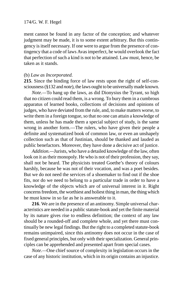ment cannot be found in any factor of the conception; and whatever judgment may be made, it is to some extent arbitrary. But this contingency is itself necessary. If one were to argue from the presence of contingency that a code of laws Avas imperfect, he would overlook the fact that perfection of such a kind is not to be attained. Law must, hence, be taken as it stands.

## (b) *Law as Incorporated.*

**215**. Since the binding force of law rests upon the right of self-consciousness (§132 and *note*), the laws ought to be universally made known.

*Note.—*To hang up the laws, as did Dionysius the Tyrant, so high that no citizen could read them, is a wrong. To bury them in a cumbrous apparatus of learned books, collections of decisions and opinions of judges, who have deviated from the rule, and, to make matters worse, to write them in a foreign tongue, so that no one can attain a knowledge of them, unless he has made them a special subject of study, is the same wrong in another form.—The rulers, who have given their people a definite and systematized book of common law, or even an unshapely collection such as that of Justinian, should be thanked and lauded as public benefactors. Moreover, they have done a decisive act of justice.

*Addition.—*Jurists, who have a detailed knowledge of the law, often look on it as their monopoly. He who is not of their profession, they say, shall not be heard. The physicists treated Goethe's theory of colours harshly, because he was not of their vocation, and was a poet besides. But we do not need the services of a shoemaker to find out if the shoe fits, nor do we need to belong to a particular trade in order to have a knowledge of the objects which are of universal interest in it. Right concerns freedom, the worthiest and holiest thing in man, the thing which he must know in so far as he is answerable to it.

**216**. We are in the presence of an antinomy. Simple universal characteristics are needed in a public statute-book and yet the finite material by its nature gives rise to endless definition; the context of any law should be a rounded-off and complete whole, and yet there must continually be new legal findings. But the right to a completed statute-book remains unimpaired, since this antinomy does not occur in the case of fixed general principles, but only with their specialization. General principles can be apprehended and presented apart from special cases.

*Note.—*One chief source of complexity in legislation occurs in the case of any historic institution, which in its origin contains an injustice.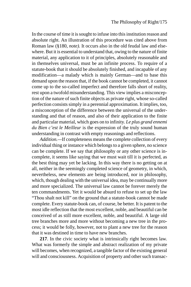In the course of time it is sought to infuse into this institution reason and absolute right. An illustration of this procedure was cited above from Roman law (§180, *note).* It occurs also in the old feudal law and elsewhere. But it is essential to understand that, owing to the nature of finite material, any application to it of principles, absolutely reasonable and in themselves universal, must be an infinite process. To require of a statute-book that it should be absolutely finished, and incapable of any modification—a malady which is mainly German—and to base this demand upon the reason that, if the book cannot be completed, it cannot come up to the so-called imperfect and therefore falls short of reality, rest upon a twofold misunderstanding. This view implies a misconception of the nature of such finite objects as private right, whose so-called perfection consists simply in a perennial approximation. It implies, too, a misconception of the difference between the universal of the understanding and that of reason, and also of their application to the finite and particular material, which goes on to infinity. *Le plus grand ennemi du Bien c'est le Meilleur* is the expression of the truly sound human understanding in contrast with empty reasonings and reflections.

*Addition.—*If completeness means the complete collection of every individual thing or instance which belongs to a given sphere, no science can be complete. If we say that philosophy or any other science is incomplete, it seems like saying that we must wait till it is perfected, as the best thing may yet be lacking. In this way there is no getting on at all, neither in the seemingly completed science of geometry, in which, nevertheless, new elements are being introduced, nor in philosophy, which, though dealing with the universal idea, may be continually more and more specialized. The universal law cannot be forever merely the ten commandments. Yet it would be absurd to refuse to set up the law "Thou shalt not kill" on the ground that a statute-book cannot be made complete. Every statute-book can, of course, be better. It is patent to the most idle reflection that the most excellent, noble, and beautiful can be conceived of as still more excellent, noble, and beautiful. A large old tree branches more and more without becoming a new tree in the process; it would be folly, however, not to plant a new tree for the reason that it was destined in time to have new branches.

**217**. In the civic society what is intrinsically right becomes law. What was formerly the simple and abstract realization of my private will becomes, when recognized, a tangible factor of the existing general will and consciousness. Acquisition of property and other such transac-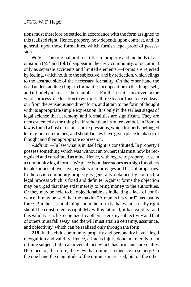tions must therefore be settled in accordance with the form assigned to this realized right. Hence, property now depends upon contract, and, in general, upon those formalities, which furnish legal proof of possession.

*Note.—*The original or direct titles to property and methods of acquisition (§54 and fol.) disappear in the civic community, or occur in it only as separate accidents and limited elements.—Forms are rejected by feeling, which holds to the subjective, and by reflection, which clings to the abstract side of the necessary formality. On the other hand the dead understanding clings to formalities in opposition to the thing itself, and infinitely increases their number.—For the rest it is involved in the whole process of education to win oneself free by hard and long endeavour from the sensuous and direct form, and attain to the form of thought with its appropriate simple expression. It is only in the earliest stages of legal science that ceremony and formalities are significant. They are then esteemed as the thing itself rather than its outer symbol. In Roman law is found a host of details and expressions, which formerly belonged to religious ceremonies, and should in law have given place to phases of thought and their appropriate expression.

*Addition.—*In law what is in itself right is constituted. In property I possess something which was without an owner; this must now be recognized and constituted as mine. Hence, with regard to property arise in a community legal forms. We place boundary stones as a sign for others to take notice of; we have registers of mortgages and lists of properties. In the civic community property is generally obtained by contract, a legal process which is fixed and definite. Against forms the objection may be urged that they exist merely to bring money to the authorities. Or they may be held to be objectionable as indicating a lack of confidence. It may be said that the maxim "A man is his word" has lost its force. But the essential thing about the form is that what is really right should be constituted as right. My will is rational; it has validity; and this validity is to be recognized by others. Here my subjectivity and that of others must fall away, and the will must attain a certainty, assurance, and objectivity, which can be realized only through the form.

**218**. In the civic community property and personality have a legal recognition and validity. Hence, crime is injury done not merely to an infinite subject, but to a universal fact, which has firm and sure reality. Here occurs, therefore, the view that crime is a menace to society. On the one hand the magnitude of the crime is increased, but on the other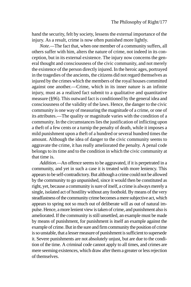hand the security, felt by society, lessens the external importance of the injury. As a result, crime is now often punished more lightly.

*Note.—*The fact that, when one member of a community suffers, all others suffer with him, alters the nature of crime, not indeed in its conception, but in its external existence. The injury now concerns the general thought and consciousness of the civic community, and not merely the existence of the person directly injured. In the heroic ages, portrayed in the tragedies of the ancients, the citizens did not regard themselves as injured by the crimes which the members of the royal houses committed against one another.—Crime, which in its inner nature is an infinite injury, must as a realized fact submit to a qualitative and quantitative measure (§96). This outward fact is conditioned by the general idea and consciousness of the validity of the laws. Hence, the danger to the civic community is one way of measuring the magnitude of a crime, or one of its attributes.—The quality or magnitude varies with the condition of a community. In the circumstances lies the justification of inflicting upon a theft of a few cents or a turnip the penalty of death, while it imposes a mild punishment upon a theft of a hundred or several hundred times the amount. Although the idea of danger to the civic community seems to aggravate the crime, it has really ameliorated the penalty. A penal code belongs to its time and to the condition in which the civic community at that time is.

*Addition.—*An offence seems to be aggravated, if it is perpetrated in a community, and yet in such a case it is treated with more leniency. This appears to be self-contradictory. But although a crime could not be allowed by the community to go unpunished, since it would then be constituted as right, yet, because a community is sure of itself, a crime is always merely a single, isolated act of hostility without any foothold. By means of the very steadfastness of the community crime becomes a mere subjective act, which appears to spring not so much out of deliberate will as out of natural impulse. Hence, a more lenient view is taken of crime, and punishment also is ameliorated. If the community is still unsettled, an example must be made by means of punishment, for punishment is itself an example against the example of crime. But in the sure and firm community the position of crime is so unstable, that a lesser measure of punishment is sufficient to supersede it. Severe punishments are not absolutely unjust, but are due to the condition of the time. A criminal code cannot apply to all times, and crimes are mere seeming existences, which draw after them a greater or less rejection of themselves.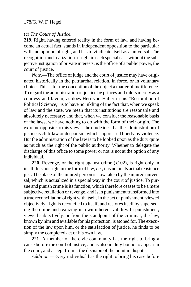#### (c) *The Court of Justice.*

**219**. Right, having entered reality in the form of law, and having become an actual fact, stands in independent opposition to the particular will and opinion of right, and has to vindicate itself as a universal. The recognition and realization of right in each special case without the subjective instigation of private interests, is the office of a public power, the court of justice.

*Note.*—The office of judge and the court of justice may have originated historically in the patriarchal relation, in force, or in voluntary choice. This is for the conception of the object a matter of indifference. To regard the administration of justice by princes and rulers merely as a courtesy and favour, as does Herr von Haller in his "Restoration of Political Science," is to have no inkling of the fact that, when we speak of law and the state, we mean that its institutions are reasonable and absolutely necessary; and that, when we consider the reasonable basis of the laws, we have nothing to do with the form of their origin. The extreme opposite to this view is the crude idea that the administration of justice is club-law or despotism, which suppressed liberty by violence. But the administration of the law is to be looked upon as the duty quite as much as the right of the public authority. Whether to delegate the discharge of this office to some power or not is not at the option of any individual.

**220**. Revenge, or the right against crime (§102), is right only in itself. It is not right in the form of law, *i.e.,* it is not in its actual existence just. The place of the injured person is now taken by the injured universal, which is actualized in a special way in the court of justice. To pursue and punish crime is its function, which therefore ceases to be a mere subjective retaliation or revenge, and is in punishment transformed into a true reconciliation of right with itself. In the act of punishment, viewed objectively, right is reconciled to itself, and restores itself by superseding the crime and realizing its own inherent validity. In punishment, viewed subjectively, or from the standpoint of the criminal, the law, known by him and available for his protection, is atoned for. The execution of the law upon him, or the satisfaction of justice, he finds to be simply the completed act of his own law.

**221**. A member of the civic community has the right to bring a cause before the court of justice, and is also in duty bound to appear in the court, and accept from it the decision of the point in dispute.

*Addition.—*Every individual has the right to bring his case before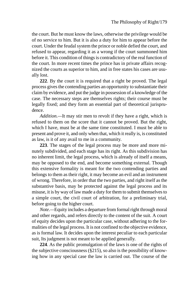the court. But he must know the laws, otherwise the privilege would be of no service to him. But it is also a duty for him to appear before the court. Under the feudal system the prince or noble defied the court, and refused to appear, regarding it as a wrong if the court summoned him before it. This condition of things is contradictory of the real function of the court. In more recent times the prince has in private affairs recognized the courts as superior to him, and in free states his cases are usually lost.

**222**. By the court it is required that a right be proved. The legal process gives the contending parties an opportunity to substantiate their claim by evidence, and put the judge in possession of a knowledge of the case. The necessary steps are themselves rights; their course must be legally fixed; and they form an essential part of theoretical jurisprudence.

*Addition.—*It may stir men to revolt if they have a right, which is refused to them on the score that it cannot be proved. But the right, which I have, must be at the same time constituted. I must be able to present and prove it, and only when that, which it really is, is constituted as law, is it of any avail to me in a community.

**223**. The stages of the legal process may be more and more minutely subdivided, and each stage has its right. As this subdivision has no inherent limit, the legal process, which is already of itself a means, may be opposed to the end, and become something external. Though this extensive formality is meant for the two contending parties and belongs to them as their right, it may become an evil and an instrument of wrong. Therefore, in order that the two parties, and right itself as the substantive basis, may be protected against the legal process and its misuse, it is by way of law made a duty for them to submit themselves to a simple court, the civil court of arbitration, for a preliminary trial, before going to the higher court.

*Note.—*Equity includes a departure from formal right through moral and other regards, and refers directly to the content of the suit. A court of equity decides upon the particular case, without adhering to the formalities of the legal process. It is not confined to the objective evidence, as is formal law. It decides upon the interest peculiar to each particular suit, Its judgment is not meant to be applied generally.

**224**. As the public promulgation of the laws is one of the rights of the subjective consciousness (§215), so also is the possibility of knowing how in any special case the law is carried out. The course of the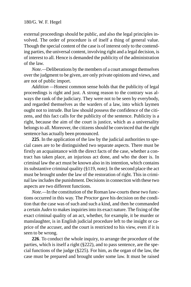external proceedings should be public, and also the legal principles involved. The order of procedure is of itself a thing of general value. Though the special content of the case is of interest only to the contending parties, the universal content, involving right and a legal decision, is of interest to all. Hence is demanded the publicity of the administration of the law.

*Note.—*Deliberations by the members of a court amongst themselves over the judgment to be given, are only private opinions and views, and are not of public import.

*Addition —*Honest common sense holds that the publicity of legal proceedings is right and just. A strong reason to the contrary was always the rank of the judiciary. They were not to be seen by everybody, and regarded themselves as the warders of a law, into which laymen ought not to intrude. But law should possess the confidence of the citizens, and this fact calls for the publicity of the sentence. Publicity is a right, because the aim of the court is justice, which as a universality belongs to all. Moreover, the citizens should be convinced that the right sentence has actually been pronounced.

**225**. In the application of the law by the judicial authorities to special cases are to be distinguished two separate aspects. There must be firstly an acquaintance with the direct facts of the case, whether a contract has taken place, an injurious act done, and who the doer is. In criminal law the act must be known also in its intention, which contains its substantive criminal quality (§119, *note).* In the second place the act must be brought under the law of the restoration of right. This in criminal law includes the punishment. Decisions in connection with these two aspects are two different functions.

*Note.—*In the constitution of the Roman law-courts these two functions occurred in this way. The *Proctor* gave his decision on the condition that the case was of such and such a kind, and then he commanded a certain *Judex* to makes inquiries into its exact nature. The fixing of the exact criminal quality of an act, whether, for example, it be murder or manslaughter, is in English judicial procedure left to the insight or caprice of the accuser, and the court is restricted to his view, even if it is seen to be wrong.

**226**. To conduct the whole inquiry, to arrange the procedure of the parties, which is itself a right (§222), and to pass sentence, are the special functions of the judge (§225). For him, as the organ of the law, the case must be prepared and brought under some law. It must be raised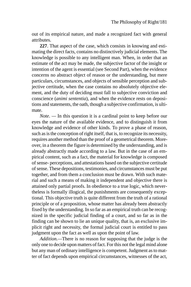out of its empirical nature, and made a recognized fact with general attributes.

**227**. That aspect of the case, which consists in knowing and estimating the direct facts, contains no distinctively judicial elements. The knowledge is possible to any intelligent man. When, in order that an estimate of the act may be made, the subjective factor of the insight or intention of the agent is essential (see Second Part), when the evidence concerns no abstract object of reason or the understanding, but mere particulars, circumstances, and objects of sensible perception and subjective certitude, when the case contains no absolutely objective element, and the duty of deciding must fall to subjective conviction and conscience (*animi sententia*), and when the evidence rests on depositions and statements, the oath, though a subjective confirmation, is ultimate.

*Note. —* In this question it is a cardinal point to keep before our eyes the nature of the available evidence, and to distinguish it from knowledge and evidence of other kinds. To prove a phase of reason, such as is the conception of right itself, that is, to recognize its necessity, requires another method than the proof of a geometrical theorem. Moreover, in a theorem the figure is determined by the understanding, and is already abstractly made according to a law. But in the case of an empirical content, such as a fact, the material for knowledge is composed of sense- perceptions, and attestations based on the subjective certitude of sense. These depositions, testimonies, and circumstances must be put together, and from them a conclusion must be drawn. With such material and such a means of making it independent and objective there is attained only partial proofs. In obedience to a true logic, which nevertheless is formally illogical, the punishments are consequently exceptional. This objective truth is quite different from the truth of a rational principle or of a proposition, whose matter has already been abstractly fixed by the understanding. In so far as an empirical truth can be recognized in the specific judicial finding of a court, and so far as in the finding can be shown to lie an unique quality, that is, an exclusive implicit right and necessity, the formal judicial court is entitled to pass judgment upon the fact as well as upon the point of law.

*Addition.—*There is no reason for supposing that the judge is the only one to decide upon matters of fact. For this not the legal mind alone but any man of ordinary intelligence is competent. Judgment as to matter of fact depends upon empirical circumstances, witnesses of the act,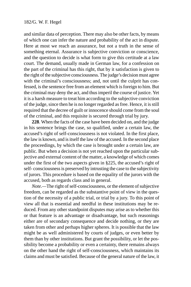and similar data of perception. There may also be other facts, by means of which one can infer the nature and probability of the act in dispute. Here at most we reach an assurance, but not a truth in the sense of something eternal. Assurance is subjective conviction or conscience, and the question to decide is what form to give this certitude at a law court. The demand, usually made in German law, for a confession on the part of the criminal has this right, that by it satisfaction is given to the right of the subjective consciousness. The judge's decision must agree with the criminal's consciousness; and, not until the culprit has confessed, is the sentence free from an element which is foreign to him. But the criminal may deny the act, and thus imperil the course of justice. Yet it is a harsh measure to treat him according to the subjective conviction of the judge, since then he is no longer regarded as free. Hence, it is still required that the decree of guilt or innocence should come from the soul of the criminal, and this requisite is secured through trial by jury.

**228**. When the facts of the case have been decided on, and the judge in his sentence brings the case, so qualified, under a certain law, the accused's right of self-consciousness is not violated. In the first place, the law is known, and is itself the law of the accused. In the second place the proceedings, by which the case is brought under a certain law, are public. But when a decision is not yet reached upon the particular subjective and external content of the matter, a knowledge of which comes under the first of the two aspects given in §225, the accused's right of self- consciousness is preserved by intrusting the case to the subjectivity of jurors. This procedure is based on the equality of the jurors with the accused, both as regards class and in general.

*Note.—*The right of self-consciousness, or the element of subjective freedom, can be regarded as the substantive point of view in the question of the necessity of a public trial, or trial by a jury. To this point of view all that is essential and needful in these institutions may be reduced. From any other standpoint disputes may arise as to whether this or that feature is an advantage or disadvantage, but such reasonings either are of secondary consequence and decide nothing, or they are taken from other and perhaps higher spheres. It is possible that the law might be as well administered by courts of judges, or even better by them than by other institutions. But grant the possibility, or let the possibility become a probability or even a certainty, there remains always on the other hand the right of self-consciousness, which maintains its claims and must be satisfied. Because of the general nature of the law, it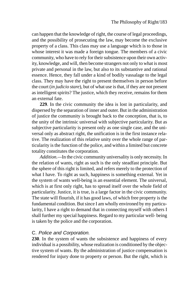can happen that the knowledge of right, the course of legal proceedings, and the possibility of prosecuting the law, may become the exclusive property of a class. This class may use a language which is to those in whose interest it was made a foreign tongue. The members of a civic community, who have to rely for their subsistence upon their own activity, knowledge, and will, then become strangers not only to what is most private and personal in the law, but also to its substantive and rational essence. Hence, they fall under a kind of bodily vassalage to the legal class. They may have the right to present themselves in person before the court (*in judicio stare*), but of what use is that, if they are not present as intelligent spirits? The justice, which they receive, remains for them an external fate.

**229**. In the civic community the idea is lost in particularity, and dispersed by the separation of inner and outer. But in the administration of justice the community is brought back to the conception, that is, to the unity of the intrinsic universal with subjective particularity. But as subjective particularity is present only as one single case, and the universal only as abstract right, the unification is in the first instance relative. The realization of this relative unity over the whole range of particularity is the function of the police, and within a limited but concrete totality constitutes the corporation.

*Addition.—*In the civic community universality is only necessity. In the relation of wants, right as such is the only steadfast principle. But the sphere of this right is limited, and refers merely to the protection of what I have. To right as such, happiness is something external. Yet in the system of wants well-being is an essential element. The universal, which is at first only right, has to spread itself over the whole field of particularity. Justice, it is true, is a large factor in the civic community. The state will flourish, if it has good laws, of which free property is the fundamental condition. But since I am wholly environed by my particularity, I have a right to demand that in connecting myself with others I shall further my special happiness. Regard to my particular well- being is taken by the police and the corporation.

# C. Police and Corporation.

**230**. In the system of wants the subsistence and happiness of every individual is a possibility, whose realization is conditioned by the objective system of wants. By the administration of justice compensation is rendered for injury done to property or person. But the right, which is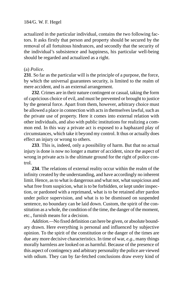### 184/G. W. F. Hegel

actualized in the particular individual, contains the two following factors. It asks firstly that person and property should be secured by the removal of all fortuitous hindrances, and secondly that the security of the individual's subsistence and happiness, his particular well-being should be regarded and actualized as a right.

#### (a) *Police.*

**231**. So far as the particular will is the principle of a purpose, the force, by which the universal guarantees security, is limited to the realm of mere accident, and is an external arrangement.

**232**. Crimes are in their nature contingent or casual, taking the form of capricious choice of evil, and must be prevented or brought to justice by the general force. Apart from them, however, arbitrary choice must be allowed a place in connection with acts in themselves lawful, such as the private use of property. Here it comes into external relation with other individuals, and also with public institutions for realizing a common end. In this way a private act is exposed to a haphazard play of circumstances, which take it beyond my control. It thus or actually does effect an injury or wrong to others.

**233**. This is, indeed, only a possibility of harm. But that no actual injury is done is now no longer a matter of accident, since the aspect of wrong in private acts is the ultimate ground for the right of police control.

**234**. The relations of external reality occur within the realm of the infinity created by the understanding, and have accordingly no inherent limit. Hence, as to what is dangerous and what not, what suspicious and what free from suspicion, what is to be forbidden, or kept under inspection, or pardoned with a reprimand, what is to be retained after pardon under police supervision, and what is to be dismissed on suspended sentence, no boundary can be laid down. Custom, the spirit of the constitution as a whole, the condition of the time, the danger of the moment, etc., furnish means for a decision.

*Addition.—*No fixed definition can here be given, or absolute boundary drawn. Here everything is personal and influenced by subjective opinion. To the spirit of the constitution or the danger of the times are due any more decisive characteristics. In time of war, *e.g.,* many things morally harmless are looked on as harmful. Because of the presence of this aspect of contingency and arbitrary personality the police are viewed with odium. They can by far-fetched conclusions draw every kind of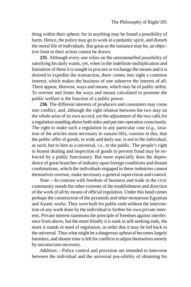thing within their sphere; for in anything may be found a possibility of harm. Hence, the police may go to work in a pedantic spirit, and disturb the moral life of individuals. But great as the nuisance may be, an objective limit to their action cannot be drawn.

**235**. Although every one relies on the untrammelled possibility of satisfying his daily wants, yet, when in the indefinite multiplication and limitation of them it is sought to procure or exchange the means and it is desired to expedite the transaction, there comes into sight a common interest, which makes the business of one subserve the interest of all. There appear, likewise, ways and means, which may be of public utility. To oversee and foster the ways and means calculated to promote the public welfare is the function of a public power.

**236**. The different interests of producers and consumers may come into conflict, and, although the right relation between the two may on the whole arise of its own accord, yet the adjustment of the two calls for a regulation standing above both sides and put into operation consciously. The right to make such a regulation in any particular case (*e.g.,* taxation of the articles most necessary to sustain life), consists in this, that the public offer of goods, in wide and daily use, is not to the individual, as such, but to him as a universal, *i.e.,* to the public. The people's right to honest dealing and inspection of goods to prevent fraud may be enforced by a public functionary. But more especially does the dependence of great branches of industry upon foreign conditions and distant combinations, which the individuals engaged in these industries cannot themselves oversee, make necessary a general supervision and control.

*Note.—*In contrast with freedom of business and trade in the civic community stands the other extreme of the establishment and direction of the work of all by means of official regulation. Under this head comes perhaps the construction of the pyramids and other monstrous Egyptian and Asiatic works. They were built for public ends without the intervention of any work done by the individual to further his own private interests. Private interest summons the principle of freedom against interference from above, but the more blindly it is sunk in self-seeking ends, the more it stands in need of regulation, in order that it may be led back to the universal. Thus what might be a dangerous upheaval becomes largely harmless, and shorter time is left for conflicts to adjust themselves merely by unconscious necessity.

*Addition.—*Police control and provision are intended to intervene between the individual and the universal pos-sibility of obtaining his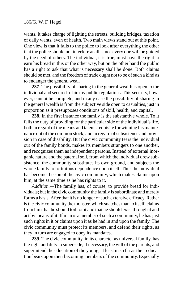#### 186/G. W. F. Hegel

wants. It takes charge of lighting the streets, building bridges, taxation of daily wants, even of health. Two main views stand out at this point. One view is that it falls to the police to look after everything the other that the police should not interfere at all, since every one will be guided by the need of others. The individual, it is true, must have the right to earn his bread in this or the other way, but on the other hand the public has a right to ask that what is necessary shall be done. Both claims should be met, and the freedom of trade ought not to be of such a kind as to endanger the general weal.

**237**. The possibility of sharing in the general wealth is open to the individual and secured to him by public regulations. This security, however, cannot be complete, and in any case the possibility of sharing in the general wealth is from the subjective side open to casualties, just in proportion as it presupposes conditions of skill, health, and capital.

**238**. In the first instance the family is the substantive whole. To it falls the duty of providing for the particular side of the individual's life, both in regard of the means and talents requisite for winning his maintenance out of the common stock, and in regard of subsistence and provision in case of disability. But the civic community tears the individual out of the family bonds, makes its members strangers to one another, and recognizes them as independent persons. Instead of external inorganic nature and the paternal soil, from which the individual drew subsistence, the community substitutes its own ground, and subjects the whole family to fortuitous dependence upon itself. Thus the individual has become the son of the civic community, which makes claims upon him, at the same time as he has rights to it.

*Addition.—*The family has, of course, to provide bread for individuals; but in the civic community the family is subordinate and merely forms a basis. After that it is no longer of such extensive efficacy. Rather is the civic community the monster, which snatches man to itself, claims from him that he should toil for it and that he should exist through it and act by means of it. If man is a member of such a community, he has just such rights in it or claims upon it as he had in and upon the family. The civic community must protect its members, and defend their rights, as they in turn are engaged to obey its mandates.

**239**. The civic community, in its character as universal family, has the right and duty to supersede, if necessary, the will of the parents, and superintend the education of the young, at least in so far as their education bears upon their becoming members of the community. Especially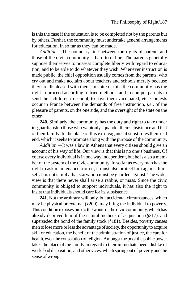is this the case if the education is to be completed not by the parents but by others. Further, the community must undertake general arrangements for education, in so far as they can be made.

*Addition.—*The boundary line between the rights of parents and those of the civic community is hard to define. The parents generally suppose themselves to possess complete liberty with regard to education, and to be able to do whatever they wish. Whenever instruction is made public, the chief opposition usually comes from the parents, who cry out and make acclaim about teachers and schools merely because they are displeased with them. In spite of this, the community has the right to proceed according to tried methods, and to compel parents to send their children to school, to have them vaccinated, etc. Contests occur in France between the demands of free instruction, *i.e.,* of the pleasure of parents, on the one side, and the oversight of the state on the other.

**240**. Similarly, the community has the duty and right to take under its guardianship those who wantonly squander their subsistence and that of their family. In the place of this extravagance it substitutes their real end, which it seeks to promote along with the purpose of the community.

*Addition.—*It was a law in Athens that every citizen should give an account of his way of life. Our view is that this is no one's business. Of course every individual is in one way independent, but he is also a member of the system of the civic community. In so far as every man has the right to ask maintenance from it, it must also protect him against himself. It is not simply that starvation must be guarded against. The wider view is that there never shall arise a rabble, or mass. Since the civic community is obliged to support individuals, it has also the right to insist that individuals should care for its subsistence.

**241**. Not the arbitrary will only, but accidental circumstances, which may be physical or external (§200), may bring the individual to poverty. This condition exposes him to the wants of the civic community, which has already deprived him of the natural methods of acquisition (§217), and superseded the bond of the family stock (§181). Besides, poverty causes men to lose more or less the advantage of society, the opportunity to acquire skill or education, the benefit of the administration of justice, the care for health, even the consolation of religion. Amongst the poor the public power takes the place of the family in regard to their immediate need, dislike of work, bad disposition, and other vices, which spring out of poverty and the sense of wrong.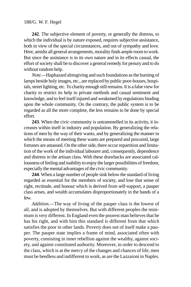**242**. The subjective element of poverty, or generally the distress, to which the individual is by nature exposed, requires subjective assistance, both in view of the special circumstances, and out of sympathy and love. Here, amidst all general arrangements, morality finds ample room to work. But since the assistance is in its own nature and in its effects casual, the effort of society shall be to discover a general remedy for penury and to do without random help.

*Note.—*Haphazard almsgiving and such foundations as the burning of lamps beside holy images, etc., are replaced by public poor-houses, hospitals, street lighting, etc. To charity enough still remains. It is a false view for charity to restrict its help to private methods and casual sentiment and knowledge, and to feel itself injured and weakened by regulations binding upon the whole community. On the contrary, the public system is to be regarded as all the more complete, the less remains to be done by special effort.

**243**. When the civic community is untrammelled in its activity, it increases within itself in industry and population. By generalizing the relations of men by the way of their wants, and by generalizing the manner in which the means of meeting these wants are prepared and procured, large fortunes are amassed. On the other side, there occur repartition and limitation of the work of the individual labourer and, consequently, dependence and distress in the artisan class. With these drawbacks are associated callousness of feeling and inability to enjoy the larger possibilities of freedom, especially the mental advantages of the civic community.

**244**. When a large number of people sink below the standard of living regarded as essential for the members of society, and lose that sense of right, rectitude, and honour which is derived from self-support, a pauper class arises, and wealth accumulates disproportionately in the hands of a few.

*Addition.—*The way of living of the pauper class is the lowest of all, and is adopted by themselves. But with different peoples the minimum is very different. In England even the poorest man believes that he has his right, and with him this standard is different from that which satisfies the poor in other lands. Poverty does not of itself make a pauper. The pauper state implies a frame of mind, associated often with poverty, consisting in inner rebellion against the wealthy, against society, and against constituted authority. Moreover, in order to descend to the class, which is at the mercy of the changes and chances of life, men must be heedless and indifferent to work, as are the Lazzaroni in Naples.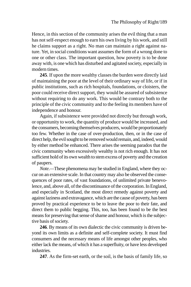Hence, in this section of the community arises the evil thing that a man has not self-respect enough to earn his own living by his work, and still he claims support as a right. No man can maintain a right against nature. Yet, in social conditions want assumes the form of a wrong done to one or other class. The important question, how poverty is to be done away with, is one which has disturbed and agitated society, especially in modern times.

**245**. If upon the more wealthy classes the burden were directly laid of maintaining the poor at the level of their ordinary way of life, or if in public institutions, such as rich hospitals, foundations, or cloisters, the poor could receive direct support, they would be assured of subsistence without requiring to do any work. This would be contrary both to the principle of the civic community and to the feeling its members have of independence and honour.

Again, if subsistence were provided not directly but through work, or opportunity to work, the quantity of produce would be increased, and the consumers, becoming themselves producers, would be proportionately too few. Whether in the case of over-production, then, or in the case of direct help, the evil sought to be removed would remain, and, indeed, would by either method be enhanced. There arises the seeming paradox that the civic community when excessively wealthy is not rich enough. It has not sufficient hold of its own wealth to stem excess of poverty and the creation of paupers.

*Note.—*These phenomena may be studied in England, where they occur on an extensive scale. In that country may also be observed the consequences of poor rates, of vast foundations, of unlimited private benevolence, and, above all, of the discontinuance of the corporation. In England, and especially in Scotland, the most direct remedy against poverty and against laziness and extravagance, which are the cause of poverty, has been proved by practical experience to be to leave the poor to their fate, and direct them to public begging. This, too, has been found to be the best means for preserving that sense of shame and honour, which is the subjective basis of society.

**246**. By means of its own dialectic the civic community is driven beyond its own limits as a definite and self-complete society. It must find consumers and the necessary means of life amongst other peoples, who either lack the means, of which it has a superfluity, or have less developed industries.

**247**. As the firm-set earth, or the soil, is the basis of family life, so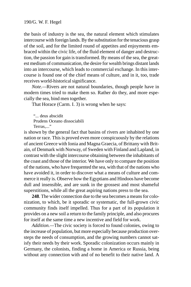#### 190/G. W. F. Hegel

the basis of industry is the sea, the natural element which stimulates intercourse with foreign lands. By the substitution for the tenacious grasp of the soil, and for the limited round of appetites and enjoyments embraced within the civic life, of the fluid element of danger and destruction, the passion for gain is transformed. By means of the sea, the greatest medium of communication, the desire for wealth brings distant lands into an intercourse, which leads to commercial exchange. In this intercourse is found one of the chief means of culture, and in it, too, trade receives world-historical significance.

*Note.—*Rivers are not natural boundaries, though people have in modern times tried to make them so. Rather do they, and more especially the sea, bind men together.

That Horace (Carm. I. 3) is wrong when he says:

"... deus abscidit Prudens Oceano dissociabili Terras...."

is shown by the general fact that basins of rivers are inhabited by one nation or race. This is proved even more conspicuously by the relations of ancient Greece with Ionia and Magna Graecia, of Brittany with Britain, of Denmark with Norway, of Sweden with Finland and Lapland, in contrast with the slight intercourse obtaining between the inhabitants of the coast and those of the interior. We have only to compare the position of the nations, who have frequented the sea, with that of the nations who have avoided it, in order to discover what a means of culture and commerce it really is. Observe how the Egyptians and Hindoos have become dull and insensible, and are sunk in the grossest and most shameful superstitions, while all the great aspiring nations press to the sea.

**248**. The wider connection due to the sea becomes a means for colonization, to which, be it sporadic or systematic, the full-grown civic community finds itself impelled. Thus for a part of its population it provides on a new soil a return to the family principle, and also procures for itself at the same time a new incentive and field for work.

*Addition.—*The civic society is forced to found colonies, owing to the increase of population, but more especially because production oversteps the needs of consumption, and the growing numbers cannot satisfy their needs by their work. Sporadic colonization occurs mainly in Germany, the colonists, finding a home in America or Russia, being without any connection with and of no benefit to their native land. A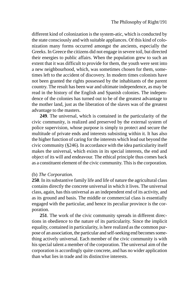different kind of colonization is the system-atic, which is conducted by the state consciously and with suitable appliances. Of this kind of colonization many forms occurred amongst the ancients, especially the Greeks. In Greece the citizens did not engage in severe toil, but directed their energies to public affairs. When the population grew to such an extent that it was difficult to provide for them, the youth were sent into a new neighbourhood, which, was sometimes chosen for them, sometimes left to the accident of discovery. In modern times colonists have not been granted the rights possessed by the inhabitants of the parent country. The result has been war and ultimate independence, as may be read in the history of the English and Spanish colonies. The independence of the colonies has turned out to be of the greatest advantage to the mother land, just as the liberation of the slaves was of the greatest advantage to the masters.

**249**. The universal, which is contained in the particularity of the civic community, is realized and preserved by the external system of police supervision, whose purpose is simply to protect and secure the multitude of private ends and interests subsisting within it. It has also the higher function of caring for the interests which lead out beyond the civic community (§246). In accordance with the idea particularity itself makes the universal, which exists in its special interests, the end and object of its will and endeavour. The ethical principle thus comes back as a constituent element of the civic community. This is the corporation.

#### (b) *The Corporation.*

**250**. In its substantive family life and life of nature the agricultural class contains directly the concrete universal in which it lives. The universal class, again, has this universal as an independent end of its activity, and as its ground and basis. The middle or commercial class is essentially engaged with the particular, and hence its peculiar province is the corporation.

**251**. The work of the civic community spreads in different directions in obedience to the nature of its particularity. Since the implicit equality, contained in particularity, is here realized as the common purpose of an association, the particular and self-seeking end becomes something actively universal. Each member of the civic community is with his special talent a member of the corporation. The universal aim of the corporation is accordingly quite concrete, and has no wider application than what lies in trade and its distinctive interests.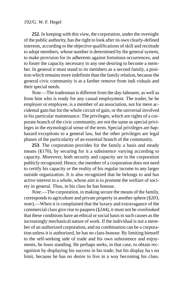#### 192/G. W. F. Hegel

**252**. In keeping with this view, the corporation, under the oversight of the public authority, has the right to look after its own clearly-defined interests, according to the objective qualifications of skill and rectitude to adopt members, whose number is determined by the general system, to make provision for its adherents against fortuitous occurrences, and to foster the capacity necessary in any one desiring to become a member. In general it must stand to its members as a second family, a position which remains more indefinite than the family relation, because the general civic community is at a farther remove from indi viduals and their special needs.

*Note.—*The tradesman is different from the day-labourer, as well as from him who is ready for any casual employment. The trader, be he employer or employee, is a member of an association, not for mere accidental gain but for the whole circuit of gain, or the universal involved in his particular maintenance. The privileges, which are rights of a corporate branch of the civic community, are not the same as special privileges in the etymological sense of the term. Special privileges are haphazard exceptions to a general law, but the other privileges are legal phases of the particularity of an essential branch of the community.

**253**. The corporation provides for the family a basis and steady means (§170), by securing for it a subsistence varying according to capacity. Moreover, both security and capacity are in the corporation publicly recognized. Hence, the member of a corporation does not need to certify his capacity or the reality of his regular income to any larger outside organization. It is also recognized that he belongs to and has active interest in a whole, whose aim is to promote the welfare of society in general. Thus, in his class he has honour.

*Note.*—The corporation, in making secure the means of the family, corresponds to agriculture and private property in another sphere (§203, *note*).—When it is complained that the luxury and extravagance of the commercial class give rise to paupers (§244), it must not be overlooked that these conditions have an ethical or social basis in such causes as the increasingly mechanical nature of work. If the individual is not a member of an authorized corporation, and no combination can be a corporation unless it is authorized, he has no class-honour. By limiting himself to the self-seeking side of trade and his own subsistence and enjoyments, he loses standing. He perhaps seeks, in that case, to obtain recognition by displaying his success in his trade; but his display ha s no limit, because he has no desire to live in a way becoming his class.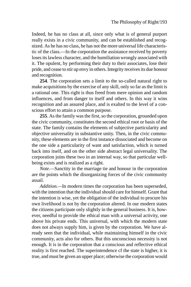Indeed, he has no class at all, since only what is of general purport really exists in a civic community, and can be established and recognized. As he has no class, he has not the more universal life characteristic of the class.—In the corporation the assistance received by poverty loses its lawless character, and the humiliation wrongly associated with it. The opulent, by performing their duty to their associates, lose their pride, and cease to stir up envy in others. Integrity receives its due honour and recognition.

**254**. The corporation sets a limit to the so-called natural right to make acquisitions by the exercise of any skill, only so far as the limit is a rational one. This right is thus freed from mere opinion and random influences, and from danger to itself and others. In this way it wins recognition and an assured place, and is exalted to the level of a conscious effort to attain a common purpose.

**255**. As the family was the first, so the corporation, grounded upon the civic community, constitutes the second ethical root or basis of the state. The family contains the elements of subjective particularity and objective universality in substantive unity. Then, in the civic community, these elements are in the first instance dissociated and become on the one side a particularity of want and satisfaction, which is turned back into itself, and on the other side abstract legal universality. The corporation joins these two in an internal way, so that particular wellbeing exists and is realized as a right.

*Note.—*Sanctity in the marriage tie and honour in the corporation are the points which the disorganizing forces of the civic community assail.

*Addition.—*In modern times the corporation has been superseded, with the intention that the individual should care for himself. Grant that the intention is wise, yet the obligation of the individual to procure his own livelihood is not by the corporation altered. In our modern states the citizens participate only slightly in the general business. It is, however, needful to provide the ethical man with a universal activity, one above his private ends. This universal, with which the modern state does not always supply him, is given by the corporation. We have already seen that the individual, while maintaining himself in the civic community, acts also for others. But this unconscious necessity is not enough. It is in the corporation that a conscious and reflective ethical reality is first reached. The superintendence cf the state is higher, it is true, and must be given an upper place; otherwise the corporation would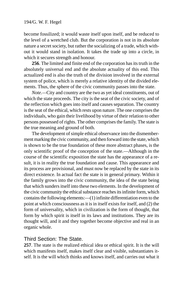become fossilized; it would waste itself upon itself, and be reduced to the level of a wretched club. But the corporation is not in its absolute nature a secret society, but rather the socializing of a trade, which without it would stand in isolation. It takes the trade up into a circle, in which it secures strength and honour.

**256**. The limited and finite end of the corporation has its truth in the absolutely universal end and the absolute actuality of this end. This actualized end is also the truth of the division involved in the external system of police, which is merely a relative identity of the divided elements. Thus, the sphere of the civic community passes into the state.

*Note.—*City and country are the two as yet ideal constituents, out of which the state proceeds. The city is the seat of the civic society, and of the reflection which goes into itself and causes separation. The country is the seat of the ethical, which rests upon nature. The one comprises the individuals, who gain their livelihood by virtue of their relation to other persons possessed of rights. The other comprises the family. The state is the true meaning and ground of both.

The development of simple ethical observance into the dismemberment marking the civic community, and then forward into the state, which is shown to be the true foundation of these more abstract phases, is the only scientific proof of the conception of the state.—Although in the course of the scientific exposition the state has the appearance of a result, it is in reality the true foundation and cause. This appearance and its process are provisional, and must now be replaced by the state in its direct existence. In actual fact the state is in general primary. Within it the family grows into the civic community, the idea of the state being that which sunders itself into these two elements. In the development of the civic community the ethical substance reaches its infinite form, which contains the following elements:—(1) infinite differentiation even to the point at which consciousness as it is in itself exists for itself, and (2) the form of universality, which in civilization is the form of thought, that form by which spirit is itself in its laws and institutions. They are its thought will, and it and they together become objective and real in an organic whole.

# Third Section: The State.

**257**. The state is the realized ethical idea or ethical spirit. It is the will which manifests itself, makes itself clear and visible, substantiates itself. It is the will which thinks and knows itself, and carries out what it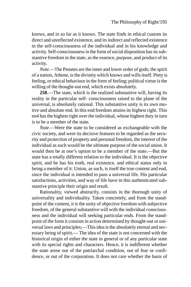knows, and in so far as it knows. The state finds in ethical custom its direct and unreflected existence, and its indirect and reflected existence in the self-consciousness of the individual and in his knowledge and activity. Self-consciousness in the form of social disposition has its substantive freedom in the state, as the essence, purpose, and product of its activity.

*Note.—*The Penates are the inner and lower order of gods; the spirit of a nation, Athene, is the divinity which knows and wills itself. Piety is feeling, or ethical behaviour in the form of feeling; political virtue is the willing of the thought-out end, which exists absolutely.

**258**.—The state, which is the realized substantive will, having its reality in the particular self- consciousness raised to the plane of the universal, is absolutely rational. This substantive unity is its own motive and absolute end. In this end freedom attains its highest right. This en4 has the highest right over the individual, whose highest duty in turn is to be a member of the state.

*Note.—*Were the state to be considered as exchangeable with the civic society, and were its decisive features to be regarded as the security and protection of property and personal freedom, the interest of the individual as such would be the ultimate purpose of the social union. It would then be at one's option to be a member of the state.—But the state has a totally different relation to the individual. It is the objective spirit, and he has his truth, real existence, and ethical status only in being a member of it. Union, as such, is itself the true content and end, since the individual is intended to pass a universal life. His particular satisfactions, activities, and way of life have in this authenticated substantive principle their origin and result.

Rationality, viewed abstractly, consists in the thorough unity of universality and individuality. Taken concretely, and from the standpoint of the content, it is the unity of objective freedom with subjective freedom, of the general substantive will with the individual consciousness and the individual will seeking particular ends. From the standpoint of the form it consists in action determined by thought-out or universal laws and principles;—This idea is the absolutely eternal and necessary being of spirit.— The idea of the state is not concerned with the historical origin of either the state in general or of any particular state with its special rights and characters. Hence, it is indifferent whether the state arose out of the patriarchal condition, out of fear or confidence, or out of the corporation. It does not care whether the basis of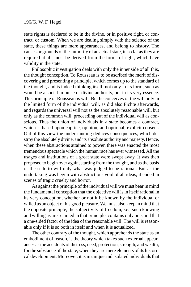state rights is declared to be in the divine, or in positive right, or contract, or custom. When we are dealing simply with the science of the state, these things are mere appearances, and belong to history. The causes or grounds of the authority of an actual state, in so far as they are required at all, must be derived from the forms of right, which have validity in the state.

Philosophic investigation deals with only the inner side of all this, the thought conception. To Rousseau is to be ascribed the merit of discovering and presenting a principle, which comes up to the standard of the thought, and is indeed thinking itself, not only in its form, such as would be a social impulse or divine authority, but in its very essence. This principle of Rousseau is will. But he conceives of the will only in the limited form of the individual will, as did also Fichte afterwards, and regards the universal will not as the absolutely reasonable will, but only as the common will, proceeding out of the individual will as conscious. Thus the union of individuals in a state becomes a contract, which is based upon caprice, opinion, and optional, explicit consent. Out of this view the understanding deduces consequences, which destroy the absolutely divine, and its absolute authority and majesty. Hence, when these abstractions attained to power, there was enacted the most tremendous spectacle which the human race has ever witnessed. All the usages and institutions of a great state were swept away. It was then proposed to begin over again, starting from the thought, and as the basis of the state to will only what was judged to be rational. But as the undertaking was begun with abstractions void of all ideas, it ended in scenes of tragic cruelty and horror.

As against the principle of the individual will we must bear in mind the fundamental conception that the objective will is in itself rational in its very conception, whether or not it be known by the individual or willed as an object of his good pleasure. We must also keep in mind that the opposite principle, the subjectivity of freedom, *i.e.,* such knowing and willing as are retained in that principle, contains only one, and that a one-sided factor of the idea of the reasonable will. The will is reasonable only if it is so both in itself and when it is actualized.

The other contrary of the thought, which apprehends the state as an embodiment of reason, is the theory which takes such external appearances as the accidents of distress, need, protection, strength, and wealth, for the substance of the state, when they are mere elements of its historical development. Moreover, it is in unique and isolated individuals that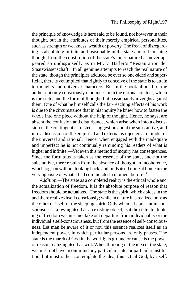the principle of knowledge is here said to be found, not however in their thought, but in the attributes of their merely empirical personalities, such as strength or weakness, wealth or poverty. The freak of disregarding is absolutely infinite and reasonable in the state and of banishing thought from the constitution of the state's inner nature has never appeared so undisguisedly as in Mr. v. Haller's "Restauration der Staatswissenschaft." In all genuine attempts to reach the real nature of the state, though the principles adduced be ever so one-sided and superficial, there is yet implied that rightly to conceive of the state is to attain to thoughts and universal characters. But in the book alluded to, the author not only consciously renounces both the rational content, which is the state, and the form of thought, but passionately inveighs against them. One of what he himself calls the far-reaching effects of his work is due to the circumstance that in his inquiry he knew how to fasten the whole into one piece without the help of thought. Hence, he says, are absent the confusion and disturbance, which arise when into a discussion of the contingent is foisted a suggestion about the substantive, and into a discussion of the empirical and external is injected a reminder of the universal and rational. Hence, when engaged with the inadequate and imperfect he is not continually reminding his readers of what is higher and infinite.—Yet even this method of inquiry has consequences. Since the fortuitous is taken as the essence of the state, and not the substantive, there results from the absence of thought an incoherence, which jogs on without looking back, and finds itself quite at home in the very opposite of what it had commended a moment before.<sup>11</sup>

*Addition.—*The state as a completed reality is the ethical whole and the actualization of freedom. It is the absolute purpose of reason that freedom should be actualized. The state is the spirit, which abides in the and there realizes itself consciously; while in nature it is realized only as the other of itself or the sleeping spirit. Only when it is present in consciousness, knowing itself as an existing object, is it the state. In thinking of freedom we must not take our departure from individuality or the individual's self-consciousness, but from the essence of self- consciousness. Let man be aware of it or not, this essence realizes itself as an independent power, in which particular persons are only phases. The state is the march of God in the world; its ground or cause is the power of reason realizing itself as will. When thinking of the idea of the state, we must not have in our mind any particular state, or particular institution, but must rather contemplate the idea, this actual God, by itself.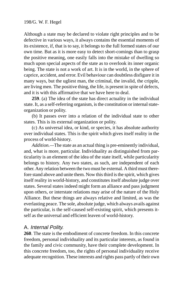Although a state may be declared to violate right principles and to be defective in various ways, it always contains the essential moments of its existence, if, that is to say, it belongs to the full formed states of our own time. But as it is more easy to detect short-comings than to grasp the positive meaning, one easily falls into the mistake of dwelling so much upon special aspects of the state as to overlook its inner organic being. The state is not a work of art. It is in the world, in the sphere of caprice, accident, and error. Evil behaviour can doubtless disfigure it in many ways, but the ugliest man, the criminal, the invalid, the cripple, are living men. The positive thing, the life, is present in spite of defects, and it is with this affirmative that we have here to deal.

**259**. (a) The idea of the state has direct actuality in the individual state. It, as a self-referring organism, is the constitution or internal stateorganization or polity.

(b) It passes over into a relation of the individual state to other states. This is its external organization or polity.

(c) As universal idea, or kind, or species, it has absolute authority over individual states. This is the spirit which gives itself reality in the process of world-history.

*Addition.—*The state as an actual thing is pre-eminently individual, and, what is more, particular. Individuality as distinguished from particularity is an element of the idea of the state itself, while particularity belongs to history. Any two states, as such, are independent of each other. Any relation between the two must be external. A third must therefore stand above and unite them. Now this third is the spirit, which gives itself reality in world-history, and constitutes itself absolute judge over states. Several states indeed might form an alliance and pass judgment upon others, or interstate relations may arise of the nature of the Holy Alliance. But these things are always relative and limited, as was the everlasting peace. The sole, absolute judge, which always avails against the particular, is the self-caused self-existing spirit, which presents itself as the universal and efficient leaven of world-history.

# A. Internal Polity.

**260**. The state is the embodiment of concrete freedom. In this concrete freedom, personal individuality and its particular interests, as found in the family and civic community, have their complete development. In this concrete freedom, too, the rights of personal individuality receive adequate recognition. These interests and rights pass partly of their own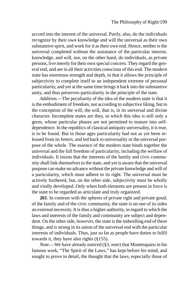accord into the interest of the universal. Partly, also, do the individuals recognize by their own knowledge and will the universal as their own substantive spirit, and work for it as their own end. Hence, neither is the universal completed without the assistance of the particular interest, knowledge, and will, nor, on the other hand, do individuals, as private persons, live merely for their own special concern. They regard the general end, and are in all their activities conscious of this end. The modern state has enormous strength and depth, in that it allows the principle of subjectivity to complete itself to an independent extreme of personal particularity, and yet at the same time brings it back into the substantive unity, and thus preserves particularity in the principle of the state.

*Addition.—*The peculiarity of the idea of the modern state is that it is the embodiment of freedom, not according to subjective liking, but to the conception of the will, the will, that is, in its universal and divine character. Incomplete states are they, in which this idea is still only a germ, whose particular phases are not permitted to mature into selfdependence. In the republics of classical antiquity universality, it is true, is to be found. But in those ages particularity had not as yet been released from its fetters, and led back to universality or the universal purpose of the whole. The essence of the modern state binds together the universal and the full freedom of particularity, including the welfare of individuals. It insists that the interests of the family and civic community shall link themselves to the state, and yet is aware that the universal purpose can make no advance without the private knowledge and will of a particularity, which must adhere to its right. The universal must be actively furthered, but, on the other side, subjectivity must be wholly and vitally developed. Only when both elements are present in force is the state to be regarded as articulate and truly organized.

261. In contrast with the spheres of private right and private good, of the family and of the civic community, the state is on one of its sides an external necessity. It is thus a higher authority, in regard to which the laws and interests of the family and community are subject and dependent. On the other side, however, the state is the indwelling end of these things, and is strong in its union of the universal end with the particular interests of individuals. Thus, just so far as people have duties to fulfil towards it, they have also rights (§155).

*Note.—*We have already noticed (§3, *note*) that Montesquieu in his famous work, "The Spirit of the Laws," has kept before his mind, and sought to prove in detail, the thought that the laws, especially those of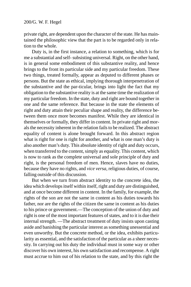private right, are dependent upon the character of the state. He has maintained the philosophic view that the part is to be regarded only in relation to the whole.

Duty is, in the first instance, a relation to something, which is for me a substantial and self- subsisting universal. Right, on the other hand, is in general some embodiment of this substantive reality, and hence brings to the front its particular side and my particular freedom. These two things, treated formally, appear as deputed to different phases or persons. But the state as ethical, implying thorough interpenetration of the substantive and the par-ticular, brings into light the fact that my obligation to the substantive reality is at the same time the realization of my particular freedom. In the state, duty and right are bound together in one and the same reference. But because in the state the elements of right and duty attain their peculiar shape and reality, the difference between them once more becomes manifest. While they are identical in themselves or formally, they differ in content. In private right and morals the necessity inherent in the relation fails to be realized. The abstract equality of content is alone brought forward. In this abstract region what is right for one is right for another, and what is one man's duty is also another man's duty. This absolute identity of right and duty occurs, when transferred to the content, simply as equality. This content, which is now to rank as the complete universal and sole principle of duty and right, is the personal freedom of men. Hence, slaves have no duties, because they have no rights, and *vice versa,* religious duties, of course, falling outside of this discussion.

But when we turn from abstract identity to the concrete idea, the idea which develops itself within itself, right and duty are distinguished, and at once become different in content. In the family, for example, the rights of the son are not the same in content as his duties towards his father, nor are the rights of the citizen the same in content as his duties to his prince or government.—The conception of the union of duty and right is one of the most important features of states, and to it is due their internal strength. —The abstract treatment of duty insists upon casting aside and banishing the particular interest as something unessential and even unworthy. But the concrete method, or the idea, exhibits particularity as essential, and the satisfaction of the particular as a sheer necessity. In carrying out his duty the individual must in some way or other discover his own interest, his own satisfaction and recompense. A right must accrue to him out of his relation to the state, and by this right the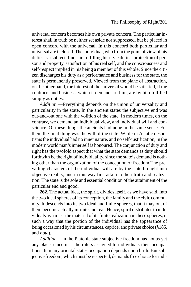universal concern becomes his own private concern. The particular interest shall in truth be neither set aside nor suppressed, but be placed in open concord with the universal. In this concord both particular and universal are inclosed. The individual, who from the point of view of his duties is a subject, finds, in fulfilling his civic duties, protection of person and property, satisfaction of his real self, and the consciousness and self-respect implied in his being a member of this whole. Since the citizen discharges his duty as a performance and business for the state, the state is permanently preserved. Viewed from the plane of abstraction, on the other hand, the interest of the universal would be satisfied, if the contracts and business, which it demands of him, are by him fulfilled simply as duties.

*Addition.*—Everything depends on the union of universality and particularity in the state. In the ancient states the subjective end was out-and-out one with the volition of the state. In modern times, on the contrary, we demand an individual view, and individual will and conscience. Of these things the ancients had none in the same sense. For them the final thing was the will of the state. While in Asiatic despotisms the individual had no inner nature, and no self-justification, in the modern world man's inner self is honoured. The conjunction of duty and right has the twofold aspect that what the state demands as duty should forthwith be the right of individuality, since the state's demand is nothing other than the organization of the conception of freedom The prevailing characters of the individual will are by the state brought into objective reality, and in this way first attain to their truth and realization. The state is the sole and essential condition of the attainment of the particular end and good.

**262**. The actual idea, the spirit, divides itself, as we have said, into the two ideal spheres of its conception, the family and the civic community. It descends into its two ideal and finite spheres, that it may out of them become actually infinite and real. Hence, spirit distributes to individuals as a mass the material of its finite realization in these spheres, in such a way that the portion of the individual has the appearance of being occasioned by his circumstances, caprice, and private choice (§185, and *note*).

*Addition.—*In the Platonic state subjective freedom has not as yet any place, since in it the rulers assigned to individuals their occupations. In many oriental states occupation depends upon birth. But subjective freedom, which must be respected, demands free choice for indi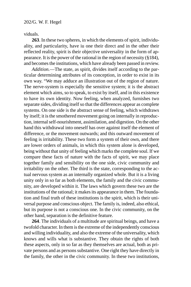viduals.

**263**. In these two spheres, in which the elements of spirit, individuality, and particularity, have iu one their direct and in the other their reflected reality, spirit is their objective universality in the form of appearance. It is the power of the rational in the region of necessity (§184), and becomes the institutions, which have already been passed in review.

*Addition.*—The state, as spirit, divides itself according to the particular determining attributes of its conception, in order to exist in its own way. "We may adduce an illustration out of the region of nature. The nerve-system is especially the sensitive system; it is the abstract element which aims, so to speak, to exist by itself, and in this existence to have its own identity. Now feeling, when analyzed, furnishes two separate sides, dividing itself so that the differences appear as complete systems. On one side is the abstract sense of feeling, which withdraws by itself; it is the smothered movement going on internally in reproduction, internal self-nourishment, assimilation, and digestion. On the other hand this withdrawal into oneself has over against itself the element of difference, or the movement outwards; and this outward movement of feeling is irritability. These two form a system of their own, and there are lower orders of animals, in which this system alone is developed, being without that unity of feeling which marks the complete soul. If we compare these facts of nature with the facts of spirit, we may place together family and sensibility on the one side, civic community and irritability on the other. The third is the state, corresponding to the actual nervous system as an internally organized whole. But it is a living unity only in so far as both elements, the family and the civic community, are developed within it. The laws which govern these two are the institutions of the rational; it makes its appearance in them. The foundation and final truth of these institutions is the spirit, which is their universal purpose and conscious object. The family is, indeed, also ethical, but its purpose is not a conscious one. In the civic community, on the other hand, separation is the definitive feature.

**264**. The individuals of a multitude are spiritual beings, and have a twofold character. In them is the extreme of the independently conscious and willing individuality, and also the extreme of the universality, which knows and wills what is substantive. They obtain the rights of both these aspects, only in so far as they themselves are actual, both as private persons and as persons substantive. One right they have directly in the family, the other in the civic community. In these two institutions,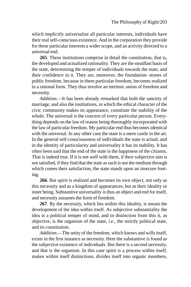which implicitly universalize all particular interests, individuals have their real self-conscious existence. And in the corporation they provide for these particular interests a wider scope, and an activity directed to a universal end.

**265**. These institutions comprise in detail the constitution, that is, the developed and actualized rationality. They are the steadfast basis of the state, determining the temper of individuals towards the state, and their confidence in it. They are, moreover, the foundation- stones of public freedom, because in them particular freedom, becomes realized in a rational form. They thus involve an intrinsic union of freedom and necessity.

*Addition.—*It has been already remarked that both the sanctity of marriage, and also the institutions, in which the ethical character of the civic community makes its appearance, constitute the stability of the whole. The universal is the concern of every particular person. Everything depends on the law of reason being thoroughly incorporated with the law of particular freedom. My particular end thus becomes identical with the universal. In any other case the state is a mere castle in the air. In the general self-consciousness of individuals the state is actual, and in the identity of particularity and universality it has its stability. It has often been said that the end of the state is the happiness of the citizens. That is indeed true. If it is not well with them, if their subjective aim is not satisfied, if they find that the state as such is not the medium through which comes their satisfaction, the state stands upon an insecure footing.

**266**. But spirit is realized and becomes its own object, not only as this necessity and as a kingdom of appearances, but as their ideality or inner being. Substantive universality is thus an object and end for itself, and necessity assumes the form of freedom.

**267**. By the necessity, which lies within this ideality, is meant the development of the idea within itself. As subjective substantiality the idea is a political temper of mind, and in distinction from this it, as objective, is the organism of the state, *i.e.,* the strictly political state, and its constitution.

*Addition.—*The unity of the freedom, which knows and wills itself, exists in the first instance as necessity. Here the substantive is found as the subjective existence of individuals. But there is a second necessity, and that is the organism. In this case spirit is a process within itself, makes within itself distinctions, divides itself into organic members,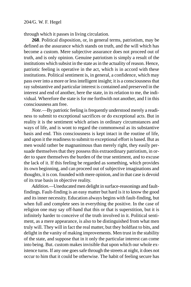through which it passes in living circulation.

**268**. Political disposition, or, in general terms, patriotism, may be defined as the assurance which stands on truth, and the will which has become a custom. Mere subjective assurance does not proceed out of truth, and is only opinion. Genuine patriotism is simply a result of the institutions which subsist in the state as in the actuality of reason. Hence, patriotic feeling is operative in the act, which is in accord with these institutions. Political sentiment is, in general, a confidence, which may pass over into a more or less intelligent insight; it is a consciousness that ray substantive and particular interest is contained and preserved in the interest and end of another, here the state, in its relation to me, the individual. Wherefore the state is for me forthwith not another, and I in this consciousness am free.

*Note.*—By patriotic feeling is frequently understood merely a readiness to submit to exceptional sacrifices or do exceptional acts. But in reality it is the sentiment which arises in ordinary circumstances and ways of life, and is wont to regard the commonweal as its substantive basis and end. This consciousness is kept intact in the routine of life, and upon it the readiness to submit to exceptional effort is based. But as men would rather be magnanimous than merely right, they easily persuade themselves that they possess this extraordinary patriotism, in order to spare themselves the burden of the true sentiment, and to excuse the lack of it. If this feeling be regarded as something, which provides its own beginning, and can proceed out of subjective imaginations and thoughts, it is con. founded with mere opinion, and in that case is devoid of its true basis in objective reality.

*Addition.—*Uneducated men delight in surface-reasonings and faultfindings. Fault-finding is an easy matter but hard is it to know the good and its inner necessity. Education always begins with fault-finding, but when full and complete sees in everything the positive. In the case of religion one may say off-hand that this or that is superstition, but it is infinitely harder to conceive of the truth involved in it. Political sentiment, as a mere appearance, is also to be distinguished from what men truly will. They will in fact the real matter, but they holdfast to bits, and delight in the vanity of making improvements. Men trust in the stability of the state, and suppose that in it only the particular interest can come into being. But. custom makes invisible that upon which our whole existence turns. If any one goes safe through the streets at night, it does not occur to him that it could be otherwise. The habit of feeling secure has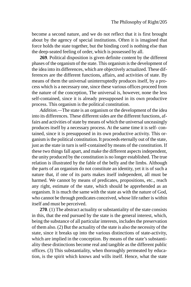become a second nature, and we do not reflect that it is first brought about by the agency of special institutions. Often it is imagined that force holds the state together, but the binding cord is nothing else than the deep-seated feeling of order, which is possessed by all.

**269**. Political disposition is given definite content by the different phases of the organism of the state. This organism is the development of the idea into its differences, which are objectively actualized. These differences are the different functions, affairs, and activities of state. By means of them the universal uninterruptedly produces itself, by a process which is a necessary one, since these various offices proceed from the nature of the conception, The universal is, however, none the less self-contained, since it is already presupposed in its own productive process. This organism is the political constitution.

*Addition.—*The state is an organism or the development of the idea into its differences. These different sides are the different functions, affairs and activities of state by means of which the universal unceasingly produces itself by a necessary process. At the same time it is self- contained, since it is presupposed in its own productive activity. This organism is the political constitution. It proceeds eternally out of the state, just as the state in turn is self-contained by means of the constitution. If these two things fall apart, and make the different aspects independent, the unity produced by the constitution is no longer established. The true relation is illustrated by the fable of the belly and the limbs. Although the parts of an organism do not constitute an identity, yet it is of such a nature that, if one of its parts makes itself independent, all must be harmed. We cannot by means of predicates, propositions, etc., reach any right, estimate of the state, which should be apprehended as an organism. It is much the same with the state as with the nature of God, who cannot be through predicates conceived, whose life rather is within itself and must be perceived.

**270**. (1) The abstract actuality or substantiality of the state consists in this, that the end pursued by the state is the general interest, which, being the substance of all particular interests, includes the preservation of them also. (2) But the actuality of the state is also the necessity of the state, since it breaks up into the various distinctions of state-activity, which are implied in the conception. By means of the state's substantiality these distinctions become real and tangible as the different public offices. (3) This substantiality, when thoroughly permeated by education, is the spirit which knows and wills itself. Hence, what the state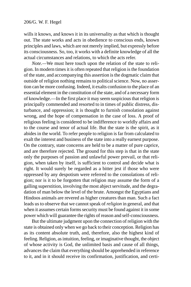wills it knows, and knows it in its universality as that which is thought out. The state works and acts in obedience to conscious ends, known principles and laws, which are not merely implied, but expressly before its consciousness. So, too, it works with a definite knowledge of all the actual circumstances and relations, to which the acts refer.

*Note.—*We must here touch upon the relation of the state to religion. In modern times it is often repeated that religion is the foundation of the state, and accompanying this assertion is the dogmatic claim that outside of religion nothing remains to political science. Now, no assertion can be more confusing. Indeed, it exalts confusion to the place of an essential element in the constitution of the state, and of a necessary form of knowledge.—In the first place it may seem suspicious that religion is principally commended and resorted to in times of public distress, disturbance, and oppression; it is thought to furnish consolation against wrong, and the hope of compensation in the case of loss. A proof of religious feeling is considered to be indifference to worldly affairs and to the course and tenor of actual life. But the state is the spirit, as it abides in the world. To refer people to religion is far from calculated to exalt the interest and business of the state into a really earnest purpose. On the contrary, state concerns are held to be a matter of pure caprice, and are therefore rejected. The ground for this step is that in the state only the purposes of passion and unlawful power prevail, or that religion, when taken by itself, is sufficient to control and decide what is right. It would surely be regarded as a bitter jest if those who were oppressed by any despotism were referred to the consolations of religion; nor is it to be forgotten that religion may assume the form of a galling superstition, involving the most abject servitude, and the degradation of man below the level of the brute. Amongst the Egyptians and Hindoos animals are revered as higher creatures than man. Such a fact leads us to observe that we cannot speak of *religion* in general, and that when it assumes certain forms security must be found against it in some power which will guarantee the rights of reason and self-consciousness.

But the ultimate judgment upon the connection of religion with the state is obtained only when we go back to their conception. Religion has as its content absolute truth, and, therefore, also the highest kind of feeling. Religion, as intuition, feeling, or imaginative thought, the object of whose activity is God, the unlimited basis and cause of all things, advances the claim that everything should be apprehended in reference to it, and in it should receive its confirmation, justification, and certi-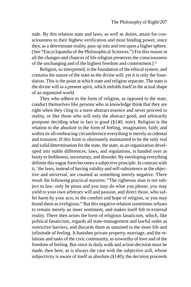tude. By this relation state and laws, as well as duties, attain for consciousness to their highest verification and most binding power, since they, as a determinate reality, pass up into and rest upon a higher sphere. (See "Encyclopaedia of the Philosophical Sciences.") For this reason in all the changes and chances of life religion preserves the consciousness of the unchanging and of the highest freedom and contentment.[12

Religion, so interpreted, is the foundation of the ethical system, and contains the nature of the state as the divine will; yet it is only the foundation. This is the point at which state and religion separate. The state is the divine will as a present spirit, which unfolds itself in the actual shape of an organized world.

They who adhere to the form of religion, as opposed to the state, conduct themselves like persons who in knowledge think that they are right when they cling to a mere abstract essence and never proceed to reality, or like those who will only the abstract good, and arbitrarily postpone deciding what in fact is good (§140, *note*). Religion is the relation to the absolute in the form of feeling, imagination, faith; and within its all-embracing circumference everything is merely accidental and transient. If this form is obstinately maintained to be the only real and valid determination for the state, the state, as an organization developed into stable differences, laws, and regulations, is handed over as booty to feebleness, uncertainty, and disorder. By enveloping everything definite this vague form becomes a subjective principle. In contrast with it, 'the laws, instead of having validity and self-subsistence as the objective and universal, are counted as something merely negative. There result the following practical maxims: "The righteous man is not subject to law; only be pious and you may do what you please; you may yield to your own arbitrary will and passion, and direct those, who suffer harm by your acts, to the comfort and hope of religion, or you may brand them as irreligious." But this negative relation sometimes refuses to remain merely an inner sentiment, and makes itself felt in external reality. There then arises the form of religious fanaticism, which, like political fanaticism, regards all state-management and lawful order as restrictive barriers, and discards them as unsuited to the inner life and infinitude of feeling. It banishes private property, marriage, and the relations and tasks of the civic community, as unworthy of love and of the freedom of feeling. But since in daily walk and action decision must be made, then here, as is always the case with the subjective will, whose subjectivity is aware of itself as absolute (§140), the decision proceeds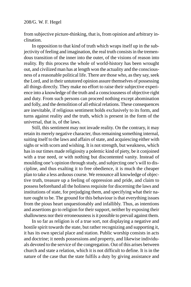from subjective picture-thinking, that is, from opinion and arbitrary inclination.

In opposition to that kind of truth which wraps itself up in the subjectivity of feeling and imagination, the real truth consists in the tremendous transition of the inner into the outer, of the visions of reason into reality. By this process the whole of world-history has been wrought out, and civilized man has at length won the actuality and the consciousness of a reasonable political life. There are those who, as they say, seek the Lord, and in their untutored opinion assure themselves of possessing all things directly. They make no effort to raise their subjective experience into a knowledge of the truth and a consciousness of objective right and duty. From such persons can proceed nothing except abomination and folly, and the demolition of all ethical relations. These consequences are inevitable, if religious sentiment holds exclusively to its form, and turns against reality and the truth, which is present in the form of the universal, that is, of the laws.

Still, this sentiment may not invade reality. On the contrary, it may retain its merely negative character, thus remaining something internal, suiting itself to the laws and affairs of state, and acquiescing either with sighs or with scorn and wishing. It is not strength, but weakness, which has in our times made religiosity a polemic kind of piety, be it conjoined with a true need, or with nothing but discontented vanity. Instead of moulding one's opinion through study, and subjecting one's will to discipline, and thus exalting it to free obedience, it is much the cheaper plan to take a less arduous course. We renounce all knowledge of objective truth, treasure up a feeling of oppression and pride, and claim to possess beforehand all the holiness requisite for discerning the laws and institutions of state, for prejudging them, and specifying what their nature ought to be. The ground for this behaviour is that everything issues from the pious heart unquestionably and infallibly. Thus, as intentions and assertions go to religion for their support, neither by exposing their shallowness nor their erroneousness is it possible to prevail against them.

In so far as religion is of a true sort, not displaying a negative and hostile spirit towards the state, but rather recognizing and supporting it, it has its own special place and station. Public worship consists in acts and doctrine; it needs possessions and property, and likewise individuals devoted to the service of the congregation. Out of this arises between church and state a relation, which it is not difficult to define. It is in the nature of the case that the state fulfils a duty by giving assistance and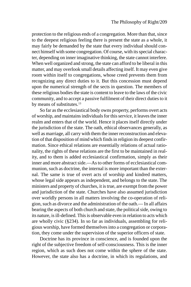protection to the religious ends of a congregation. More than that, since to the deepest religious feeling there is present the state as a whole, it may fairly be demanded by the state that every individual should connect himself with some congregation. Of course, with its special character, depending on inner imaginative thinking, the state cannot interfere. When well organized and strong, the state can afford to be liberal in this matter, and may overlook small details affecting itself. It may even give room within itself to congregations, whose creed prevents them from recognizing any direct duties to it. But this concession must depend upon the numerical strength of the sects in question. The members of these religious bodies the state is content to leave to the laws of the civic community, and to accept a passive fulfilment of their direct duties to it by means of substitutes.<sup>13</sup>

So far as the ecclesiastical body owns property, performs overt acts of worship, and maintains individuals for this service, it leaves the inner realm and enters that of the world. Hence it places itself directly under the jurisdiction of the state. The oath, ethical observances generally, as well as marriage, all carry with them the inner reconstruction and elevation of that disposition of mind which finds in religion its deepest confirmation. Since ethical relations are essentially relations of actual rationality, the rights of these relations are the first to be maintained in reality, and to them is added ecclesiastical confirmation, simply as their inner and more abstract side.—As to other forms of ecclesiastical communion, such as doctrine, the internal is more important than the external. The same is true of overt acts of worship and kindred matters, whose legal side appears as independent, and belongs to the state. The ministers and property of churches, it is true, are exempt from the power and jurisdiction of the state. Churches have also assumed jurisdiction over worldly persons in all matters involving the co-operation of religion, such as divorce and the administration of the oath.— In all affairs bearing the aspects of both church and state, the political side, owing to its nature, is ill-defined. This is observable even in relation to acts which are wholly civic (§234). In so far as individuals, assembling for religious worship, have formed themselves into a congregation or corporation, they come under the supervision of the superior officers of state.

Doctrine has its province in conscience, and is founded upon the right of the subjective freedom of self-consciousness. This is the inner region, which as such does not come within the sphere of the state. However, the state also has a doctrine, in which its regulations, and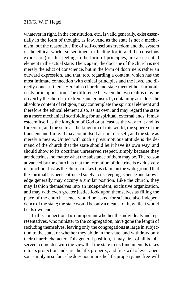#### 210/G. W. F. Hegel

whatever in right, in the constitution, etc., is valid generally, exist essentially in the form of thought, as law. And as the state is not a mechanism, but the reasonable life of self-conscious freedom and the system of the ethical world, so sentiment or feeling for it, and the conscious expression) of this feeling in the form of principles, are an essential element in the actual state. Then, again, the doctrine of the church is not merely the edict of conscience, but in the form of doctrine is rather an outward expression, and that, too, regarding a content, which has the most intimate connection with ethical principles and the laws, and directly concern them. Here also church and state meet either harmoniously or in opposition. The difference between the two realms may be driven by the church to extreme antagonism. It, containing as it does the absolute content of religion, may contemplate the spiritual element and therefore the ethical element also, as its own, and may regard the state as a mere mechanical scaffolding for unspiritual, external ends. It may esteem itself as the kingdom of God or at least as the way to it and its forecourt, and the state as the kingdom of this world, the sphere of the transient and finite. It may count itself as end for itself, and the state as merely a means. United with such a presumptuous attitude is the demand of the church that the state should let it have its own way, and should show to its doctrines unreserved respect, simply because they are doctrines, no matter what the substance of them may be. The reason advanced by the church is that the formation of doctrine is exclusively its function. Just as the church makes this claim on the wide ground that the spiritual has been entrusted solely to its keeping, science and knowledge generally may occupy a similar position. Like the church, they may fashion themselves into an independent, exclusive organization, and may with even greater justice look upon themselves as filling the place of the church. Hence would be asked for science also independence of the state; the state would be only a means for it, while it would be its own end.

In this connection it is unimportant whether the individuals and representatives, who minister to the congregation, have gone the length of secluding themselves, leaving only the congregations at large in subjection to the state, or whether they abide in the state, and withdraw only their church character. This general position, it may first of all be observed, coincides with the view that the state in its fundamentals takes into its protection and care the life, property, and free-will of every person, simply in so far as he does not injure the life, property, and free-will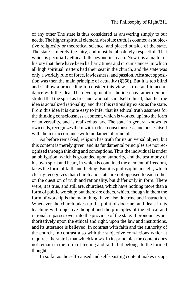of any other The state is thus considered as answering simply to our needs. The higher spiritual element, absolute truth, is counted as subjective religiosity or theoretical science, and placed outside of the state. The state is merely the laity, and must be absolutely respectful. That which is peculiarly ethical falls beyond its reach. Now it is a matter of history that there have been barbaric times and circumstances, in which all high spiritual matters had their seat in the church, and the state was only a worldly rule of force, lawlessness, and passion. Abstract opposition was then the main principle of actuality (§358). But it is too blind and shallow a proceeding to consider this view as true and in accordance with the idea. The development of the idea has rather demonstrated that the spirit as free and rational is in itself ethical, that the true idea is actualized rationality, and that this rationality exists as the state. From this idea it is quite easy to infer that its ethical truth assumes for the thinking consciousness a content, which is worked up into the form of universality, and is realized as law. The state in general knows its own ends, recognizes them with a clear consciousness, and busies itself with them in accordance with fundamental principles.

As before remarked, religion has truth for its universal object, but this content is merely given, and its fundamental principles are not recognized through thinking and conceptions. Thus the individual is under an obligation, which is grounded upon authority, and the testimony of his own spirit and heart, in which is contained the element of freedom, takes the form of faith and feeling. But it is philosophic insight, which clearly recognizes that church and state are not opposed to each other on the question of truth and rationality, but differ only in form. There were, it is true, and still are, churches, which have nothing more than a form of public worship; but there are others, which, though in them the form of worship is the main thing, have also doctrine and instruction. Whenever the church takes up the point of doctrine, and deals in its teaching with objective thought and the principles of the ethical and rational, it passes over into the province of the state. It pronounces authoritatively upon the ethical and right, upon the law and institutions, and its utterance is believed. In contrast with faith and the authority of the church, in contrast also with the subjective convictions which it requires, the state is that which knows. In its principles the content does not remain in the form of feeling and faith, but belongs to the formed thought.

In so far as the self-caused and self-existing content makes its ap-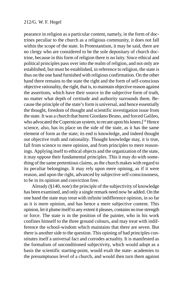#### 212/G. W. F. Hegel

pearance in religion as a particular content, namely, in the form of doctrines peculiar to the church as a religious community, it does not fall within the scope of the state. In Protestantism, it may be said, there are no clergy who are considered to be the sole depositary of church doctrine, because in this form of religion there is no laity. Since ethical and political principles pass over into the realm of religion, and not only are established, but must be established, in reference to religion, the state is thus on the one hand furnished with religious confirmation. On the other hand there remains to the state the right and the form of self-conscious objective rationality, the right, that is, to maintain objective reason against the assertions, which have their source in the subjective form of truth, no matter what depth of certitude and authority surrounds them. Because the principle of the state's form is universal, and hence essentially the thought, freedom of thought and scientific investigation issue from the state. It was a church that burnt Giordano Bruno, and forced Galileo, who advocated the Copernican system, to recant upon his knees.<sup>[14</sup> Hence] science, also, has its place on the side of the state, as it has the same element of form as the state; its end is knowledge, and indeed thought out objective truth and rationality. Thought knowledge may, it is true, fall from science to mere opinion, and from principles to mere reasonings. Applying itself to ethical objects and the organization of the state, it may oppose their fundamental principles. This it may do with something of the same pretentious claims, as the church makes with regard to its peculiar belongings. It may rely upon mere opining, as if it were reason, and upon the right, advanced by subjective self-consciousness, to be in its opinion and conviction free.

Already (§140, *note*) the principle of the subjectivity of knowledge has been examined, and only a single remark need now be added. On the one hand the state may treat with infinite indifference opinion, in so far as it is mere opinion, and has hence a mere subjective content. This opinion, let it plume itself to any extent it pleases, contains no true strength or force. The state is in the position of the painter, who in his work confines himself to the three ground colours, and may treat with indifference the school-wisdom which maintains that there are seven. But there is another side to the question. This opining of bad principles constitutes itself a universal fact and corrodes actuality. It is manifested as the formalism of unconditioned subjectivity, which would adopt as a basis the scientific starting-point, would exalt the state- academies to the presumptuous level of a church, and would then turn them against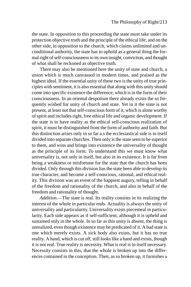the state. In opposition to this proceeding the state must take under its protection objective truth and the principle of the ethical life; and on the other side, in opposition to the church, which claims unlimited and unconditional authority, the state has to uphold as a general thing the formal right of self-consciousness to its own insight, conviction, and thought of what shall be reckoned as objective truth.

There may also be mentioned here the unity of state and church, a union which is much canvassed in modern times, and praised as the highest ideal. If the essential unity of these two is the unity of true principles with sentiment, it is also essential that along with this unity should come into specific existence the difference, which is in the form of their consciousness. In an oriental despotism there already exists the so frequently wished for unity of church and state. Yet in it the state is not present, at least not that self-conscious form of it, which is alone worthy of spirit and includes right, free ethical life and organic development. If the state is to have reality as the ethical self-conscious realization of spirit, it must be distinguished front the form of authority and faith. But this distinction arises only in so far a.s the ecclesiastical side is in itself divided into separate churches. Then only is the state seen to be superior to them, and wins and brings into existence the universality of thought as the principle of its form. To understand this we must know what universality is, not only in itself, but also in its existence. It is far from being a weakness or misfortune for the state that the church has been divided. Only through this division lias the state been able to develop its true character, and become a self-conscious, rational, and ethical reality. This division was an event of the happiest augury, telling in behalf of the freedom and rationality of the church, and also in behalf of the freedom and rationality of thought.

*Addition.—*The state is real. Its reality consists in its realizing the interest of the whole in particular ends. Actuality is always the unity of universality and particularity. Universality exists piecemeal in particularity. Each side appears as if self-sufficient, although it is upheld and sustained only in the whole. In so far as this unity is absent, the thing is unrealized, even though existence may be predicated of it. A bad state is one which merely exists. A sick body also exists, but it has no true reality. A hand, which is cut off, still looks like a hand and exists, though it is not real. True reality is necessity. What is real is in itself necessary. Necessity consists in this, that the whole is broken up into the differences contained in the conception. Then, as so broken up, it furnishes a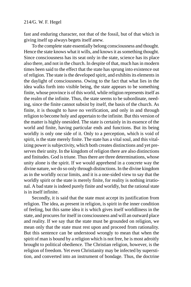fast and enduring character, not that of the fossil, but of that which in giving itself up always begets itself anew.

To the complete state essentially belong consciousness and thought. Hence the state knows what it wills, and knows it as something thought. Since consciousness has its seat only in the state, science has its place also there, and not in the church. In despite of that, much has in modern times been said to the effect that the state has sprung into existence out of religion. The state is the developed spirit, and exhibits its elements in the daylight of consciousness. Owing to the fact that what lies in the idea walks forth into visible being, the state appears to be something finite, whose province is of this world, while religion represents itself as the realm of the infinite. Thus, the state seems to be subordinate, needing, since the finite cannot subsist by itself, the basis of the church. As finite, it is thought to have no verification, and only in and through religion to become holy and appertain to the infinite. But this version of the matter is highly onesided. The state is certainly in its essence of the world and finite, having particular ends and functions. But its being worldly is only one side of it. Only to a perception, which is void of spirit, is the state merely finite. The state has a vital soul, and this vitalizing power is subjectivity, which both creates distinctions and yet preserves their unity. In the kingdom of religion there are also distinctions and finitudes. God is triune. Thus there are three determinations, whose unity alone is the spirit. If we would apprehend in a concrete way the divine nature, we do so only through distinctions. In the divine kingdom as in the worldly occur limits, and it is a one-sided view to say that the worldly spirit or the state is merely finite, for reality is nothing irrational. A bad state is indeed purely finite and worldly, but the rational state is in itself infinite.

Secondly, it is said that the state must accept its justification from religion. The idea, as present in religion, is spirit in the inner condition of feeling, but this same idea it is which gives itself worldliness in the state, and procures for itself in consciousness and will an outward place and reality. If we say that the state must be grounded on religion, we mean only that the state must rest upon and proceed from rationality. But this sentence can be understood wrongly to mean that when the spirit of man is bound by a religion which is not free, he is most adroitly brought to political obedience. The Christian religion, however, is the religion of freedom. Yet even Christianity may be infected by superstition, and converted into an instrument of bondage. Thus, the doctrine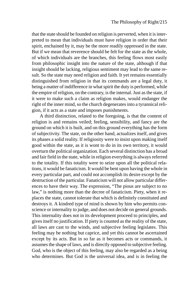that the state should be founded on religion is perverted, when it is interpreted to mean that individuals must have religion in order that their spirit, enchained by it, may be the more readily oppressed in the state. But if we mean that reverence should be felt for the state as the whole, of which individuals are the branches, this feeling flows most easily from philosophic insight into the nature of the state, although if that insight should be lacking, religious sentiment may lead to the same result. So the state may need religion and faith. It yet remains essentially distinguished from religion in that its commands are a legal duty, it being a matter of indifference in what spirit the duty is performed, while the empire of religion, on the contrary, is the internal. Just as the state, if it were to make such a claim as religion makes, would endanger the right of the inner mind, so the church degenerates into a tyrannical religion, if it acts as a state and imposes punishments.

A third distinction, related to the foregoing, is that the content of religion is and remains veiled; feeling, sensibility, and fancy are the ground on which it is built, and on this ground everything has the form of subjectivity. The state, on the other hand, actualizes itself, and gives its phases a solid reality. If religiosity were to insist upon making itself good within the state, as it is wont to do in its own territory, it would overturn the political organization. Each several distinction has a broad and fair field in the state, while in religion everything is always referred to the totality. If this totality were to seize upon all the political relations, it would be fanaticism. It would be bent upon having the whole in every particular part, and could not accomplish its desire except by the destruction of the particular. Fanaticism will not allow particular differences to have their way. The expression, "The pious are subject to no law," is nothing more than the decree of fanaticism. Piety, when it replaces the state, cannot tolerate that which is definitely constituted and destroys it. A kindred type of mind is shown by him who permits conscience or internality to judge, and does not decide on general grounds. This internality does not in its development proceed to principles, and gives itself no justification. If piety is counted as the reality of the state, all laws are cast to the winds, and subjective feeling legislates. This feeling may be nothing but caprice, and yet this cannot be ascertained except by its acts. But in so far as it becomes acts or commands, it assumes the shape of laws, and is directly opposed to subjective feeling. God, who is the object of this feeling, may also be regarded as a being who determines. But God is the universal idea, and is in feeling the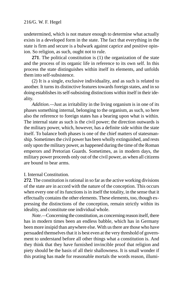## 216/G. W. F. Hegel

undetermined, which is not mature enough to determine what actually exists in a developed form in the state. The fact that everything in the state is firm and secure is a bulwark against caprice and positive opinion. So religion, as such, ought not to rule.

**271**. The political constitution is (1) the organization of the state and the process of its organic life in reference to its own self. In this process the state distinguishes within itself its elements, and unfolds them into self-subsistence.

(2) It is a single, exclusive individuality, and as such is related to another. It turns its distinctive features towards foreign states, and in so doing establishes its self-subsisting distinctions within itself in their ideality.

*Addition.—*Just as irritability in the living organism is in one of its phases something internal, belonging to the organism, as such, so here also the reference to foreign states has a bearing upon what is within. The internal state as such is the civil power; the direction outwards is the military power, which, however, has a definite side within the state itself. To balance both phases is one of the chief matters of statesmanship. Sometimes the civil power has been wholly extinguished, and rests only upon the military power, as happened during the time of the Roman emperors and Pretorian Guards. Sometimes, as in modern days, the military power proceeds only out of the civil power, as when all citizens are bound to bear arms.

I. Internal Constitution.

**272**. The constitution is rational in so far as the active working divisions of the state are in accord with the nature of the conception. This occurs when every one of its functions is in itself the totality, in the sense that it effectually contains the other elements. These elements, too, though expressing the distinctions of the conception, remain strictly within its ideality, and constitute one individual whole.

*Note.—*Concerning the constitution, as concerning reason itself, there has in modern times been an endless babble, which has in Germany been more insipid than anywhere else. With us there are those who have persuaded themselves that it is best even at the very threshold of government to understand before all other things what a constitution is. And they think that they have furnished invincible proof that religion and piety should be the basis of all their shallowness. It is small wonder if this prating has made for reasonable mortals the words reason, illumi-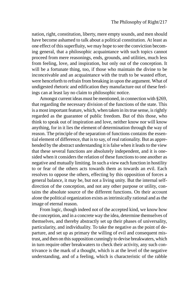nation, right, constitution, liberty, mere empty sounds, and men should have become ashamed to talk about a political constitution. At least as one effect of this superfluity, we may hope to see the conviction becoming general, that a philosophic acquaintance with such topics cannot proceed from mere reasonings, ends, grounds, and utilities, much less from feeling, love, and inspiration, but only out of the conception. It will be a fortunate thing, too, if those who maintain the divine to be inconceivable and an acquaintance with the truth to be wasted effort, were henceforth to refrain from breaking in upon the argument. What of undigested rhetoric and edification they manufacture out of these feelings can at least lay no claim to philosophic notice.

Amongst current ideas must be mentioned, in connection with §269, that regarding the necessary division of the functions of the state. This is a most important feature, which, when taken in its true sense, is rightly regarded as the guarantee of public freedom. But of this those, who think to speak out of inspiration and love, neither know nor will know anything, for in it lies the element of determination through the way of reason. The principle of the separation of functions contains the essential element of difference, that is to say, of real rationality. But as apprehended by the abstract understanding it is false when it leads to the view that these several functions are absolutely independent, and it is onesided when it considers the relation of these functions to one another as negative and mutually limiting. In such a view each function in hostility to or fear of the others acts towards them as towards an evil. Each resolves to oppose the others, effecting by this opposition of forces a general balance, it may be, but not a living unity. But the internal selfdirection of the conception, and not any other purpose or utility, contains the absolute source of the different functions. On their account alone the political organization exists as intrinsically rational and as the image of eternal reason.

From logic, though indeed not of the accepted kind, we know how the conception, and in a concrete way the idea, determine themselves of themselves, and thereby abstractly set up their phases of universality, particularity, and individuality. To take the negative as the point of departure, and set up as primary the willing of evil and consequent mistrust, and then on this supposition cunningly to devise breakwaters, which in turn require other breakwaters to check their activity, any such contrivance is the mark of a thought, which is at the level of the negative understanding, and of a feeling, which is characteristic of the rabble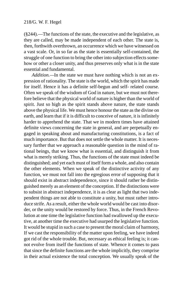(§244).—The functions of the state, the executive and the legislative, as they are called, may be made independent of each other. The state is, then, forthwith overthrown, an occurrence which we have witnessed on a vast scale. Or, in so far as the state is essentially self-contained, the struggle of one function to bring the other into subjection effects somehow or other a closer unity, and thus preserves only what is in the state essential and fundamental.

*Addition.—*In the state we must have nothing which is not an expression of rationality. The state is the world, which the spirit has made for itself. Hence it has a definite self-begun and self- related course. Often we speak of the wisdom of God in nature, but we must not therefore believe that the physical world of nature is higher than the world of spirit. Just so high as the spirit stands above nature, the state stands above the physical life. We must hence honour the state as the divine on earth, and learn that if it is difficult to conceive of nature, it is infinitely harder to apprehend the state. That we in modern times have attained definite views concerning the state in general, and are perpetually engaged in speaking about and manufacturing constitutions, is a fact of much importance. But that does not settle the whole matter. It is necessary further that we approach a reasonable question in the mind of rational beings, that we know what is essential, and distinguish it from what is merely striking. Thus, the functions of the state must indeed be distinguished; and yet each must of itself form a whole, and also contain the other elements. When we speak of the distinctive activity of any function, we must not fall into the egregious error of supposing that it should exist in abstract independence, since it should rather be distinguished merely as an element of the conception. If the distinctions were to subsist in abstract independence, it is as clear as light that two independent things are not able to constitute a unity, but must rather introduce strife. As a result, either the whole world would be cast into disorder, or the unity would be restored by force. Thus, in the French Revolution at one time the legislative function had swallowed up the executive, at another time the executive had usurped the legislative function. It would be stupid in such a case to present the moral claim of harmony, If we cast the responsibility of the matter upon feeling, we have indeed got rid of the whole trouble. But, necessary as ethical feeling is; it cannot evolve from itself the functions of state. Whence it comes to pass that since the definite functions are the whole implicitly, they comprise in their actual existence the total conception. We usually speak of the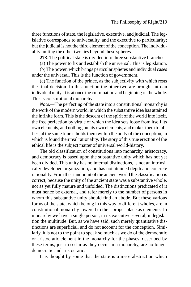three functions of state, the legislative, executive, and judicial. The legislative corresponds to universality, and the executive to particularity; but the judicial is not the third element of the conception. The individuality uniting the other two lies beyond these spheres.

**273**. The political state is divided into three substantive branches:

(a) The power to fix and establish the universal. This is legislation.

(b) The power, which brings particular spheres and individual cases under the universal. This is the function of government.

(c) The function of the prince, as the subjectivity with which rests the final decision. In this function the other two are brought into an individual unity. It is at once the culmination and beginning of the whole. This is constitutional monarchy.

*Note.—*The perfecting of the state into a constitutional monarchy is the work of the modern world, in which the substantive idea has attained the infinite form. This is the descent of the spirit of the world into itself, the free perfection by virtue of which the idea sets loose from itself its own elements, and nothing but its own elements, and makes them totalities; at the same time it holds them within the unity of the conception, in which is found their real rationality. The story of this true erection of the ethical life is the subject matter of universal world-history.

The old classification of constitutions into monarchy, aristocracy, and democracy is based upon the substantive unity which has not yet been divided. This unity has no internal distinctions, is not an intrinsically developed organization, and has not attained depth and concrete rationality. From the standpoint of the ancient world the classification is correct, because the unity of the ancient state was a substantive whole, not as yet fully mature and unfolded. The distinctions predicated of it must hence be external, and refer merely to the number of persons in whom this substantive unity should find an abode. But these various forms of the state, which belong in this way to different wholes, are in constitutional monarchy lowered to their proper place as elements. In monarchy we have a single person, in its executive several, in legislation the multitude. But, as we have said, such merely quantitative distinctions are superficial, and do not account for the conception. Similarly, it is not to the point to speak so much as we do of the democratic or aristocratic element in the monarchy for the phases, described by these terms, just in so far as they occur in a monarchy, are no longer democratic and aristocratic.

It is thought by some that the state is a mere abstraction which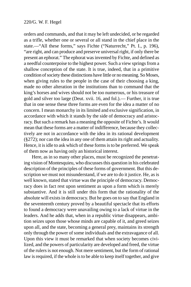orders and commands, and that it may be left undecided, or be regarded as a trifle, whether one or several or all stand in the chief place in the state.—"All these forms," says Fichte ("Naturrecht," Pt. I., p. 196), "are right, and can produce and preserve universal right, if only there be present an ephorat." The ephorat was invented by Fichte, and defined as a needful counterpoise to the highest power. Such a view springs from a shallow conception of the state. It is true, indeed, that in a primitive condition of society these distinctions have little or no meaning. So Moses, when giving rules to the people in the case of their choosing a king, made no other alteration in the institutions than to command that the king's horses and wives should not be too numerous, or his treasure of gold and silver too large (Deut. xvii. 16, and fol.).— Further, it is true that in one sense these three forms are even for the idea a matter of no concern. I mean monarchy in its limited and exclusive signification, in accordance with which it stands by the side of democracy and aristocracy. But such a remark has a meaning the opposite of Fichte's. It would mean that these forms are a matter of indifference, because they collectively are not in accordance with the idea in its rational development (§272); nor can the idea in any one of them attain its right and actuality. Hence, it is idle to ask which of these forms is to be preferred. We speak of them now as having only an historical interest.

Here, as in so many other places, must be recognized the penetrating vision of Montesquieu, who discusses this question in his celebrated description of the principles of these forms of government. But this description we must not misunderstand, if we are to do it justice. He, as is well known, stated that virtue was the principle of democracy. Democracy does in fact rest upon sentiment as upon a form which is merely substantive. And it is still under this form that the rationality of the absolute will exists in democracy. But he goes on to say that England in the seventeenth century proved by a beautiful spectacle that its efforts to found a democracy were unavailing owing to a lack of virtue in the leaders. And he adds that, when in a republic virtue disappears, ambition seizes upon those whose minds are capable of it, and greed seizes upon all, and the state, becoming a general prey, maintains its strength only through the power of some individuals and the extravagance of all. Upon this view it must be remarked that when society becomes civilized, and the powers of particularity are developed and freed, the virtue of the rulers is not enough. Not mere sentiment, but the form of rational law is required, if the whole is to be able to keep itself together, and give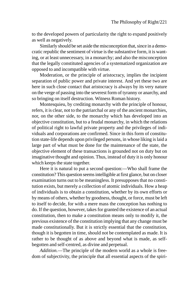to the developed powers of particularity the right to expand positively as well as negatively.

Similarly should be set aside the misconception that, since in a democratic republic the sentiment of virtue is the substantive form, it is wanting, or at least unnecessary, in a monarchy; and also the misconception that the legally constituted agencies of a systematized organization are opposed to and incompatible with virtue.

Moderation, or the principle of aristocracy, implies the incipient separation of public power and private interest. And yet these two are here in such close contact that aristocracy is always by its very nature on the verge of passing into the severest form of tyranny or anarchy, and so bringing on itself destruction. Witness Roman history.

Montesquieu, by crediting monarchy with the principle of honour, refers, it is clear, not to the patriarchal or any of the ancient monarchies, nor, on the other side, to the monarchy which has developed into an objective constitution, but to a feudal monarchy, in which the relations of political right to lawful private property and the privileges of individuals and corporations are confirmed. Since in this form of constitution state-life depends upon privileged persons, in whose liking is laid a large part of what must be done for the maintenance of the state, the objective element of these transactions is grounded not on duty but on imaginative thought and opinion. Thus, instead of duty it is only honour which keeps the state together.

Here it is natural to put a second question:—Who shall frame the constitution? This question seems intelligible at first glance, but on closer examination turns out to be meaningless. It presupposes that no constitution exists, but merely a collection of atomic individuals. How a heap of individuals is to obtain a constitution, whether by its own efforts or by means of others, whether by goodness, thought, or force, must be left to itself to decide, for with a mere mass the conception has nothing to do. If the question, however, takes for granted the existence of an actual constitution, then to make a constitution means only to modify it, the previous existence of the constitution implying that any change must be made constitutionally. But it is strictly essential that the constitution, though it is begotten in time, should not be contemplated as made. It is rather to be thought of as above and beyond what is made, as selfbegotten and self-centred, as divine and perpetual.

*Addition.*—The principle of the modern world as a whole is freedom of subjectivity, the principle that all essential aspects of the spiri-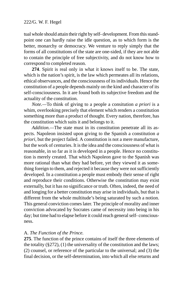tual whole should attain their right by self- development. From this standpoint one can hardly raise the idle question, as to which form is the better, monarchy or democracy. We venture to reply simply that the forms of all constitutions of the state are one-sided, if they are not able to contain the principle of free subjectivity, and do not know how to correspond to completed reason.

**274**. Spirit is real only in what it knows itself to be. The state, which is the nation's spirit, is the law which permeates all its relations, ethical observances, and the consciousness of its individuals. Hence the constitution of a people depends mainly on the kind and character of its self-consciousness. In it are found both its subjective freedom and the actuality of the constitution.

*Note.—*To think of giving to a people a consitution *a priori* is a whim, overlooking precisely that element which renders a constitution something more than a product of thought. Every nation, therefore, has the constitution which suits it and belongs to it.

*Addition.—*The state must in its constitution penetrate all its aspects. Napoleon insisted upon giving to the Spanish a constitution *a priori,* but the project failed. A constitution is not a mere manufacture, but the work of centuries. It is the idea and the consciousness of what is reasonable, in so far as it is developed in a people. Hence no constitution is merely created. That which Napoleon gave to the Spanish was more rational than what they had before, yet they viewed it as something foreign to them, and rejected it because they were not sufficiently developed. In a constitution a people must embody their sense of right and reproduce their conditions. Otherwise the constitution may exist externally, but it has no significance or truth. Often, indeed, the need of and longing for a better constitution may arise in individuals, but that is different from the whole multitude's being saturated by such a notion. This general conviction comes later. The principle of morality and inner conviction advocated by Socrates came of necessity into being in his day; but time had to elapse before it could reach general self- consciousness.

### A. *The Function of the Prince.*

**275**. The function of the prince contains of itself the three elements of the totality  $(\frac{8272}{1})$ , (1) the universality of the constitution and the laws; (2) counsel, or reference of the particular to the universal; and (3) the final decision, or the self-determination, into which all else returns and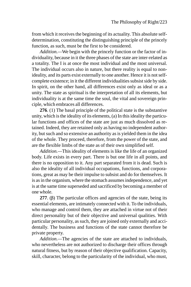from which it receives the beginning of its actuality. This absolute selfdetermination, constituting the distinguishing principle of the princely function, as such, must be the first to be considered.

*Addition.—*We begin with the princely function or the factor of individuality, because in it the three phases of the state are inter-related as a totality. The I is at once the most individual and the most universal. The individual occurs also in nature, but there reality is equal to nonideality, and its parts exist externally to one another. Hence it is not selfcomplete existence; in it the different individualities subsist side by side. In spirit, on the other hand, all differences exist only as ideal or as a unity. The state as spiritual is the interpretation of all its elements, but individuality is at the same time the soul, the vital and sovereign principle, which embraces all differences.

**276**. (1) The basal principle of the political state is the substantive unity, which is the ideality of its elements, (a) In this ideality the particular functions and offices of the state are just as much dissolved as retained. Indeed, they are retained only as having no independent authority, but such and so extensive an authority as is yielded them in the idea of the whole. They proceed, therefore, from the power of the state, and are the flexible limbs of the state as of their own simplified self.

*Addition.—*This ideality of elements is like the life of an organized body. Life exists in every part. There is but one life in all points, and there is no opposition to it. Any part separated from it is dead. Such is also the ideality of all individual occupations, functions, and corporations, great as may be their impulse to subsist and do for themselves. It is as in the organism, where the stomach assumes independence, and yet is at the same time superseded and sacrificed by becoming a member of one whole.

**277.** ( $\beta$ ) The particular offices and agencies of the state, being its essential elements, are intimately connected with it. To the individuals, who manage and control them, they are attached in virtue not of their direct personality but of their objective and universal qualities. With particular personality, as such, they are joined only externally and accidentally. The business and functions of the state cannot therefore be private property.

*Addition.—*The agencies of the state are attached to individuals, who nevertheless are not authorized to discharge their offices through natural fitness, but by reason of their objective qualification. Capacity, skill, character, belong to the particularity of the individual, who must,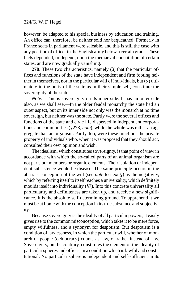however, be adapted to his special business by education and training. An office can, therefore, be neither sold nor bequeathed. Formerly in France seats in parliament were saleable, and this is still the case with any position of officer in the English army below a certain grade. These facts depended, or depend, upon the mediaeval constitution of certain states, and are now gradually vanishing.

**278**. These two characteristics, namely  $(\beta)$  that the particular offices and functions of the state have independent and firm footing neither in themselves, nor in the particular will of individuals, but  $(\alpha)$  ultimately in the unity of the state as in their simple self, constitute the sovereignty of the state.

*Note.—*This is sovereignty on its inner side. It has an outer side also, as we shall see.—In the older feudal monarchy the state had an outer aspect, but on its inner side not only was the monarch at no time sovereign, but neither was the state. Partly were the several offices and functions of the state and civic life dispersed in independent corporations and communities (§273, *note*), while the whole was rather an aggregate than an organism. Partly, too, were these functions the private property of individuals who, when it was proposed that they should act, consulted their own opinion and wish.

The idealism, which constitutes sovereignty, is that point of view in accordance with which the so-called parts of an animal organism are not parts but members or organic elements. Their isolation or independent subsistence would be disease. The same principle occurs in the abstract conception of the will (see *note* to next §) as the negativity, which by referring itself to itself reaches a universality, which definitely moulds itself into individuality (§7). Into this concrete universality all particularity and definiteness are taken up, and receive a new significance. It is the absolute self-determining ground. To apprehend it we must be at home with the conception in its true substance and subjectivity.

Because sovereignty is the ideality of all particular powers, it easily gives rise to the common misconception, which takes it to be mere force, empty wilfulness, and a synonym for despotism. But despotism is a condition of lawlessness, in which the particular will, whether of monarch or people (ochlocracy) counts as law, or rather instead of law. Sovereignty, on the contrary, constitutes the element of the ideality of particular spheres and offices, in a condition which is lawful and constitutional. No particular sphere is independent and self-sufficient in its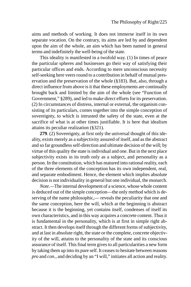aims and methods of working. It does not immerse itself in its own separate vocation. On the contrary, its aims are led by and dependent upon the aim of the whole, an aim which has been named in general terms and indefinitely the well-being of the state.

This ideality is manifested in a twofold way. (1) In times of peace the particular spheres and businesses go their way of satisfying their particular offices and ends. According to mere unconscious necessity self-seeking here veers round to a contribution in behalf of mutual preservation and the preservation of the whole (§183). But, also, through a direct influence from above is it that these employments are continually brought back and limited by the aim of the whole (see "Function of Government," §289), and led to make direct efforts for its preservation. (2) In circumstances of distress, internal or external, the organism consisting of its particulars, comes together into the simple conception of sovereignty, to which is intrusted the safety of the state, even at the sacrifice of what is at other times justifiable. It is here that idealism attains its peculiar realization (§321).

**279**. (2) Sovereignty, at first only the universal thought of this ideality, exists merely as a subjectivity assured of itself, and as the abstract and so far groundless self-direction and ultimate decision of the will; by virtue of this quality the state is individual and one. But in the next place subjectivity exists in its truth only as a subject, and personality as a person. In the constitution, which has matured into rational reality, each of the three elements of the conception has its own independent, real, and separate embodiment. Hence, the element which implies absolute decision is not individuality in general but one individual, the monarch.

*Note.—*The internal development of a science, whose whole content is deduced out of the simple conception—the only method which is deserving of the name philosophic,— reveals the peculiarity that one and the same conception, here the will, which at the beginning is abstract because it is the beginning, yet contains itself, condenses of itself its own characteristics, and in this way acquires a concrete content. Thus it is fundamental in the personality, which is at first in simple right abstract. It then develops itself through the different forms of subjectivity, and at last in absolute right, the state or the complete, concrete objectivity of the will, attains to the personality of the state and its conscious assurance of itself. This final term gives to all particularities a new form by taking them up into its pure self. It ceases to hesitate between reasons *pro* and *con.,* and deciding by an "I will," initiates all action and reality.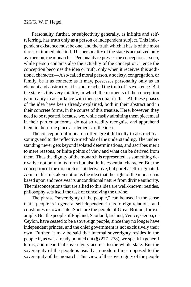Personality, further, or subjectivity generally, as infinite and selfreferring, has truth only as a person or independent subject. This independent existence must be one, and the truth which it has is of the most direct or immediate kind. The personality of the state is actualized only as a person, the monarch.—Personality expresses the conception as such, while person contains also the actuality of the conception. Hence the conception becomes the idea or truth, only when it receives this additional character.—A so-called moral person, a society, congregation, or family, be it as concrete as it may, possesses personality only as an element and abstractly. It has not reached the truth of its existence. But the state is this very totality, in which the moments of the conception gain reality in accordance with their peculiar truth.—All these phases of the idea have been already explained, both in their abstract and in their concrete forms, in the course of this treatise. Here, however, they need to be repeated, because we, while easily admitting them piecemeal in their particular forms, do not so readily recognise and apprehend them in their true place as elements of the idea.

The conception of monarch offers great difficulty to abstract reasonings and to the reflective methods of the understanding. The understanding never gets beyond isolated determinations, and ascribes merit to mere reasons, or finite points of view and what can be derived from them. Thus the dignity of the monarch is represented as something derivative not only in its form but also in its essential character. But the conception of the monarch is not derivative, but purely self-originated. Akin to this mistaken notion is the idea that the right of the monarch is based upon and receives its unconditional nature from divine authority. The misconceptions that are allied to this idea are well-known; besides, philosophy sets itself the task of conceiving the divine.

The phrase "sovereignty of the people," can be used in the sense that a people is in general self-dependent in its foreign relations, and constitutes its own state. Such are the people of Great Britain, for example. But the people of England, Scotland, Ireland, Venice, Genoa, or Ceylon, have ceased to be a sovereign people, since they no longer have independent princes, and the chief government is not exclusively their own. Further, it may be said that internal sovereignty resides in the people if, as was already pointed out (§§277–278), we speak in general terms, and mean that sovereignty accrues to the whole state. But the sovereignty of the people is usually in modern times opposed to the sovereignty of the monarch. This view of the sovereignty of the people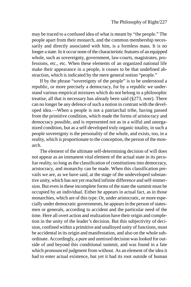may be traced to a confused idea of what is meant by "the people." The people apart from their monarch, and the common membership necessarily and directly associated with him, is a formless mass. It is no longer a state. In it occur none of the characteristic features of an equipped whole, such as sovereignty, government, law-courts, magistrates, professions, etc., etc. When these elements of an organized national life make their appearance in a people, it ceases to be that undefined abstraction, which is indicated by the mere general notion "people."

If by the phrase "sovereignty of the people" is to be understood a republic, or more precisely a democracy, for by a republic we understand various empirical mixtures which do not belong to a philosophic treatise, all that is necessary has already been said (§273, *note*). There can no longer be any defence of such a notion in contrast with the developed idea.—When a people is not a patriarchal tribe, having passed from the primitive condition, which made the forms of aristocracy and democracy possible, and is represented not as in a wilful and unorganized condition, but as a self-developed truly organic totality, in such a people sovereignty is the personality of the whole, and exists, too, in a reality, which is proportionate to the conception, the person of the monarch.

The element of the ultimate self-determining decision of will does not appear as an immanent vital element of the actual state in its peculiar reality, so long as the classification of constitutions into democracy, aristocracy, and monarchy can be made. When this classification prevails we are, as we have said, at the stage of the undeveloped substantive unity, which has not yet reached infinite difference and self-immersion. But even in these incomplete forms of the state the summit must be occupied by an individual. Either he appears in actual fact, as in those monarchies, which are of this type. Or, under aristocratic, or more especially under democratic governments, he appears in the person of statesmen or generals, according to accident and the particular need of the time. Here all overt action and realization have their origin and completion in the unity of the leader's decision. But this subjectivity of decision, confined within a primitive and unalloyed unity of functions, must be accidental in its origin and manifestation, and also on the whole subordinate. Accordingly, a pure and unmixed decision was looked for outside of and beyond this conditional summit, and was found in a fate which pronounced judgment from without. As an element of the idea it had to enter actual existence, but yet it had its root outside of human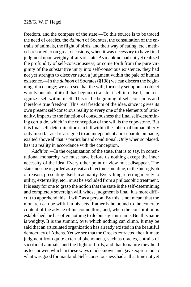freedom, and the compass of the state.—To this source is to be traced the need of oracles, the *daimon* of Socrates, the consultation of the entrails of animals, the flight of birds, and their way of eating, etc., methods resorted to on great occasions, when it was necessary to have final judgment upon weighty affairs of state. As mankind had not yet realized the profundity of self-consciousness, or come forth from the pure virginity of the substantive unity into self-conscious existence, they had not yet strength to discover such a judgment within the pale of human existence.—In the *daimon* of Socrates (§138) we can discern the beginning of a change; we can see that the will, formerly set upon an object wholly outside of itself, has begun to transfer itself into itself, and recognize itself within itself. This is the beginning of self-conscious and therefore true freedom. This real freedom of the idea, since it gives its own present self-conscious reality to every one of the elements of rationality, imparts to the function of consciousness the final self-determining certitude, which in the conception of the will is the cope-stone. But this final self-determination can fall within the sphere of human liberty only in so far as it is assigned to an independent and separate pinnacle, exalted above all that is particular and conditional. Only when so placed, has it a reality in accordance with the conception.

*Addition.—*In the organization of the state, that is to say, in constitutional monarchy, we must have before us nothing except the inner necessity of the idea. Every other point of view must disappear. The state must be regarded as a great architectonic building, or the hieroglyph of reason, presenting itself in actuality. Everything referring merely to utility, externality, etc., must be excluded from a philosophic treatment. It is easy for one to grasp the notion that the state is the self-determining and completely sovereign will, whose judgment is final. It is more difficult to apprehend this "I will" as a person. By this is not meant that the monarch can be wilful in his acts. Rather is he bound to the concrete content of the advice of his councillors, and, when the constitution is established, he has often nothing to do but sign his name. But this name is weighty. It is the summit, over which nothing can climb. It may be said that an articulated organization has already existed in the beautiful democracy of Athens. Yet we see that the Greeks extracted the ultimate judgment from quite external phenomena, such as oracles, entrails of sacrificial animals, and the flight of birds, and that to nature they held as to a power, which in these ways made known and gave expression to what was good for mankind. Self- consciousness had at that time not yet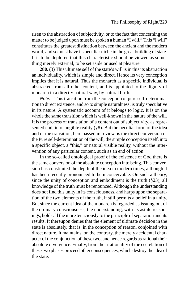risen to the abstraction of subjectivity, or to the fact that concerning the matter to be judged upon must be spoken a human "I will." This "I will" constitutes the greatest distinction between the ancient and the modern world, and so must have its peculiar niche in the great building of state. It is to be deplored that this characteristic should be viewed as something merely external, to be set aside or used at pleasure.

**280**. (3) This ultimate self of the state's will is in this its abstraction an individuality, which is simple and direct. Hence its very conception implies that it is natural. Thus the monarch as a specific individual is abstracted from all other content, and is appointed to the dignity of monarch in a directly natural way, by natural birth.

*Note.—*This transition from the conception of pure self-determination to direct existence, and so to simple naturalness, is truly speculative in its nature. A systematic account of it belongs to logic. It is on the whole the same transition which is well-known in the nature of the will. It is the process of translation of a content out of subjectivity, as represented end, into tangible reality (§8). But the peculiar form of the idea and of the transition, here passed in review, is the direct conversion of the Pure self-determination of the will, the simple conception itself, into a specific object, a "this," or natural visible reality, without the intervention of any particular content, such as an end of action.

In the so-called ontological proof of the existence of God there is the same conversion of the absolute conception into being. This conversion has constituted the depth of the idea in modern times, although it has been recently pronounced to be inconceivable. On such a theory, since the unity of conception and embodiment is the truth (§23), all knowledge of the truth must be renounced. Although the understanding does not find this unity in its consciousness, and harps upon the separation of the two elements of the truth, it still permits a belief in a unity. But since the current idea of the monarch is regarded as issuing out of the ordinary consciousness, the understanding, with its astute reasonings, holds all the more tenaciously to the principle of separation and its results. It thereupon denies that the element of ultimate decision in the state is absolutely, that is, in the conception of reason, conjoined with direct nature. It maintains, on the contrary, the merely accidental character of the conjunction of these two, and hence regards as rational their absolute divergence. Finally, from the irrationality of the co-relation of these two phases proceed other consequences, which destroy the idea of the state.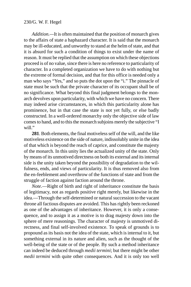*Addition.—*It is often maintained that the position of monarch gives to the affairs of state a haphazard character. It is said that the monarch may be ill-educated, and unworthy to stand at the helm of state, and that it is absurd for such a condition of things to exist under the name of reason. It must be replied that the assumption on which these objections proceed is of no value, since there is here no reference to particularity of character. In a completed organization we have to do with nothing but the extreme of formal decision, and that for this office is needed only a man who says "Yes," and so puts the dot upon the "i." The pinnacle of state must be such that the private character of its occupant shall be of no significance. What beyond this final judgment belongs to the monarch devolves upon particularity, with which we have no concern. There may indeed arise circumstances, in which this particularity alone has prominence, but in that case the state is not yet fully, or else badly constructed. In a well-ordered monarchy only the objective side of law comes to hand, and to this the monarch subjoins merely the subjective "I will."

**281**. Both elements, the final motiveless self of the will, and the like motiveless existence on the side of nature, indissolubly unite in the idea of that which is beyond the reach of caprice, and constitute the majesty of the monarch. In this unity lies the actualized unity of the state. Only by means of its unmotived directness on both its external and its internal side is the unity taken beyond the possibility of degradation to the wilfulness, ends, and views of particularity. It is thus removed also from the en-feeblement and overthrow of the functions of state and from the struggle of faction against faction around the throne.

*Note.*—Right of birth and right of inheritance constitute the basis of legitimacy, not as regards positive right merely, but likewise in the idea.—Through the self-determined or natural succession to the vacant throne all factious disputes are avoided. This has rightly been reckoned as one of the advantages of inheritance. However, it is only a consequence, and to assign it as a motive is to drag majesty down into the sphere of mere reasonings. The character of majesty is unmotived directness, and final self-involved existence. To speak of grounds is to propound as its basis not the idea of the state, which is internal to it, but something external in its nature and alien, such as the thought of the well-being of the state or of the people. By such a method inheritance can indeed be deduced through *medii termini*; but there might be other *medii termini* with quite other consequences. And it is only too well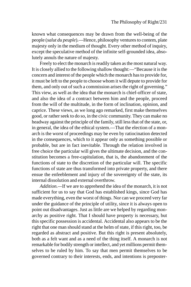known what consequences may be drawn from the well-being of the people (*salut du peuple*).—Hence, philosophy ventures to contem, plate majesty only in the medium of thought. Every other method of inquiry, except the speculative method of the infinite self-grounded idea, absolutely annuls the nature of majesty.

Freely to elect the monarch is readily taken as the most natural way. It is closely allied to the following shallow thought:—"Because it is the concern and interest of the people which the monarch has to provide for, it must be left to the people to choose whom it will depute to provide for them, and only out of such a commission arises the right of governing." This view, as well as the idea that the monarch is chief-officer of state, and also the idea of a contract between him and the people, proceed from the will of the multitude, in the form of inclination, opinion, and caprice. These views, as we long ago remarked, first make themselves good, or rather seek to do so, in the civic community. They can make no headway against the principle of the family, still less that of the state, or, in general, the idea of the ethical system.—That the election of a monarch is the worst of proceedings may be even by ratiocination detected in the consequences, which to it appear only as something possible or probable, but are in fact inevitable. Through the relation involved in free choice the particular will gives the ultimate decision, and the constitution becomes a free-capitulation, that is, the abandonment of the functions of state to the discretion of the particular will. The specific functions of state are thus transformed into private property, and there ensue the enfeeblement and injury of the sovereignty of the state, its internal dissolution and external overthrow.

*Addition.—*If we are to apprehend the idea of the monarch, it is not sufficient for us to say that God has established kings, since God has made everything, even the worst of things. Nor can we proceed very far under the guidance of the principle of utility, since it is always open to point out disadvantages. Just as little are we helped by regarding monarchy as positive right. That I should have property is necessary, but this specific possession is accidental. Accidental also appears to be the right that one man should stand at the helm of state, if this right, too, be regarded as abstract and positive. But this right is present absolutely, both as a felt want and as a need of the thing itself. A monarch is not remarkable for bodily strength or intellect, and yet millions permit themselves to be ruled by him. To say that men permit themselves to be governed contrary to their interests, ends, and intentions is preposter-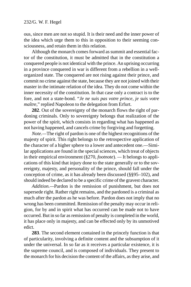ous, since men are not so stupid. It is their need and the inner power of the idea which urge them to this in opposition to their seeming consciousness, and retain them in this relation.

Although the monarch comes forward as summit and essential factor of the constitution, it must be admitted that in the constitution a conquered people is not identical with the prince. An uprising occurring in a province conquered in war is different from a rebellion in a wellorganized state. The conquered are not rising against their prince, and commit no crime against the state, because they are not joined with their master in the intimate relation of the idea. They do not come within the inner necessity of the constitution. In that case only a contract is to the fore, and not a state-bond. "*Je ne suis pas votre prince, je suis votre maître*," replied Napoleon to the delegation from Erfurt.

**282**. Out of the sovereignty of the monarch flows the right of pardoning criminals. Only to sovereignty belongs that realization of the power of the spirit, which consists in regarding what has happened as not having happened, and cancels crime by forgiving and forgetting.

*Note.—*The right of pardon is one of the highest recognitions of the majesty of spirit. This right belongs to the retrospective application of the character of a higher sphere to a lower and antecedent one.—Similar applications are found in the special sciences, which treat of objects in their empirical environment (§270, *footnote*). *—* It belongs to applications of this kind that injury done to the state generally or to the sovereignty, majesty, and personality of the prince, should fall under the conception of crime, as it has already been discussed (§§95–102), and should indeed be declared to be a specific crime of the gravest character.

*Addition.—*Pardon is the remission of punishment, but does not supersede right. Rather right remains, and the pardoned is a criminal as much after the pardon as he was before. Pardon does not imply that no wrong has been committed. Remission of the penalty may occur in religion, for by and in spirit what has occurred can be made not to have occurred. But in so far as remission of penalty is completed in the world, it has place only in majesty, and can be effected only by its unmotived edict.

**283**. The second element contained in the princely function is that of particularity, involving a definite content and the subsumption of it under the universal. In so far as it receives a particular existence, it is the supreme council, and is composed of individuals. They present to the monarch for his decision the content of the affairs, as they arise, and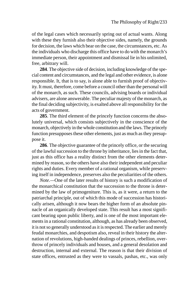of the legal cases which necessarily spring out of actual wants. Along with these they furnish also their objective sides, namely, the grounds for decision, the laws which bear on the case, the circumstances, etc. As the individuals who discharge this office have to do with the monarch's immediate person, their appointment and dismissal lie in his unlimited, free, arbitrary will.

**284**. The objective side of decision, including knowledge of the special content and circumstances, and the legal and other evidence, is alone responsible. It, that is to say, is alone able to furnish proof of objectivity. It must, therefore, come before a council other than the personal will of the monarch, as such. These councils, advising boards or individual advisers, are alone answerable. The peculiar majesty of the monarch, as the final deciding subjectivity, is exalted above all responsibility for the acts of government.

**285**. The third element of the princely function concerns the absolutely universal, which consists subjectively in the conscience of the monarch, objectively in the whole constitution and the laws. The princely function presupposes these other elements, just as much as they presuppose it.

**286**. The objective guarantee of the princely office, or the securing of the lawful succession to the throne by inheritance, lies in the fact that, just as this office has a reality distinct from the other elements determined by reason, so the others have also their independent and peculiar rights and duties. Every member of a rational organism, while preserving itself in independence, preserves also the peculiarities of the others.

*Note.—*One of the later results of history is such a modification of the monarchical constitution that the succession to the throne is determined by the law of primogeniture. This is, as it were, a return to the patriarchal principle, out of which this mode of succession has historically arisen, although it now bears the higher form of an absolute pinnacle of an organically developed state. This result has a most significant bearing upon public liberty, and is one of the most important elements in a rational constitution, although, as has already been observed, it is not so generally understood as it is respected. The earlier and merely feudal monarchies, and despotism also, reveal in their history the alternation of revolutions, high-handed dealings of princes, rebellion, overthrow of princely individuals and houses, and a general desolation and destruction, internal and external. The reason is that their division of state offices, entrusted as they were to vassals, pashas, etc., was only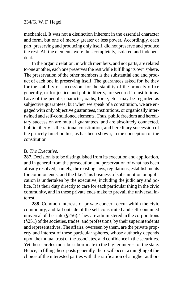mechanical. It was not a distinction inherent in the essential character and form, but one of merely greater or less power. Accordingly, each part, preserving and producing only itself, did not preserve and produce the rest. All the elements were thus completely, isolated and independent.

In the organic relation, in which members, and not parts, are related to one another, each one preserves the rest while fulfilling its own sphere. The preservation of the other members is the substantial end and product of each one in preserving itself. The guarantees asked for, be they for the stability of succession, for the stability of the princely office generally, or for justice and public liberty, are secured in institutions. Love of the people, character, oaths, force, etc., may be regarded as subjective guarantees; but when we speak of a constitution, we are engaged with only objective guarantees, institutions, or organically intertwined and self-conditioned elements. Thus, public freedom and hereditary succession are mutual guarantees, and are absolutely connected. Public liberty is the rational constitution, and hereditary succession of the princely function lies, as has been shown, in the conception of the constitution.

# B. *The Executive.*

**287**. Decision is to be distinguished from its execution and application, and in general from the prosecution and preservation of what has been already resolved, namely, the existing laws, regulations, establishments for common ends, and the like. This business of subsumption or application is undertaken by the executive, including the judiciary and police. It is their duty directly to care for each particular thing in the civic community, and in these private ends make to prevail the universal interest.

**288**. Common interests of private concern occur within the civic community, and fall outside of the self-constituted and self-contained universal of the state (§256). They are administered in the corporations (§251) of the societies, trades, and professions, by their superintendents and representatives. The affairs, overseen by them, are the private property and interest of these particular spheres, whose authority depends upon the mutual trust of the associates, and confidence in the securities. Yet these circles must be subordinate to the higher interest of the state. Hence, in filling these posts generally, there will occur a mingling of the choice of the interested parties with the ratification of a higher author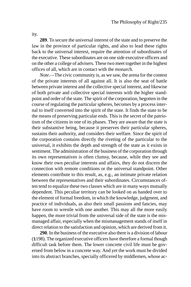ity.

**289**. To secure the universal interest of the state and to preserve the law in the province of particular rights, and also to lead these rights back to the universal interest, require the attention of subordinates of the executive. These subordinates are on one side executive officers and on the other a college of advisers. These two meet together in the highest offices of all, which are in contact with the monarch.

*Note.—*The civic community is, as we saw, the arena for the contest of the private interests of all against all. It is also the seat of battle between private interest and the collective special interest, and likewise of both private and collective special interests with the higher standpoint and order of the state. The spirit of the corporation, begotten in the course of regulating the particular spheres, becomes by a process internal to itself converted into the spirit of the state. It finds the state to be the means of preserving particular ends. This is the secret of the patriotism of the citizens in one of its phases. They are aware that the state is their substantive being, because it preserves their particular spheres, sustains their authority, and considers their welfare. Since the spirit of the corporation contains directly the riveting of the particular to the universal, it exhibits the depth and strength of the state as it exists in sentiment. The administration of the business of the corporation through its own representatives is often clumsy, because, while they see and know their own peculiar interests and affairs, they do not discern the connection with remote conditions or the universal standpoint. Other elements contribute to this result, as, e.g., an intimate private relation between the representatives and their subordinates. Circumstances often tend to equalize these two classes which are in many ways mutually dependent. This peculiar territory can be looked on as handed over to the element of formal freedom, in which the knowledge, judgment, and practice of individuals, as also their small passions and fancies, may have room to wrestle with one another. This may all the more easily happen, the more trivial from the universal side of the state is the mismanaged affair, especially when the mismanagement stands of itself in direct relation to the satisfaction and opinion, which are derived from it.

**290**. In the business of the executive also there is a division of labour (§198). The organized executive officers have therefore a formal though difficult task before them. The lower concrete civil life must be governed from below in a concrete way. And yet the work must be divided into its abstract branches, specially officered by middlemen, whose ac-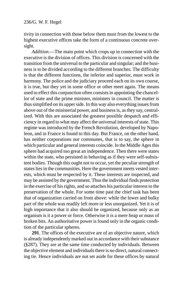tivity in connection with those below them must from the lowest to the highest executive offices take the form of a continuous concrete oversight.

*Addition*.—The main point which crops up in connection with the executive is the division of offices. This division is concerned with the transition from the universal to the particular and singular; and the business is to be divided according to the different branches. The difficulty is that the different functions, the inferior and superior, must work in harmony. The police and the judiciary proceed each on its own course, it is true, but they yet in some office or other meet again. The means used to effect this conjunction often consists in appointing the chancellor of state and the prime minister, ministers in council. The matter is thus simplified on its upper side. In this way also everything issues from above out of the ministerial power, and business is, as they say, centralized. With this are associated the greatest possible despatch and efficiency in regard to what may affect the universal interests of state. This regime was introduced by the French Revolution, developed by Napoleon, and in France is found to this day. But France, on the other hand, has neither corporations nor communes, that is to say, the sphere in which particular and general interests coincide. In the Middle Ages this sphere had acquired too great an independence. Then there were states within the state, who persisted in behaving as if they were self-subsistent bodies. Though this ought not to occur, yet the peculiar strength of states lies in the communities. Here the government meets vested interests, which must be respected by it. These interests are inspected, and may be assisted by the government. Thus the individual finds protection in the exercise of his rights, and so attaches his particular interest to the preservation of the whole. For some time past the chief task has been that of organization carried on from above: while the lower and bulky part of the whole was readily left more or less unorganized. Yet it is of high importance that it also should be organized, because only as an organism is it a power or force. Otherwise it is a mere heap or mass of broken bits. An authoritative power is found only in the organic condition of the particular spheres.

**291**. The offices of the executive are of an objective nature, which is already independently marked out in accordance with their substance (§287). They are at the same time conducted by individuals. Between the objective element and individuals there is no direct, natural connecting tie. Hence individuals are not set aside for these offices by natural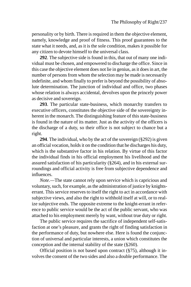personality or by birth. There is required in them the objective element, namely, knowledge and proof of fitness. This proof guarantees to the state what it needs, and, as it is the sole condition, makes it possible for any citizen to devote himself to the universal class.

**292**. The subjective side is found in this, that out of many one individual must be chosen, and empowered to discharge the office. Since in this case the objective element does not lie in genius, as it does in art, the number of persons from whom the selection may be made is necessarily indefinite, and whom finally to prefer is beyond the possibility of absolute determination. The junction of individual and office, two phases whose relation is always accidental, devolves upon the princely power as decisive and sovereign.

**293**. The particular state-business, which monarchy transfers to executive officers, constitutes the objective side of the sovereignty inherent in the monarch. The distinguishing feature of this state-business is found in the nature of its matter. Just as the activity of the officers is the discharge of a duty, so their office is not subject to chance but a right.

**294**. The individual, who by the act of the sovereign (§292) is given an official vocation, holds it on the condition that he discharges his duty, which is the substantive factor in his relation. By virtue of this factor the individual finds in his official employment his livelihood and the assured satisfaction of his particularity (§264), and in his external surroundings and official activity is free from subjective dependence and influences.

*Note.—*The state cannot rely upon service which is capricious and voluntary, such, for example, as the administration of justice by knightserrant. This service reserves to itself the right to act in accordance with subjective views, and also the right to withhold itself at will, or to realize subjective ends. The opposite extreme to the knight-errant in reference to public service would be the act of the public servant, who was attached to his employment merely by want, without true duty or right.

The public service requires the sacrifice of independent self-satisfaction at one's pleasure, and grants the right of finding satisfaction in the performance of duty, but nowhere else. Here is found the conjunction of universal and particular interests, a union which constitutes the conception and the internal stability of the state (§260).

Official position is not based upon contract (§75), although it involves the consent of the two sides and also a double performance. The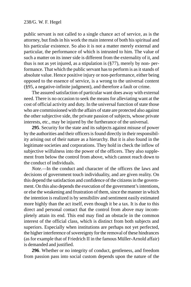public servant is not called to a single chance act of service, as is the attorney, but finds in his work the main interest of both his spiritual and his particular existence. So also it is not a matter merely external and particular, the performance of which is intrusted to him. The value of such a matter on its inner side is different from the externality of it, and thus is not as yet injured, as a stipulation is (§77), merely by non- performance. That which the public servant has to perform is as it stands of absolute value. Hence positive injury or non-performance, either being opposed to the essence of service, is a wrong to the universal content (§95, a negative-infinite judgment), and therefore a fault or crime.

The assured satisfaction of particular want does away with external need. There is no occasion to seek the means for alleviating want at the cost of official activity and duty. In the universal function of state those who are commissioned with the affairs of state are protected also against the other subjective side, the private passion of subjects, whose private interests, etc., may be injured by the furtherance of the universal.

**295**. Security for the state and its subjects against misuse of power by the authorities and their officers is found directly in their responsibility arising out of their nature as a hierarchy. But it is also found in the legitimate societies and corporations. They hold in check the inflow of subjective wilfulness into the power of the officers. They also supplement from below the control from above, which cannot reach down to the conduct of individuals.

*Note.—*In the conduct and character of the officers the laws and decisions of government touch individuality, and are given reality. On this depend the satisfaction and confidence of the citizens in the government. On this also depends the execution of the government's intentions, or else the weakening and frustration of them, since the manner in which the intention is realized is by sensibilitv and sentiment easily estimated more highly than the act itself, even though it be a tax. It is due to this direct and personal contact that the control from above may incompletely attain its end. This end may find an obstacle in the common interest of the official class, which is distinct from both subjects and superiors. Especially when institutions are perhaps not yet perfected, the higher interference of sovereignty for the removal of these hindrances (as for example that of Friedrich II in the famous Müller-Arnold affair) is demanded and justified.

**296**. Whether or no integrity of conduct, gentleness, and freedom from passion pass into social custom depends upon the nature of the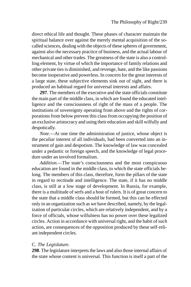direct ethical life and thought. These phases of character maintain the spiritual balance over against the merely mental acquisition of the socalled sciences, dealing with the objects of these spheres of government, against also the necessary practice of business, and the actual labour of mechanical and other trades. The greatness of the state is also a controlling element, by virtue of which the importance of family relations and other private ties is diminished, and revenge, hate, and the like passions become inoperative and powerless. In concern for the great interests of a large state, these subjective elements sink out of sight, and there is produced an habitual regard for universal interests and affairs.

**297**. The members of the executive and the state officials constitute the main part of the middle class, in which are found the educated intelligence and the consciousness of right of the mass of a people. The institutions of sovereignty operating from above and the rights of corporations from below prevent this class from occupying the position of an exclusive aristocracy and using their education and skill wilfully and despotically.

*Note.—*At one time the administration of justice, whose object is the peculiar interest of all individuals, had been converted into an instrument of gain and despotism. The knowledge of law was concealed under a pedantic or foreign speech, and the knowledge of legal procedure under an involved formalism.

*Addition.—*The state's consciousness and the most conspicuous education are found in the middle class, to which the state officials belong. The members of this class, therefore, form the pillars of the state in regard to rectitude and intelligence. The state, if it has no middle class, is still at a low stage of development. In Russia, for example, there is a multitude of serfs and a host of rulers. It is of great concern to the state that a middle class should be formed, but this can be effected only in an organization such as we have described, namely, by the legalization of particular circles, which are relatively independent, and by a force of officials, whose wilfulness has no power over these legalized circles. Action in accordance with universal right, and the habit of such action, are consequences of the opposition produced by these self-reliant independent circles.

# C. *The Legislature.*

**298**. The legislature interprets the laws and also those internal affairs of the state whose content is universal. This function is itself a part of the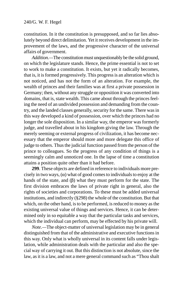constitution. In it the constitution is presupposed, and so far lies absolutely beyond direct delimitation. Yet it receives development in the improvement of the laws, and the progressive character of the universal affairs of government.

*Addition.—*The constitution must unquestionably be the solid ground, on which the legislature stands. Hence, the prime essential is not to set to work to make a constitution. It exists, but yet it radically becomes, that is, it is formed progressively. This progress is an alteration which is not noticed, and has not the form of an alteration. For example, the wealth of princes and their families was at first a private possession in Germany; then, without any struggle or opposition it was converted into domains, that is, state wealth. This came about through the princes feeling the need of an undivided possession and demanding from the country, and the landed classes generally, security for the same. There was in this way developed a kind of possession, over which the princes had no longer the sole disposition. In a similar way, the emperor was formerly judge, and travelled about in his kingdom giving the law. Through the merely seeming or external progress of civilization, it has become necessary that the emperor should more and more delegate this office of judge to others. Thus the judicial function passed from the person of the prince to colleagues. So the progress of any condition of things is a seemingly calm and unnoticed one. In the lapse of time a constitution attains a position quite other than it had before.

**299**. These objects are defined in reference to individuals more precisely in two ways,  $(\alpha)$  what of good comes to individuals to enjoy at the hands of the state, and  $(\beta)$  what they must perform for the state. The first division embraces the laws of private right in general, also the rights of societies and corporations. To these must be added universal institutions, and indirectly (§298) the whole of the constitution. But that which, on the other hand, is to be performed, is reduced to money as the existing universal value of things and services. Hence, it can be determined only in so equitable a way that the particular tasks and services, which the individual can perform, may be effected by his private will.

*Note.—*The object-matter of universal legislation may be in general distinguished from that of the administrative and executive functions in this way. Only what is wholly universal in its content falls under legislation, while administration deals with the particular and also the special way of carrying it out. But this distinction is not absolute, since the law, as it is a law, and not a mere general command such as "Thou shalt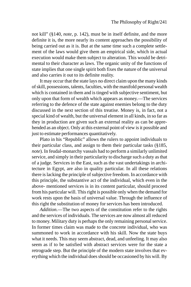not kill" (§140, *note,* p. 142), must be in itself definite, and the more definite it is, the more nearly its content approaches the possibility of being carried out as it is. But at the same time such a complete settlement of the laws would give them an empirical side, which in actual execution would make them subject to alteration. This would be detrimental to their character as laws. The organic unity of the functions of state implies that one single spirit both fixes the nature of the universal and also carries it out to its definite reality.

It may occur that the state lays no direct claim upon the many kinds of skill, possessions, talents, faculties, with the manifold personal wealth which is contained in them and is tinged with subjective sentiment, but only upon that form of wealth which appears as money.—The services referring to the defence of the state against enemies belong to the duty discussed in the next section of this treatise. Money is, in fact, not a special kind of wealth, but the universal element in all kinds, in so far as they in production are given such an external reality as can be apprehended as an object. Only at this external point of view is it possible and just to estimate performances quantitatively.

Plato in his "Republic" allows the rulers to appoint individuals to their particular class, and assign to them their particular tasks (§185, *note*). In feudal-monarchy vassals had to perform a similarly unlimited service, and simply in their particularity to discharge such a duty as that of a judge. Services in the East, such as the vast undertakings in architecture in Egypt, are also in quality particular. In all these relations there is lacking the principle of subjective freedom. In accordance with this principle, the substantive act of the individual, which even in the above- mentioned services is in its content particular, should proceed from his particular will. This right is possible only when the demand for work rests upon the basis of universal value. Through the influence of this right the substitution of money for services has been introduced.

*Addition.*—The two aspects of the constitution refer to the rights and the services of individuals. The services are now almost all reduced to money. Military duty is perhaps the only remaining personal service. In former times claim was made to the concrete individual, who was summoned to work in accordance with his skill. Now the state buys what it needs. This may seem abstract, dead, and unfeeling. It may also seem as if to be satisfied with abstract services were for the state a retrograde step. But the principle of the modern state involves that everything which the individual does should be occasioned by his will. By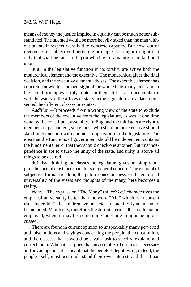means of money the justice implied in equality can be much better substantiated. The talented would be more heavily taxed than the man without talents if respect were had to concrete capacity. But now, out of reverence for subjective liberty, the principle is brought to light that only that shall be laid hold upon which is of a nature to be laid hold upon.

**300**. In the legislative function in its totality are active both the monarchical element and the executive. The monarchical gives the final decision, and the executive element advises. The executive element has concrete knowledge and oversight of the whole in its many sides and in the actual principles firmly rooted in them. It has also acquaintance with the wants of the offices of state. In the legislature are at last represented the different classes or estates.

*Addition.—*It proceeds from a wrong view of the state to exclude the members of the executive from the legislature, as was at one time done by the constituent assembly. In England the ministers are rightly members of parliament, since those who share in the executive should stand in connection with and not in opposition to the legislature. The idea that the functions of government should be independent contains the fundamental error that they should check one another. But this independence is apt to usurp the unity of the state, and unity is above all things to be desired.

**301**. By admitting the classes the legislature gives not simply implicit but actual existence to matters of general concern. The element of subjective formal freedom, the public consciousness, or the empirical universality of the views and thoughts of the many, here becomes a reality.

*Note.*—The expression "The Many" (of  $\pi$ o $\lambda \lambda$ ou) characterizes the empirical universality better than the word "All," which is in current use. Under this "all," children, women, etc., are manifestly not meant to be included. Manifestly, therefore, the definite term "all" should not be employed, when, it may be, some quite indefinite thing is being discussed.

There are found in current opinion so unspeakably many perverted and false notions and sayings concerning the people, the constitution, and the classes, that it would be a vain task to specify, explain, and correct them. When it is argued that an assembly of estates is necessary and advantageous, it is meant that the people's deputies, or, indeed, the people itself, must best understand their own interest, and that it has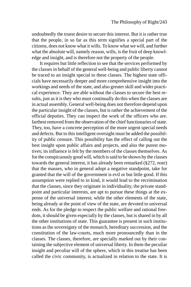undoubtedly the truest desire to secure this interest. But it is rather true that the people, in so far as this term signifies a special part of the citizens, does not know what it wills. To know what we will, and further what the absolute will, namely reason, wills, is the fruit of deep knowledge and insight, and is therefore not the property of the people.

It requires but little reflection to see that the services performed by the classes in behalf of the general well-being and public liberty cannot be traced to an insight special to these classes. The highest state officials have necessarily deeper and more comprehensive insight into the workings and needs of the state, and also greater skill and wider practical experience. They are able without the classes to secure the best results, just as it is they who must continually do this when the classes are in actual assembly. General well-being does not therefore depend upon the particular insight of the classes, but is rather the achievement of the official deputies. They can inspect the work of the officers who are. farthest removed from the observation of the chief functionaries of state. They, too, have a concrete perception of the more urgent special needs and defects. But to this intelligent oversight must be added the possibility of public censure. This possibility has the effect of calling out the best insight upon public affairs and projects, and also the purest motives; its influence is felt by the members of the classes themselves. As for the conspicuously good will, which is said to be shown by the classes towards the general interest, it has already been remarked (§272, *note*) that the masses, who in general adopt a negative standpoint, take for granted that the will of the government is evil or but little good. If this assumption were replied to in kind, it would lead to the recrimination that the classes, since they originate in individuality, the private standpoint and particular interests, are apt to pursue these things at the expense of the universal interest; while the other elements of the state, being already at the point of view of the state, are devoted to universal ends. As for the pledge to respect the public welfare and rational freedom, it should be given especially by the classes, but is shared in by all the other institutions of state. This guarantee is present in such institutions as the sovereignty of the monarch, hereditary succession, and the constitution of the law-courts, much more pronouncedly than in the classes. The classes, therefore, are specially marked out by their containing the subjective element of universal liberty. In them the peculiar insight and peculiar will of the sphere, which in this treatise has been called the civic community, is actualized in relation to the state. It is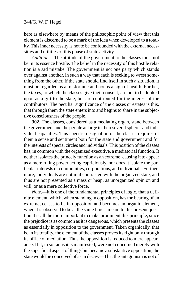here as elsewhere by means of the philosophic point of view that this element is discerned to be a mark of the idea when developed to a totality. This inner necessity is not to be confounded with the external necessities and utilities of this phase of state activity.

*Addition.—*The attitude of the government to the classes must not be in its essence hostile. The belief in the necessity of this hostile relation is a sad mistake. The government is not one party which stands over against another, in such a way that each is seeking to wrest something from the other. If the state should find itself in such a situation, it must be regarded as a misfortune and not as a sign of health. Further, the taxes, to which the classes give their consent, are not to be looked upon as a gift to the state, but are contributed for the interest of the contributors. The peculiar significance of the classes or estates is this, that through them the state enters into and begins to share in the subjective consciousness of the people.

**302**. The classes, considered as a mediating organ, stand between the government and the people at large in their several spheres and individual capacities. This specific designation of the classes requires of them a sense and sentiment both for the state and government and for the interests of special circles and individuals. This position of the classes has, in common with the organized executive, a mediatorial function. It neither isolates the princely function as an extreme, causing it to appear as a mere ruling power acting capriciously, nor does it isolate the particular interests of communities, corporations, and individuals. Furthermore, individuals are not in it contrasted with the organized state, and thus are not presented as a mass or heap, as unorganized opinion and will, or as a mere collective force.

*Note.—*It is one of the fundamental principles of logic, that a definite element, which, when standing in opposition, has the bearing of an extreme, ceases to be in opposition and becomes an organic element, when it is observed to be at the same time a mean. In this present question it is all the more important to make prominent this principle, since the prejudice is as common as it is dangerous, which presents the classes as essentially in opposition to the government. Taken organically, that is, in its totality, the element of the classes proves its right only through its office of mediation. Thus the opposition is reduced to mere appearance. If it, in so far as it is manifested, were not concerned merely with the superficial aspect of things but became a substantive opposition, the state would be conceived of as in decay.—That the antagonism is not of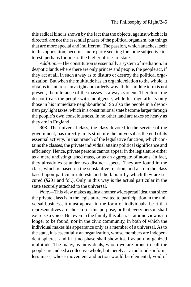this radical kind is shown by the fact that the objects, against which it is directed, are not the essential phases of the political organism, but things that are more special and indifferent. The passion, which attaches itself to this opposition, becomes mere party seeking for some subjective interest, perhaps for one of the higher offices of state.

*Addition.—*The constitution is essentially a system of mediation. In despotic lands where there are only princes and people, the people act, if they act at all, in such a way as to disturb or destroy the political organization. But when the multitude has an organic relation to the whole, it obtains its interests in a right and orderly way. If this middle term is not present, the utterance of the masses is always violent. Therefore, the despot treats the people with indulgence, while his rage affects only those in his immediate neighbourhood. So also the people in a despotism pay light taxes, which in a constitutional state become larger through the people's own consciousness. In no other land are taxes so heavy as they are in England.

**303**. The universal class, the class devoted to the service of the government, has directly in its structure the universal as the end of its essential activity. In that branch of the legislative function, which contains the classes, the private individual attains political significance and efficiency. Hence, private persons cannot appear in the legislature either as a mere undistinguished mass, or as an aggregate of atoms. In fact, they already exist under two distinct aspects. They are found in the class, which is based on the substantive relation, and also in the class based upon particular interests and the labour by which they are secured (§201 and fol.). Only in this way is the actual particular in the state securely attached to the universal.

*Note.—*This view makes against another widespread idea, that since the private class is in the legislature exalted to participation in the universal business, it must appear in the form of individuals, be it that representatives are chosen for this purpose, or that every person shall exercise a voice. But even in the family this abstract atomic view is no longer to be found, nor in the civic community, in both of which the individual makes his appearance only as a member of a universal. As to the state, it is essentially an organization, whose members are independent spheres, and in it no phase shall show itself as an unorganized multitude. The many, as individuals, whom we are prone to call the people, are indeed a collective whole, but merely as a multitude or formless mass, whose movement and action would be elemental, void of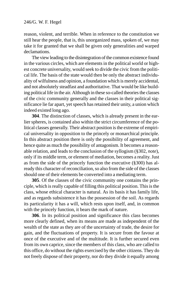reason, violent, and terrible. When in reference to the constitution we still hear the people, that is, this unorganized mass, spoken of, we may take it for granted that we shall be given only generalities and warped declamations.

The view leading to the disintegration of the common existence found in the various circles, which are elements in the political world or highest concrete universality, would seek to divide the civic from the political life. The basis of the state would then be only the abstract individuality of wilfulness and opinion, a foundation which is merely accidental, and not absolutely steadfast and authoritative. That would be like building political life in the air. Although in these so-called theories the classes of the civic community generally and the classes in their political significance lie far apart, yet speech has retained their unity, a union which indeed existed long ago.

**304**. The distinction of classes, which is already present in the earlier spheres, is contained also within the strict circumference of the political classes generally. Their abstract position is the extreme of empirical universality in opposition to the princely or monarchical principle. In this abstract position there is only the possibility of agreement, and hence quite as much the possibility of antagonism. It becomes a reasonable relation, and leads to the conclusion of the syllogism (§302, *note*), only if its middle term, or element of mediation, becomes a reality. Just as from the side of the princely function the executive (§300) has already this character of reconciliation, so also from the side of the classes should one of their elements be converted into a mediating term.

**305**. Of the classes of the civic community one contains the principle, which is really capable of filling this political position. This is the class, whose ethical character is natural. As its basis it has family life, and as regards subsistence it has the possession of the soil. As regards its particularity it has a will, which rests upon itself, and, in common with the princely function, it bears the mark of nature.

**306**. In its political position and significance this class becomes more clearly defined, when its means are made as independent of the wealth of the state as they are of the uncertainty of trade, the desire for gain, and the fluctuations of property. It is secure from the favour at once of the executive and of the multitude. It is further secured even from its own caprice, since the members of this class, who are called to this office, do without the rights exercised by the other citizens. They do not freely dispose of their property, nor do they divide it equally among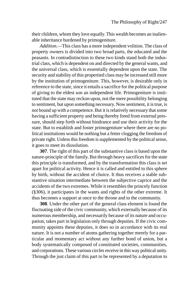their children, whom they love equally. This wealth becomes an inalienable inheritance burdened by primogeniture.

*Addition.—*This class has a more independent volition. The class of property owners is divided into two broad parts, the educated and the peasants. In contradistinction to these two kinds stand both the industrial class, which is dependent on and directed by the general wants, and the universal class, which is essentially dependent upon the state. The security and stability of this propertied class may be increased still more by the institution of primogeniture. This, however, is desirable only in reference to the state, since it entails a sacrifice for the political purpose of giving to the eldest son an independent life. Primogeniture is instituted that the state may reckon upon, not the mere possibility belonging to sentiment, but upon something necessary. Now sentiment, it is true, is not bound up with a competence. But it is relatively necessary that some having a sufficient property and being thereby freed from external pressure, should step forth without hindrance and use their activity for the state. But to establish and foster primogeniture where there are no political institutions would be nothing but a fetter clogging the freedom of private right. Unless this freedom is supplemented by the political sense, it goes to meet its dissolution.

**307**. The right of this part of the substantive class is based upon the nature-principle of the family. But through heavy sacrifices for the state this principle is transformed, and by the transformation this class is set apart for political activity. Hence it is called and entitled to this sphere by birth, without the accident of choice. It thus receives a stable substantive situation intermediate between the subjective caprice and the accidents of the two extremes. While it resembles the princely function (§306), it participates in the wants and rights of the other extreme. It thus becomes a support at once to the throne and to the community.

**308**. Under the other part of the general class element is found the fluctuating side of the civic community, which externally because of its numerous membership, and necessarily because of its nature and occupation, takes part in legislation only through deputies. If the civic community appoints these deputies, it does so in accordance with its real nature. It is not a number of atoms gathering together merely for a particular and momentary act without any further bond of union, but a body systematically composed of constituted societies, communities, and corporations. These various circles receive in this way political unity. Through the just claim of this part to be represented by a deputation to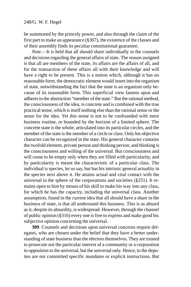be summoned by the princely power, and also through the claim of the first part to make an appearance (§307), the existence of the classes and of their assembly finds its peculiar constitutional guarantee.

*Note.—*It is held that all should share individually in the counsels and decisions regarding the general affairs of state. The reason assigned is that all are members of the state, its affairs are the affairs of all, and for the transaction of these affairs all with their knowledge and will have a right to be present. This is a notion which, although it has no reasonable form, the democratic element would insert into the organism of state, notwithstanding the fact that the state is an organism only because of its reasonable form. This superficial view fastens upon and adheres to the abstraction "member of the state." But the rational method, the consciousness of the idea, is concrete and is combined with the true practical sense, which is itself nothing else than the rational sense or the sense for the idea. Yet this sense is not to be confounded with mere business routine, or bounded by the horizon of a limited sphere. The concrete state is the whole, articulated into its particular circles, and the member of the state is the member of a circle or class. Only his objective character can be recognized in the state. His general character contains the twofold element, private person and thinking person, and thinking is the consciousness and willing of the universal. But consciousness and will cease to be empty only when they are filled with particularity, and by particularity is meant the characteristic of a particular class. The individual is species, let us say, but has his intrinsic general actuality in the species next above it. He attains actual and vital contact with the universal in the sphere of the corporations and societies (§251). It remains open to him by means of his skill to make his way into any class, for which he has the capacity, including the universal class. Another assumption, found in the current idea that all should have a share in the business of state, is that all understand this business. This is as absurd as it, despite its absurdity, is widespread. However, through the channel of public opinion (§316) every one is free to express and make good his subjective opinion concerning the universal.

**309**. Counsels and decisions upon universal concerns require delegates, who are chosen under the belief that they have a better understanding of state business than the electors themselves. They are trusted to prosecute not the particular interest of a community or a corporation in opposition to the universal, but the universal only. Hence, to the deputies are not committed specific mandates or explicit instructions. But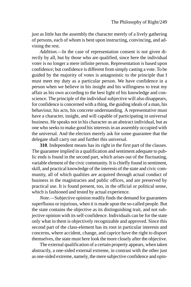just as little has the assembly the character merely of a lively gathering of persons, each of whom is bent upon instructing, convincing, and advising the rest.

*Addition.—*In the case of representation consent is not given directly by all, but by those who are qualified, since here the individual voter is no longer a mere infinite person. Representation is based upon confidence; but confidence is different from simply casting a vote. To be guided by the majority of votes is antagonistic to the principle that I must meet my duty as a particular person. We have confidence in a person when we believe in his insight and his willingness to treat my affair as his own according to the best light of his knowledge and conscience. The principle of the individual subjective will also disappears, for confidence is concerned with a thing, the guiding ideals of a man, his behaviour, his acts, his concrete understanding. A representative must have a character, insight, and will capable of participating in universal business. He speaks not in his character as an abstract individual, but as one who seeks to make good his interests in an assembly occupied with the universal. And the electors merely ask for some guarantee that the delegate shall carry out and further this universal.

**310**. Independent means has its right in the first part of the classes. The guarantee implied in a qualification and sentiment adequate to public ends is found in the second part, which arises out of the fluctuating, variable element of the civic community. It is chiefly found in sentiment, skill, and practical knowledge of the interests of the state and civic community, all of which qualities are acquired through actual conduct of business in the magistracies and public offices, and are preserved by practical use. It is found present, too, in the official or political sense, which is fashioned and tested by actual experience.

*Note.—*Subjective opinion readily finds the demand for guarantees superfluous or injurious, when it is made upon the so-called people. But the state contains the objective as its distinguishing trait, and not subjective opinion with its self-confidence. Individuals can be for the state only what in them is objectively recognizable and approved. Since this second part of the class-element has its root in particular interests and concerns, where accident, change, and caprice have the right to disport themselves, the state must here look the more closely after the objective.

The external qualification of a certain property appears, when taken abstractly, a one-sided external extreme, in contrast with the other just as one-sided extreme, namely, the mere subjective confidence and opin-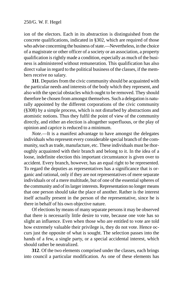ion of the electors. Each in its abstraction is distinguished from the concrete qualifications, indicated in §302, which are required of those who advise concerning the business of state.—Nevertheless, in the choice of a magistrate or other officer of a society or an association, a property qualification is rightly made a condition, especially as much of the business is administered without remuneration. This qualification has also direct value in regard to the political business of the classes, if the members receive no salary.

**311**. Deputies from the civic community should be acquainted with the particular needs and interests of the body which they represent, and also with the special obstacles which ought to be removed. They should therefore be chosen from amongst themselves. Such a delegation is naturally appointed by the different corporations of the civic community (§308) by a simple process, which is not disturbed by abstractions and atomistic notions. Thus they fulfil the point of view of the community directly, and either an election is altogether superfluous, or the play of opinion and caprice is reduced to a minimum.

*Note.*—It is a manifest advantage to have amongst the delegates individuals who represent every considerable special branch of the community, such as trade, manufacture, etc. These individuals must be thoroughly acquainted with their branch and belong to it. In the idea of a loose, indefinite election this important circumstance is given over to accident. Every branch, however, has an equal right to be represented. To regard the deputies as representatives has a significance that is organic and rational, only if they are not representatives of mere separate individuals or of a mere multitude, but of one of the essential spheres of the community and of its larger interests. Representation no longer means that one person should take the place of another. Rather is the interest itself actually present in the person of the representative, since he is there in behalf of his own objective nature.

Of elections by means of many separate persons it may be observed that there is necessarily little desire to vote, because one vote has so slight an influence. Even when those who are entitled to vote are told how extremely valuable their privilege is, they do not vote. Hence occurs just the opposite of what is sought. The selection passes into the hands of a few, a single party, or a special accidental interest, which should rather be neutralized.

**312**. Of the two elements comprised under the classes, each brings into council a particular modification. As one of these elements has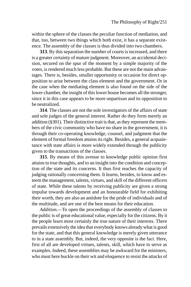within the sphere of the classes the peculiar function of mediation, and that, too, between two things which both exist, it has a separate existence. The assembly of the classes is thus divided into two chambers.

**313**. By this separation the number of courts is increased, and there is a greater certainty of mature judgment. Moreover, an accidental decision, secured on the spur of the moment by a simple majority of the votes, is rendered much less probable. But these are not the main advantages. There is, besides, smaller opportunity or occasion for direct opposition to arise between the class element and the government. Or in the case when the mediating element is also found on the side of the lower chamber, the insight of this lower house becomes all the stronger, since it in this case appears to be more unpartisan and its opposition to be neutralized.

**314**. The classes are not the sole investigators of the affairs of state and sole judges of the general interest. Rather do they form merely an addition (§301). Their distinctive trait is that, as they represent the members of the civic community who have no share in the government, it is through their co-operating knowledge, counsel, and judgment that the element of formal freedom attains its right. Besides, a general acquaintance with state affairs is more widely extended through the publicity given to the transactions of the classes.

**315**. By means of this avenue to knowledge public opinion first attains to true thoughts, and to an insight into the condition and conception of the state and its concerns. It thus first reaches the capacity of judging rationally concerning them. It learns, besides, to know and esteem the management, talents, virtues, and skill of the different officers of state. While these talents by receiving publicity are given a strong impulse towards development and an honourable field for exhibiting their worth, they are also an antidote for the pride of individuals and of the multitude, and are one of the best means for their education.

*Addition.—*To open the proceedings of the assembly of classes to the public is of great educational value, especially for the citizens. By it the people learn most certainly the true nature of their interests. There prevails extensively the idea that everybody knows already what is good for the state, and that this general knowledge is merely given utterance to in a state assembly. But, indeed, the very opposite is the fact. Here, first of all are developed virtues, talents, skill, which have to serve as examples. Indeed, these assemblies may be awkward for the ministers, who must here buckle on their wit and eloquence to resist the attacks of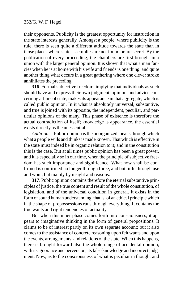their opponents. Publicity is the greatest opportunity for instruction in the state interests generally. Amongst a people, where publicity is the rule, there is seen quite a different attitude towards the state than in those places where state assemblies are not found or are secret. By the publication of every proceeding, the chambers are first brought into union with the larger general opinion. It is shown that what a man fancies when he is at home with his wife and friends is one thing, and quite another thing what occurs in a great gathering where one clever stroke annihilates the preceding.

**316**. Formal subjective freedom, implying that individuals as such should have and express their own judgment, opinion, and advice concerning affairs of state, makes its appearance in that aggregate, which is called public opinion. In it what is absolutely universal, substantive, and true is joined with its opposite, the independent, peculiar, and particular opinions of the many. This phase of existence is therefore the actual contradiction of itself; knowledge is appearance, the essential exists directly as the unessential.

*Addition.—*Public opinion is the unorganized means through which what a people wills and thinks is made known. That which is effective in the state must indeed be in organic relation to it; and in the constitution this is the case. But at all times public opinion has been a great power, and it is especially so in our time, when the principle of subjective freedom has such importance and significance. What now shall be confirmed is confirmed no longer through force, and but little through use and wont, but mainly by insight and reasons.

**317**. Public opinion contains therefore the eternal substantive principles of justice, the true content and result of the whole constitution, of legislation, and of the universal condition in general. It exists in the form of sound human understanding, that is, of an ethical principle which in the shape of prepossessions runs through everything. It contains the true wants and right tendencies of actuality.

But when this inner phase comes forth into consciousness, it appears to imaginative thinking in the form of general propositions. It claims to be of interest partly on its own separate account; but it also comes to the assistance of concrete reasoning upon felt wants and upon the events, arrangements, and relations of the state. When this happens, there is brought forward also the whole range of accidental opinion, with its ignorance and perversion, its false knowledge and incorrect judgment. Now, as to the consciousness of what is peculiar in thought and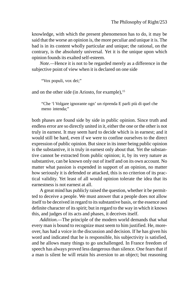knowledge, with which the present phenomenon has to do, it may be said that the worse an opinion is, the more peculiar and unique it is. The bad is in its content wholly particular and unique; the rational, on the contrary, is the absolutely universal. Yet it is the unique upon which opinion founds its exalted self-esteem.

*Note.—*Hence it is not to be regarded merely as a difference in the subjective point of view when it is declared on one side

"Vox populi, vox dei;"

and on the other side (in Ariosto, for example),<sup>15</sup>

"Che 'l Volgare ignorante ogn' un riprenda E parli più di quel che meno intenda:"

both phases are found side by side in public opinion. Since truth and endless error are so directly united in it, either the one or the other is not truly in earnest. It may seem hard to decide which is in earnest; and it would still be hard, even if we were to confine ourselves to the direct expression of public opinion. But since in its inner being public opinion is the substantive, it is truly in earnest only about that. Yet the substantive cannot be extracted from public opinion; it, by its very nature as substantive, can be known only out of itself and on its own account. No matter what passion is expended in support of an opinion, no matter how seriously it is defended or attacked, this is no criterion of its practical validity. Yet least of all would opinion tolerate the idea that its earnestness is not earnest at all.

A great mind has publicly raised the question, whether it be permitted to deceive a people. We must answer that a people does not allow itself to be deceived in regard to its substantive basis, or the essence and definite character of its spirit; but in regard to the way in which it knows this, and judges of its acts and phases, it deceives itself.

*Addition.—*The principle of the modern world demands that what every man is bound to recognize must seem to him justified. He, moreover, has had a voice in the discussion and decision. If he has given his word and indicated that he is responsible, his subjectivity is satisfied, and he allows many things to go unchallenged. In France freedom of speech has always proved less dangerous than silence. One fears that if a man is silent he will retain his aversion to an object; but reasoning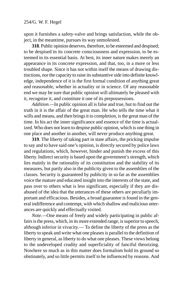upon it furnishes a safety-valve and brings satisfaction, while the object, in the meantime, pursues its way unmolested.

**318**. Public opinion deserves, therefore, to be esteemed and despised; to be despised in its concrete consciousness and expression, to be esteemed in its essential basis. At best, its inner nature makes merely an appearance in its concrete expression, and that, too, in a more or less troubled shape. Since it has not within itself the means of drawing distinctions, nor the capacity to raise its substantive side into definite knowledge, independence of it is the first formal condition of anything great and reasonable, whether in actuality or in science. Of any reasonable end we may be sure that public opinion will ultimately be pleased with it, recognize it, and constitute it one of its prepossessions.

*Addition.—*In public opinion all is false and true, but to find out the truth in it is the affair of the great man. He who tells the time what it wills and means, and then brings it to completion, is the great man of the time. In his act the inner significance and essence of the time is actualized. Who does not learn to despise public opinion, which is one thing in one place and another in another, will never produce anything great.

**319**. The liberty of taking part in state affairs, the pricking impulse to say and to have said one's opinion, is directly secured by police laws and regulations, which, however, hinder and punish the excess of this liberty. Indirect security is based upon the government's strength, which lies mainly in the rationality of its constitution and the stability of its measures, but partly also in the publicity given to the assemblies of the classes. Security is guaranteed by publicity in so far as the assemblies voice the mature and educated insight into the interests of the state, and pass over to others what is less significant, especially if they are disabused of the idea that the utterances of these others are peculiarly important and efficacious. Besides, a broad guarantee is found in the general indifference and contempt, with which shallow and malicious utterances are quickly and effectually visited.

*Note.—*One means of freely and widely participating in public affairs is the press, which, in its more extended range, is superior to speech, although inferior in vivacity.— To define the liberty of the press as the liberty to speak and write what one pleases is parallel to the definition of liberty in general, as liberty to do what one pleases. These views belong to the undeveloped crudity and superficiality of fanciful theorizing. Nowhere so much as in this matter does formalism hold its ground so obstinately, and so little permits itself to be influenced by reasons. And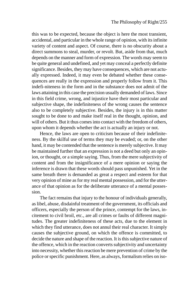this was to be expected, because the object is here the most transient, accidental, and particular in the whole range of opinion, with its infinite variety of content and aspect. Of course, there is no obscurity about a direct summons to steal, murder, or revolt. But, aside from that, much depends on the manner and form of expression. The words may seem to be quite general and undefined, and yet may conceal a perfectly definite significance. Besides, they may have consequences, which are not actually expressed. Indeed, it may even be debated whether these consequences are really in the expression and properly follow from it. This indefi-niteness in the form and in the substance does not admit of the laws attaining in this case the precision usually demanded of laws. Since in this field crime, wrong, and injustice have their most particular and subjective shape, the indefiniteness of the wrong causes the sentence also to be completely subjective. Besides, the injury is in this matter sought to be done to and make itself real in the thought, opinion, and will of others. But it thus comes into contact with the freedom of others, upon whom it depends whether the act is actually an injury or not.

Hence, the laws are open to criticism because of their indefiniteness. By the skilful use of terms they may be evaded; or, on the other hand, it may be contended that the sentence is merely subjective. It may be maintained further that an expression is not a deed but only an opinion, or thought, or a simple saying. Thus, from the mere subjectivity of content and from the insignificance of a mere opinion or saying the inference is drawn that these words should pass unpunished. Yet in the same breath there is demanded as great a respect and esteem for that very opinion of mine as for my real mental possession, and for the utterance of that opinion as for the deliberate utterance of a mental possession.

The fact remains that injury to the honour of individuals generally, as libel, abuse, disdainful treatment of the government, its officials and officers, especially the person of the prince, contempt for the laws, incitement to civil broil, etc., are all crimes or faults of different magnitudes. The greater indefiniteness of these acts, due to the element in which they find utterance, does not annul their real character. It simply causes the subjective ground, on which the offence is committed, to decide the nature and shape of the reaction. It is this subjective nature of the offence, which in the reaction converts subjectivity and uncertainty into necessity, whether this reaction be mere prevention of crime by the police or specific punishment. Here, as always, formalism relies on iso-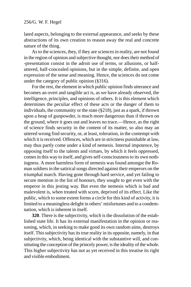### 256/G. W. F. Hegel

lated aspects, belonging to the external appearance, and seeks by these abstractions of its own creation to reason away the real and concrete nature of the thing.

As to the sciences, they, if they are sciences in reality, are not found in the region of opinion and subjective thought, nor does their method of -presentation consist in the adroit use of terms, or allusions, or halfuttered, half-concealed opinions, but in the simple, definite, and open expression of the sense and meaning. Hence, the sciences do not come under the category of public opinion (§316).

For the rest, the element in which public opinion finds utterance and becomes an overt and tangible act is, as we have already observed, the intelligence, principles, and opinions of others. It is this element which determines the peculiar effect of these acts or the danger of them to individuals, the community or the state (§218), just as a spark, if thrown upon a heap of gunpowder, is much more dangerous than if thrown on the ground, where it goes out and leaves no trace.—Hence, as the right of science finds security in the content of its matter, so also may an uttered wrong find security, or, at least, toleration, in the contempt with which it is received. Offences, which are in strictness punishable at law, may thus partly come under a kind of nemesis. Internal impotence, by opposing itself to the talents and virtues, by which it feels oppressed, comes in this way to itself, and gives self-consciousness to its own nothingness. A more harmless form of nemesis was found amongst the Roman soldiers in the satirical songs directed against their emperors on the triumphal march. Having gone through hard service, and yet failing to secure mention in the list of honours, they sought to get even with the emperor in this jesting way. But even the nemesis which is bad and malevolent is, when treated with scorn, deprived of its effect. Like the public, which to some extent forms a circle for this kind of activity, it is limited to a meaningless delight in others' misfortunes and to a condemnation, which is inherent in itself.

**320**. There is the subjectivity, which is the dissolution of the established state life. It has its external manifestation in the opinion or reasoning, which, in seeking to make good its own random aims, destroys itself. This subjectivity has its true reality in its opposite, namely, in that subjectivity, which, being identical with the substantive will, and constituting the conception of the princely power, is the ideality of the whole. This higher subjectivity has not as yet received in this treatise its right and visible embodiment.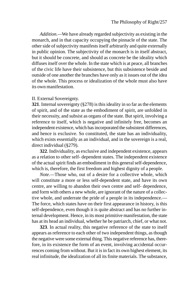*Addition.—*We have already regarded subjectivity as existing in the monarch, and in that capacity occupying the pinnacle of the state. The other side of subjectivity manifests itself arbitrarily and quite externally in public opinion. The subjectivity of the monarch is in itself abstract, but it should be concrete, and should as concrete be the ideality which diffuses itself over the whole. In the state which is at peace, all branches of the civic life have their subsistence, but this subsistence beside and outside of one another the branches have only as it issues out of the idea of the whole. This process or idealization of the whole must also have its own manifestation.

### II. External Sovereignty.

**321**. Internal sovereignty (§278) is this ideality in so far as the elements of spirit, and of the state as the embodiment of spirit, are unfolded in their necessity, and subsist as organs of the state. But spirit, involving a reference to itself, which is negative and infinitely free, becomes an independent existence, which has incorporated the subsistent differences, and hence is exclusive. So constituted, the state has an individuality, which exists essentially as an individual, and in the sovereign is a real, direct individual (§279).

**322**. Individuality, as exclusive and independent existence, appears as a relation to other self- dependent states. The independent existence of the actual spirit finds an embodiment in this general self-dependence, which is, therefore, the first freedom and highest dignity of a people.

*Note*.—Those who, out of a desire for a collective whole, which will constitute a more or less self-dependent state, and have its own centre, are willing to abandon their own centre and self- dependence, and form with others a new whole, are ignorant of the nature of a collective whole, and underrate the pride of a people in its independence.— The force, which states have on their first appearance in history, is this self-dependence, even though it is quite abstract and has no further internal development. Hence, in its most primitive manifestation, the state has at its head an individual, whether he be patriarch, chief, or what not.

**323**. In actual reality, this negative reference of the state to itself appears as reference to each other of two independent things, as though the negative were some external thing. This negative reference has, therefore, in its existence the form of an event, involving accidental occurrences coming from without. But it is in fact its own highest element, its real infinitude, the idealization of all its finite materials. The substance,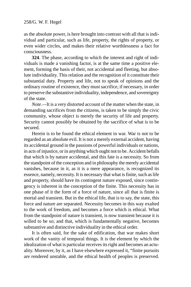as the absolute power, is here brought into contrast with all that is individual and particular, such as life, property, the rights of property, or even wider circles, and makes their relative worthlessness a fact for consciousness.

**324**. The phase, according to which the interest and right of individuals is made a vanishing factor, is at the same time a positive element, forming the basis of their, not accidental and fleeting, but absolute individuality. This relation and the recognition of it constitute their substantial duty. Property and life, not to speak of opinions and the ordinary routine of existence, they must sacrifice, if necessary, in order to preserve the substantive individuality, independence, and sovereignty of the state.

*Note.—*It is a very distorted account of the matter when the state, in demanding sacrifices from the citizens, is taken to be simply the civic community, whose object is merely the security of life and property. Security cannot possibly be obtained by the sacrifice of what is to be secured.

Herein is to be found the ethical element in war. War is not to be regarded as an absolute evil. It is not a merely external accident, having its accidental ground in the passions of powerful individuals or nations, in acts of injustice, or in anything which ought not to be. Accident befalls that which is by nature accidental, and this fate is a necessity. So from the standpoint of the conception and in philosophy the merely accidental vanishes, because in it, as it is a mere appearance, is recognized its essence, namely, necessity. It is necessary that what is finite, such as life and property, should have its contingent nature exposed, since contingency is inherent in the conception of the finite. This necessity has in one phase of it the form of a force of nature, since all that is finite is mortal and transient. But in the ethical life, that is to say, the state, this force and nature are separated. Necessity becomes in this way exalted to the work of freedom, and becomes a force which is ethical. What from the standpoint of nature is transient, is now transient because it is willed to be so; and that, which is fundamentally negative, becomes substantive and distinctive individuality in the ethical order.

It is often said, for the sake of edification, that war makes short work of the vanity of temporal things. It is the element by which the idealization of what is particular receives its right and becomes an actuality. Moreover, by it, as I have elsewhere expressed it, "finite pursuits are rendered unstable, and the ethical health of peoples is preserved.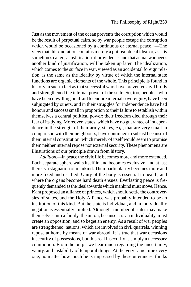Just as the movement of the ocean prevents the corruption which would be the result of perpetual calm, so by war people escape the corruption which would be occasioned by a continuous or eternal peace."—The view that this quotation contains merely a philosophical idea, or, as it is sometimes called, a justification of providence, and that actual war needs another kind of justification, will be taken up later. The idealization, which comes to the surface in war, viewed as an accidental foreign relation, is the same as the ideality by virtue of which the internal state functions are organic elements of the whole. This principle is found in history in such a fact as that successful wars have prevented civil broils and strengthened the internal power of the state. So, too, peoples, who have been unwilling or afraid to endure internal sovereignty, have been subjugated by others, and in their struggles for independence have had honour and success small in proportion to their failure to establish within themselves a central political power; their freedom died through their fear of its dying. Moreover, states, which have no guarantee of independence in the strength of their army, states, *e.g.,* that are very small in comparison with their neighbours, have continued to subsist because of their internal constitution, which merely of itself would seem to promise them neither internal repose nor external security. These phenomena are illustrations of our principle drawn from history.

*Addition.—*In peace the civic life becomes more and more extended. Each separate sphere walls itself in and becomes exclusive, and at last there is a stagnation of mankind. Their particularity becomes more and more fixed and ossified. Unity of the body is essential to health, and where the organs become hard death ensues. Everlasting peace is frequently demanded as the ideal towards which mankind must move. Hence, Kant proposed an alliance of princes, which should settle the controversies of states, and the Holy Alliance was probably intended to be an institution of this kind. But the state is individual, and in individuality negation is essentially implied. Although a number of states may make themselves into a family, the union, because it is an individuality, must create an opposition, and so beget an enemy. As a result of war peoples are strengthened, nations, which are involved in civil quarrels, winning repose at home by means of war abroad. It is true that war occasions insecurity of possessions, but this real insecurity is simply a necessary commotion. From the pulpit we hear much regarding the uncertainty, vanity, and instability of temporal things. At the very same time every one, no matter how much he is impressed by these utterances, thinks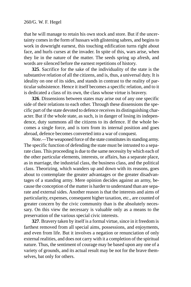that he will manage to retain his own stock and store. But if the uncertainty comes in the form of hussars with glistening sabres, and begins to work in downright earnest, this touching edification turns right about face, and hurls curses at the invader. In spite of this, wars arise, when they lie in the nature of the matter. The seeds spring up afresh, and words are silenced before the earnest repetitions of history.

**325**. Sacrifice for the sake of the individuality of the state is the substantive relation of all the citizens, and is, thus, a universal duty. It is ideality on one of its sides, and stands in contrast to the reality of particular subsistence. Hence it itself becomes a specific relation, and to it is dedicated a class of its own, the class whose virtue is bravery.

**326**. Dissensions between states may arise out of any one specific side of their relations to each other. Through these dissensions the specific part of the state devoted to defence receives its distinguishing character. But if the whole state, as such, is in danger of losing its independence, duty summons all the citizens to its defence. If the whole becomes a single force, and is torn from its internal position and goes abroad, defence becomes converted into a war of conquest.

*Note.—*The weaponed force of the state constitutes its standing army. The specific function of defending the state must be intrusted to a separate class. This proceeding is due to the same necessity by which each of the other particular elements, interests, or affairs, has a separate place, as in marriage, the industrial class, the business class, and the political class. Theorizing, which wanders up and down with its reasons, goes about to contemplate the greater advantages or the greater disadvantages of a standing army. Mere opinion decides against an army, because the conception of the matter is harder to understand than are separate and external sides. Another reason is that the interests and aims of particularity, expenses, consequent higher taxation, etc., are counted of greater concern by the civic community than is the absolutely necessary. On this view the necessary is valuable only as a means to the preservation of the various special civic interests.

**327**. Bravery taken by itself is a formal virtue, since in it freedom is farthest removed from all special aims, possessions, and enjoyments, and even from life. But it involves a negation or renunciation of only external realities, and does not carry with it a completion of the spiritual nature. Thus, the sentiment of courage may be based upon any one of a variety of grounds, and its actual result may be not for the brave themselves, bat only for others.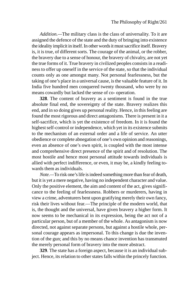*Addition.—*The military class is the class of universality. To it are assigned the defence of the state and the duty of bringing into existence the ideality implicit in itself. In other words it must sacrifice itself. Bravery is, it is true, of different sorts. The courage of the animal, or the robber, the bravery due to a sense of honour, the bravery of chivalry, are not yet the true forms of it. True bravery in civilized peoples consists in a readiness to offer up oneself in the service of the state, so that the individual counts only as one amongst many. Not personal fearlessness, but the taking of one's place in a universal cause, is the valuable feature of it. In India five hundred men conquered twenty thousand, who were by no means cowardly but lacked the sense of co- operation.

**328**. The content of bravery as a sentiment is found in the true absolute final end, the sovereignty of the state. Bravery realizes this end, and in so doing gives up personal reality. Hence, in this feeling are found the most rigorous and direct antagonisms. There is present in it a self-sacrifice, which is yet the existence of freedom. In it is found the highest self-control or independence, which yet in its existence submits to the mechanism of an external order and a life of service. An utter obedience or complete abnegation of one's own opinion and reasonings, even an absence of one's own spirit, is coupled with the most intense and comprehensive direct presence of the spirit and of resolution. The most hostile and hence most personal attitude towards individuals is allied with perfect indifference, or even, it may be, a kindly feeling towards them as individuals.

*Note.—*To risk one's life is indeed something more than fear of death, but it is yet a mere negative, having no independent character and value. Only the positive element, the aim and content of the act, gives significance to the feeling of fearlessness. Robbers or murderers, having in view a crime, adventurers bent upon gratifying merely their own fancy, risk their lives without fear.—The principle of the modern world, that is, the thought and the universal, have given bravery a higher form. It now seems to be mechanical in its expression, being the act not of a particular person, but of a member of the whole. As antagonism is now directed, not against separate persons, but against a hostile whole, personal courage appears as impersonal. To this change is due the invention of the gun; and this by no means chance invention has transmuted the merely personal form of bravery into the more abstract.

**329**. The state has a foreign aspect, because it is an individual subject. Hence, its relation to other states falls within the princely function.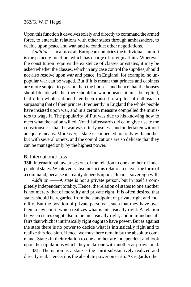Upon this function it devolves solely and directly to command the armed force, to entertain relations with other states through ambassadors, to decide upon peace and war, and to conduct other negotiations.

*Addition.—*In almost all European countries the individual summit is the princely function, which has charge of foreign affairs. Wherever the constitution requires the existence of classes or estates, it may be asked whether the classes, which in any case control the supplies, should not also resolve upon war and peace. In England, for example, no unpopular war can be waged. But if it is meant that princes and cabinets are more subject to passion than the houses, and hence that the houses should decide whether there should be war or peace, it must be replied, that often whole nations have been roused to a pitch of enthusiasm surpassing that of their princes. Frequently in England the whole people have insisted upon war, and in a certain measure compelled the ministers to wage it. The popularity of Pitt was due to his knowing how to meet what the nation willed. Not till afterwards did calm give rise to the consciousness that the war was utterly useless, and undertaken without adequate means. Moreover, a state is connected not only with another but with several others, and the complications are so delicate that they can be managed only by the highest power.

### B. International Law.

**330**. International law arises out of the relation to one another of independent states. Whatever is absolute in this relation receives the form of a command, because its reality depends upon a distinct sovereign will.

*Addition.*——A state is not a private person, but in itself a completely independent totality. Hence, the relation of states to one another is not merely that of morality and private right. It is often desired that states should be regarded from the standpoint of private right and morality. But the position of private persons is such that they have over them a law court, which realizes what is intrinsically right. A relation between states ought also to be intrinsically right, and in mundane affairs that which is intrinsically right ought to have power. But as against the state there is no power to decide what is intrinsically right and to realize this decision. Hence, we must here remain by the absolute command. States in their relation to one another are independent and look upon the stipulations which they make one with another as provisional.

**331**. The nation as a state is the spirit substantively realized and directly real. Hence, it is the absolute power on earth. As regards other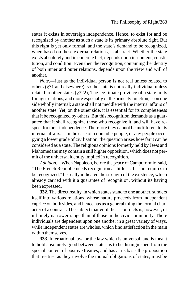states it exists in sovereign independence. Hence, to exist for and be recognized by another as such a state is its primary absolute right. But this right is yet only formal, and the state's demand to be recognized, when based on these external relations, is abstract. Whether the state exists absolutely and in concrete fact, depends upon its content, constitution, and condition. Even then the recognition, containing the identity of both inner and outer relations, depends upon the view and will of another.

*Note.—*Just as the individual person is not real unless related to others (§71 and elsewhere), so the state is not really individual unless related to other states (§322), The legitimate province of a state in its foreign relations, and more especially of the princely function, is on one side wholly internal; a state shall not meddle with the internal affairs of another state. Yet, on the other side, it is essential for its completeness that it be recognized by others. But this recognition demands as a guarantee that it shall recognize those who recognize it, and will have respect for their independence. Therefore they cannot be indifferent to its internal affairs.—In the case of a nomadic people, or any people occupying a lower grade of civilization, the question arises how far it can be considered as a state. The religious opinions formerly held by Jews and Mahomedans may contain a still higher opposition, which does not permit of the universal identity implied in recognition.

*Addition.—*When Napoleon, before the peace of Campoformio, said, "The French Republic needs recognition as little as the sun requires to be recognized," he really indicated the strength of the existence, which already carried with it a guarantee of recognition, without its having been expressed.

**332**. The direct reality, in which states stand to one another, sunders itself into various relations, whose nature proceeds from independent caprice on both sides, and hence has as a general thing the formal character of a contract. The subject matter of these contracts is, however, of infinitely narrower range than of those in the civic community. There individuals are dependent upon one another in a great variety of ways, while independent states are wholes, which find satisfaction in the main within themselves.

**333**. International law, or the law which is universal, and is meant to hold absolutely good between states, is to be distinguished from the special content of positive treaties, and has at its basis the proposition that treaties, as they involve the mutual obligations of states, must be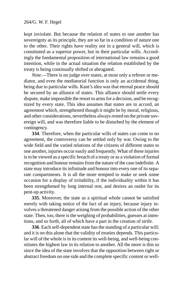### 264/G. W. F. Hegel

kept inviolate. But because the relation of states to one another has sovereignty as its principle, they are so far in a condition of nature one to the other. Their rights have reality not in a general will, which is constituted as a superior power, but in their particular wills. Accordingly the fundamental proposition of international law remains a good intention, while in the actual situation the relation established by the treaty is being continually shifted or abrogated.

*Note.—*There is no judge over states, at most only a referee or mediator, and even the mediatorial function is only an accidental thing, being due to particular wills. Kant's idea was that eternal peace should be secured by an alliance of states. This alliance should settle every dispute, make impossible the resort to arms for a decision, and be recognized by every state. This idea assumes that states are in accord, an agreement which, strengthened though it might be by moral, religious, and other considerations, nevertheless always rested on the private sovereign will, and was therefore liable to be disturbed by the element of contingency.

**334**. Therefore, when the particular wills of states can come to no agreement, the controversy can be settled only by war. Owing to the wide field and the varied relations of the citizens of different states to one another, injuries occur easily and frequently. What of these injuries is to be viewed as a specific breach of a treaty or as a violation of formal recognition and honour remains from the nature of the case indefinite. A state may introduce its infinitude and honour into every one of its separate compartments. It is all the more tempted to make or seek some occasion for a display of irritability, if the individuality within it has been strengthened by long internal rest, and desires an outlet for its pent-up activity.

**335**. Moreover, the state as a spiritual whole cannot be satisfied merely with taking notice of the fact of an injury, because injury involves a threatened danger arising from the possible action of the other state. Then, too, there is the weighing of probabilities, guesses at intentions, and so forth, all of which have a part in the creation of strife.

**336**. Each self-dependent state has the standing of a particular will; and it is on this alone that the validity of treaties depends. This particular will of the whole is in its content its well-being, and well-being constitutes the highest law in its relation to another. All the more is this so since the idea of the state involves that the opposition between right or abstract freedom on one side and the complete specific content or well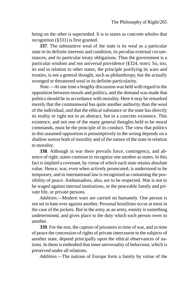being on the other is superseded. It is to states as concrete wholes that recognition (§331) is first granted.

**337**. The substantive weal of the state is its weal as a particular state in its definite interests and condition, its peculiar external circumstances, and its particular treaty obligations. Thus the government is a particular wisdom and not universal providence (§324, *note*). So, too, its end in relation to other states, the principle justifying its wars and treaties, is not a general thought, such as philanthropy, but the actually wronged or threatened weal in its definite particularity.

*Note.—*At one time a lengthy discussion was held with regard to the opposition between morals and politics, and the demand was made that politics should be in accordance with morality. Here it may be remarked merely that the commonweal has quite another authority than the weal of the individual, and that the ethical substance or the state has directly its reality or right not in an abstract, but in a concrete existence. This existence, and not one of the many general thoughts held to be moral commands, must be the principle of its conduct. The view that politics in this assumed opposition is presumptively in the wrong depends on a shallow notion both of morality and of the nature of the state in relation to morality.

**338**. Although in war there prevails force, contingency, and absence of right, states continue to recognize one another as states. In this fact is implied a covenant, by virtue of which each state retains absolute value. Hence, war, even when actively prosecuted, is understood to be temporary, and in international law is recognized as containing the possibility of peace. Ambassadors, also, are to be respected. War is not to be waged against internal institutions, or the peaceable family and private life, or private persons.

*Addition.—*Modern wars are carried on humanely. One person is not set in hate over against another. Personal hostilities occur at most in the case of the pickets. But in the army as an army, enmity is something undetermined, and gives place to the duty which each person owes to another.

**339**. For the rest, the capture of prisoners in time of war, and in time of peace the concession of rights of private intercourse to the subjects of another state, depend principally upon the ethical observances of nations. In them is embodied that inner universality of behaviour, which is preserved under all relations.

*Addition.—*The nations of Europe form a family by virtue of the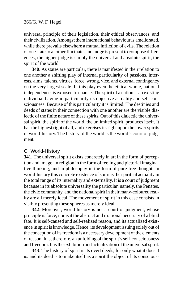universal principle of their legislation, their ethical observances, and their civilization. Amongst them international behaviour is ameliorated, while there prevails elsewhere a mutual infliction of evils. The relation of one state to another fluctuates; no judge is present to compose differences; the higher judge is simply the universal and absolute spirit, the spirit of the world.

**340**. As states are particular, there is manifested in their relation to one another a shifting play of internal particularity of passions, interests, aims, talents, virtues, force, wrong, vice, and external contingency on the very largest scale. In this play even the ethical whole, national independence, is exposed to chance. The spirit of a nation is an existing individual having in particularity its objective actuality and self-consciousness. Because of this particularity it is limited. The destinies and deeds of states in their connection with one another are the visible dialectic of the finite nature of these spirits. Out of this dialectic the universal spirit, the spirit of the world, the unlimited spirit, produces itself. It has the highest right of all, and exercises its right upon the lower spirits in world-history. The history of the world is the world's court of judgment.

## C. World-History.

**341**. The universal spirit exists concretely in art in the form of perception and image, in religion in the form of feeling and pictorial imaginative thinking, and in philosophy in the form of pure free thought. In world-history this concrete existence of spirit is the spiritual actuality in the total range of its internality and externality. It is a court of judgment because in its absolute universality the particular, namely, the Penates, the civic community, and the national spirit in their many-coloured reality are all merely ideal. The movement of spirit in this case consists in visibly presenting these spheres as merely ideal.

**342**. Moreover, world-history is not a court of judgment, whose principle is force, nor is it the abstract and irrational necessity of a blind fate. It is self-caused and self-realized reason, and its actualized existence in spirit is knowledge. Hence, its development issuing solely out of the conception of its freedom is a necessary development of the elements of reason. It is, therefore, an unfolding of the spirit's self-consciousness and freedom. It is the exhibition and actualization of the universal spirit.

**343**. The history of spirit is its overt deeds, for only what it does it is. and its deed is to make itself as a spirit the object of its conscious-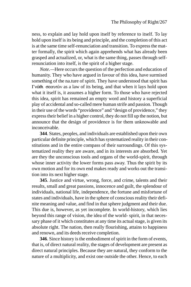ness, to explain and lay hold upon itself by reference to itself. To lay hold upon itself is its being and principle, and the completion of this act is at the same time self-renunciation and transition. To express the matter formally, the spirit which again apprehends what has already been grasped and actualized, or, what is the same thing, passes through selfrenunciation into itself, is the spirit of a higher stage.

*Note.—*Here occurs the question of the perfection and education of humanity. They who have argued in favour of this idea, have surmised something of the na.ture of spirit. They have understood that spirit has  $\Gamma$ νῶθι σεαυτὸν as a law of its being, and that when it lays hold upon what it itself is, it assumes a higher form. To those who have rejected this idea, spirit has remained an empty word and history a superficial play of accidental and so-called mere human strife and passion. Though in their use of the words "providence" and "design of providence," they express their belief in a higher control, they do not fill up the notion, but announce that the design of providence is for them unknowable and inconceivable.

**344**. States, peoples, and individuals are established upon their own particular definite principle, which has systematized reality in their constitutions and in the entire compass of their surroundings. Of this systematized reality they are aware, and in its interests are absorbed. Yet are they the unconscious tools and organs of the world-spirit, through whose inner activity the lower forms pass away. Thus the spirit by its own motion and for its own end makes ready and works out the transition into its next higher stage.

**345**. Justice and virtue, wrong, force, and crime, talents and their results, small and great passions, innocence and guilt, the splendour of individuals, national life, independence, the fortune and misfortune of states and individuals, have in the sphere of conscious reality their definite meaning and value, and find in that sphere judgment and their due. This due is, however, as yet incomplete. In world-history, which lies beyond this range of vision, the idea of the world- spirit, in that necessary phase of it which constitutes at any time its actual stage, is given its absolute right. The nation, then really flourishing, attains to happiness and renown, and its deeds receive completion.

**346**. Since history is the embodiment of spirit in the form of events, that is, of direct natural reality, the stages of development are present as direct natural principles. Because they are natural, they conform to the nature of a multiplicity, and exist one outside the other. Hence, to each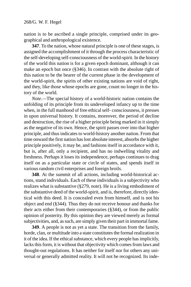nation is to be ascribed a single principle, comprised under its geographical and anthropological existence.

**347**. To the nation, whose natural principle is one of these stages, is assigned the accomplishment of it through the process characteristic of the self-developing self-consciousness of the world-spirit. In the history of the world this nation is for a given epoch dominant, although it can make an epoch but once (§346). In contrast with the absolute right of this nation to be the bearer of the current phase in the development of the world-spirit, the spirits of other existing nations are void of right, and they, like those whose epochs are gone, count no longer in the history of the world.

*Note.—*The special history of a world-historic nation contains the unfolding of its principle from its undeveloped infancy up to the time when, in the full manhood of free ethical self- consciousness, it presses in upon universal history. It contains, moreover, the period of decline and destruction, the rise of a higher principle being marked in it simply as the negative of its own. Hence, the spirit passes over into that higher principle, and thus indicates to world-history another nation. From that time onward the first nation has lost absolute interest, absorbs the higher principle positively, it may be, and fashions itself in accordance with it, but is, after all, only a recipient, and has no indwelling vitality and freshness. Perhaps it loses its independence, perhaps continues to drag itself on as a particular state or circle of states, and spends itself in various random civil enterprises and foreign broils.

**348**. At the summit of all actions, including world-historical actions, stand individuals. Each of these individuals is a subjectivity who realizes what is substantive (§279, *note*). He is a living embodiment of the substantive deed of the world-spirit, and is, therefore, directly identical with this deed. It is concealed even from himself, and is not his object and end (§344). Thus they do not receive honour and thanks for their acts either from their contemporaries (§344), or from the public opinion of posterity. By this opinion they are viewed merely as formal subjectivities, and, as such, are simply given their part in immortal fame.

**349**. A people is not as yet a state. The transition from the family, horde, clan, or multitude into a state constitutes the formal realization in it of the idea. If the ethical substance, which every people has implicitly, lacks this form, it is without that objectivity which comes from laws and thought-out regulations. It has neither for itself nor for others any universal or generally admitted reality. It will not be recognized. Its inde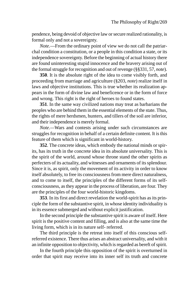pendence, being devoid of objective law or secure realized rationality, is formal only and not a sovereignty.

*Note.*—From the ordinary point of view we do not call the patriarchal condition a constitution, or a people in this condition a state, or its independence sovereignty. Before the beginning of actual history there are found uninteresting stupid innocence and the bravery arising out of the formal struggle for recognition and out of revenge (§§331, 57, *note*).

**350**. It is the absolute right of the idea to come visibly forth, and proceeding from marriage and agriculture (§203, *note*) realize itself in laws and objective institutions. This is true whether its realization appears in the form of divine law and beneficence or in the form of force and wrong. This right is the right of heroes to found states.

**351**. In the same way civilized nations may treat as barbarians the peoples who are behind them in the essential elements of the state. Thus, the rights of mere herdsmen, hunters, and tillers of the soil are inferior, and their independence is merely formal.

*Note.—*Wars and contests arising under such circumstances are struggles for recognition in behalf of a certain definite content. It is this feature of them which is significant in world-history.

**352**. The concrete ideas, which embody the national minds or spirits, has its truth in the concrete idea in its absolute universality. This is the spirit of the world, around whose throne stand the other spirits as perfecters of its actuality, and witnesses and ornaments of its splendour. Since it is, as spirit, only the movement of its activity in order to know itself absolutely, to free its consciousness from mere direct naturalness, and to come to itself, the principles of the different forms of its selfconsciousness, as they appear in the process of liberation, are four. They are the principles of the four world-historic kingdoms.

**353**. In its first and direct revelation the world-spirit has as its principle the form of the substantive spirit, in whose identity individuality is in its essence submerged and without explicit justification.

In the second principle the substantive spirit is aware of itself. Here spirit is the positive content and filling, and is also at the same time the living form, which is in its nature self- referred.

The third principle is the retreat into itself of this conscious selfreferred existence. There thus arises an abstract universality, and with it an infinite opposition to objectivity, which is regarded as bereft of spirit.

In the fourth principle this opposition of the spirit is overturned in order that spirit may receive into its inner self its truth and concrete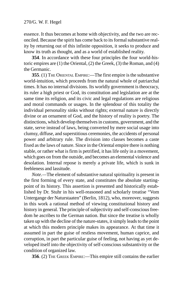essence. It thus becomes at home with objectivity, and the two are reconciled. Because the spirit has come back to its formal substantive reality by returning out of this infinite opposition, it seeks to produce and know its truth as thought, and as a world of established reality.

**354**. In accordance with these four principles the four world-historic empires are (1) the Oriental, (2) the Greek, (3) the Roman, and (4) the Germanic.

**355**. (1) THE ORIENTAL EMPIRE:—The first empire is the substantive world-intuition, which proceeds from the natural whole of patriarchal times. It has no internal divisions. Its worldly government is theocracy, its ruler a high priest or God, its constitution and legislation are at the same time its religion, and its civic and legal regulations are religious and moral commands or usages. In the splendour of this totality the individual personality sinks without rights; external nature is directly divine or an ornament of God, and the history of reality is poetry. The distinctions, which develop themselves in customs, government, and the state, serve instead of laws, being converted by mere social usage into clumsy, diffuse, and superstitious ceremonies, the accidents of personal power and arbitrary rule. The division into classes becomes a caste fixed as the laws of nature. Since in the Oriental empire there is nothing stable, or rather what is firm is petrified, it has life only in a movement, which goes on from the outside, and becomes an elemental violence and desolation. Internal repose is merely a private life, which is sunk in feebleness and lassitude.

*Note.—*The element of substantive natural spirituality is present in the first forming of every state, and constitutes the absolute startingpoint of its history. This assertion is presented and historically established by Dr. Stuhr in his well-reasoned and scholarly treatise "Vom Untergange der Naturstaaten" (Berlin, 1812), who, moreover, suggests in this work a rational method of viewing constitutional history and history in general. The principle of subjectivity and self-conscious freedom he ascribes to the German nation. But since the treatise is wholly taken up with the decline of the nature-states, it simply leads to the point at which this modern principle makes its appearance. At that time it assumed in part the guise of restless movement, human caprice, and corruption, in part the particular guise of feeling, not having as yet developed itself into the objectivity of self-conscious substantivity or the condition of organized law.

**356**. (2) THE GREEK EMPIRE:—This empire still contains the earlier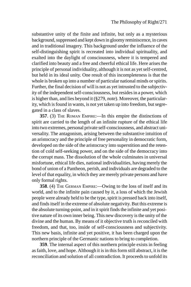substantive unity of the finite and infinite, but only as a mysterious background, suppressed and kept down in gloomy reminiscence, in caves and in traditional imagery. This background under the influence of the self-distinguishing spirit is recreated into individual spirituality, and exalted into the daylight of consciousness, where it is tempered and clarified into beauty and a free and cheerful ethical life. Here arises the principle of personal individuality, although it is not as yet self-centred, but held in its ideal unity. One result of this incompleteness is that the whole is broken up into a number of particular national minds or spirits. Further, the final decision of will is not as yet intrusted to the subjectivity of the independent self-consciousness, but resides in a power, which is higher than, and lies beyond it (§279, *note*). Moreover, the particularity, which is found in wants, is not yet taken up into freedom, but segregated in a class of slaves.

**357**. (3) THE ROMAN EMPIRE:—In this empire the distinctions of spirit are carried to the length of an infinite rupture of the ethical life into two extremes, personal private self-consciousness, and abstract universality. The antagonism, arising between the substantive intuition of an aristocracy and the principle of free personality in democratic form, developed on the side of the aristocracy into superstition and the retention of cold self-seeking power, and on the side of the democracy into the corrupt mass. The dissolution of the whole culminates in universal misfortune, ethical life dies, national individualities, having merely the bond of union of a Pantheon, perish, and individuals are degraded to the level of that equality, in which they are merely private persons and have only formal rights.

**358**. (4) THE GERMAN EMPIRE:—Owing to the loss of itself and its world, and to the infinite pain caused by it, a loss of which the Jewish people were already held to be the type, spirit is pressed back into itself, and finds itself in the extreme of absolute negativity. But this extreme is the absolute turning-point, and in it spirit finds the infinite and yet positive nature of its own inner being. This new discovery is the unity of the divine and the human. By means of it objective truth is reconciled with freedom, and that, too, inside of self-consciousness and subjectivity. This new basis, infinite and yet positive, it has been charged upon the northern principle of the Germanic nations to bring to completion.

**359**. The internal aspect of this northern principle exists in feeling as faith, love, and hope. Although it is in this form still abstract, it is the reconciliation and solution of all contradiction. It proceeds to unfold its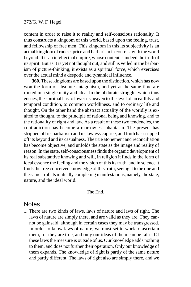### 272/G. W. F. Hegel

content in order to raise it to reality and self-conscious rationality. It thus constructs a kingdom of this world, based upon the feeling, trust, and fellowship of free men. This kingdom in this its subjectivity is an actual kingdom of rude caprice and barbarism in contrast with the world beyond. It is an intellectual empire, whose content is indeed the truth of its spirit. But as it is yet not thought out, and still is veiled in the barbarism of picture-thinking, it exists as a spiritual force, which exercises over the actual mind a despotic and tyrannical influence.

**360**. These kingdoms are based upon the distinction, which has now won the form of absolute antagonism, and yet at the same time are rooted in a single unity and idea. In the obdurate struggle, which thus ensues, the spiritual has to lower its heaven to the level of an earthly and temporal condition, to common worldliness, and to ordinary life and thought. On the other hand the abstract actuality of the worldly is exalted to thought, to the principle of rational being and knowing, and to the rationality of right and law. As a result of these two tendencies, the contradiction has become a marrowless phantasm. The present has stripped off its barbarism and its lawless caprice, and truth has stripped off its beyond and its casualness. The true atonement and reconciliation has become objective, and unfolds the state as the image and reality of reason. In the state, self-consciousness finds the organic development of its real substantive knowing and will, in religion it finds in the form of ideal essence the feeling and the vision of this its truth, and in science it finds the free conceived knowledge of this truth, seeing it to be one and the same in all its mutually completing manifestations, namely, the state, nature, and the ideal world.

#### The End.

# **Notes**

1. There are two kinds of laws, laws of nature and laws of right. The laws of nature are simply there, and are valid as they are. They cannot be gainsaid, although in certain cases they may be transgressed. In order to know laws of nature, we must set to work to ascertain them, for they are true, and only our ideas of them can be false. Of these laws the measure is outside of us. Our knowledge adds nothing to them, and does not further their operation. Only our knowledge of them expands. The knowledge of right is partly of the same nature and partly different. The laws of right also are simply there, and we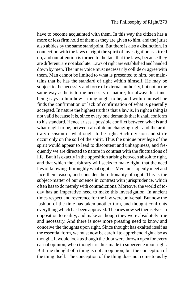have to become acquainted with them. In this way the citizen has a more or less firm hold of them as they are given to him, and the jurist also abides by the same standpoint. But there is also a distinction. In connection with the laws of right the spirit of investigation is stirred up, and our attention is turned to the fact that the laws, because they are different, are not absolute. Laws of right are established and handed down by men. The inner voice must necessarily collide or agree with them. Man cannot be limited to what is presented to him, but maintains that he has the standard of right within himself. He may be subject to the necessity and force of external authority, but not in the same way as he is to the necessity of nature; for always his inner being says to him how a thing ought to be, and within himself he finds the confirmation or lack of confirmation of what is generally accepted. In nature the highest truth is that a law is. In right a thing is not valid because it is, since every one demands that it shall conform to his standard. Hence arises a possible conflict between what is and what ought to be, between absolute unchanging right and the arbitrary decision of what ought to be right. Such division and strife occur only on the soil of the spirit. Thus the unique privilege of the spirit would appear to lead to discontent and unhappiness, and frequently we are directed to nature in contrast with the fluctuations of life. But it is exactly in the opposition arising between absolute right, and that which the arbitrary will seeks to make right, that the need lies of knowing thoroughly what right is. Men must openly meet and face their reason, and consider the rationality of right. This is the subject-matter of our science in contrast with jurisprudence, which often has to do merely with contradictions. Moreover the world of today has an imperative need to make this investigation. In ancient times respect and reverence for the law were universal. But now the fashion of the time has taken another turn, and thought confronts everything which has been approved. Theories now set themselves in opposition to reality, and make as though they were absolutely true and necessary. And there is now more pressing need to know and conceive the thoughts upon right. Since thought has exalted itself as the essential form, we must now be careful to apprehend right also as thought. It would look as though the door were thrown open for every casual opinion, when thought is thus made to supervene upon right. But true thought of a thing is not an opinion, but the conception of the thing itself. The conception of the thing does not come to us by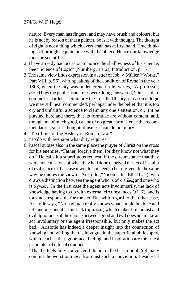nature. Every man has fingers, and may have brush and colours, but he is not by reason of that a painter. So is it with thought. The thought of right is not a thing which every man has at first hand. True thinking is thorough acquaintance with the object. Hence our knowledge must be scientific.

- 2. I have already had occasion to notice the shallowness of his science. See "Science of Logic" (Nürnberg, 1812), Introduction, p. 17.
- 3. The same view finds expression in a letter of Job. v. Müller ("Works," Part VIII, p. 56), who, speaking of the condition of Rome in the year 1803, when the city was under French rule, writes, "A professor, asked how the public academies were doing, answered, 'On les tolère comme les bordels!'" Similarly the so-called theory of reason or logic we may still hear commended, perhaps under the belief that it is too dry and unfruitful a science to claim any one's attention, or, if it be pursued here and there, that its formulae are without content, and, though not of much good, can be of no great harm. Hence the recommendation, so it is thought, if useless, can do no injury.
- 4. "Text-book of the History of Roman Law."
- 5. "To do with aversion what duty requires."
- 6. Pascal quotes also in the same place the prayer of Christ on the cross for his enemies, "Father, forgive them, for they know not what they do." He calls it a superfluous request, if the circumstance that they were not conscious of what they had done deprived the act of its taint of evil, since in that case it would not need to be forgiven. In the same way he quotes the view of Aristotle ("Nicomach." Eth. III. 2), who draws a distinction between the agent who is our  $\epsilon$  is  $\delta \omega \zeta$  and one who is άγνοῶν. In the first case the agent acts involuntarily, the lack of knowledge having to do with external circumstances (§117), and is thus not responsible for the act. But with regard to the other case, Aristotle says, "No bad man really knows what should be done and left undone, and it is this lack ( $\alpha \alpha \rho \tau(\alpha)$ ) which makes him unjust and evil. Ignorance of the choice between good and evil does not make an act involuntary or the agent irresponsible, but only makes the act bad." Aristotle has indeed a deeper insight into the connection of knowing and willing than is in vogue in the superficial philosophy, which teaches that ignorance, feeling, and inspiration are the truest principles of ethical conduct.
- 7. "That he feels fully convinced I do not in the least doubt. Yet many commit the worst outrages from just such a conviction. Besides, if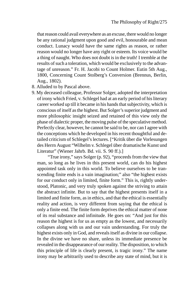that reason could avail everywhere as an excuse, there would no longer be any rational judgment upon good and evil, honourable and mean conduct. Lunacy would have the same rights as reason, or rather reason would no longer have any right or esteem. Its voice would be a thing of naught. Who does not doubt is in the truth! I tremble at the results of such a toleration, which would be exclusively to the advantage of unreason." Fr. H. Jacobi to Count Holmer. Eutin 5th Aug., 1800, Concerning Count Stolberg's Conversion (Brennus, Berlin, Aug., 1802).

- 8. Alluded to by Pascal above.
- 9. My deceased colleague, Professor Solger, adopted the interpretation of irony which Fried, v. Schlegel had at an early period of his literary career worked up till it became in his hands that subjectivity, which is conscious of itself as the highest. But Solger's superior judgment and more philosophic insight seized and retained of this view only the phase of dialectic proper, the moving pulse of the speculative method. Perfectly clear, however, he cannot be said to be, nor can I agree with the conceptions which he developed in his recent thoughtful and detailed criticism of Schlegel's lectures. ["Kritik über die Vorlesungen des Herrn August "Wilhelm v. Schlegel über dramatische Kunst und Literatur" (Wiener Jahrb. Bd. vii. S. 90 ff.).]

"True irony," says Solger (p. 92), "proceeds from the view that man, so long as he lives in this present world, can do his highest appointed task only in this world. To believe ourselves to be transcending finite ends is a vain imagination;" also "the highest exists for our conduct only in limited, finite form." This is, rightly understood, Platonic, and very truly spoken against the striving to attain the abstract infinite. But to say that the highest presents itself in a limited and finite form, as in ethics, and that the ethical is essentially reality and action, is very different from saying that the ethical is only a finite end. The finite form deprives the ethical matter of none of its real substance and infinitude. He goes on: "And just for this reason the highest is for us as empty as the lowest, and necessarily collapses along with us and our vain understanding. For truly the highest exists only in God, and reveals itself as divine in our collapse. In the divine we have no share, unless its immediate presence be revealed in the disappearance of our reality. The disposition, to which this principle of life is clearly present, is tragic irony." The name irony may be arbitrarily used to describe any state of mind, but it is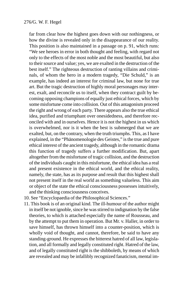far from clear how the highest goes down with our nothingness, or how the divine is revealed only in the disappearance of our reality. This position is also maintained in a passage on p. 91, which runs: "We see heroes in error in both thought and feeling, with regard not only to the effects of the most noble and the most beautiful, but also to their source and value; yes, we are exalted in the destruction of the best itself." The righteous destruction of ranting villains and criminals, of whom the hero in a modern tragedy, "Die Schuld," is an example, has indeed an interest for criminal law, but none for true art. But the tragic destruction of highly moral personages may interest, exalt, and reconcile us to itself, when they contract guilt by becoming opposing champions of equally just ethical forces, which by some misfortune come into collision. Out of this antagonism proceed the right and wrong of each party. There appears also the true ethical idea, purified and triumphant over onesidedness, and therefore reconciled with and in ourselves. Hence it is not the highest in us which is overwhelmed, nor is it when the best is submerged that we are exalted, but, on the contrary, when the truth triumphs. This, as I have explained, in the "Phänomenologie des Geistes," is the true and pure ethical interest of the ancient tragedy, although in the romantic drama this function of tragedy suffers a further modification. But, apart altogether from the misfortune of tragic collision, and the destruction of the individuals caught in this misfortune, the ethical idea has a real and present existence in the ethical world, and the ethical reality, namely, the state, has as its purpose and result that this highest shall not present itself in the real world as something valueless. This aim or object of the state the ethical consciousness possesses intuitively, and the thinking consciousness conceives.

- 10. See "Encyclopaedia of the Philosophical Sciences."
- 11. This book is of an original kind. The ill-humour of the author might in itself be not ignoble, since he was stirred to indignation by the false theories, to which is attached especially the name of Rousseau, and by the attempt to put them in operation. But Mr. v. Haller, in order to save himself, has thrown himself into a counter-position, which is wholly void of thought, and cannot, therefore, be said to have any standing-ground. He expresses the bitterest hatred of all law, legislation, and all formally and legally constituted right. Hatred of the law, and of legally constituted right is the shibboleth, by means of which are revealed and may be infallibly recognized fanaticism, mental im-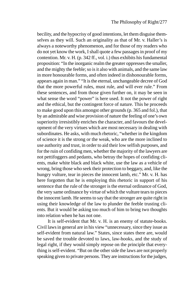becility, and the hypocrisy of good intentions, let them disguise themselves as they will. Such an originality as that of Mr. v. Haller's is always a noteworthy phenomenon, and for those of my readers who do not yet know the work, I shall quote a few passages in proof of my contention. Mr. v. H. (p. 342 ff., vol. i.) thus exhibits his fundamental proposition: "In the inorganic realm the greater oppresses the smaller, and the mighty the feeble; so is it also with animals, and the same law in more honourable forms, and often indeed in dishonourable forms, appears again in man." "It is the eternal, unchangeable decree of God that the more powerful rules, must rule, and will ever rule." From these sentences, and from those given further on, it may be seen in what sense the word "power" is here used. It not the power of right and the ethical, but the contingent force of nature. This he proceeds to make good upon this amongst other grounds (p. 365 and fol.), that by an admirable and wise provision of nature the feeling of one's own superiority irresistibly enriches the character, and favours the development of the very virtues which are most necessary in dealing with subordinates. He asks, with much rhetoric, "whether in the kingdom of science it is the strong or the weak, who are the more inclined to use authority and trust, in order to aid their low selfish purposes, and for the ruin of confiding men, whether the majority of the lawyers are not pettifoggers and pedants, who betray the hopes of confiding clients, make white black and black white, use the law as a vehicle of wrong, bring those who seek their protection to beggary, and, like the hungry vulture, tear in pieces the innocent lamb, etc." Mr. v. H. has here forgotten that he is employing this rhetoric in support of his sentence that the rule of the stronger is the eternal ordinance of God, the very same ordinance by virtue of which the vulture tears to pieces the innocent lamb. He seems to say that the stronger are quite right in using their knowledge of the law to plunder the feeble trusting clients. But it would be asking too much of him to bring two thoughts into relation when he has not one.

It is self-evident that Mr. v. H. is an enemy of statute-books. Civil laws in general are in his view "unnecessary, since they issue as self-evident from natural law." States, since states there are, would be saved the trouble devoted to laws, law-hooks, and the study of legal right, if they would simply repose on the principle that everything is self-evident. "But on the other side the laws are not properly speaking given to private persons. They are instructions for the judges,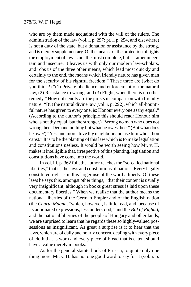who are by them made acquainted with the will of the rulers. The administration of the law (vol. i. p. 297; pt. i. p. 254, and elsewhere) is not a duty of the state, but a donation or assistance by the strong, and is merely supplementary. Of the means for the protection of rights the employment of law is not the most complete, but is rather uncertain and insecure. It leaves us with only our modern law-scholars, and robs us of the three other means, which lead most quickly and certainly to the end, the means which friendly nature has given man for the security of his rightful freedom." These three are (what do you think?) "(1) Private obedience and enforcement of the natural law, (2) Resistance to wrong, and (3) Flight, when there is no other remedy." How unfriendly are the jurists in comparison with friendly nature! "But the natural divine law (vol. i. p. 292), which all-bountiful nature has given to every one, is: Honour every one as thy equal." (According to the author's principle this should read: Honour him who is not thy equal, but the stronger.) "Wrong no man who does not wrong thee. Demand nothing but what he owes thee." (But what does he owe?) "Yes, and more, love thy neighbour and use him when thou canst." It is to be the planting of this law which is to make legislation and constitutions useless. It would be worth seeing how Mr. v. H. makes it intelligible that, irrespective of this planting, legislation and constitutions have come into the world.

In vol. iii. p. 362 fol., the author reaches the "so-called national liberties," that is, the laws and constitutions of nations. Every legally constituted right is in this larger use of the word a liberty. Of these laws he says this, amongst other things, "that their content is usually very insignificant, although in books great stress is laid upon these documentary liberties." When we realize that the author means the national liberties of the German Empire and of the English nation (the *Charta Magna,* "which, however, is little read, and, because of its antiquated expressions, less understood," and the *Bill of Rights*), and the national liberties of the people of Hungary and other lands, we are surprised to learn that he regards these so highly-valued possessions as insignificant. As great a surprise is it to hear that the laws, which are of daily and hourly concern, dealing with every piece of cloth that is worn and every piece of bread that is eaten, should have a value merely in books.

As for the general statute-book of Prussia, to quote only one thing more, Mr. v. H. has not one good word to say for it (vol. i. p.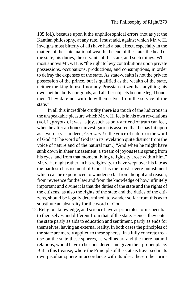185 fol.), because upon it the unphilosophical errors (not as yet the Kantian philosophy, at any rate, I must add, against which Mr. v. H. inveighs most bitterly of all) have had a bad effect, especially in the matters of the state, national wealth, the end of the state, the head of the state, his duties, the servants of the state, and such things. What most annoys Mr. v. H. is "the right to levy contributions upon private possessions, occupations, productions, and consumptions, in order to defray the expenses of the state. As state-wealth is not the private possession of the prince, but is qualified as the wealth of the state, neither the king himself nor any Prussian citizen has anything his own, neither body nor goods, and all the subjects become legal bondmen. They dare not with draw themselves from the service of the state."

In all this incredible crudity there is a touch of the ludicrous in the unspeakable pleasure which Mr. v. H. feels in his own revelations (vol. i., *preface*). It was "a joy, such as only a friend of truth can feel, when he after an honest investigation is assured that he has hit upon as it were" (yes, indeed, *As it were*!) "the voice of nature or the word of God." (The word of God is in its revelation quite distinct from the voice of nature and of the natural man.) "And when he might have sunk down in sheer amazement, a stream of joyous tears sprang from his eyes, and from that moment living religiosity arose within him." Mr. v. H. ought rather, in his religiosity, to have wept over his fate as the hardest chastisement of God. It is the most severe punishment which can be experienced to wander so far from thought and reason, from reverence for the law and from the knowledge of how infinitely important and divine it is that the duties of the state and the rights of the citizens, as also the rights of the state and the duties of the citizens, should be legally determined, to wander so far from this as to substitute an absurdity for the word of God.

12. Religion, knowledge, and science have as principles forms peculiar to themselves and different from that of the state. Hence, they enter the state partly as aids to education and sentiment, partly as ends for themselves, having an external reality. In both cases the principles of the state are merely applied to these spheres. In a fully concrete treatise on the state these spheres, as well as art and the mere natural relations, would have to be considered, and given their proper place. But in this treatise, where the Principle of the state is traversed in its own peculiar sphere in accordance with its idea, these other prin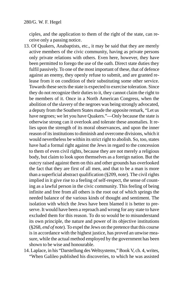ciples, and the application to them of the right of the state, can receive only a passing notice.

- 13. Of Quakers, Anabaptists, etc., it may be said that they are merely active members of the civic community, having as private persons only private relations with others. Even here, however, they have been permitted to forego the use of the oath. Direct state duties they fulfil passively. To one of the most important of these, that of defence against an enemy, they openly refuse to submit, and are granted release from it on condition of their substituting some other service. Towards these sects the state is expected to exercise toleration. Since they do not recognize their duties to it, they cannot claim the right to be members of it. Once in a North American Congress, when the abolition of the slavery of the negroes was being strongly advocated, a deputy from the Southern States made the apposite remark, "Let us have negroes; we let you have Quakers."—Only because the state is otherwise strong can it overlook and tolerate these anomalies. It relies upon the strength of its moral observances, and upon the inner reason of its institutions to diminish and overcome divisions, which it would nevertheless be within its strict right to abolish. So, too, states have had a formal right against the Jews in regard to the concession to them of even civil rights, because they are not merely a religious body, but claim to look upon themselves as a foreign nation. But the outcry raised against them on this and other grounds has overlooked the fact that they are first of all men, and that to be a man is more than a superficial abstract qualification (§209, *note*). The civil rights implied in it give rise to a feeling of self-respect, the sense of counting as a lawful person in the civic community. This feeling of being infinite and free from all others is the root out of which springs the needed balance of the various kinds of thought and sentiment. The isolation with which the Jews have been blamed it is better to preserve. It would have been a reproach and wrong for any state to have excluded them for this reason. To do so would be to misunderstand its own principle, the nature and power of its objective institutions (§268, *end of note*). To expel the Jews on the pretence that this course is in accordance with the highest justice, has proved an unwise measure, while the actual method employed by the government has been shown to be wise and honourable.
- 14. Laplace, in his "Darstellung des Weltsystems," Book V, ch. 4, writes, "When Galileo published his discoveries, to which he was assisted